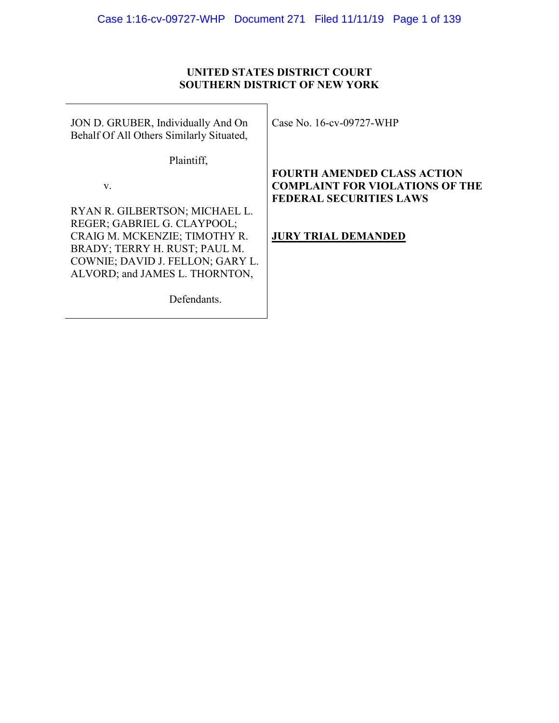## **UNITED STATES DISTRICT COURT SOUTHERN DISTRICT OF NEW YORK**

JON D. GRUBER, Individually And On Behalf Of All Others Similarly Situated,

Plaintiff,

v.

RYAN R. GILBERTSON; MICHAEL L. REGER; GABRIEL G. CLAYPOOL; CRAIG M. MCKENZIE; TIMOTHY R. BRADY; TERRY H. RUST; PAUL M. COWNIE; DAVID J. FELLON; GARY L. ALVORD; and JAMES L. THORNTON,

Defendants.

Case No. 16-cv-09727-WHP

# **FOURTH AMENDED CLASS ACTION COMPLAINT FOR VIOLATIONS OF THE FEDERAL SECURITIES LAWS**

**JURY TRIAL DEMANDED**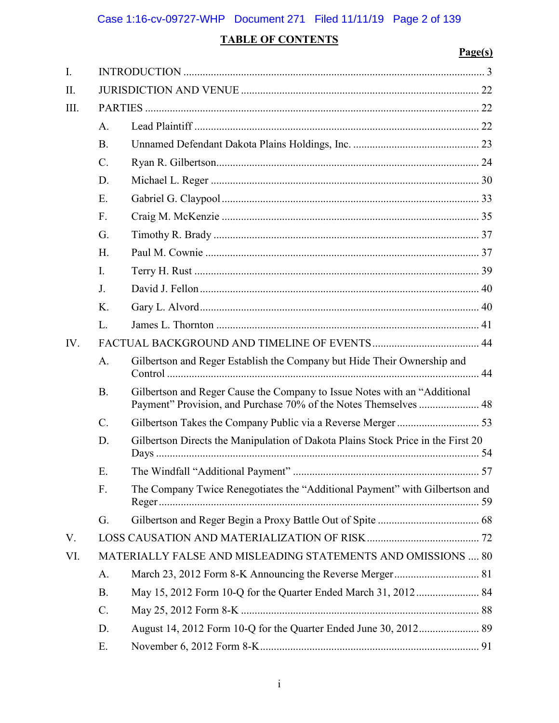# **TABLE OF CONTENTS**

# **Page(s)**

| I.   |                                                                     |                                                                                                                                               |  |  |  |
|------|---------------------------------------------------------------------|-----------------------------------------------------------------------------------------------------------------------------------------------|--|--|--|
| II.  |                                                                     |                                                                                                                                               |  |  |  |
| III. |                                                                     |                                                                                                                                               |  |  |  |
|      | A.                                                                  |                                                                                                                                               |  |  |  |
|      | <b>B.</b>                                                           |                                                                                                                                               |  |  |  |
|      | $\mathcal{C}$ .                                                     |                                                                                                                                               |  |  |  |
|      | D.                                                                  |                                                                                                                                               |  |  |  |
|      | E.                                                                  |                                                                                                                                               |  |  |  |
|      | F.                                                                  |                                                                                                                                               |  |  |  |
|      | G.                                                                  |                                                                                                                                               |  |  |  |
|      | H.                                                                  |                                                                                                                                               |  |  |  |
|      | I.                                                                  |                                                                                                                                               |  |  |  |
|      | J.                                                                  |                                                                                                                                               |  |  |  |
|      | K.                                                                  |                                                                                                                                               |  |  |  |
|      | L.                                                                  |                                                                                                                                               |  |  |  |
| IV.  |                                                                     |                                                                                                                                               |  |  |  |
|      | A.                                                                  | Gilbertson and Reger Establish the Company but Hide Their Ownership and                                                                       |  |  |  |
|      | <b>B.</b>                                                           | Gilbertson and Reger Cause the Company to Issue Notes with an "Additional<br>Payment" Provision, and Purchase 70% of the Notes Themselves  48 |  |  |  |
|      | $\mathcal{C}$ .                                                     |                                                                                                                                               |  |  |  |
|      | D.                                                                  | Gilbertson Directs the Manipulation of Dakota Plains Stock Price in the First 20                                                              |  |  |  |
|      | Ε.                                                                  |                                                                                                                                               |  |  |  |
|      | F.                                                                  | The Company Twice Renegotiates the "Additional Payment" with Gilbertson and                                                                   |  |  |  |
|      | G.                                                                  |                                                                                                                                               |  |  |  |
| V.   |                                                                     |                                                                                                                                               |  |  |  |
| VI.  | <b>MATERIALLY FALSE AND MISLEADING STATEMENTS AND OMISSIONS  80</b> |                                                                                                                                               |  |  |  |
|      | A.                                                                  |                                                                                                                                               |  |  |  |
|      | <b>B.</b>                                                           |                                                                                                                                               |  |  |  |
|      | $C$ .                                                               |                                                                                                                                               |  |  |  |
|      | D.                                                                  |                                                                                                                                               |  |  |  |
|      | E.                                                                  |                                                                                                                                               |  |  |  |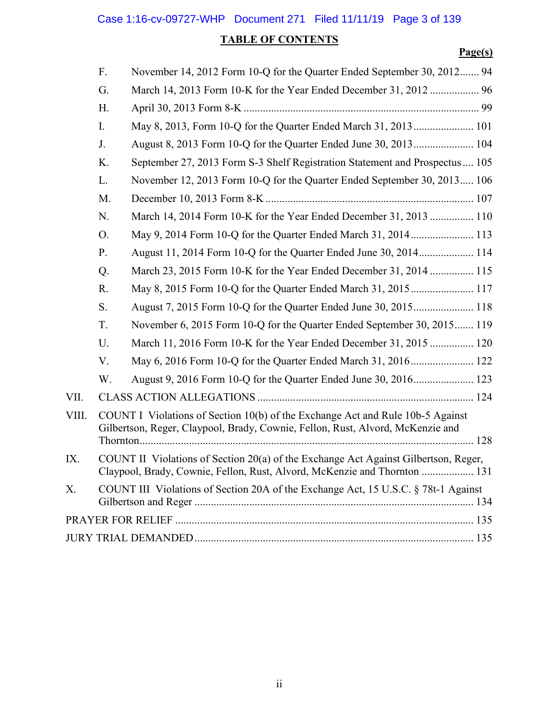# **TABLE OF CONTENTS**

# **Page(s)**

|       | F.                                                                                                                                                               | November 14, 2012 Form 10-Q for the Quarter Ended September 30, 2012 94                                                                                          |  |  |  |  |
|-------|------------------------------------------------------------------------------------------------------------------------------------------------------------------|------------------------------------------------------------------------------------------------------------------------------------------------------------------|--|--|--|--|
|       | G.                                                                                                                                                               | March 14, 2013 Form 10-K for the Year Ended December 31, 2012  96                                                                                                |  |  |  |  |
|       | H.                                                                                                                                                               |                                                                                                                                                                  |  |  |  |  |
|       | I.                                                                                                                                                               | May 8, 2013, Form 10-Q for the Quarter Ended March 31, 2013 101                                                                                                  |  |  |  |  |
|       | J.                                                                                                                                                               |                                                                                                                                                                  |  |  |  |  |
|       | K.                                                                                                                                                               | September 27, 2013 Form S-3 Shelf Registration Statement and Prospectus 105                                                                                      |  |  |  |  |
|       | L.                                                                                                                                                               | November 12, 2013 Form 10-Q for the Quarter Ended September 30, 2013 106                                                                                         |  |  |  |  |
|       | M.                                                                                                                                                               |                                                                                                                                                                  |  |  |  |  |
|       | N.                                                                                                                                                               | March 14, 2014 Form 10-K for the Year Ended December 31, 2013  110                                                                                               |  |  |  |  |
|       | O.                                                                                                                                                               | May 9, 2014 Form 10-Q for the Quarter Ended March 31, 2014 113                                                                                                   |  |  |  |  |
|       | P.                                                                                                                                                               | August 11, 2014 Form 10-Q for the Quarter Ended June 30, 2014 114                                                                                                |  |  |  |  |
|       | Q.                                                                                                                                                               | March 23, 2015 Form 10-K for the Year Ended December 31, 2014  115                                                                                               |  |  |  |  |
|       | R.                                                                                                                                                               | May 8, 2015 Form 10-Q for the Quarter Ended March 31, 2015 117                                                                                                   |  |  |  |  |
|       | S.                                                                                                                                                               |                                                                                                                                                                  |  |  |  |  |
|       | T.                                                                                                                                                               | November 6, 2015 Form 10-Q for the Quarter Ended September 30, 2015 119                                                                                          |  |  |  |  |
|       | U.                                                                                                                                                               | March 11, 2016 Form 10-K for the Year Ended December 31, 2015 120                                                                                                |  |  |  |  |
|       | V.                                                                                                                                                               | May 6, 2016 Form 10-Q for the Quarter Ended March 31, 2016 122                                                                                                   |  |  |  |  |
|       | W.                                                                                                                                                               | August 9, 2016 Form 10-Q for the Quarter Ended June 30, 2016 123                                                                                                 |  |  |  |  |
| VII.  |                                                                                                                                                                  |                                                                                                                                                                  |  |  |  |  |
| VIII. |                                                                                                                                                                  | COUNT I Violations of Section 10(b) of the Exchange Act and Rule 10b-5 Against<br>Gilbertson, Reger, Claypool, Brady, Cownie, Fellon, Rust, Alvord, McKenzie and |  |  |  |  |
| IX.   | COUNT II Violations of Section 20(a) of the Exchange Act Against Gilbertson, Reger,<br>Claypool, Brady, Cownie, Fellon, Rust, Alvord, McKenzie and Thornton  131 |                                                                                                                                                                  |  |  |  |  |
| Χ.    | COUNT III Violations of Section 20A of the Exchange Act, 15 U.S.C. § 78t-1 Against                                                                               |                                                                                                                                                                  |  |  |  |  |
|       |                                                                                                                                                                  |                                                                                                                                                                  |  |  |  |  |
|       |                                                                                                                                                                  |                                                                                                                                                                  |  |  |  |  |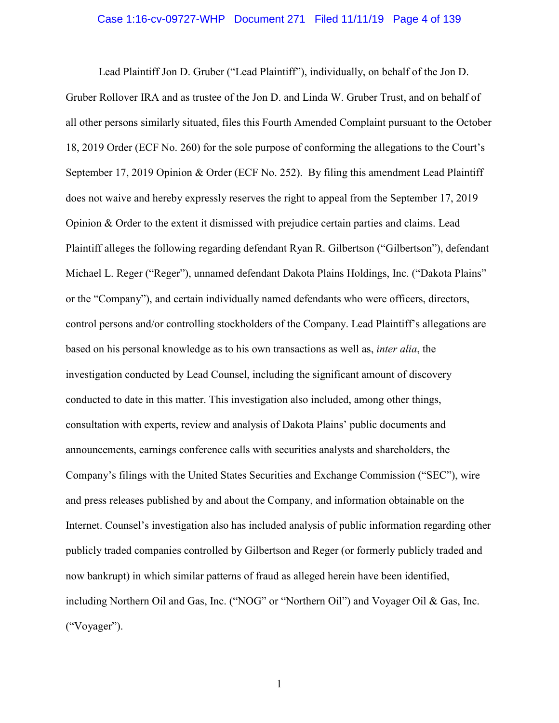## Case 1:16-cv-09727-WHP Document 271 Filed 11/11/19 Page 4 of 139

Lead Plaintiff Jon D. Gruber ("Lead Plaintiff"), individually, on behalf of the Jon D. Gruber Rollover IRA and as trustee of the Jon D. and Linda W. Gruber Trust, and on behalf of all other persons similarly situated, files this Fourth Amended Complaint pursuant to the October 18, 2019 Order (ECF No. 260) for the sole purpose of conforming the allegations to the Court's September 17, 2019 Opinion & Order (ECF No. 252). By filing this amendment Lead Plaintiff does not waive and hereby expressly reserves the right to appeal from the September 17, 2019 Opinion & Order to the extent it dismissed with prejudice certain parties and claims. Lead Plaintiff alleges the following regarding defendant Ryan R. Gilbertson ("Gilbertson"), defendant Michael L. Reger ("Reger"), unnamed defendant Dakota Plains Holdings, Inc. ("Dakota Plains" or the "Company"), and certain individually named defendants who were officers, directors, control persons and/or controlling stockholders of the Company. Lead Plaintiff's allegations are based on his personal knowledge as to his own transactions as well as, *inter alia*, the investigation conducted by Lead Counsel, including the significant amount of discovery conducted to date in this matter. This investigation also included, among other things, consultation with experts, review and analysis of Dakota Plains' public documents and announcements, earnings conference calls with securities analysts and shareholders, the Company's filings with the United States Securities and Exchange Commission ("SEC"), wire and press releases published by and about the Company, and information obtainable on the Internet. Counsel's investigation also has included analysis of public information regarding other publicly traded companies controlled by Gilbertson and Reger (or formerly publicly traded and now bankrupt) in which similar patterns of fraud as alleged herein have been identified, including Northern Oil and Gas, Inc. ("NOG" or "Northern Oil") and Voyager Oil & Gas, Inc. ("Voyager").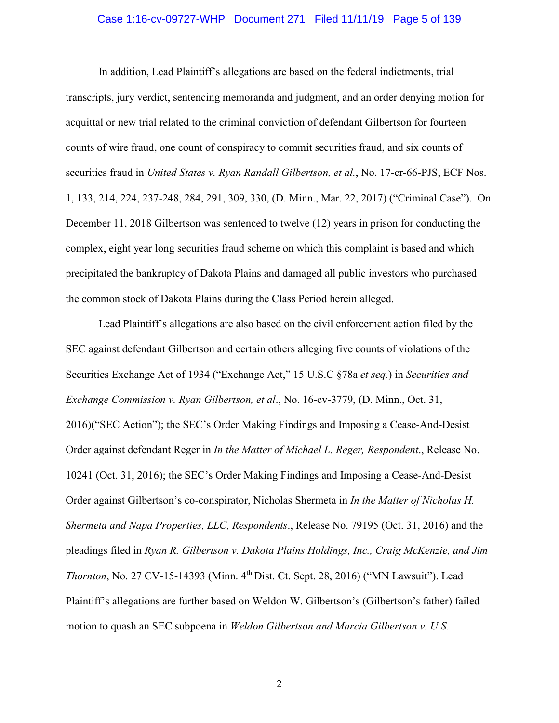## Case 1:16-cv-09727-WHP Document 271 Filed 11/11/19 Page 5 of 139

In addition, Lead Plaintiff's allegations are based on the federal indictments, trial transcripts, jury verdict, sentencing memoranda and judgment, and an order denying motion for acquittal or new trial related to the criminal conviction of defendant Gilbertson for fourteen counts of wire fraud, one count of conspiracy to commit securities fraud, and six counts of securities fraud in *United States v. Ryan Randall Gilbertson, et al.*, No. 17-cr-66-PJS, ECF Nos. 1, 133, 214, 224, 237-248, 284, 291, 309, 330, (D. Minn., Mar. 22, 2017) ("Criminal Case"). On December 11, 2018 Gilbertson was sentenced to twelve (12) years in prison for conducting the complex, eight year long securities fraud scheme on which this complaint is based and which precipitated the bankruptcy of Dakota Plains and damaged all public investors who purchased the common stock of Dakota Plains during the Class Period herein alleged.

Lead Plaintiff's allegations are also based on the civil enforcement action filed by the SEC against defendant Gilbertson and certain others alleging five counts of violations of the Securities Exchange Act of 1934 ("Exchange Act," 15 U.S.C §78a *et seq.*) in *Securities and Exchange Commission v. Ryan Gilbertson, et al*., No. 16-cv-3779, (D. Minn., Oct. 31, 2016)("SEC Action"); the SEC's Order Making Findings and Imposing a Cease-And-Desist Order against defendant Reger in *In the Matter of Michael L. Reger, Respondent*., Release No. 10241 (Oct. 31, 2016); the SEC's Order Making Findings and Imposing a Cease-And-Desist Order against Gilbertson's co-conspirator, Nicholas Shermeta in *In the Matter of Nicholas H. Shermeta and Napa Properties, LLC, Respondents*., Release No. 79195 (Oct. 31, 2016) and the pleadings filed in *Ryan R. Gilbertson v. Dakota Plains Holdings, Inc., Craig McKenzie, and Jim Thornton*, No. 27 CV-15-14393 (Minn. 4<sup>th</sup> Dist. Ct. Sept. 28, 2016) ("MN Lawsuit"). Lead Plaintiff's allegations are further based on Weldon W. Gilbertson's (Gilbertson's father) failed motion to quash an SEC subpoena in *Weldon Gilbertson and Marcia Gilbertson v. U.S.*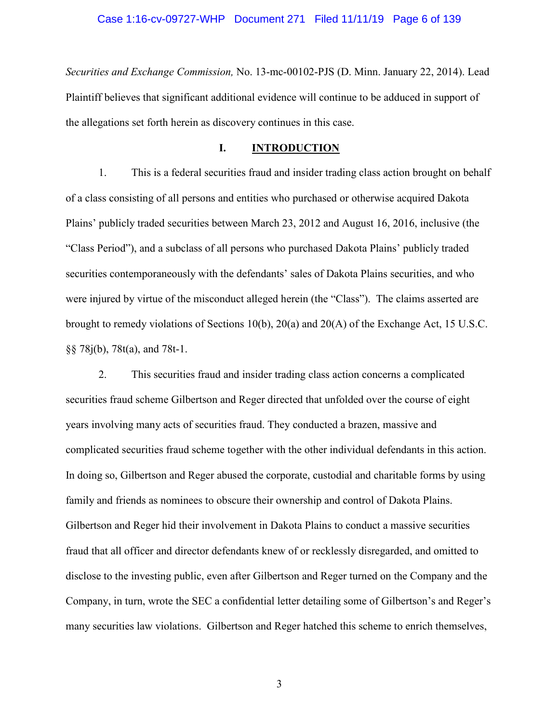## Case 1:16-cv-09727-WHP Document 271 Filed 11/11/19 Page 6 of 139

*Securities and Exchange Commission,* No. 13-mc-00102-PJS (D. Minn. January 22, 2014). Lead Plaintiff believes that significant additional evidence will continue to be adduced in support of the allegations set forth herein as discovery continues in this case.

## **I. INTRODUCTION**

1. This is a federal securities fraud and insider trading class action brought on behalf of a class consisting of all persons and entities who purchased or otherwise acquired Dakota Plains' publicly traded securities between March 23, 2012 and August 16, 2016, inclusive (the "Class Period"), and a subclass of all persons who purchased Dakota Plains' publicly traded securities contemporaneously with the defendants' sales of Dakota Plains securities, and who were injured by virtue of the misconduct alleged herein (the "Class"). The claims asserted are brought to remedy violations of Sections 10(b), 20(a) and 20(A) of the Exchange Act, 15 U.S.C. §§ 78j(b), 78t(a), and 78t-1.

2. This securities fraud and insider trading class action concerns a complicated securities fraud scheme Gilbertson and Reger directed that unfolded over the course of eight years involving many acts of securities fraud. They conducted a brazen, massive and complicated securities fraud scheme together with the other individual defendants in this action. In doing so, Gilbertson and Reger abused the corporate, custodial and charitable forms by using family and friends as nominees to obscure their ownership and control of Dakota Plains. Gilbertson and Reger hid their involvement in Dakota Plains to conduct a massive securities fraud that all officer and director defendants knew of or recklessly disregarded, and omitted to disclose to the investing public, even after Gilbertson and Reger turned on the Company and the Company, in turn, wrote the SEC a confidential letter detailing some of Gilbertson's and Reger's many securities law violations. Gilbertson and Reger hatched this scheme to enrich themselves,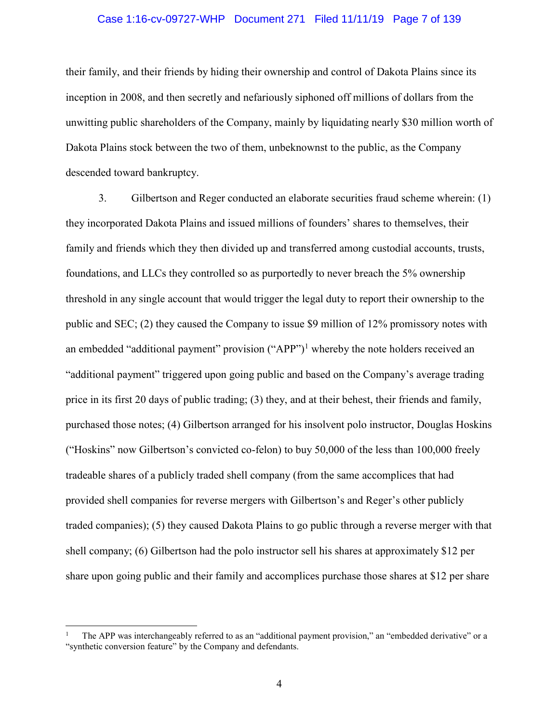## Case 1:16-cv-09727-WHP Document 271 Filed 11/11/19 Page 7 of 139

their family, and their friends by hiding their ownership and control of Dakota Plains since its inception in 2008, and then secretly and nefariously siphoned off millions of dollars from the unwitting public shareholders of the Company, mainly by liquidating nearly \$30 million worth of Dakota Plains stock between the two of them, unbeknownst to the public, as the Company descended toward bankruptcy.

3. Gilbertson and Reger conducted an elaborate securities fraud scheme wherein: (1) they incorporated Dakota Plains and issued millions of founders' shares to themselves, their family and friends which they then divided up and transferred among custodial accounts, trusts, foundations, and LLCs they controlled so as purportedly to never breach the 5% ownership threshold in any single account that would trigger the legal duty to report their ownership to the public and SEC; (2) they caused the Company to issue \$9 million of 12% promissory notes with an embedded "additional payment" provision  $("APP")^1$  whereby the note holders received an "additional payment" triggered upon going public and based on the Company's average trading price in its first 20 days of public trading; (3) they, and at their behest, their friends and family, purchased those notes; (4) Gilbertson arranged for his insolvent polo instructor, Douglas Hoskins ("Hoskins" now Gilbertson's convicted co-felon) to buy 50,000 of the less than 100,000 freely tradeable shares of a publicly traded shell company (from the same accomplices that had provided shell companies for reverse mergers with Gilbertson's and Reger's other publicly traded companies); (5) they caused Dakota Plains to go public through a reverse merger with that shell company; (6) Gilbertson had the polo instructor sell his shares at approximately \$12 per share upon going public and their family and accomplices purchase those shares at \$12 per share

l

<sup>1</sup> The APP was interchangeably referred to as an "additional payment provision," an "embedded derivative" or a "synthetic conversion feature" by the Company and defendants.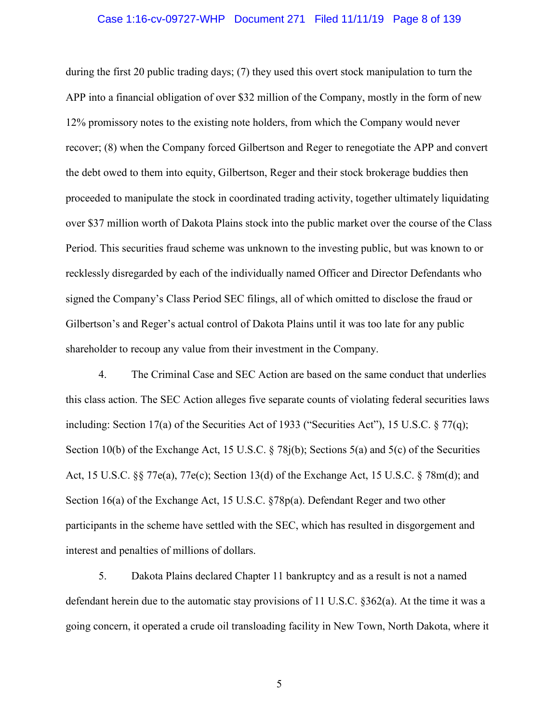## Case 1:16-cv-09727-WHP Document 271 Filed 11/11/19 Page 8 of 139

during the first 20 public trading days; (7) they used this overt stock manipulation to turn the APP into a financial obligation of over \$32 million of the Company, mostly in the form of new 12% promissory notes to the existing note holders, from which the Company would never recover; (8) when the Company forced Gilbertson and Reger to renegotiate the APP and convert the debt owed to them into equity, Gilbertson, Reger and their stock brokerage buddies then proceeded to manipulate the stock in coordinated trading activity, together ultimately liquidating over \$37 million worth of Dakota Plains stock into the public market over the course of the Class Period. This securities fraud scheme was unknown to the investing public, but was known to or recklessly disregarded by each of the individually named Officer and Director Defendants who signed the Company's Class Period SEC filings, all of which omitted to disclose the fraud or Gilbertson's and Reger's actual control of Dakota Plains until it was too late for any public shareholder to recoup any value from their investment in the Company.

4. The Criminal Case and SEC Action are based on the same conduct that underlies this class action. The SEC Action alleges five separate counts of violating federal securities laws including: Section 17(a) of the Securities Act of 1933 ("Securities Act"), 15 U.S.C.  $\S 77(q)$ ; Section 10(b) of the Exchange Act, 15 U.S.C. § 78j(b); Sections 5(a) and 5(c) of the Securities Act, 15 U.S.C. §§ 77e(a), 77e(c); Section 13(d) of the Exchange Act, 15 U.S.C. § 78m(d); and Section 16(a) of the Exchange Act, 15 U.S.C. §78p(a). Defendant Reger and two other participants in the scheme have settled with the SEC, which has resulted in disgorgement and interest and penalties of millions of dollars.

5. Dakota Plains declared Chapter 11 bankruptcy and as a result is not a named defendant herein due to the automatic stay provisions of 11 U.S.C. §362(a). At the time it was a going concern, it operated a crude oil transloading facility in New Town, North Dakota, where it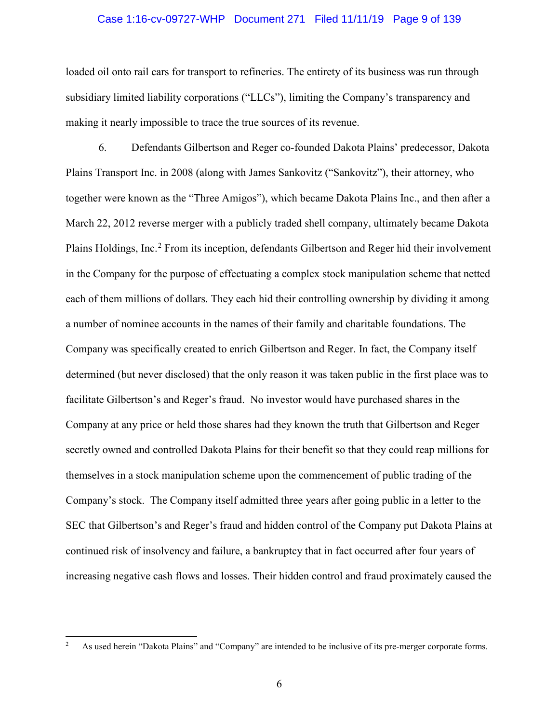## Case 1:16-cv-09727-WHP Document 271 Filed 11/11/19 Page 9 of 139

loaded oil onto rail cars for transport to refineries. The entirety of its business was run through subsidiary limited liability corporations ("LLCs"), limiting the Company's transparency and making it nearly impossible to trace the true sources of its revenue.

6. Defendants Gilbertson and Reger co-founded Dakota Plains' predecessor, Dakota Plains Transport Inc. in 2008 (along with James Sankovitz ("Sankovitz"), their attorney, who together were known as the "Three Amigos"), which became Dakota Plains Inc., and then after a March 22, 2012 reverse merger with a publicly traded shell company, ultimately became Dakota Plains Holdings, Inc.<sup>2</sup> From its inception, defendants Gilbertson and Reger hid their involvement in the Company for the purpose of effectuating a complex stock manipulation scheme that netted each of them millions of dollars. They each hid their controlling ownership by dividing it among a number of nominee accounts in the names of their family and charitable foundations. The Company was specifically created to enrich Gilbertson and Reger. In fact, the Company itself determined (but never disclosed) that the only reason it was taken public in the first place was to facilitate Gilbertson's and Reger's fraud. No investor would have purchased shares in the Company at any price or held those shares had they known the truth that Gilbertson and Reger secretly owned and controlled Dakota Plains for their benefit so that they could reap millions for themselves in a stock manipulation scheme upon the commencement of public trading of the Company's stock. The Company itself admitted three years after going public in a letter to the SEC that Gilbertson's and Reger's fraud and hidden control of the Company put Dakota Plains at continued risk of insolvency and failure, a bankruptcy that in fact occurred after four years of increasing negative cash flows and losses. Their hidden control and fraud proximately caused the

 $\overline{a}$ 

<sup>2</sup> As used herein "Dakota Plains" and "Company" are intended to be inclusive of its pre-merger corporate forms.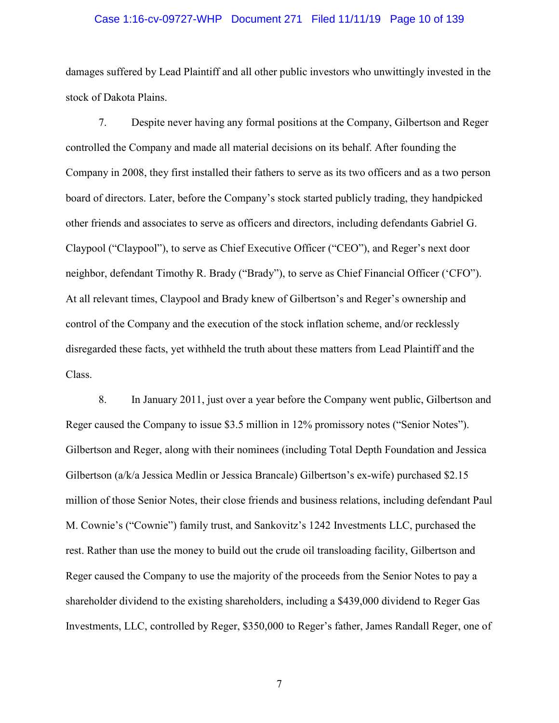## Case 1:16-cv-09727-WHP Document 271 Filed 11/11/19 Page 10 of 139

damages suffered by Lead Plaintiff and all other public investors who unwittingly invested in the stock of Dakota Plains.

7. Despite never having any formal positions at the Company, Gilbertson and Reger controlled the Company and made all material decisions on its behalf. After founding the Company in 2008, they first installed their fathers to serve as its two officers and as a two person board of directors. Later, before the Company's stock started publicly trading, they handpicked other friends and associates to serve as officers and directors, including defendants Gabriel G. Claypool ("Claypool"), to serve as Chief Executive Officer ("CEO"), and Reger's next door neighbor, defendant Timothy R. Brady ("Brady"), to serve as Chief Financial Officer ('CFO"). At all relevant times, Claypool and Brady knew of Gilbertson's and Reger's ownership and control of the Company and the execution of the stock inflation scheme, and/or recklessly disregarded these facts, yet withheld the truth about these matters from Lead Plaintiff and the Class.

8. In January 2011, just over a year before the Company went public, Gilbertson and Reger caused the Company to issue \$3.5 million in 12% promissory notes ("Senior Notes"). Gilbertson and Reger, along with their nominees (including Total Depth Foundation and Jessica Gilbertson (a/k/a Jessica Medlin or Jessica Brancale) Gilbertson's ex-wife) purchased \$2.15 million of those Senior Notes, their close friends and business relations, including defendant Paul M. Cownie's ("Cownie") family trust, and Sankovitz's 1242 Investments LLC, purchased the rest. Rather than use the money to build out the crude oil transloading facility, Gilbertson and Reger caused the Company to use the majority of the proceeds from the Senior Notes to pay a shareholder dividend to the existing shareholders, including a \$439,000 dividend to Reger Gas Investments, LLC, controlled by Reger, \$350,000 to Reger's father, James Randall Reger, one of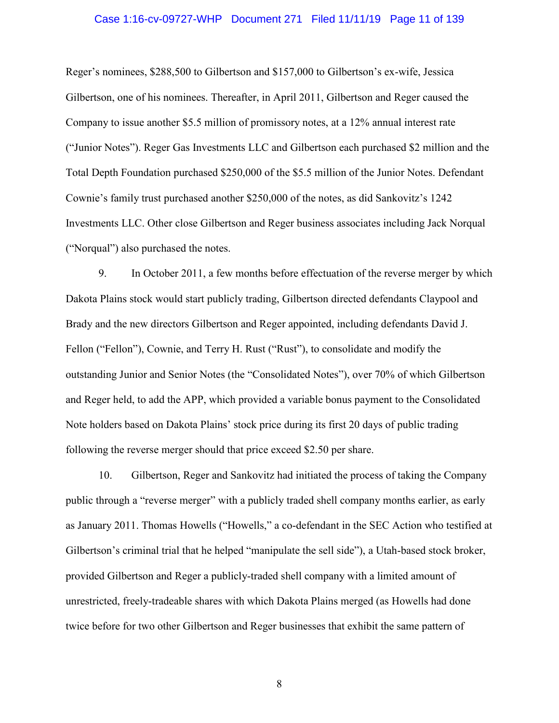## Case 1:16-cv-09727-WHP Document 271 Filed 11/11/19 Page 11 of 139

Reger's nominees, \$288,500 to Gilbertson and \$157,000 to Gilbertson's ex-wife, Jessica Gilbertson, one of his nominees. Thereafter, in April 2011, Gilbertson and Reger caused the Company to issue another \$5.5 million of promissory notes, at a 12% annual interest rate ("Junior Notes"). Reger Gas Investments LLC and Gilbertson each purchased \$2 million and the Total Depth Foundation purchased \$250,000 of the \$5.5 million of the Junior Notes. Defendant Cownie's family trust purchased another \$250,000 of the notes, as did Sankovitz's 1242 Investments LLC. Other close Gilbertson and Reger business associates including Jack Norqual ("Norqual") also purchased the notes.

9. In October 2011, a few months before effectuation of the reverse merger by which Dakota Plains stock would start publicly trading, Gilbertson directed defendants Claypool and Brady and the new directors Gilbertson and Reger appointed, including defendants David J. Fellon ("Fellon"), Cownie, and Terry H. Rust ("Rust"), to consolidate and modify the outstanding Junior and Senior Notes (the "Consolidated Notes"), over 70% of which Gilbertson and Reger held, to add the APP, which provided a variable bonus payment to the Consolidated Note holders based on Dakota Plains' stock price during its first 20 days of public trading following the reverse merger should that price exceed \$2.50 per share.

10. Gilbertson, Reger and Sankovitz had initiated the process of taking the Company public through a "reverse merger" with a publicly traded shell company months earlier, as early as January 2011. Thomas Howells ("Howells," a co-defendant in the SEC Action who testified at Gilbertson's criminal trial that he helped "manipulate the sell side"), a Utah-based stock broker, provided Gilbertson and Reger a publicly-traded shell company with a limited amount of unrestricted, freely-tradeable shares with which Dakota Plains merged (as Howells had done twice before for two other Gilbertson and Reger businesses that exhibit the same pattern of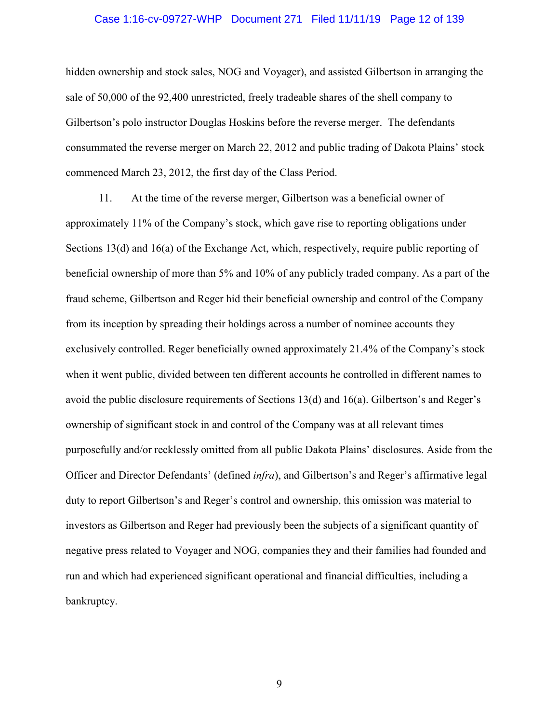## Case 1:16-cv-09727-WHP Document 271 Filed 11/11/19 Page 12 of 139

hidden ownership and stock sales, NOG and Voyager), and assisted Gilbertson in arranging the sale of 50,000 of the 92,400 unrestricted, freely tradeable shares of the shell company to Gilbertson's polo instructor Douglas Hoskins before the reverse merger. The defendants consummated the reverse merger on March 22, 2012 and public trading of Dakota Plains' stock commenced March 23, 2012, the first day of the Class Period.

11. At the time of the reverse merger, Gilbertson was a beneficial owner of approximately 11% of the Company's stock, which gave rise to reporting obligations under Sections 13(d) and 16(a) of the Exchange Act, which, respectively, require public reporting of beneficial ownership of more than 5% and 10% of any publicly traded company. As a part of the fraud scheme, Gilbertson and Reger hid their beneficial ownership and control of the Company from its inception by spreading their holdings across a number of nominee accounts they exclusively controlled. Reger beneficially owned approximately 21.4% of the Company's stock when it went public, divided between ten different accounts he controlled in different names to avoid the public disclosure requirements of Sections 13(d) and 16(a). Gilbertson's and Reger's ownership of significant stock in and control of the Company was at all relevant times purposefully and/or recklessly omitted from all public Dakota Plains' disclosures. Aside from the Officer and Director Defendants' (defined *infra*), and Gilbertson's and Reger's affirmative legal duty to report Gilbertson's and Reger's control and ownership, this omission was material to investors as Gilbertson and Reger had previously been the subjects of a significant quantity of negative press related to Voyager and NOG, companies they and their families had founded and run and which had experienced significant operational and financial difficulties, including a bankruptcy.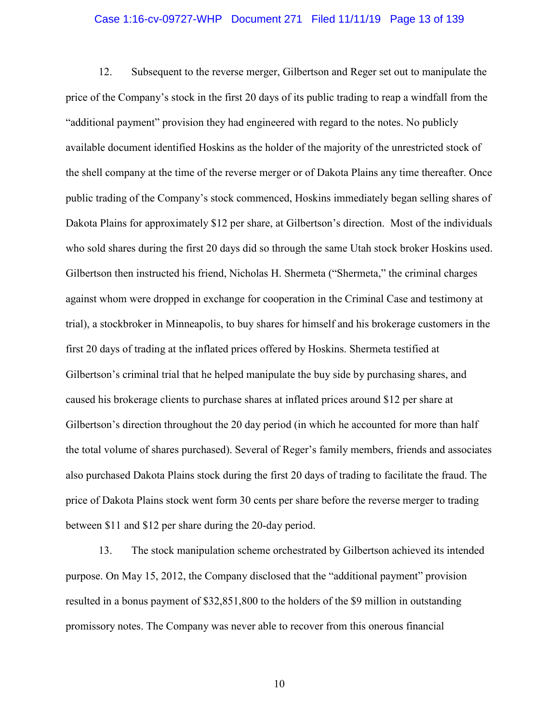## Case 1:16-cv-09727-WHP Document 271 Filed 11/11/19 Page 13 of 139

12. Subsequent to the reverse merger, Gilbertson and Reger set out to manipulate the price of the Company's stock in the first 20 days of its public trading to reap a windfall from the "additional payment" provision they had engineered with regard to the notes. No publicly available document identified Hoskins as the holder of the majority of the unrestricted stock of the shell company at the time of the reverse merger or of Dakota Plains any time thereafter. Once public trading of the Company's stock commenced, Hoskins immediately began selling shares of Dakota Plains for approximately \$12 per share, at Gilbertson's direction. Most of the individuals who sold shares during the first 20 days did so through the same Utah stock broker Hoskins used. Gilbertson then instructed his friend, Nicholas H. Shermeta ("Shermeta," the criminal charges against whom were dropped in exchange for cooperation in the Criminal Case and testimony at trial), a stockbroker in Minneapolis, to buy shares for himself and his brokerage customers in the first 20 days of trading at the inflated prices offered by Hoskins. Shermeta testified at Gilbertson's criminal trial that he helped manipulate the buy side by purchasing shares, and caused his brokerage clients to purchase shares at inflated prices around \$12 per share at Gilbertson's direction throughout the 20 day period (in which he accounted for more than half the total volume of shares purchased). Several of Reger's family members, friends and associates also purchased Dakota Plains stock during the first 20 days of trading to facilitate the fraud. The price of Dakota Plains stock went form 30 cents per share before the reverse merger to trading between \$11 and \$12 per share during the 20-day period.

13. The stock manipulation scheme orchestrated by Gilbertson achieved its intended purpose. On May 15, 2012, the Company disclosed that the "additional payment" provision resulted in a bonus payment of \$32,851,800 to the holders of the \$9 million in outstanding promissory notes. The Company was never able to recover from this onerous financial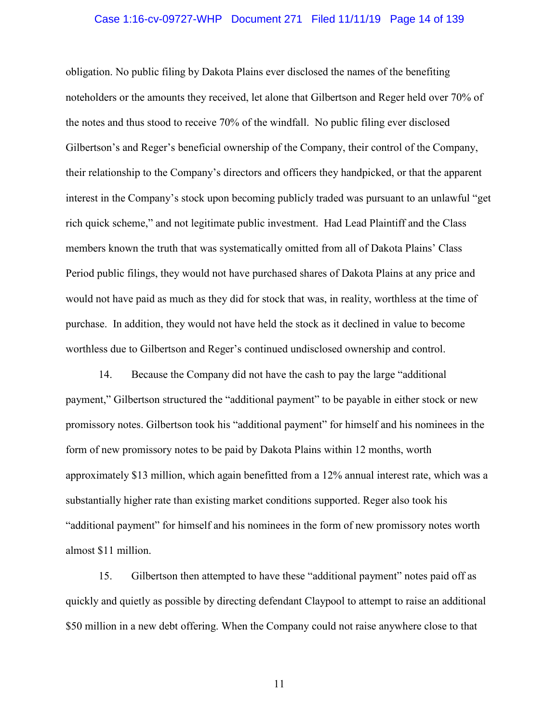## Case 1:16-cv-09727-WHP Document 271 Filed 11/11/19 Page 14 of 139

obligation. No public filing by Dakota Plains ever disclosed the names of the benefiting noteholders or the amounts they received, let alone that Gilbertson and Reger held over 70% of the notes and thus stood to receive 70% of the windfall. No public filing ever disclosed Gilbertson's and Reger's beneficial ownership of the Company, their control of the Company, their relationship to the Company's directors and officers they handpicked, or that the apparent interest in the Company's stock upon becoming publicly traded was pursuant to an unlawful "get rich quick scheme," and not legitimate public investment. Had Lead Plaintiff and the Class members known the truth that was systematically omitted from all of Dakota Plains' Class Period public filings, they would not have purchased shares of Dakota Plains at any price and would not have paid as much as they did for stock that was, in reality, worthless at the time of purchase. In addition, they would not have held the stock as it declined in value to become worthless due to Gilbertson and Reger's continued undisclosed ownership and control.

14. Because the Company did not have the cash to pay the large "additional payment," Gilbertson structured the "additional payment" to be payable in either stock or new promissory notes. Gilbertson took his "additional payment" for himself and his nominees in the form of new promissory notes to be paid by Dakota Plains within 12 months, worth approximately \$13 million, which again benefitted from a 12% annual interest rate, which was a substantially higher rate than existing market conditions supported. Reger also took his "additional payment" for himself and his nominees in the form of new promissory notes worth almost \$11 million.

15. Gilbertson then attempted to have these "additional payment" notes paid off as quickly and quietly as possible by directing defendant Claypool to attempt to raise an additional \$50 million in a new debt offering. When the Company could not raise anywhere close to that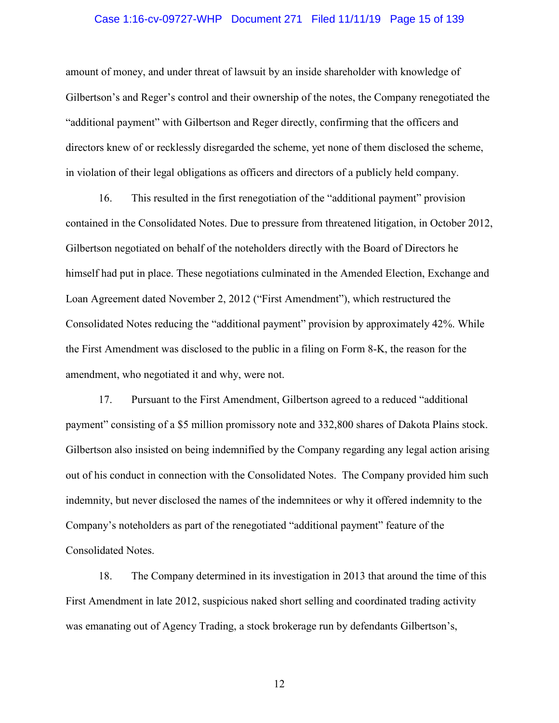## Case 1:16-cv-09727-WHP Document 271 Filed 11/11/19 Page 15 of 139

amount of money, and under threat of lawsuit by an inside shareholder with knowledge of Gilbertson's and Reger's control and their ownership of the notes, the Company renegotiated the "additional payment" with Gilbertson and Reger directly, confirming that the officers and directors knew of or recklessly disregarded the scheme, yet none of them disclosed the scheme, in violation of their legal obligations as officers and directors of a publicly held company.

16. This resulted in the first renegotiation of the "additional payment" provision contained in the Consolidated Notes. Due to pressure from threatened litigation, in October 2012, Gilbertson negotiated on behalf of the noteholders directly with the Board of Directors he himself had put in place. These negotiations culminated in the Amended Election, Exchange and Loan Agreement dated November 2, 2012 ("First Amendment"), which restructured the Consolidated Notes reducing the "additional payment" provision by approximately 42%. While the First Amendment was disclosed to the public in a filing on Form 8-K, the reason for the amendment, who negotiated it and why, were not.

17. Pursuant to the First Amendment, Gilbertson agreed to a reduced "additional payment" consisting of a \$5 million promissory note and 332,800 shares of Dakota Plains stock. Gilbertson also insisted on being indemnified by the Company regarding any legal action arising out of his conduct in connection with the Consolidated Notes. The Company provided him such indemnity, but never disclosed the names of the indemnitees or why it offered indemnity to the Company's noteholders as part of the renegotiated "additional payment" feature of the Consolidated Notes.

18. The Company determined in its investigation in 2013 that around the time of this First Amendment in late 2012, suspicious naked short selling and coordinated trading activity was emanating out of Agency Trading, a stock brokerage run by defendants Gilbertson's,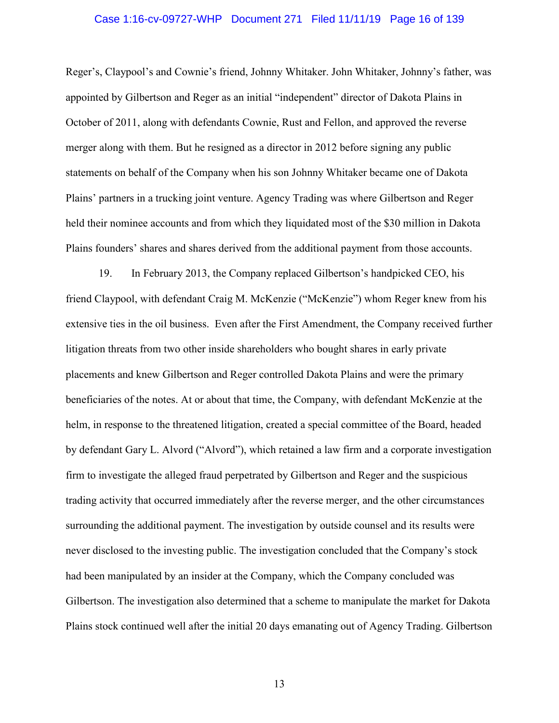## Case 1:16-cv-09727-WHP Document 271 Filed 11/11/19 Page 16 of 139

Reger's, Claypool's and Cownie's friend, Johnny Whitaker. John Whitaker, Johnny's father, was appointed by Gilbertson and Reger as an initial "independent" director of Dakota Plains in October of 2011, along with defendants Cownie, Rust and Fellon, and approved the reverse merger along with them. But he resigned as a director in 2012 before signing any public statements on behalf of the Company when his son Johnny Whitaker became one of Dakota Plains' partners in a trucking joint venture. Agency Trading was where Gilbertson and Reger held their nominee accounts and from which they liquidated most of the \$30 million in Dakota Plains founders' shares and shares derived from the additional payment from those accounts.

19. In February 2013, the Company replaced Gilbertson's handpicked CEO, his friend Claypool, with defendant Craig M. McKenzie ("McKenzie") whom Reger knew from his extensive ties in the oil business. Even after the First Amendment, the Company received further litigation threats from two other inside shareholders who bought shares in early private placements and knew Gilbertson and Reger controlled Dakota Plains and were the primary beneficiaries of the notes. At or about that time, the Company, with defendant McKenzie at the helm, in response to the threatened litigation, created a special committee of the Board, headed by defendant Gary L. Alvord ("Alvord"), which retained a law firm and a corporate investigation firm to investigate the alleged fraud perpetrated by Gilbertson and Reger and the suspicious trading activity that occurred immediately after the reverse merger, and the other circumstances surrounding the additional payment. The investigation by outside counsel and its results were never disclosed to the investing public. The investigation concluded that the Company's stock had been manipulated by an insider at the Company, which the Company concluded was Gilbertson. The investigation also determined that a scheme to manipulate the market for Dakota Plains stock continued well after the initial 20 days emanating out of Agency Trading. Gilbertson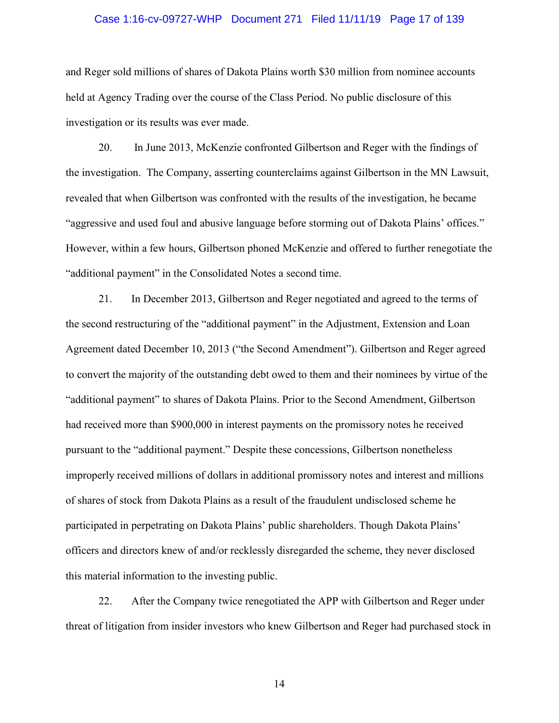## Case 1:16-cv-09727-WHP Document 271 Filed 11/11/19 Page 17 of 139

and Reger sold millions of shares of Dakota Plains worth \$30 million from nominee accounts held at Agency Trading over the course of the Class Period. No public disclosure of this investigation or its results was ever made.

20. In June 2013, McKenzie confronted Gilbertson and Reger with the findings of the investigation. The Company, asserting counterclaims against Gilbertson in the MN Lawsuit, revealed that when Gilbertson was confronted with the results of the investigation, he became "aggressive and used foul and abusive language before storming out of Dakota Plains' offices." However, within a few hours, Gilbertson phoned McKenzie and offered to further renegotiate the "additional payment" in the Consolidated Notes a second time.

21. In December 2013, Gilbertson and Reger negotiated and agreed to the terms of the second restructuring of the "additional payment" in the Adjustment, Extension and Loan Agreement dated December 10, 2013 ("the Second Amendment"). Gilbertson and Reger agreed to convert the majority of the outstanding debt owed to them and their nominees by virtue of the "additional payment" to shares of Dakota Plains. Prior to the Second Amendment, Gilbertson had received more than \$900,000 in interest payments on the promissory notes he received pursuant to the "additional payment." Despite these concessions, Gilbertson nonetheless improperly received millions of dollars in additional promissory notes and interest and millions of shares of stock from Dakota Plains as a result of the fraudulent undisclosed scheme he participated in perpetrating on Dakota Plains' public shareholders. Though Dakota Plains' officers and directors knew of and/or recklessly disregarded the scheme, they never disclosed this material information to the investing public.

22. After the Company twice renegotiated the APP with Gilbertson and Reger under threat of litigation from insider investors who knew Gilbertson and Reger had purchased stock in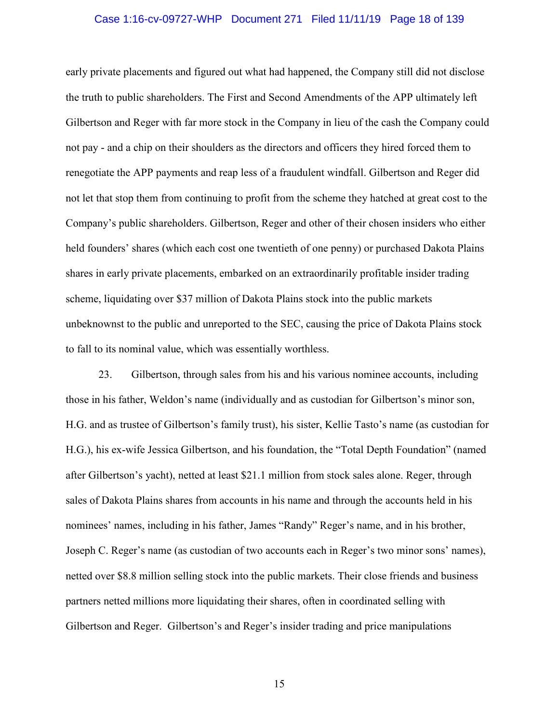## Case 1:16-cv-09727-WHP Document 271 Filed 11/11/19 Page 18 of 139

early private placements and figured out what had happened, the Company still did not disclose the truth to public shareholders. The First and Second Amendments of the APP ultimately left Gilbertson and Reger with far more stock in the Company in lieu of the cash the Company could not pay - and a chip on their shoulders as the directors and officers they hired forced them to renegotiate the APP payments and reap less of a fraudulent windfall. Gilbertson and Reger did not let that stop them from continuing to profit from the scheme they hatched at great cost to the Company's public shareholders. Gilbertson, Reger and other of their chosen insiders who either held founders' shares (which each cost one twentieth of one penny) or purchased Dakota Plains shares in early private placements, embarked on an extraordinarily profitable insider trading scheme, liquidating over \$37 million of Dakota Plains stock into the public markets unbeknownst to the public and unreported to the SEC, causing the price of Dakota Plains stock to fall to its nominal value, which was essentially worthless.

23. Gilbertson, through sales from his and his various nominee accounts, including those in his father, Weldon's name (individually and as custodian for Gilbertson's minor son, H.G. and as trustee of Gilbertson's family trust), his sister, Kellie Tasto's name (as custodian for H.G.), his ex-wife Jessica Gilbertson, and his foundation, the "Total Depth Foundation" (named after Gilbertson's yacht), netted at least \$21.1 million from stock sales alone. Reger, through sales of Dakota Plains shares from accounts in his name and through the accounts held in his nominees' names, including in his father, James "Randy" Reger's name, and in his brother, Joseph C. Reger's name (as custodian of two accounts each in Reger's two minor sons' names), netted over \$8.8 million selling stock into the public markets. Their close friends and business partners netted millions more liquidating their shares, often in coordinated selling with Gilbertson and Reger. Gilbertson's and Reger's insider trading and price manipulations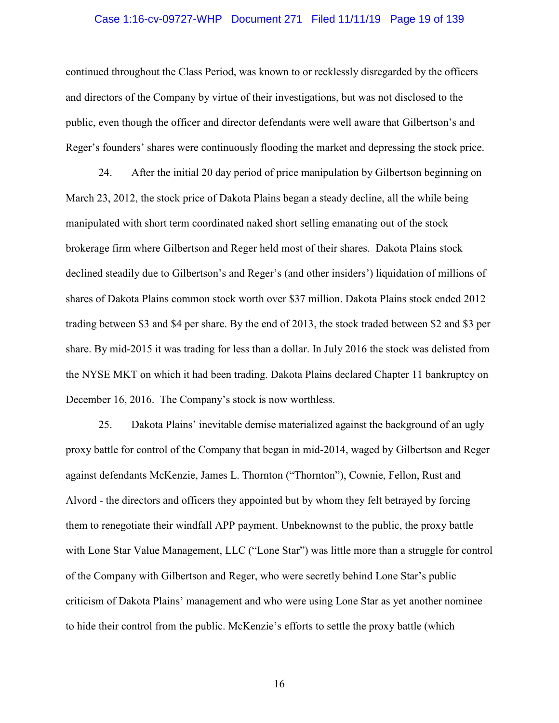## Case 1:16-cv-09727-WHP Document 271 Filed 11/11/19 Page 19 of 139

continued throughout the Class Period, was known to or recklessly disregarded by the officers and directors of the Company by virtue of their investigations, but was not disclosed to the public, even though the officer and director defendants were well aware that Gilbertson's and Reger's founders' shares were continuously flooding the market and depressing the stock price.

24. After the initial 20 day period of price manipulation by Gilbertson beginning on March 23, 2012, the stock price of Dakota Plains began a steady decline, all the while being manipulated with short term coordinated naked short selling emanating out of the stock brokerage firm where Gilbertson and Reger held most of their shares. Dakota Plains stock declined steadily due to Gilbertson's and Reger's (and other insiders') liquidation of millions of shares of Dakota Plains common stock worth over \$37 million. Dakota Plains stock ended 2012 trading between \$3 and \$4 per share. By the end of 2013, the stock traded between \$2 and \$3 per share. By mid-2015 it was trading for less than a dollar. In July 2016 the stock was delisted from the NYSE MKT on which it had been trading. Dakota Plains declared Chapter 11 bankruptcy on December 16, 2016. The Company's stock is now worthless.

25. Dakota Plains' inevitable demise materialized against the background of an ugly proxy battle for control of the Company that began in mid-2014, waged by Gilbertson and Reger against defendants McKenzie, James L. Thornton ("Thornton"), Cownie, Fellon, Rust and Alvord - the directors and officers they appointed but by whom they felt betrayed by forcing them to renegotiate their windfall APP payment. Unbeknownst to the public, the proxy battle with Lone Star Value Management, LLC ("Lone Star") was little more than a struggle for control of the Company with Gilbertson and Reger, who were secretly behind Lone Star's public criticism of Dakota Plains' management and who were using Lone Star as yet another nominee to hide their control from the public. McKenzie's efforts to settle the proxy battle (which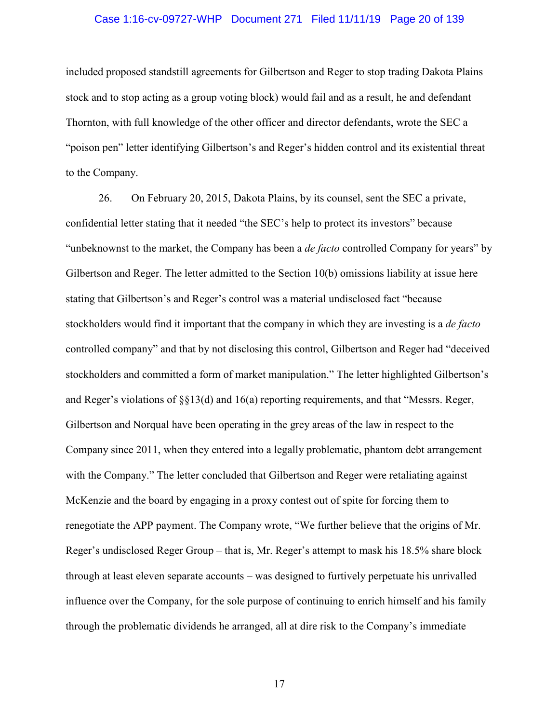## Case 1:16-cv-09727-WHP Document 271 Filed 11/11/19 Page 20 of 139

included proposed standstill agreements for Gilbertson and Reger to stop trading Dakota Plains stock and to stop acting as a group voting block) would fail and as a result, he and defendant Thornton, with full knowledge of the other officer and director defendants, wrote the SEC a "poison pen" letter identifying Gilbertson's and Reger's hidden control and its existential threat to the Company.

26. On February 20, 2015, Dakota Plains, by its counsel, sent the SEC a private, confidential letter stating that it needed "the SEC's help to protect its investors" because "unbeknownst to the market, the Company has been a *de facto* controlled Company for years" by Gilbertson and Reger. The letter admitted to the Section 10(b) omissions liability at issue here stating that Gilbertson's and Reger's control was a material undisclosed fact "because stockholders would find it important that the company in which they are investing is a *de facto* controlled company" and that by not disclosing this control, Gilbertson and Reger had "deceived stockholders and committed a form of market manipulation." The letter highlighted Gilbertson's and Reger's violations of §§13(d) and 16(a) reporting requirements, and that "Messrs. Reger, Gilbertson and Norqual have been operating in the grey areas of the law in respect to the Company since 2011, when they entered into a legally problematic, phantom debt arrangement with the Company." The letter concluded that Gilbertson and Reger were retaliating against McKenzie and the board by engaging in a proxy contest out of spite for forcing them to renegotiate the APP payment. The Company wrote, "We further believe that the origins of Mr. Reger's undisclosed Reger Group – that is, Mr. Reger's attempt to mask his 18.5% share block through at least eleven separate accounts – was designed to furtively perpetuate his unrivalled influence over the Company, for the sole purpose of continuing to enrich himself and his family through the problematic dividends he arranged, all at dire risk to the Company's immediate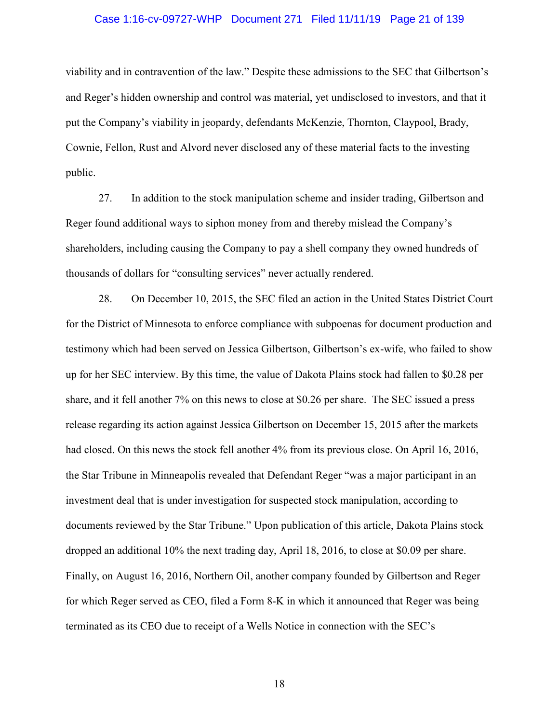## Case 1:16-cv-09727-WHP Document 271 Filed 11/11/19 Page 21 of 139

viability and in contravention of the law." Despite these admissions to the SEC that Gilbertson's and Reger's hidden ownership and control was material, yet undisclosed to investors, and that it put the Company's viability in jeopardy, defendants McKenzie, Thornton, Claypool, Brady, Cownie, Fellon, Rust and Alvord never disclosed any of these material facts to the investing public.

27. In addition to the stock manipulation scheme and insider trading, Gilbertson and Reger found additional ways to siphon money from and thereby mislead the Company's shareholders, including causing the Company to pay a shell company they owned hundreds of thousands of dollars for "consulting services" never actually rendered.

28. On December 10, 2015, the SEC filed an action in the United States District Court for the District of Minnesota to enforce compliance with subpoenas for document production and testimony which had been served on Jessica Gilbertson, Gilbertson's ex-wife, who failed to show up for her SEC interview. By this time, the value of Dakota Plains stock had fallen to \$0.28 per share, and it fell another 7% on this news to close at \$0.26 per share. The SEC issued a press release regarding its action against Jessica Gilbertson on December 15, 2015 after the markets had closed. On this news the stock fell another 4% from its previous close. On April 16, 2016, the Star Tribune in Minneapolis revealed that Defendant Reger "was a major participant in an investment deal that is under investigation for suspected stock manipulation, according to documents reviewed by the Star Tribune." Upon publication of this article, Dakota Plains stock dropped an additional 10% the next trading day, April 18, 2016, to close at \$0.09 per share. Finally, on August 16, 2016, Northern Oil, another company founded by Gilbertson and Reger for which Reger served as CEO, filed a Form 8-K in which it announced that Reger was being terminated as its CEO due to receipt of a Wells Notice in connection with the SEC's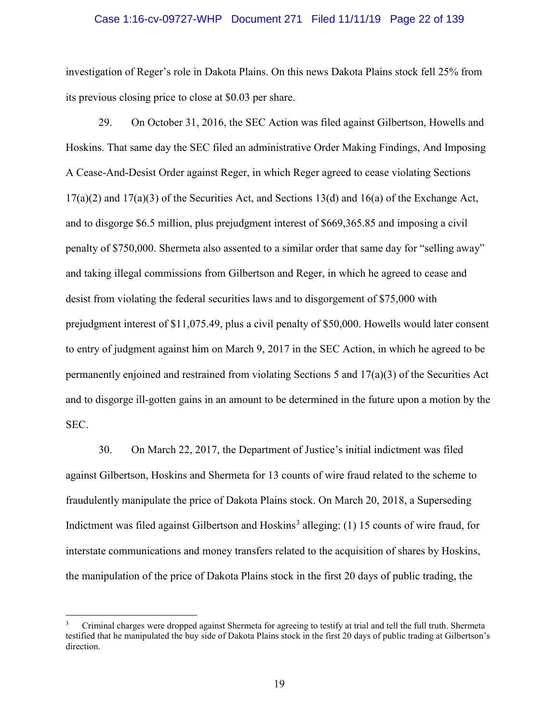## Case 1:16-cv-09727-WHP Document 271 Filed 11/11/19 Page 22 of 139

investigation of Reger's role in Dakota Plains. On this news Dakota Plains stock fell 25% from its previous closing price to close at \$0.03 per share.

29. On October 31, 2016, the SEC Action was filed against Gilbertson, Howells and Hoskins. That same day the SEC filed an administrative Order Making Findings, And Imposing A Cease-And-Desist Order against Reger, in which Reger agreed to cease violating Sections  $17(a)(2)$  and  $17(a)(3)$  of the Securities Act, and Sections 13(d) and 16(a) of the Exchange Act, and to disgorge \$6.5 million, plus prejudgment interest of \$669,365.85 and imposing a civil penalty of \$750,000. Shermeta also assented to a similar order that same day for "selling away" and taking illegal commissions from Gilbertson and Reger, in which he agreed to cease and desist from violating the federal securities laws and to disgorgement of \$75,000 with prejudgment interest of \$11,075.49, plus a civil penalty of \$50,000. Howells would later consent to entry of judgment against him on March 9, 2017 in the SEC Action, in which he agreed to be permanently enjoined and restrained from violating Sections 5 and 17(a)(3) of the Securities Act and to disgorge ill-gotten gains in an amount to be determined in the future upon a motion by the SEC.

30. On March 22, 2017, the Department of Justice's initial indictment was filed against Gilbertson, Hoskins and Shermeta for 13 counts of wire fraud related to the scheme to fraudulently manipulate the price of Dakota Plains stock. On March 20, 2018, a Superseding Indictment was filed against Gilbertson and Hoskins<sup>3</sup> alleging: (1) 15 counts of wire fraud, for interstate communications and money transfers related to the acquisition of shares by Hoskins, the manipulation of the price of Dakota Plains stock in the first 20 days of public trading, the

 $\overline{\phantom{a}}$ 

<sup>3</sup> Criminal charges were dropped against Shermeta for agreeing to testify at trial and tell the full truth. Shermeta testified that he manipulated the buy side of Dakota Plains stock in the first 20 days of public trading at Gilbertson's direction.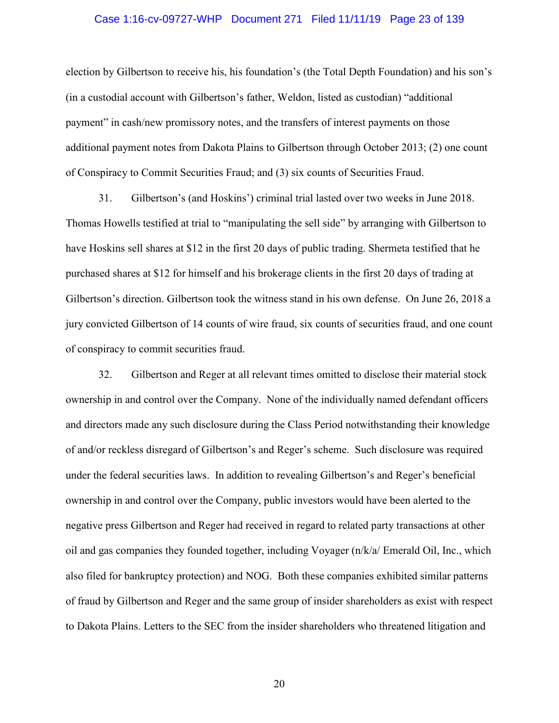## Case 1:16-cv-09727-WHP Document 271 Filed 11/11/19 Page 23 of 139

election by Gilbertson to receive his, his foundation's (the Total Depth Foundation) and his son's (in a custodial account with Gilbertson's father, Weldon, listed as custodian) "additional payment" in cash/new promissory notes, and the transfers of interest payments on those additional payment notes from Dakota Plains to Gilbertson through October 2013; (2) one count of Conspiracy to Commit Securities Fraud; and (3) six counts of Securities Fraud.

31. Gilbertson's (and Hoskins') criminal trial lasted over two weeks in June 2018. Thomas Howells testified at trial to "manipulating the sell side" by arranging with Gilbertson to have Hoskins sell shares at \$12 in the first 20 days of public trading. Shermeta testified that he purchased shares at \$12 for himself and his brokerage clients in the first 20 days of trading at Gilbertson's direction. Gilbertson took the witness stand in his own defense. On June 26, 2018 a jury convicted Gilbertson of 14 counts of wire fraud, six counts of securities fraud, and one count of conspiracy to commit securities fraud.

32. Gilbertson and Reger at all relevant times omitted to disclose their material stock ownership in and control over the Company. None of the individually named defendant officers and directors made any such disclosure during the Class Period notwithstanding their knowledge of and/or reckless disregard of Gilbertson's and Reger's scheme. Such disclosure was required under the federal securities laws. In addition to revealing Gilbertson's and Reger's beneficial ownership in and control over the Company, public investors would have been alerted to the negative press Gilbertson and Reger had received in regard to related party transactions at other oil and gas companies they founded together, including Voyager (n/k/a/ Emerald Oil, Inc., which also filed for bankruptcy protection) and NOG. Both these companies exhibited similar patterns of fraud by Gilbertson and Reger and the same group of insider shareholders as exist with respect to Dakota Plains. Letters to the SEC from the insider shareholders who threatened litigation and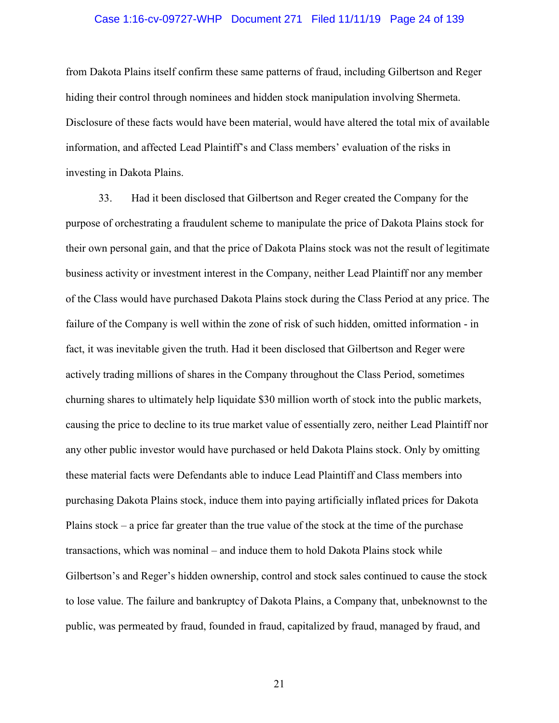## Case 1:16-cv-09727-WHP Document 271 Filed 11/11/19 Page 24 of 139

from Dakota Plains itself confirm these same patterns of fraud, including Gilbertson and Reger hiding their control through nominees and hidden stock manipulation involving Shermeta. Disclosure of these facts would have been material, would have altered the total mix of available information, and affected Lead Plaintiff's and Class members' evaluation of the risks in investing in Dakota Plains.

33. Had it been disclosed that Gilbertson and Reger created the Company for the purpose of orchestrating a fraudulent scheme to manipulate the price of Dakota Plains stock for their own personal gain, and that the price of Dakota Plains stock was not the result of legitimate business activity or investment interest in the Company, neither Lead Plaintiff nor any member of the Class would have purchased Dakota Plains stock during the Class Period at any price. The failure of the Company is well within the zone of risk of such hidden, omitted information - in fact, it was inevitable given the truth. Had it been disclosed that Gilbertson and Reger were actively trading millions of shares in the Company throughout the Class Period, sometimes churning shares to ultimately help liquidate \$30 million worth of stock into the public markets, causing the price to decline to its true market value of essentially zero, neither Lead Plaintiff nor any other public investor would have purchased or held Dakota Plains stock. Only by omitting these material facts were Defendants able to induce Lead Plaintiff and Class members into purchasing Dakota Plains stock, induce them into paying artificially inflated prices for Dakota Plains stock – a price far greater than the true value of the stock at the time of the purchase transactions, which was nominal – and induce them to hold Dakota Plains stock while Gilbertson's and Reger's hidden ownership, control and stock sales continued to cause the stock to lose value. The failure and bankruptcy of Dakota Plains, a Company that, unbeknownst to the public, was permeated by fraud, founded in fraud, capitalized by fraud, managed by fraud, and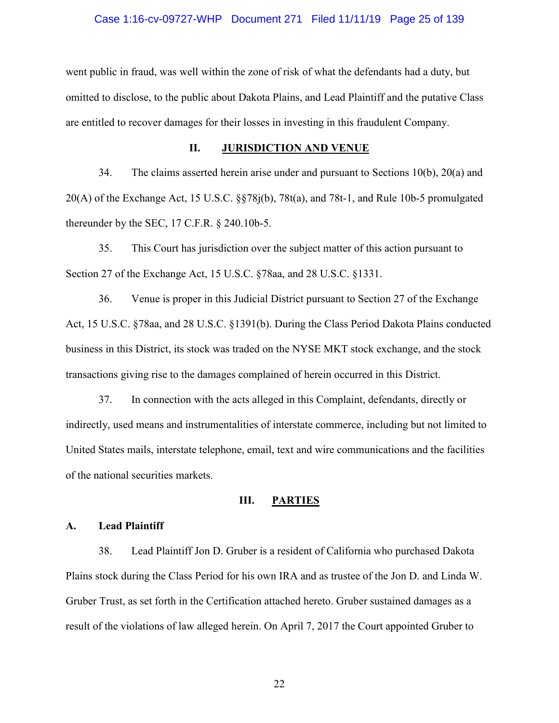## Case 1:16-cv-09727-WHP Document 271 Filed 11/11/19 Page 25 of 139

went public in fraud, was well within the zone of risk of what the defendants had a duty, but omitted to disclose, to the public about Dakota Plains, and Lead Plaintiff and the putative Class are entitled to recover damages for their losses in investing in this fraudulent Company.

### **II. JURISDICTION AND VENUE**

34. The claims asserted herein arise under and pursuant to Sections 10(b), 20(a) and 20(A) of the Exchange Act, 15 U.S.C. §§78j(b), 78t(a), and 78t-1, and Rule 10b-5 promulgated thereunder by the SEC, 17 C.F.R. § 240.10b-5.

35. This Court has jurisdiction over the subject matter of this action pursuant to Section 27 of the Exchange Act, 15 U.S.C. §78aa, and 28 U.S.C. §1331.

36. Venue is proper in this Judicial District pursuant to Section 27 of the Exchange Act, 15 U.S.C. §78aa, and 28 U.S.C. §1391(b). During the Class Period Dakota Plains conducted business in this District, its stock was traded on the NYSE MKT stock exchange, and the stock transactions giving rise to the damages complained of herein occurred in this District.

37. In connection with the acts alleged in this Complaint, defendants, directly or indirectly, used means and instrumentalities of interstate commerce, including but not limited to United States mails, interstate telephone, email, text and wire communications and the facilities of the national securities markets.

## **III. PARTIES**

#### **A. Lead Plaintiff**

38. Lead Plaintiff Jon D. Gruber is a resident of California who purchased Dakota Plains stock during the Class Period for his own IRA and as trustee of the Jon D. and Linda W. Gruber Trust, as set forth in the Certification attached hereto. Gruber sustained damages as a result of the violations of law alleged herein. On April 7, 2017 the Court appointed Gruber to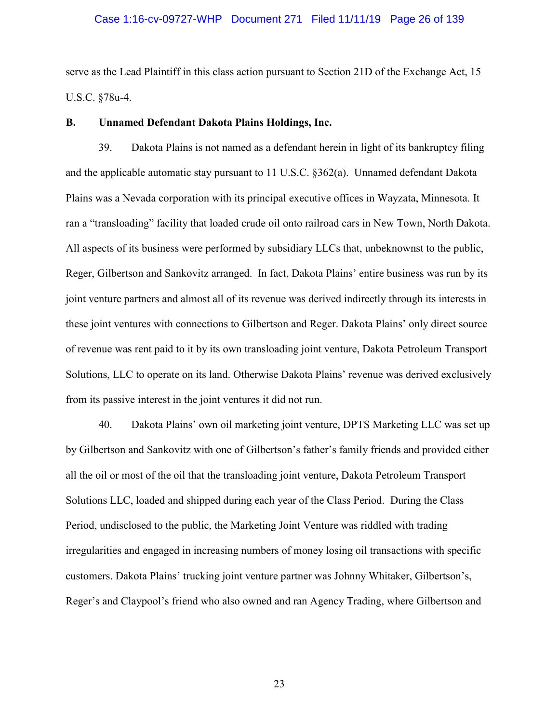## Case 1:16-cv-09727-WHP Document 271 Filed 11/11/19 Page 26 of 139

serve as the Lead Plaintiff in this class action pursuant to Section 21D of the Exchange Act, 15 U.S.C. §78u-4.

## **B. Unnamed Defendant Dakota Plains Holdings, Inc.**

39. Dakota Plains is not named as a defendant herein in light of its bankruptcy filing and the applicable automatic stay pursuant to 11 U.S.C. §362(a). Unnamed defendant Dakota Plains was a Nevada corporation with its principal executive offices in Wayzata, Minnesota. It ran a "transloading" facility that loaded crude oil onto railroad cars in New Town, North Dakota. All aspects of its business were performed by subsidiary LLCs that, unbeknownst to the public, Reger, Gilbertson and Sankovitz arranged. In fact, Dakota Plains' entire business was run by its joint venture partners and almost all of its revenue was derived indirectly through its interests in these joint ventures with connections to Gilbertson and Reger. Dakota Plains' only direct source of revenue was rent paid to it by its own transloading joint venture, Dakota Petroleum Transport Solutions, LLC to operate on its land. Otherwise Dakota Plains' revenue was derived exclusively from its passive interest in the joint ventures it did not run.

40. Dakota Plains' own oil marketing joint venture, DPTS Marketing LLC was set up by Gilbertson and Sankovitz with one of Gilbertson's father's family friends and provided either all the oil or most of the oil that the transloading joint venture, Dakota Petroleum Transport Solutions LLC, loaded and shipped during each year of the Class Period. During the Class Period, undisclosed to the public, the Marketing Joint Venture was riddled with trading irregularities and engaged in increasing numbers of money losing oil transactions with specific customers. Dakota Plains' trucking joint venture partner was Johnny Whitaker, Gilbertson's, Reger's and Claypool's friend who also owned and ran Agency Trading, where Gilbertson and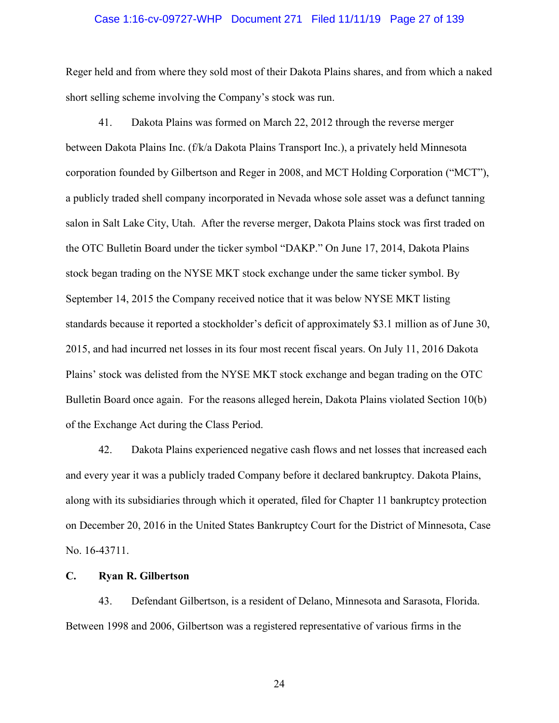## Case 1:16-cv-09727-WHP Document 271 Filed 11/11/19 Page 27 of 139

Reger held and from where they sold most of their Dakota Plains shares, and from which a naked short selling scheme involving the Company's stock was run.

41. Dakota Plains was formed on March 22, 2012 through the reverse merger between Dakota Plains Inc. (f/k/a Dakota Plains Transport Inc.), a privately held Minnesota corporation founded by Gilbertson and Reger in 2008, and MCT Holding Corporation ("MCT"), a publicly traded shell company incorporated in Nevada whose sole asset was a defunct tanning salon in Salt Lake City, Utah. After the reverse merger, Dakota Plains stock was first traded on the OTC Bulletin Board under the ticker symbol "DAKP." On June 17, 2014, Dakota Plains stock began trading on the NYSE MKT stock exchange under the same ticker symbol. By September 14, 2015 the Company received notice that it was below NYSE MKT listing standards because it reported a stockholder's deficit of approximately \$3.1 million as of June 30, 2015, and had incurred net losses in its four most recent fiscal years. On July 11, 2016 Dakota Plains' stock was delisted from the NYSE MKT stock exchange and began trading on the OTC Bulletin Board once again. For the reasons alleged herein, Dakota Plains violated Section 10(b) of the Exchange Act during the Class Period.

42. Dakota Plains experienced negative cash flows and net losses that increased each and every year it was a publicly traded Company before it declared bankruptcy. Dakota Plains, along with its subsidiaries through which it operated, filed for Chapter 11 bankruptcy protection on December 20, 2016 in the United States Bankruptcy Court for the District of Minnesota, Case No. 16-43711.

### **C. Ryan R. Gilbertson**

43. Defendant Gilbertson, is a resident of Delano, Minnesota and Sarasota, Florida. Between 1998 and 2006, Gilbertson was a registered representative of various firms in the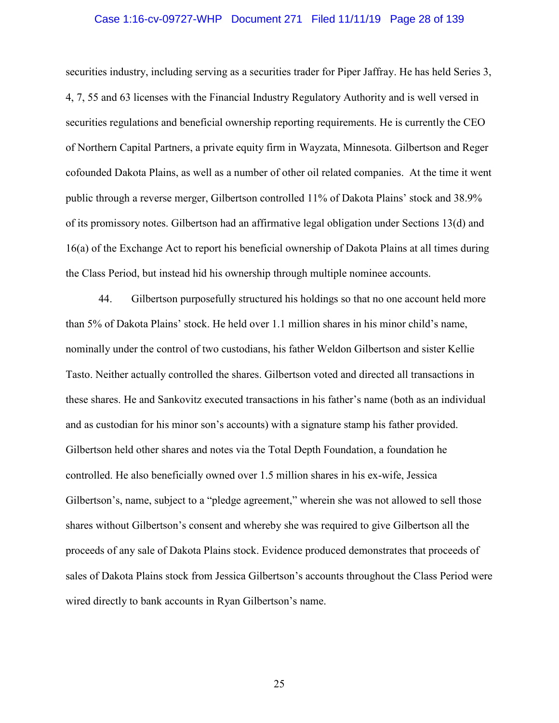## Case 1:16-cv-09727-WHP Document 271 Filed 11/11/19 Page 28 of 139

securities industry, including serving as a securities trader for Piper Jaffray. He has held Series 3, 4, 7, 55 and 63 licenses with the Financial Industry Regulatory Authority and is well versed in securities regulations and beneficial ownership reporting requirements. He is currently the CEO of Northern Capital Partners, a private equity firm in Wayzata, Minnesota. Gilbertson and Reger cofounded Dakota Plains, as well as a number of other oil related companies. At the time it went public through a reverse merger, Gilbertson controlled 11% of Dakota Plains' stock and 38.9% of its promissory notes. Gilbertson had an affirmative legal obligation under Sections 13(d) and 16(a) of the Exchange Act to report his beneficial ownership of Dakota Plains at all times during the Class Period, but instead hid his ownership through multiple nominee accounts.

44. Gilbertson purposefully structured his holdings so that no one account held more than 5% of Dakota Plains' stock. He held over 1.1 million shares in his minor child's name, nominally under the control of two custodians, his father Weldon Gilbertson and sister Kellie Tasto. Neither actually controlled the shares. Gilbertson voted and directed all transactions in these shares. He and Sankovitz executed transactions in his father's name (both as an individual and as custodian for his minor son's accounts) with a signature stamp his father provided. Gilbertson held other shares and notes via the Total Depth Foundation, a foundation he controlled. He also beneficially owned over 1.5 million shares in his ex-wife, Jessica Gilbertson's, name, subject to a "pledge agreement," wherein she was not allowed to sell those shares without Gilbertson's consent and whereby she was required to give Gilbertson all the proceeds of any sale of Dakota Plains stock. Evidence produced demonstrates that proceeds of sales of Dakota Plains stock from Jessica Gilbertson's accounts throughout the Class Period were wired directly to bank accounts in Ryan Gilbertson's name.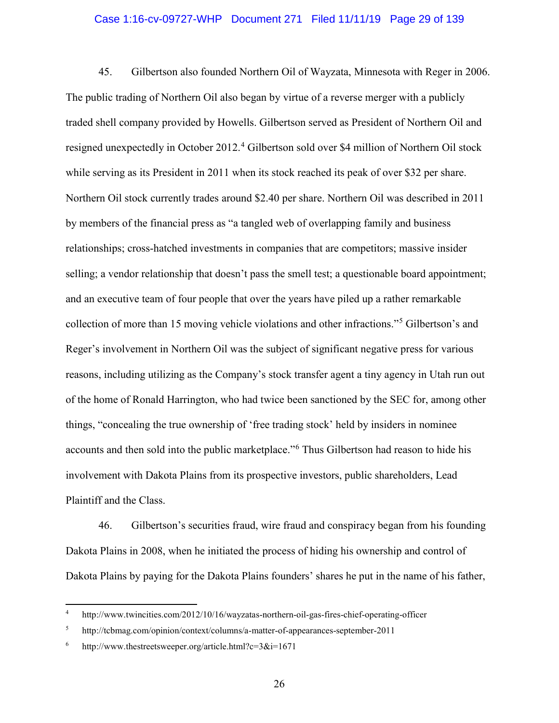## Case 1:16-cv-09727-WHP Document 271 Filed 11/11/19 Page 29 of 139

45. Gilbertson also founded Northern Oil of Wayzata, Minnesota with Reger in 2006. The public trading of Northern Oil also began by virtue of a reverse merger with a publicly traded shell company provided by Howells. Gilbertson served as President of Northern Oil and resigned unexpectedly in October 2012.<sup>4</sup> Gilbertson sold over \$4 million of Northern Oil stock while serving as its President in 2011 when its stock reached its peak of over \$32 per share. Northern Oil stock currently trades around \$2.40 per share. Northern Oil was described in 2011 by members of the financial press as "a tangled web of overlapping family and business relationships; cross-hatched investments in companies that are competitors; massive insider selling; a vendor relationship that doesn't pass the smell test; a questionable board appointment; and an executive team of four people that over the years have piled up a rather remarkable collection of more than 15 moving vehicle violations and other infractions."<sup>5</sup> Gilbertson's and Reger's involvement in Northern Oil was the subject of significant negative press for various reasons, including utilizing as the Company's stock transfer agent a tiny agency in Utah run out of the home of Ronald Harrington, who had twice been sanctioned by the SEC for, among other things, "concealing the true ownership of 'free trading stock' held by insiders in nominee accounts and then sold into the public marketplace."<sup>6</sup> Thus Gilbertson had reason to hide his involvement with Dakota Plains from its prospective investors, public shareholders, Lead Plaintiff and the Class.

46. Gilbertson's securities fraud, wire fraud and conspiracy began from his founding Dakota Plains in 2008, when he initiated the process of hiding his ownership and control of Dakota Plains by paying for the Dakota Plains founders' shares he put in the name of his father,

 $\overline{\phantom{a}}$ 

<sup>4</sup> http://www.twincities.com/2012/10/16/wayzatas-northern-oil-gas-fires-chief-operating-officer

<sup>5</sup> http://tcbmag.com/opinion/context/columns/a-matter-of-appearances-september-2011

<sup>6</sup> http://www.thestreetsweeper.org/article.html?c=3&i=1671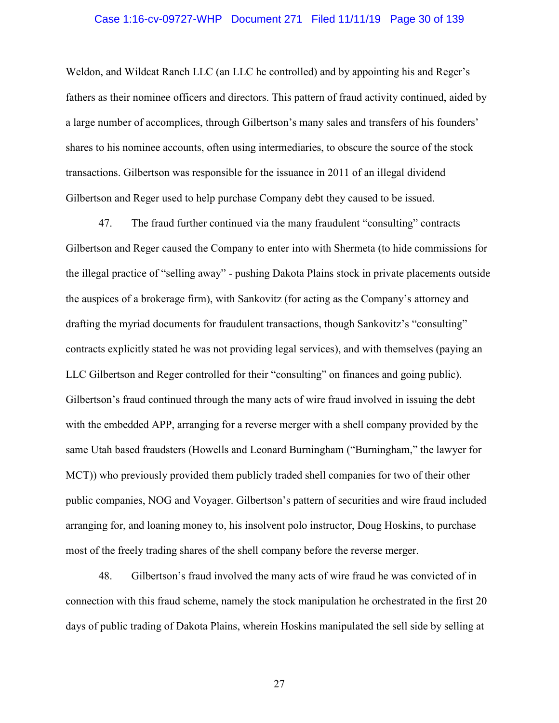## Case 1:16-cv-09727-WHP Document 271 Filed 11/11/19 Page 30 of 139

Weldon, and Wildcat Ranch LLC (an LLC he controlled) and by appointing his and Reger's fathers as their nominee officers and directors. This pattern of fraud activity continued, aided by a large number of accomplices, through Gilbertson's many sales and transfers of his founders' shares to his nominee accounts, often using intermediaries, to obscure the source of the stock transactions. Gilbertson was responsible for the issuance in 2011 of an illegal dividend Gilbertson and Reger used to help purchase Company debt they caused to be issued.

47. The fraud further continued via the many fraudulent "consulting" contracts Gilbertson and Reger caused the Company to enter into with Shermeta (to hide commissions for the illegal practice of "selling away" - pushing Dakota Plains stock in private placements outside the auspices of a brokerage firm), with Sankovitz (for acting as the Company's attorney and drafting the myriad documents for fraudulent transactions, though Sankovitz's "consulting" contracts explicitly stated he was not providing legal services), and with themselves (paying an LLC Gilbertson and Reger controlled for their "consulting" on finances and going public). Gilbertson's fraud continued through the many acts of wire fraud involved in issuing the debt with the embedded APP, arranging for a reverse merger with a shell company provided by the same Utah based fraudsters (Howells and Leonard Burningham ("Burningham," the lawyer for MCT)) who previously provided them publicly traded shell companies for two of their other public companies, NOG and Voyager. Gilbertson's pattern of securities and wire fraud included arranging for, and loaning money to, his insolvent polo instructor, Doug Hoskins, to purchase most of the freely trading shares of the shell company before the reverse merger.

48. Gilbertson's fraud involved the many acts of wire fraud he was convicted of in connection with this fraud scheme, namely the stock manipulation he orchestrated in the first 20 days of public trading of Dakota Plains, wherein Hoskins manipulated the sell side by selling at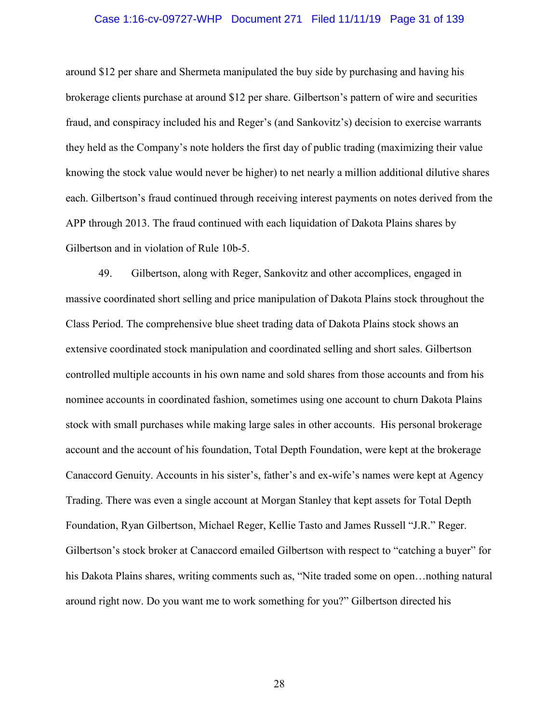## Case 1:16-cv-09727-WHP Document 271 Filed 11/11/19 Page 31 of 139

around \$12 per share and Shermeta manipulated the buy side by purchasing and having his brokerage clients purchase at around \$12 per share. Gilbertson's pattern of wire and securities fraud, and conspiracy included his and Reger's (and Sankovitz's) decision to exercise warrants they held as the Company's note holders the first day of public trading (maximizing their value knowing the stock value would never be higher) to net nearly a million additional dilutive shares each. Gilbertson's fraud continued through receiving interest payments on notes derived from the APP through 2013. The fraud continued with each liquidation of Dakota Plains shares by Gilbertson and in violation of Rule 10b-5.

49. Gilbertson, along with Reger, Sankovitz and other accomplices, engaged in massive coordinated short selling and price manipulation of Dakota Plains stock throughout the Class Period. The comprehensive blue sheet trading data of Dakota Plains stock shows an extensive coordinated stock manipulation and coordinated selling and short sales. Gilbertson controlled multiple accounts in his own name and sold shares from those accounts and from his nominee accounts in coordinated fashion, sometimes using one account to churn Dakota Plains stock with small purchases while making large sales in other accounts. His personal brokerage account and the account of his foundation, Total Depth Foundation, were kept at the brokerage Canaccord Genuity. Accounts in his sister's, father's and ex-wife's names were kept at Agency Trading. There was even a single account at Morgan Stanley that kept assets for Total Depth Foundation, Ryan Gilbertson, Michael Reger, Kellie Tasto and James Russell "J.R." Reger. Gilbertson's stock broker at Canaccord emailed Gilbertson with respect to "catching a buyer" for his Dakota Plains shares, writing comments such as, "Nite traded some on open... nothing natural around right now. Do you want me to work something for you?" Gilbertson directed his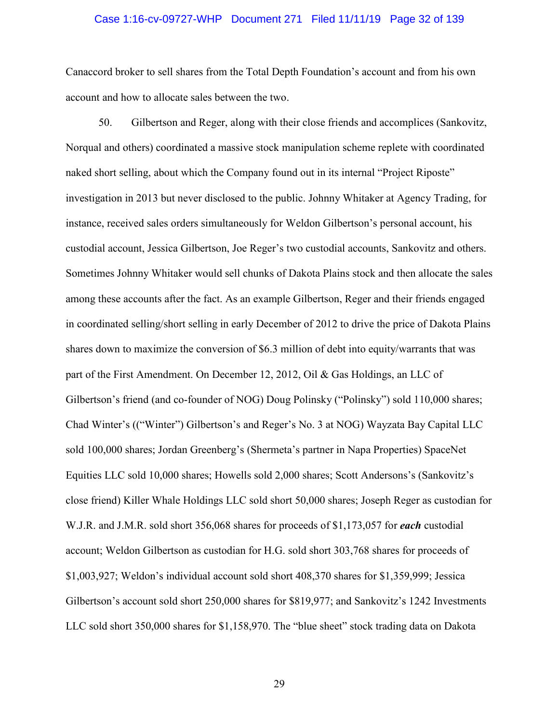## Case 1:16-cv-09727-WHP Document 271 Filed 11/11/19 Page 32 of 139

Canaccord broker to sell shares from the Total Depth Foundation's account and from his own account and how to allocate sales between the two.

50. Gilbertson and Reger, along with their close friends and accomplices (Sankovitz, Norqual and others) coordinated a massive stock manipulation scheme replete with coordinated naked short selling, about which the Company found out in its internal "Project Riposte" investigation in 2013 but never disclosed to the public. Johnny Whitaker at Agency Trading, for instance, received sales orders simultaneously for Weldon Gilbertson's personal account, his custodial account, Jessica Gilbertson, Joe Reger's two custodial accounts, Sankovitz and others. Sometimes Johnny Whitaker would sell chunks of Dakota Plains stock and then allocate the sales among these accounts after the fact. As an example Gilbertson, Reger and their friends engaged in coordinated selling/short selling in early December of 2012 to drive the price of Dakota Plains shares down to maximize the conversion of \$6.3 million of debt into equity/warrants that was part of the First Amendment. On December 12, 2012, Oil & Gas Holdings, an LLC of Gilbertson's friend (and co-founder of NOG) Doug Polinsky ("Polinsky") sold 110,000 shares; Chad Winter's (("Winter") Gilbertson's and Reger's No. 3 at NOG) Wayzata Bay Capital LLC sold 100,000 shares; Jordan Greenberg's (Shermeta's partner in Napa Properties) SpaceNet Equities LLC sold 10,000 shares; Howells sold 2,000 shares; Scott Andersons's (Sankovitz's close friend) Killer Whale Holdings LLC sold short 50,000 shares; Joseph Reger as custodian for W.J.R. and J.M.R. sold short 356,068 shares for proceeds of \$1,173,057 for *each* custodial account; Weldon Gilbertson as custodian for H.G. sold short 303,768 shares for proceeds of \$1,003,927; Weldon's individual account sold short 408,370 shares for \$1,359,999; Jessica Gilbertson's account sold short 250,000 shares for \$819,977; and Sankovitz's 1242 Investments LLC sold short 350,000 shares for \$1,158,970. The "blue sheet" stock trading data on Dakota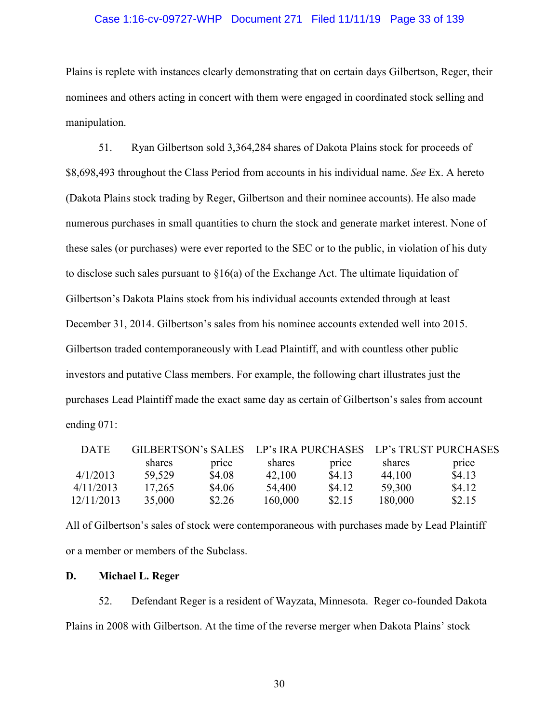## Case 1:16-cv-09727-WHP Document 271 Filed 11/11/19 Page 33 of 139

Plains is replete with instances clearly demonstrating that on certain days Gilbertson, Reger, their nominees and others acting in concert with them were engaged in coordinated stock selling and manipulation.

51. Ryan Gilbertson sold 3,364,284 shares of Dakota Plains stock for proceeds of \$8,698,493 throughout the Class Period from accounts in his individual name. *See* Ex. A hereto (Dakota Plains stock trading by Reger, Gilbertson and their nominee accounts). He also made numerous purchases in small quantities to churn the stock and generate market interest. None of these sales (or purchases) were ever reported to the SEC or to the public, in violation of his duty to disclose such sales pursuant to  $\S16(a)$  of the Exchange Act. The ultimate liquidation of Gilbertson's Dakota Plains stock from his individual accounts extended through at least December 31, 2014. Gilbertson's sales from his nominee accounts extended well into 2015. Gilbertson traded contemporaneously with Lead Plaintiff, and with countless other public investors and putative Class members. For example, the following chart illustrates just the purchases Lead Plaintiff made the exact same day as certain of Gilbertson's sales from account ending 071:

| <b>DATE</b> | GILBERTSON's SALES |        |         |        | LP's IRA PURCHASES LP's TRUST PURCHASES |        |
|-------------|--------------------|--------|---------|--------|-----------------------------------------|--------|
|             | shares             | price  | shares  | price  | shares                                  | price  |
| 4/1/2013    | 59,529             | \$4.08 | 42,100  | \$4.13 | 44,100                                  | \$4.13 |
| 4/11/2013   | 17,265             | \$4.06 | 54,400  | \$4.12 | 59,300                                  | \$4.12 |
| 12/11/2013  | 35,000             | \$2.26 | 160,000 | \$2.15 | 180,000                                 | \$2.15 |

All of Gilbertson's sales of stock were contemporaneous with purchases made by Lead Plaintiff or a member or members of the Subclass.

#### **D. Michael L. Reger**

52. Defendant Reger is a resident of Wayzata, Minnesota. Reger co-founded Dakota Plains in 2008 with Gilbertson. At the time of the reverse merger when Dakota Plains' stock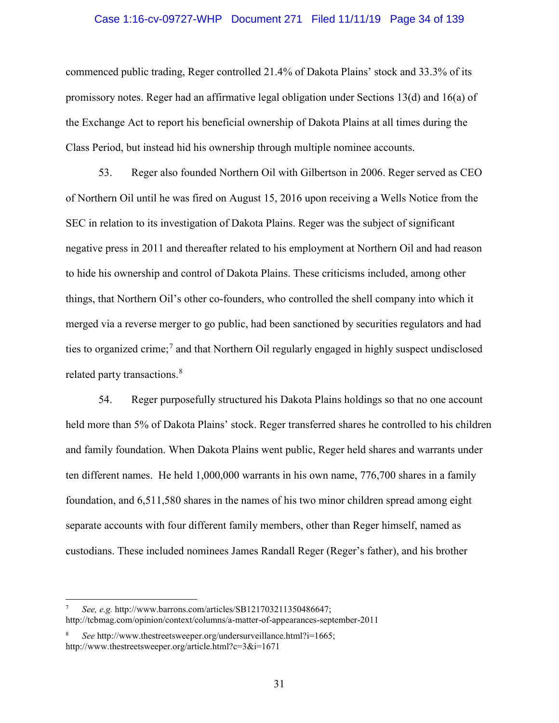## Case 1:16-cv-09727-WHP Document 271 Filed 11/11/19 Page 34 of 139

commenced public trading, Reger controlled 21.4% of Dakota Plains' stock and 33.3% of its promissory notes. Reger had an affirmative legal obligation under Sections 13(d) and 16(a) of the Exchange Act to report his beneficial ownership of Dakota Plains at all times during the Class Period, but instead hid his ownership through multiple nominee accounts.

53. Reger also founded Northern Oil with Gilbertson in 2006. Reger served as CEO of Northern Oil until he was fired on August 15, 2016 upon receiving a Wells Notice from the SEC in relation to its investigation of Dakota Plains. Reger was the subject of significant negative press in 2011 and thereafter related to his employment at Northern Oil and had reason to hide his ownership and control of Dakota Plains. These criticisms included, among other things, that Northern Oil's other co-founders, who controlled the shell company into which it merged via a reverse merger to go public, had been sanctioned by securities regulators and had ties to organized crime;<sup>7</sup> and that Northern Oil regularly engaged in highly suspect undisclosed related party transactions.<sup>8</sup>

54. Reger purposefully structured his Dakota Plains holdings so that no one account held more than 5% of Dakota Plains' stock. Reger transferred shares he controlled to his children and family foundation. When Dakota Plains went public, Reger held shares and warrants under ten different names. He held 1,000,000 warrants in his own name, 776,700 shares in a family foundation, and 6,511,580 shares in the names of his two minor children spread among eight separate accounts with four different family members, other than Reger himself, named as custodians. These included nominees James Randall Reger (Reger's father), and his brother

 $\overline{a}$ 

<sup>7</sup> *See, e.g.* http://www.barrons.com/articles/SB121703211350486647; http://tcbmag.com/opinion/context/columns/a-matter-of-appearances-september-2011

<sup>8</sup> *See* http://www.thestreetsweeper.org/undersurveillance.html?i=1665; http://www.thestreetsweeper.org/article.html?c=3&i=1671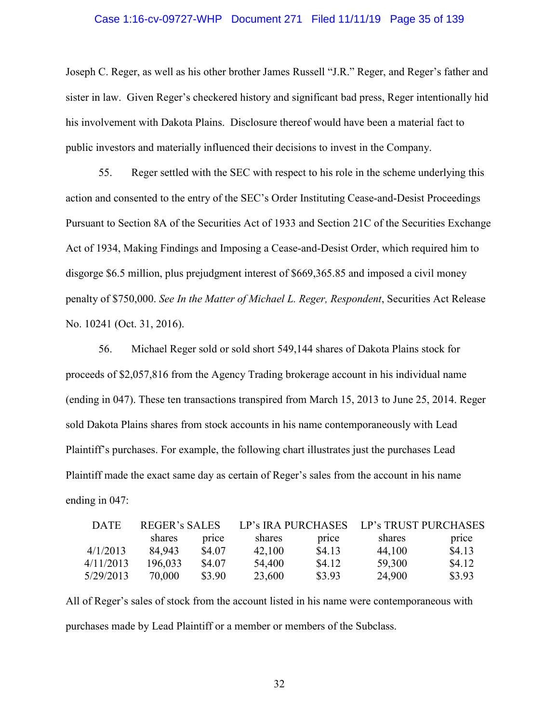## Case 1:16-cv-09727-WHP Document 271 Filed 11/11/19 Page 35 of 139

Joseph C. Reger, as well as his other brother James Russell "J.R." Reger, and Reger's father and sister in law. Given Reger's checkered history and significant bad press, Reger intentionally hid his involvement with Dakota Plains. Disclosure thereof would have been a material fact to public investors and materially influenced their decisions to invest in the Company.

55. Reger settled with the SEC with respect to his role in the scheme underlying this action and consented to the entry of the SEC's Order Instituting Cease-and-Desist Proceedings Pursuant to Section 8A of the Securities Act of 1933 and Section 21C of the Securities Exchange Act of 1934, Making Findings and Imposing a Cease-and-Desist Order, which required him to disgorge \$6.5 million, plus prejudgment interest of \$669,365.85 and imposed a civil money penalty of \$750,000. *See In the Matter of Michael L. Reger, Respondent*, Securities Act Release No. 10241 (Oct. 31, 2016).

56. Michael Reger sold or sold short 549,144 shares of Dakota Plains stock for proceeds of \$2,057,816 from the Agency Trading brokerage account in his individual name (ending in 047). These ten transactions transpired from March 15, 2013 to June 25, 2014. Reger sold Dakota Plains shares from stock accounts in his name contemporaneously with Lead Plaintiff's purchases. For example, the following chart illustrates just the purchases Lead Plaintiff made the exact same day as certain of Reger's sales from the account in his name ending in 047:

| <b>DATE</b> | REGER's SALES |        |        |        | LP's IRA PURCHASES LP's TRUST PURCHASES |        |  |
|-------------|---------------|--------|--------|--------|-----------------------------------------|--------|--|
|             | shares        | price  | shares | price  | shares                                  | price  |  |
| 4/1/2013    | 84.943        | \$4.07 | 42,100 | \$4.13 | 44,100                                  | \$4.13 |  |
| 4/11/2013   | 196,033       | \$4.07 | 54,400 | \$4.12 | 59,300                                  | \$4.12 |  |
| 5/29/2013   | 70,000        | \$3.90 | 23,600 | \$3.93 | 24,900                                  | \$3.93 |  |

All of Reger's sales of stock from the account listed in his name were contemporaneous with purchases made by Lead Plaintiff or a member or members of the Subclass.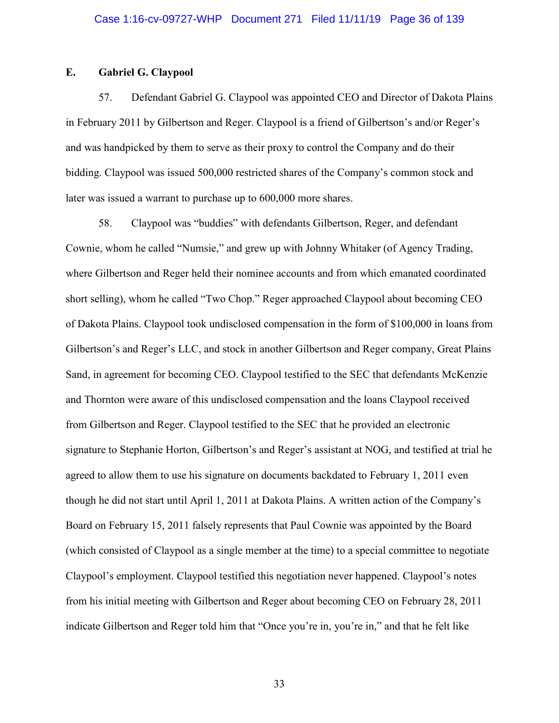## **E. Gabriel G. Claypool**

57. Defendant Gabriel G. Claypool was appointed CEO and Director of Dakota Plains in February 2011 by Gilbertson and Reger. Claypool is a friend of Gilbertson's and/or Reger's and was handpicked by them to serve as their proxy to control the Company and do their bidding. Claypool was issued 500,000 restricted shares of the Company's common stock and later was issued a warrant to purchase up to 600,000 more shares.

58. Claypool was "buddies" with defendants Gilbertson, Reger, and defendant Cownie, whom he called "Numsie," and grew up with Johnny Whitaker (of Agency Trading, where Gilbertson and Reger held their nominee accounts and from which emanated coordinated short selling), whom he called "Two Chop." Reger approached Claypool about becoming CEO of Dakota Plains. Claypool took undisclosed compensation in the form of \$100,000 in loans from Gilbertson's and Reger's LLC, and stock in another Gilbertson and Reger company, Great Plains Sand, in agreement for becoming CEO. Claypool testified to the SEC that defendants McKenzie and Thornton were aware of this undisclosed compensation and the loans Claypool received from Gilbertson and Reger. Claypool testified to the SEC that he provided an electronic signature to Stephanie Horton, Gilbertson's and Reger's assistant at NOG, and testified at trial he agreed to allow them to use his signature on documents backdated to February 1, 2011 even though he did not start until April 1, 2011 at Dakota Plains. A written action of the Company's Board on February 15, 2011 falsely represents that Paul Cownie was appointed by the Board (which consisted of Claypool as a single member at the time) to a special committee to negotiate Claypool's employment. Claypool testified this negotiation never happened. Claypool's notes from his initial meeting with Gilbertson and Reger about becoming CEO on February 28, 2011 indicate Gilbertson and Reger told him that "Once you're in, you're in," and that he felt like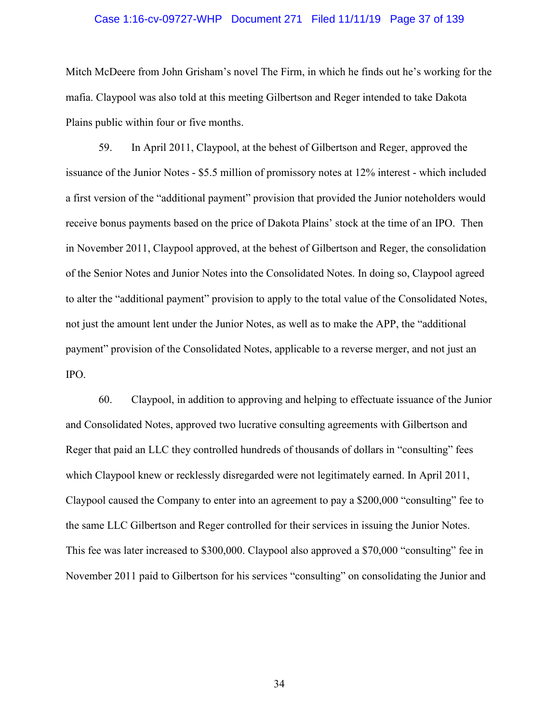#### Case 1:16-cv-09727-WHP Document 271 Filed 11/11/19 Page 37 of 139

Mitch McDeere from John Grisham's novel The Firm, in which he finds out he's working for the mafia. Claypool was also told at this meeting Gilbertson and Reger intended to take Dakota Plains public within four or five months.

59. In April 2011, Claypool, at the behest of Gilbertson and Reger, approved the issuance of the Junior Notes - \$5.5 million of promissory notes at 12% interest - which included a first version of the "additional payment" provision that provided the Junior noteholders would receive bonus payments based on the price of Dakota Plains' stock at the time of an IPO. Then in November 2011, Claypool approved, at the behest of Gilbertson and Reger, the consolidation of the Senior Notes and Junior Notes into the Consolidated Notes. In doing so, Claypool agreed to alter the "additional payment" provision to apply to the total value of the Consolidated Notes, not just the amount lent under the Junior Notes, as well as to make the APP, the "additional payment" provision of the Consolidated Notes, applicable to a reverse merger, and not just an IPO.

60. Claypool, in addition to approving and helping to effectuate issuance of the Junior and Consolidated Notes, approved two lucrative consulting agreements with Gilbertson and Reger that paid an LLC they controlled hundreds of thousands of dollars in "consulting" fees which Claypool knew or recklessly disregarded were not legitimately earned. In April 2011, Claypool caused the Company to enter into an agreement to pay a \$200,000 "consulting" fee to the same LLC Gilbertson and Reger controlled for their services in issuing the Junior Notes. This fee was later increased to \$300,000. Claypool also approved a \$70,000 "consulting" fee in November 2011 paid to Gilbertson for his services "consulting" on consolidating the Junior and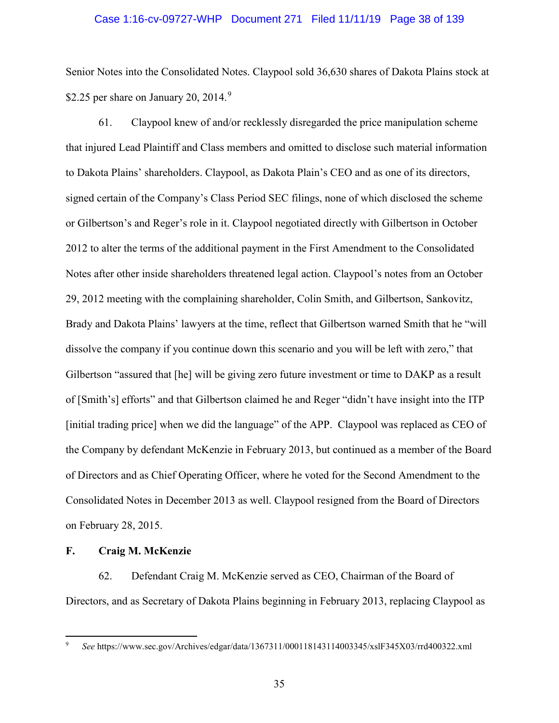#### Case 1:16-cv-09727-WHP Document 271 Filed 11/11/19 Page 38 of 139

Senior Notes into the Consolidated Notes. Claypool sold 36,630 shares of Dakota Plains stock at \$2.25 per share on January 20, 2014. $9$ 

61. Claypool knew of and/or recklessly disregarded the price manipulation scheme that injured Lead Plaintiff and Class members and omitted to disclose such material information to Dakota Plains' shareholders. Claypool, as Dakota Plain's CEO and as one of its directors, signed certain of the Company's Class Period SEC filings, none of which disclosed the scheme or Gilbertson's and Reger's role in it. Claypool negotiated directly with Gilbertson in October 2012 to alter the terms of the additional payment in the First Amendment to the Consolidated Notes after other inside shareholders threatened legal action. Claypool's notes from an October 29, 2012 meeting with the complaining shareholder, Colin Smith, and Gilbertson, Sankovitz, Brady and Dakota Plains' lawyers at the time, reflect that Gilbertson warned Smith that he "will dissolve the company if you continue down this scenario and you will be left with zero," that Gilbertson "assured that [he] will be giving zero future investment or time to DAKP as a result of [Smith's] efforts" and that Gilbertson claimed he and Reger "didn't have insight into the ITP [initial trading price] when we did the language" of the APP. Claypool was replaced as CEO of the Company by defendant McKenzie in February 2013, but continued as a member of the Board of Directors and as Chief Operating Officer, where he voted for the Second Amendment to the Consolidated Notes in December 2013 as well. Claypool resigned from the Board of Directors on February 28, 2015.

#### **F. Craig M. McKenzie**

 $\overline{a}$ 

62. Defendant Craig M. McKenzie served as CEO, Chairman of the Board of Directors, and as Secretary of Dakota Plains beginning in February 2013, replacing Claypool as

<sup>9</sup> *See* https://www.sec.gov/Archives/edgar/data/1367311/000118143114003345/xslF345X03/rrd400322.xml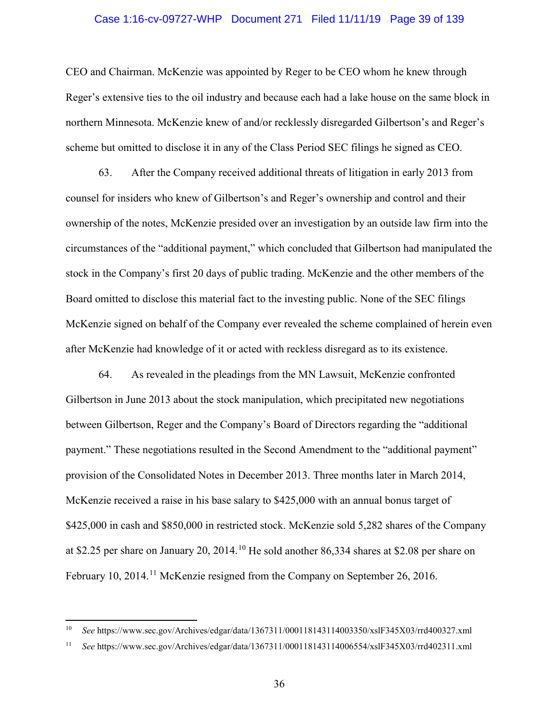#### Case 1:16-cv-09727-WHP Document 271 Filed 11/11/19 Page 39 of 139

CEO and Chairman. McKenzie was appointed by Reger to be CEO whom he knew through Reger's extensive ties to the oil industry and because each had a lake house on the same block in northern Minnesota. McKenzie knew of and/or recklessly disregarded Gilbertson's and Reger's scheme but omitted to disclose it in any of the Class Period SEC filings he signed as CEO.

63. After the Company received additional threats of litigation in early 2013 from counsel for insiders who knew of Gilbertson's and Reger's ownership and control and their ownership of the notes, McKenzie presided over an investigation by an outside law firm into the circumstances of the "additional payment," which concluded that Gilbertson had manipulated the stock in the Company's first 20 days of public trading. McKenzie and the other members of the Board omitted to disclose this material fact to the investing public. None of the SEC filings McKenzie signed on behalf of the Company ever revealed the scheme complained of herein even after McKenzie had knowledge of it or acted with reckless disregard as to its existence.

64. As revealed in the pleadings from the MN Lawsuit, McKenzie confronted Gilbertson in June 2013 about the stock manipulation, which precipitated new negotiations between Gilbertson, Reger and the Company's Board of Directors regarding the "additional payment." These negotiations resulted in the Second Amendment to the "additional payment" provision of the Consolidated Notes in December 2013. Three months later in March 2014, McKenzie received a raise in his base salary to \$425,000 with an annual bonus target of \$425,000 in cash and \$850,000 in restricted stock. McKenzie sold 5,282 shares of the Company at \$2.25 per share on January 20, 2014.<sup>10</sup> He sold another 86,334 shares at \$2.08 per share on February 10, 2014.<sup>11</sup> McKenzie resigned from the Company on September 26, 2016.

l

<sup>10</sup> *See* https://www.sec.gov/Archives/edgar/data/1367311/000118143114003350/xslF345X03/rrd400327.xml

<sup>11</sup> *See* https://www.sec.gov/Archives/edgar/data/1367311/000118143114006554/xslF345X03/rrd402311.xml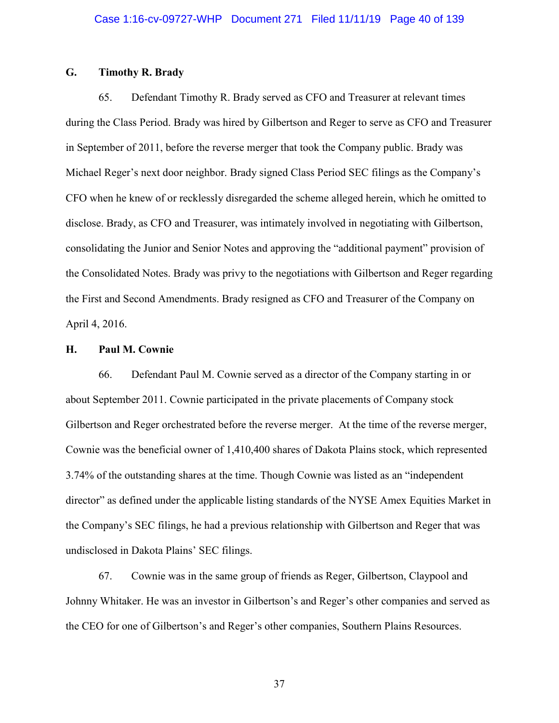## **G. Timothy R. Brady**

65. Defendant Timothy R. Brady served as CFO and Treasurer at relevant times during the Class Period. Brady was hired by Gilbertson and Reger to serve as CFO and Treasurer in September of 2011, before the reverse merger that took the Company public. Brady was Michael Reger's next door neighbor. Brady signed Class Period SEC filings as the Company's CFO when he knew of or recklessly disregarded the scheme alleged herein, which he omitted to disclose. Brady, as CFO and Treasurer, was intimately involved in negotiating with Gilbertson, consolidating the Junior and Senior Notes and approving the "additional payment" provision of the Consolidated Notes. Brady was privy to the negotiations with Gilbertson and Reger regarding the First and Second Amendments. Brady resigned as CFO and Treasurer of the Company on April 4, 2016.

#### **H. Paul M. Cownie**

66. Defendant Paul M. Cownie served as a director of the Company starting in or about September 2011. Cownie participated in the private placements of Company stock Gilbertson and Reger orchestrated before the reverse merger. At the time of the reverse merger, Cownie was the beneficial owner of 1,410,400 shares of Dakota Plains stock, which represented 3.74% of the outstanding shares at the time. Though Cownie was listed as an "independent director" as defined under the applicable listing standards of the NYSE Amex Equities Market in the Company's SEC filings, he had a previous relationship with Gilbertson and Reger that was undisclosed in Dakota Plains' SEC filings.

67. Cownie was in the same group of friends as Reger, Gilbertson, Claypool and Johnny Whitaker. He was an investor in Gilbertson's and Reger's other companies and served as the CEO for one of Gilbertson's and Reger's other companies, Southern Plains Resources.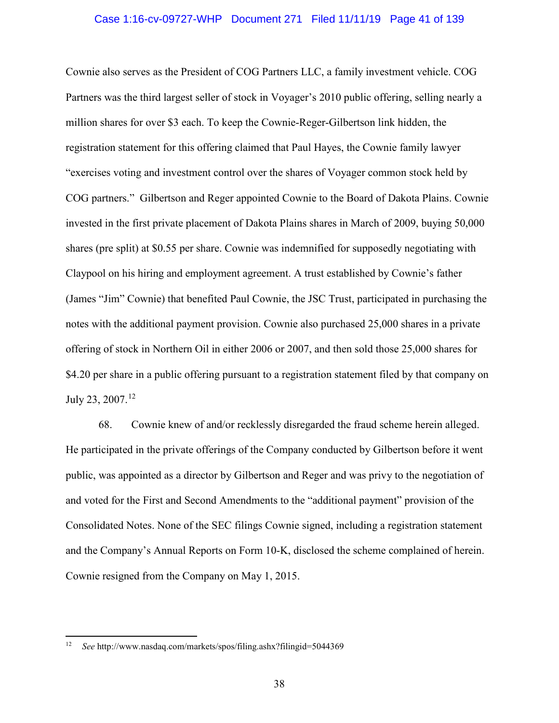#### Case 1:16-cv-09727-WHP Document 271 Filed 11/11/19 Page 41 of 139

Cownie also serves as the President of COG Partners LLC, a family investment vehicle. COG Partners was the third largest seller of stock in Voyager's 2010 public offering, selling nearly a million shares for over \$3 each. To keep the Cownie-Reger-Gilbertson link hidden, the registration statement for this offering claimed that Paul Hayes, the Cownie family lawyer "exercises voting and investment control over the shares of Voyager common stock held by COG partners." Gilbertson and Reger appointed Cownie to the Board of Dakota Plains. Cownie invested in the first private placement of Dakota Plains shares in March of 2009, buying 50,000 shares (pre split) at \$0.55 per share. Cownie was indemnified for supposedly negotiating with Claypool on his hiring and employment agreement. A trust established by Cownie's father (James "Jim" Cownie) that benefited Paul Cownie, the JSC Trust, participated in purchasing the notes with the additional payment provision. Cownie also purchased 25,000 shares in a private offering of stock in Northern Oil in either 2006 or 2007, and then sold those 25,000 shares for \$4.20 per share in a public offering pursuant to a registration statement filed by that company on July 23, 2007.<sup>12</sup>

68. Cownie knew of and/or recklessly disregarded the fraud scheme herein alleged. He participated in the private offerings of the Company conducted by Gilbertson before it went public, was appointed as a director by Gilbertson and Reger and was privy to the negotiation of and voted for the First and Second Amendments to the "additional payment" provision of the Consolidated Notes. None of the SEC filings Cownie signed, including a registration statement and the Company's Annual Reports on Form 10-K, disclosed the scheme complained of herein. Cownie resigned from the Company on May 1, 2015.

 $\overline{a}$ 

<sup>&</sup>lt;sup>12</sup> *See* http://www.nasdaq.com/markets/spos/filing.ashx?filingid=5044369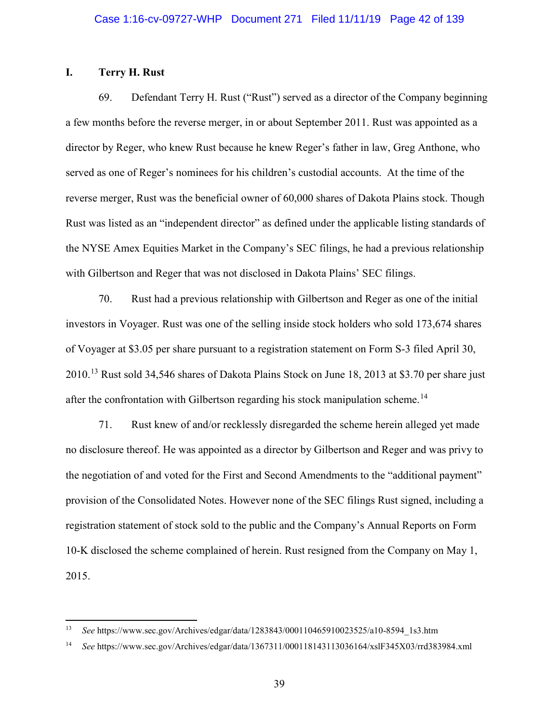## **I. Terry H. Rust**

l

69. Defendant Terry H. Rust ("Rust") served as a director of the Company beginning a few months before the reverse merger, in or about September 2011. Rust was appointed as a director by Reger, who knew Rust because he knew Reger's father in law, Greg Anthone, who served as one of Reger's nominees for his children's custodial accounts. At the time of the reverse merger, Rust was the beneficial owner of 60,000 shares of Dakota Plains stock. Though Rust was listed as an "independent director" as defined under the applicable listing standards of the NYSE Amex Equities Market in the Company's SEC filings, he had a previous relationship with Gilbertson and Reger that was not disclosed in Dakota Plains' SEC filings.

70. Rust had a previous relationship with Gilbertson and Reger as one of the initial investors in Voyager. Rust was one of the selling inside stock holders who sold 173,674 shares of Voyager at \$3.05 per share pursuant to a registration statement on Form S-3 filed April 30, 2010.13 Rust sold 34,546 shares of Dakota Plains Stock on June 18, 2013 at \$3.70 per share just after the confrontation with Gilbertson regarding his stock manipulation scheme.<sup>14</sup>

71. Rust knew of and/or recklessly disregarded the scheme herein alleged yet made no disclosure thereof. He was appointed as a director by Gilbertson and Reger and was privy to the negotiation of and voted for the First and Second Amendments to the "additional payment" provision of the Consolidated Notes. However none of the SEC filings Rust signed, including a registration statement of stock sold to the public and the Company's Annual Reports on Form 10-K disclosed the scheme complained of herein. Rust resigned from the Company on May 1, 2015.

<sup>13</sup> *See* https://www.sec.gov/Archives/edgar/data/1283843/000110465910023525/a10-8594\_1s3.htm

<sup>14</sup> *See* https://www.sec.gov/Archives/edgar/data/1367311/000118143113036164/xslF345X03/rrd383984.xml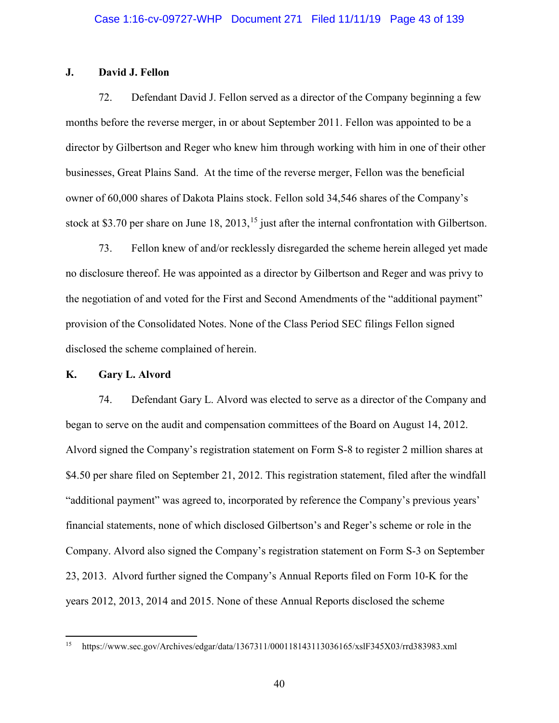## **J. David J. Fellon**

72. Defendant David J. Fellon served as a director of the Company beginning a few months before the reverse merger, in or about September 2011. Fellon was appointed to be a director by Gilbertson and Reger who knew him through working with him in one of their other businesses, Great Plains Sand. At the time of the reverse merger, Fellon was the beneficial owner of 60,000 shares of Dakota Plains stock. Fellon sold 34,546 shares of the Company's stock at \$3.70 per share on June 18,  $2013$ ,  $15$  just after the internal confrontation with Gilbertson.

73. Fellon knew of and/or recklessly disregarded the scheme herein alleged yet made no disclosure thereof. He was appointed as a director by Gilbertson and Reger and was privy to the negotiation of and voted for the First and Second Amendments of the "additional payment" provision of the Consolidated Notes. None of the Class Period SEC filings Fellon signed disclosed the scheme complained of herein.

#### **K. Gary L. Alvord**

 $\overline{a}$ 

74. Defendant Gary L. Alvord was elected to serve as a director of the Company and began to serve on the audit and compensation committees of the Board on August 14, 2012. Alvord signed the Company's registration statement on Form S-8 to register 2 million shares at \$4.50 per share filed on September 21, 2012. This registration statement, filed after the windfall "additional payment" was agreed to, incorporated by reference the Company's previous years' financial statements, none of which disclosed Gilbertson's and Reger's scheme or role in the Company. Alvord also signed the Company's registration statement on Form S-3 on September 23, 2013. Alvord further signed the Company's Annual Reports filed on Form 10-K for the years 2012, 2013, 2014 and 2015. None of these Annual Reports disclosed the scheme

<sup>15</sup> https://www.sec.gov/Archives/edgar/data/1367311/000118143113036165/xslF345X03/rrd383983.xml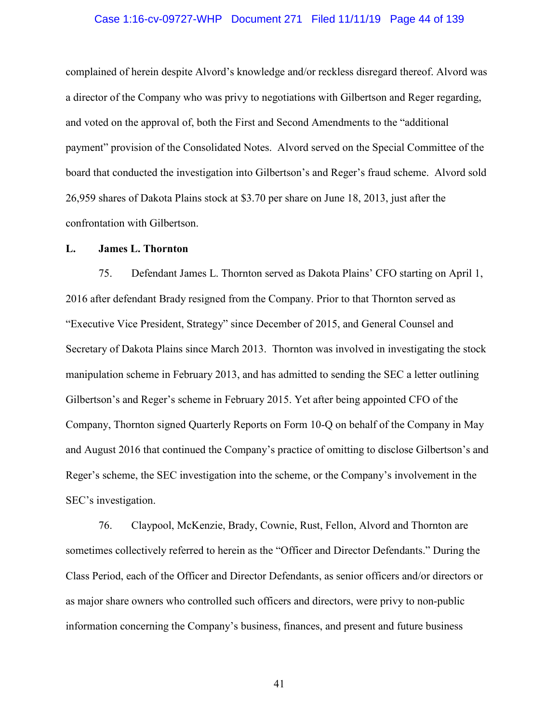#### Case 1:16-cv-09727-WHP Document 271 Filed 11/11/19 Page 44 of 139

complained of herein despite Alvord's knowledge and/or reckless disregard thereof. Alvord was a director of the Company who was privy to negotiations with Gilbertson and Reger regarding, and voted on the approval of, both the First and Second Amendments to the "additional payment" provision of the Consolidated Notes. Alvord served on the Special Committee of the board that conducted the investigation into Gilbertson's and Reger's fraud scheme. Alvord sold 26,959 shares of Dakota Plains stock at \$3.70 per share on June 18, 2013, just after the confrontation with Gilbertson.

#### **L. James L. Thornton**

75. Defendant James L. Thornton served as Dakota Plains' CFO starting on April 1, 2016 after defendant Brady resigned from the Company. Prior to that Thornton served as "Executive Vice President, Strategy" since December of 2015, and General Counsel and Secretary of Dakota Plains since March 2013. Thornton was involved in investigating the stock manipulation scheme in February 2013, and has admitted to sending the SEC a letter outlining Gilbertson's and Reger's scheme in February 2015. Yet after being appointed CFO of the Company, Thornton signed Quarterly Reports on Form 10-Q on behalf of the Company in May and August 2016 that continued the Company's practice of omitting to disclose Gilbertson's and Reger's scheme, the SEC investigation into the scheme, or the Company's involvement in the SEC's investigation.

76. Claypool, McKenzie, Brady, Cownie, Rust, Fellon, Alvord and Thornton are sometimes collectively referred to herein as the "Officer and Director Defendants." During the Class Period, each of the Officer and Director Defendants, as senior officers and/or directors or as major share owners who controlled such officers and directors, were privy to non-public information concerning the Company's business, finances, and present and future business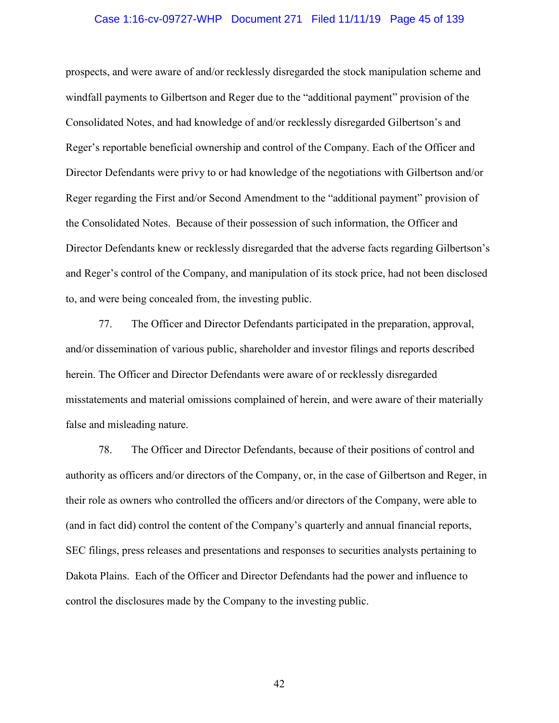#### Case 1:16-cv-09727-WHP Document 271 Filed 11/11/19 Page 45 of 139

prospects, and were aware of and/or recklessly disregarded the stock manipulation scheme and windfall payments to Gilbertson and Reger due to the "additional payment" provision of the Consolidated Notes, and had knowledge of and/or recklessly disregarded Gilbertson's and Reger's reportable beneficial ownership and control of the Company. Each of the Officer and Director Defendants were privy to or had knowledge of the negotiations with Gilbertson and/or Reger regarding the First and/or Second Amendment to the "additional payment" provision of the Consolidated Notes. Because of their possession of such information, the Officer and Director Defendants knew or recklessly disregarded that the adverse facts regarding Gilbertson's and Reger's control of the Company, and manipulation of its stock price, had not been disclosed to, and were being concealed from, the investing public.

77. The Officer and Director Defendants participated in the preparation, approval, and/or dissemination of various public, shareholder and investor filings and reports described herein. The Officer and Director Defendants were aware of or recklessly disregarded misstatements and material omissions complained of herein, and were aware of their materially false and misleading nature.

78. The Officer and Director Defendants, because of their positions of control and authority as officers and/or directors of the Company, or, in the case of Gilbertson and Reger, in their role as owners who controlled the officers and/or directors of the Company, were able to (and in fact did) control the content of the Company's quarterly and annual financial reports, SEC filings, press releases and presentations and responses to securities analysts pertaining to Dakota Plains. Each of the Officer and Director Defendants had the power and influence to control the disclosures made by the Company to the investing public.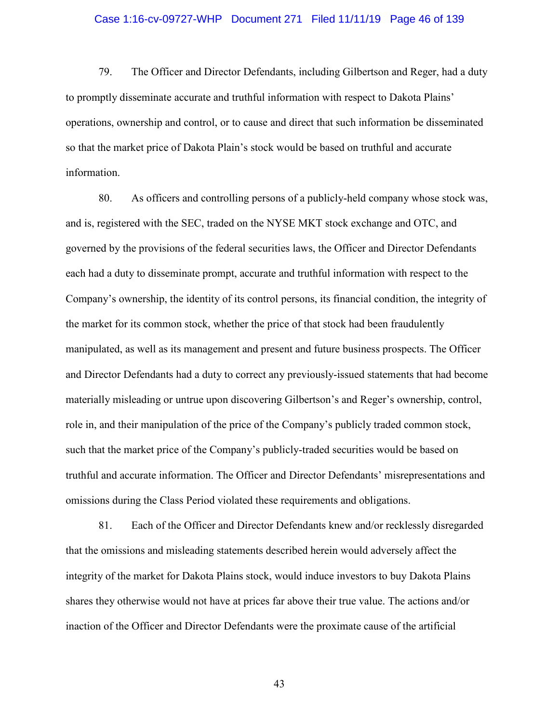## Case 1:16-cv-09727-WHP Document 271 Filed 11/11/19 Page 46 of 139

79. The Officer and Director Defendants, including Gilbertson and Reger, had a duty to promptly disseminate accurate and truthful information with respect to Dakota Plains' operations, ownership and control, or to cause and direct that such information be disseminated so that the market price of Dakota Plain's stock would be based on truthful and accurate information.

80. As officers and controlling persons of a publicly-held company whose stock was, and is, registered with the SEC, traded on the NYSE MKT stock exchange and OTC, and governed by the provisions of the federal securities laws, the Officer and Director Defendants each had a duty to disseminate prompt, accurate and truthful information with respect to the Company's ownership, the identity of its control persons, its financial condition, the integrity of the market for its common stock, whether the price of that stock had been fraudulently manipulated, as well as its management and present and future business prospects. The Officer and Director Defendants had a duty to correct any previously-issued statements that had become materially misleading or untrue upon discovering Gilbertson's and Reger's ownership, control, role in, and their manipulation of the price of the Company's publicly traded common stock, such that the market price of the Company's publicly-traded securities would be based on truthful and accurate information. The Officer and Director Defendants' misrepresentations and omissions during the Class Period violated these requirements and obligations.

81. Each of the Officer and Director Defendants knew and/or recklessly disregarded that the omissions and misleading statements described herein would adversely affect the integrity of the market for Dakota Plains stock, would induce investors to buy Dakota Plains shares they otherwise would not have at prices far above their true value. The actions and/or inaction of the Officer and Director Defendants were the proximate cause of the artificial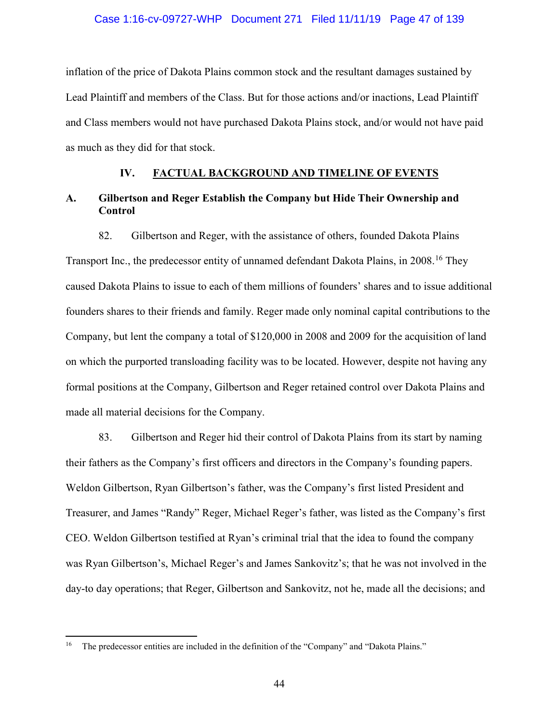#### Case 1:16-cv-09727-WHP Document 271 Filed 11/11/19 Page 47 of 139

inflation of the price of Dakota Plains common stock and the resultant damages sustained by Lead Plaintiff and members of the Class. But for those actions and/or inactions, Lead Plaintiff and Class members would not have purchased Dakota Plains stock, and/or would not have paid as much as they did for that stock.

### **IV. FACTUAL BACKGROUND AND TIMELINE OF EVENTS**

# **A. Gilbertson and Reger Establish the Company but Hide Their Ownership and Control**

82. Gilbertson and Reger, with the assistance of others, founded Dakota Plains

Transport Inc., the predecessor entity of unnamed defendant Dakota Plains, in 2008.<sup>16</sup> They caused Dakota Plains to issue to each of them millions of founders' shares and to issue additional founders shares to their friends and family. Reger made only nominal capital contributions to the Company, but lent the company a total of \$120,000 in 2008 and 2009 for the acquisition of land on which the purported transloading facility was to be located. However, despite not having any formal positions at the Company, Gilbertson and Reger retained control over Dakota Plains and made all material decisions for the Company.

83. Gilbertson and Reger hid their control of Dakota Plains from its start by naming their fathers as the Company's first officers and directors in the Company's founding papers. Weldon Gilbertson, Ryan Gilbertson's father, was the Company's first listed President and Treasurer, and James "Randy" Reger, Michael Reger's father, was listed as the Company's first CEO. Weldon Gilbertson testified at Ryan's criminal trial that the idea to found the company was Ryan Gilbertson's, Michael Reger's and James Sankovitz's; that he was not involved in the day-to day operations; that Reger, Gilbertson and Sankovitz, not he, made all the decisions; and

 $\overline{a}$ 

<sup>&</sup>lt;sup>16</sup> The predecessor entities are included in the definition of the "Company" and "Dakota Plains."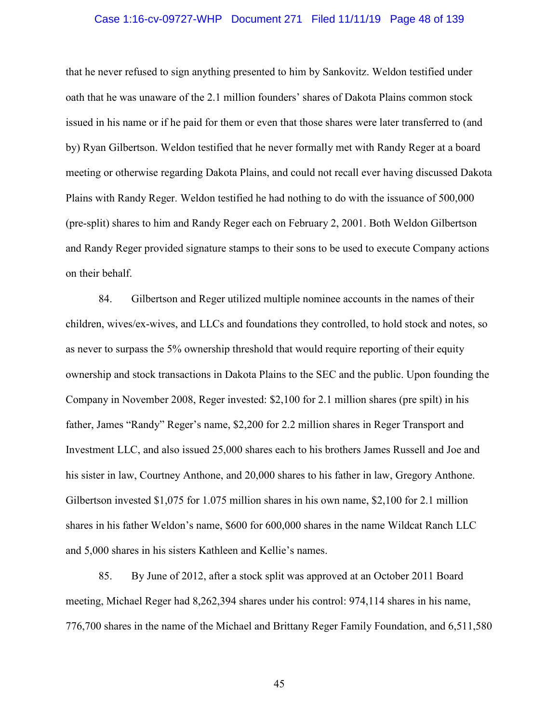#### Case 1:16-cv-09727-WHP Document 271 Filed 11/11/19 Page 48 of 139

that he never refused to sign anything presented to him by Sankovitz. Weldon testified under oath that he was unaware of the 2.1 million founders' shares of Dakota Plains common stock issued in his name or if he paid for them or even that those shares were later transferred to (and by) Ryan Gilbertson. Weldon testified that he never formally met with Randy Reger at a board meeting or otherwise regarding Dakota Plains, and could not recall ever having discussed Dakota Plains with Randy Reger. Weldon testified he had nothing to do with the issuance of 500,000 (pre-split) shares to him and Randy Reger each on February 2, 2001. Both Weldon Gilbertson and Randy Reger provided signature stamps to their sons to be used to execute Company actions on their behalf.

84. Gilbertson and Reger utilized multiple nominee accounts in the names of their children, wives/ex-wives, and LLCs and foundations they controlled, to hold stock and notes, so as never to surpass the 5% ownership threshold that would require reporting of their equity ownership and stock transactions in Dakota Plains to the SEC and the public. Upon founding the Company in November 2008, Reger invested: \$2,100 for 2.1 million shares (pre spilt) in his father, James "Randy" Reger's name, \$2,200 for 2.2 million shares in Reger Transport and Investment LLC, and also issued 25,000 shares each to his brothers James Russell and Joe and his sister in law, Courtney Anthone, and 20,000 shares to his father in law, Gregory Anthone. Gilbertson invested \$1,075 for 1.075 million shares in his own name, \$2,100 for 2.1 million shares in his father Weldon's name, \$600 for 600,000 shares in the name Wildcat Ranch LLC and 5,000 shares in his sisters Kathleen and Kellie's names.

85. By June of 2012, after a stock split was approved at an October 2011 Board meeting, Michael Reger had 8,262,394 shares under his control: 974,114 shares in his name, 776,700 shares in the name of the Michael and Brittany Reger Family Foundation, and 6,511,580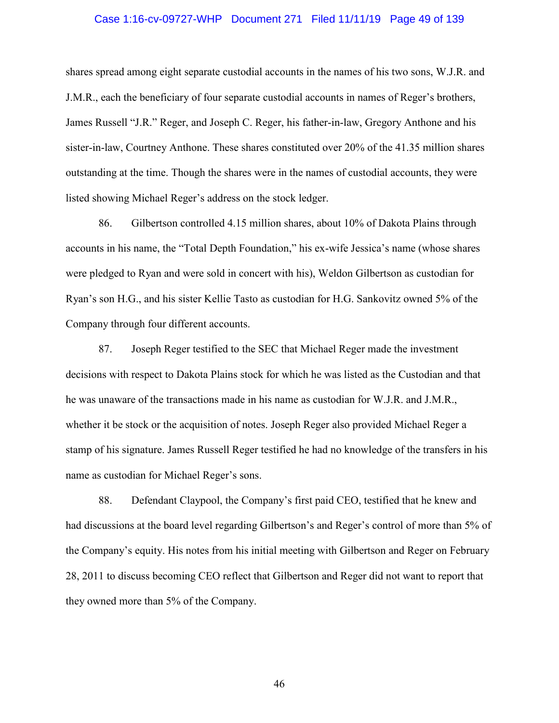#### Case 1:16-cv-09727-WHP Document 271 Filed 11/11/19 Page 49 of 139

shares spread among eight separate custodial accounts in the names of his two sons, W.J.R. and J.M.R., each the beneficiary of four separate custodial accounts in names of Reger's brothers, James Russell "J.R." Reger, and Joseph C. Reger, his father-in-law, Gregory Anthone and his sister-in-law, Courtney Anthone. These shares constituted over 20% of the 41.35 million shares outstanding at the time. Though the shares were in the names of custodial accounts, they were listed showing Michael Reger's address on the stock ledger.

86. Gilbertson controlled 4.15 million shares, about 10% of Dakota Plains through accounts in his name, the "Total Depth Foundation," his ex-wife Jessica's name (whose shares were pledged to Ryan and were sold in concert with his), Weldon Gilbertson as custodian for Ryan's son H.G., and his sister Kellie Tasto as custodian for H.G. Sankovitz owned 5% of the Company through four different accounts.

87. Joseph Reger testified to the SEC that Michael Reger made the investment decisions with respect to Dakota Plains stock for which he was listed as the Custodian and that he was unaware of the transactions made in his name as custodian for W.J.R. and J.M.R., whether it be stock or the acquisition of notes. Joseph Reger also provided Michael Reger a stamp of his signature. James Russell Reger testified he had no knowledge of the transfers in his name as custodian for Michael Reger's sons.

88. Defendant Claypool, the Company's first paid CEO, testified that he knew and had discussions at the board level regarding Gilbertson's and Reger's control of more than 5% of the Company's equity. His notes from his initial meeting with Gilbertson and Reger on February 28, 2011 to discuss becoming CEO reflect that Gilbertson and Reger did not want to report that they owned more than 5% of the Company.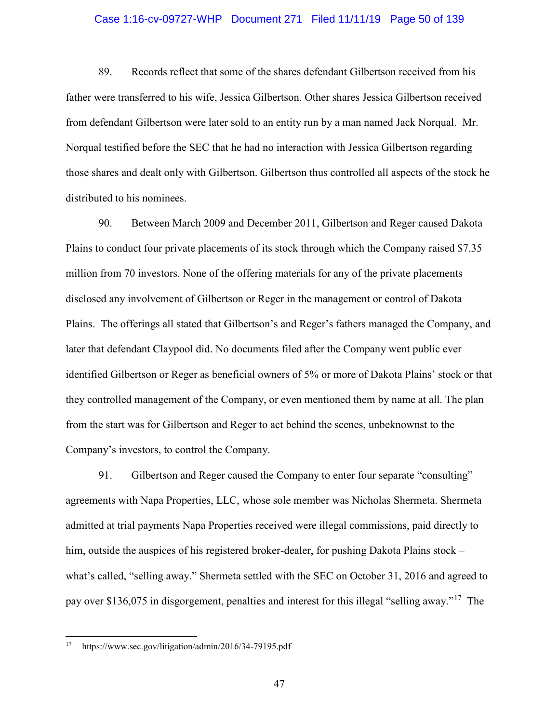#### Case 1:16-cv-09727-WHP Document 271 Filed 11/11/19 Page 50 of 139

89. Records reflect that some of the shares defendant Gilbertson received from his father were transferred to his wife, Jessica Gilbertson. Other shares Jessica Gilbertson received from defendant Gilbertson were later sold to an entity run by a man named Jack Norqual. Mr. Norqual testified before the SEC that he had no interaction with Jessica Gilbertson regarding those shares and dealt only with Gilbertson. Gilbertson thus controlled all aspects of the stock he distributed to his nominees.

90. Between March 2009 and December 2011, Gilbertson and Reger caused Dakota Plains to conduct four private placements of its stock through which the Company raised \$7.35 million from 70 investors. None of the offering materials for any of the private placements disclosed any involvement of Gilbertson or Reger in the management or control of Dakota Plains. The offerings all stated that Gilbertson's and Reger's fathers managed the Company, and later that defendant Claypool did. No documents filed after the Company went public ever identified Gilbertson or Reger as beneficial owners of 5% or more of Dakota Plains' stock or that they controlled management of the Company, or even mentioned them by name at all. The plan from the start was for Gilbertson and Reger to act behind the scenes, unbeknownst to the Company's investors, to control the Company.

91. Gilbertson and Reger caused the Company to enter four separate "consulting" agreements with Napa Properties, LLC, whose sole member was Nicholas Shermeta. Shermeta admitted at trial payments Napa Properties received were illegal commissions, paid directly to him, outside the auspices of his registered broker-dealer, for pushing Dakota Plains stock – what's called, "selling away." Shermeta settled with the SEC on October 31, 2016 and agreed to pay over \$136,075 in disgorgement, penalties and interest for this illegal "selling away."17 The

 $\overline{a}$ 

<sup>17</sup> https://www.sec.gov/litigation/admin/2016/34-79195.pdf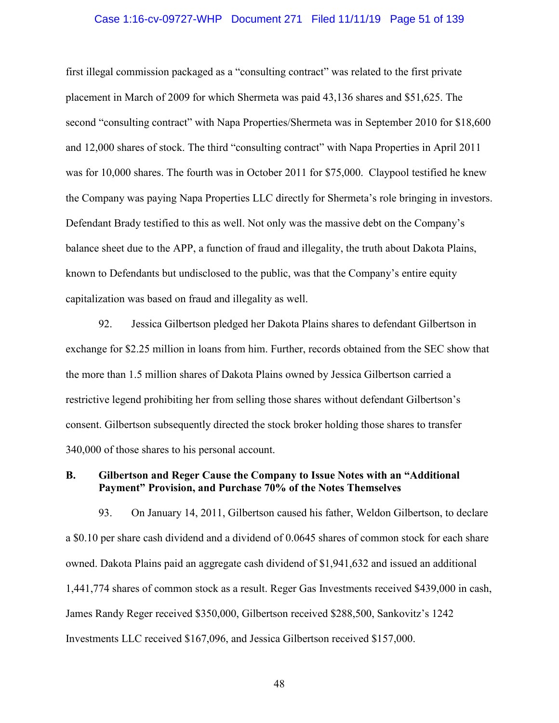#### Case 1:16-cv-09727-WHP Document 271 Filed 11/11/19 Page 51 of 139

first illegal commission packaged as a "consulting contract" was related to the first private placement in March of 2009 for which Shermeta was paid 43,136 shares and \$51,625. The second "consulting contract" with Napa Properties/Shermeta was in September 2010 for \$18,600 and 12,000 shares of stock. The third "consulting contract" with Napa Properties in April 2011 was for 10,000 shares. The fourth was in October 2011 for \$75,000. Claypool testified he knew the Company was paying Napa Properties LLC directly for Shermeta's role bringing in investors. Defendant Brady testified to this as well. Not only was the massive debt on the Company's balance sheet due to the APP, a function of fraud and illegality, the truth about Dakota Plains, known to Defendants but undisclosed to the public, was that the Company's entire equity capitalization was based on fraud and illegality as well.

92. Jessica Gilbertson pledged her Dakota Plains shares to defendant Gilbertson in exchange for \$2.25 million in loans from him. Further, records obtained from the SEC show that the more than 1.5 million shares of Dakota Plains owned by Jessica Gilbertson carried a restrictive legend prohibiting her from selling those shares without defendant Gilbertson's consent. Gilbertson subsequently directed the stock broker holding those shares to transfer 340,000 of those shares to his personal account.

## **B. Gilbertson and Reger Cause the Company to Issue Notes with an "Additional Payment" Provision, and Purchase 70% of the Notes Themselves**

93. On January 14, 2011, Gilbertson caused his father, Weldon Gilbertson, to declare a \$0.10 per share cash dividend and a dividend of 0.0645 shares of common stock for each share owned. Dakota Plains paid an aggregate cash dividend of \$1,941,632 and issued an additional 1,441,774 shares of common stock as a result. Reger Gas Investments received \$439,000 in cash, James Randy Reger received \$350,000, Gilbertson received \$288,500, Sankovitz's 1242 Investments LLC received \$167,096, and Jessica Gilbertson received \$157,000.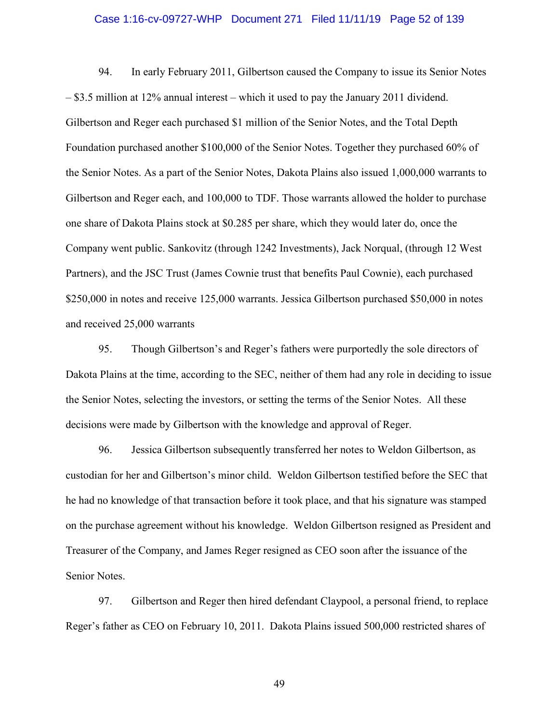#### Case 1:16-cv-09727-WHP Document 271 Filed 11/11/19 Page 52 of 139

94. In early February 2011, Gilbertson caused the Company to issue its Senior Notes – \$3.5 million at 12% annual interest – which it used to pay the January 2011 dividend. Gilbertson and Reger each purchased \$1 million of the Senior Notes, and the Total Depth Foundation purchased another \$100,000 of the Senior Notes. Together they purchased 60% of the Senior Notes. As a part of the Senior Notes, Dakota Plains also issued 1,000,000 warrants to Gilbertson and Reger each, and 100,000 to TDF. Those warrants allowed the holder to purchase one share of Dakota Plains stock at \$0.285 per share, which they would later do, once the Company went public. Sankovitz (through 1242 Investments), Jack Norqual, (through 12 West Partners), and the JSC Trust (James Cownie trust that benefits Paul Cownie), each purchased \$250,000 in notes and receive 125,000 warrants. Jessica Gilbertson purchased \$50,000 in notes and received 25,000 warrants

95. Though Gilbertson's and Reger's fathers were purportedly the sole directors of Dakota Plains at the time, according to the SEC, neither of them had any role in deciding to issue the Senior Notes, selecting the investors, or setting the terms of the Senior Notes. All these decisions were made by Gilbertson with the knowledge and approval of Reger.

96. Jessica Gilbertson subsequently transferred her notes to Weldon Gilbertson, as custodian for her and Gilbertson's minor child. Weldon Gilbertson testified before the SEC that he had no knowledge of that transaction before it took place, and that his signature was stamped on the purchase agreement without his knowledge. Weldon Gilbertson resigned as President and Treasurer of the Company, and James Reger resigned as CEO soon after the issuance of the Senior Notes.

97. Gilbertson and Reger then hired defendant Claypool, a personal friend, to replace Reger's father as CEO on February 10, 2011. Dakota Plains issued 500,000 restricted shares of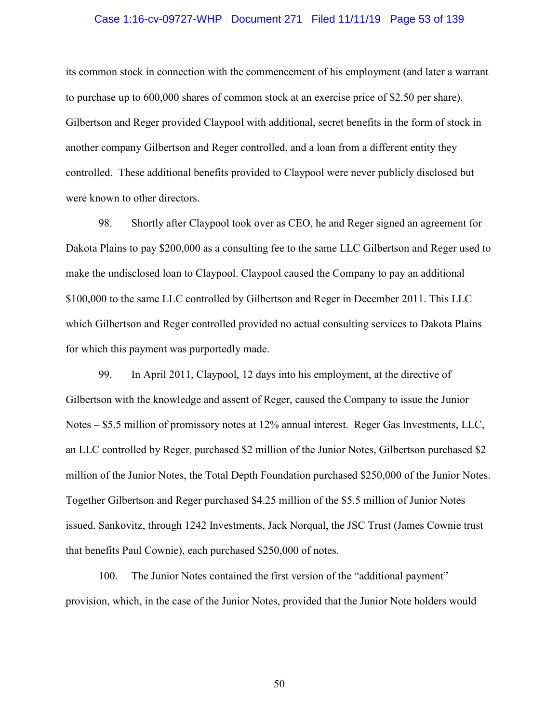#### Case 1:16-cv-09727-WHP Document 271 Filed 11/11/19 Page 53 of 139

its common stock in connection with the commencement of his employment (and later a warrant to purchase up to 600,000 shares of common stock at an exercise price of \$2.50 per share). Gilbertson and Reger provided Claypool with additional, secret benefits in the form of stock in another company Gilbertson and Reger controlled, and a loan from a different entity they controlled. These additional benefits provided to Claypool were never publicly disclosed but were known to other directors.

98. Shortly after Claypool took over as CEO, he and Reger signed an agreement for Dakota Plains to pay \$200,000 as a consulting fee to the same LLC Gilbertson and Reger used to make the undisclosed loan to Claypool. Claypool caused the Company to pay an additional \$100,000 to the same LLC controlled by Gilbertson and Reger in December 2011. This LLC which Gilbertson and Reger controlled provided no actual consulting services to Dakota Plains for which this payment was purportedly made.

99. In April 2011, Claypool, 12 days into his employment, at the directive of Gilbertson with the knowledge and assent of Reger, caused the Company to issue the Junior Notes – \$5.5 million of promissory notes at 12% annual interest. Reger Gas Investments, LLC, an LLC controlled by Reger, purchased \$2 million of the Junior Notes, Gilbertson purchased \$2 million of the Junior Notes, the Total Depth Foundation purchased \$250,000 of the Junior Notes. Together Gilbertson and Reger purchased \$4.25 million of the \$5.5 million of Junior Notes issued. Sankovitz, through 1242 Investments, Jack Norqual, the JSC Trust (James Cownie trust that benefits Paul Cownie), each purchased \$250,000 of notes.

100. The Junior Notes contained the first version of the "additional payment" provision, which, in the case of the Junior Notes, provided that the Junior Note holders would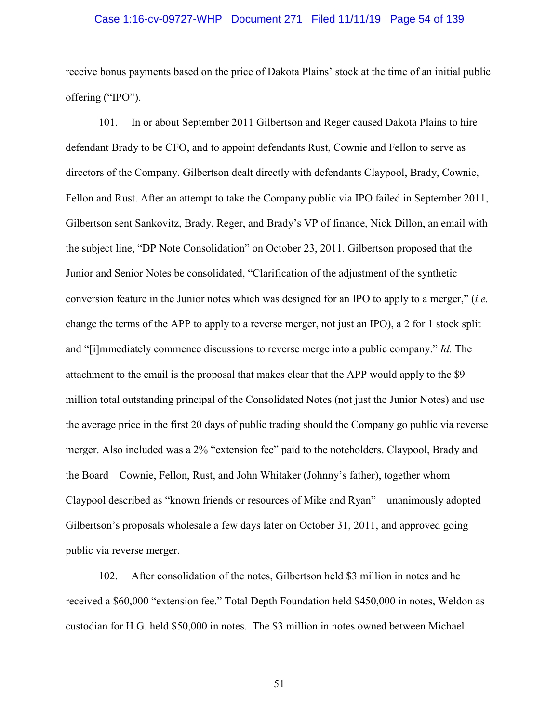#### Case 1:16-cv-09727-WHP Document 271 Filed 11/11/19 Page 54 of 139

receive bonus payments based on the price of Dakota Plains' stock at the time of an initial public offering ("IPO").

101. In or about September 2011 Gilbertson and Reger caused Dakota Plains to hire defendant Brady to be CFO, and to appoint defendants Rust, Cownie and Fellon to serve as directors of the Company. Gilbertson dealt directly with defendants Claypool, Brady, Cownie, Fellon and Rust. After an attempt to take the Company public via IPO failed in September 2011, Gilbertson sent Sankovitz, Brady, Reger, and Brady's VP of finance, Nick Dillon, an email with the subject line, "DP Note Consolidation" on October 23, 2011. Gilbertson proposed that the Junior and Senior Notes be consolidated, "Clarification of the adjustment of the synthetic conversion feature in the Junior notes which was designed for an IPO to apply to a merger," (*i.e.*  change the terms of the APP to apply to a reverse merger, not just an IPO), a 2 for 1 stock split and "[i]mmediately commence discussions to reverse merge into a public company." *Id.* The attachment to the email is the proposal that makes clear that the APP would apply to the \$9 million total outstanding principal of the Consolidated Notes (not just the Junior Notes) and use the average price in the first 20 days of public trading should the Company go public via reverse merger. Also included was a 2% "extension fee" paid to the noteholders. Claypool, Brady and the Board – Cownie, Fellon, Rust, and John Whitaker (Johnny's father), together whom Claypool described as "known friends or resources of Mike and Ryan" – unanimously adopted Gilbertson's proposals wholesale a few days later on October 31, 2011, and approved going public via reverse merger.

102. After consolidation of the notes, Gilbertson held \$3 million in notes and he received a \$60,000 "extension fee." Total Depth Foundation held \$450,000 in notes, Weldon as custodian for H.G. held \$50,000 in notes. The \$3 million in notes owned between Michael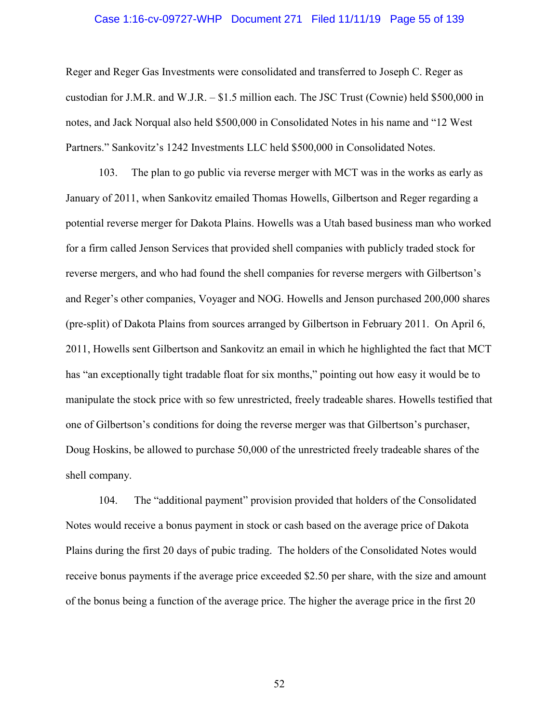#### Case 1:16-cv-09727-WHP Document 271 Filed 11/11/19 Page 55 of 139

Reger and Reger Gas Investments were consolidated and transferred to Joseph C. Reger as custodian for J.M.R. and W.J.R. – \$1.5 million each. The JSC Trust (Cownie) held \$500,000 in notes, and Jack Norqual also held \$500,000 in Consolidated Notes in his name and "12 West Partners." Sankovitz's 1242 Investments LLC held \$500,000 in Consolidated Notes.

103. The plan to go public via reverse merger with MCT was in the works as early as January of 2011, when Sankovitz emailed Thomas Howells, Gilbertson and Reger regarding a potential reverse merger for Dakota Plains. Howells was a Utah based business man who worked for a firm called Jenson Services that provided shell companies with publicly traded stock for reverse mergers, and who had found the shell companies for reverse mergers with Gilbertson's and Reger's other companies, Voyager and NOG. Howells and Jenson purchased 200,000 shares (pre-split) of Dakota Plains from sources arranged by Gilbertson in February 2011. On April 6, 2011, Howells sent Gilbertson and Sankovitz an email in which he highlighted the fact that MCT has "an exceptionally tight tradable float for six months," pointing out how easy it would be to manipulate the stock price with so few unrestricted, freely tradeable shares. Howells testified that one of Gilbertson's conditions for doing the reverse merger was that Gilbertson's purchaser, Doug Hoskins, be allowed to purchase 50,000 of the unrestricted freely tradeable shares of the shell company.

104. The "additional payment" provision provided that holders of the Consolidated Notes would receive a bonus payment in stock or cash based on the average price of Dakota Plains during the first 20 days of pubic trading. The holders of the Consolidated Notes would receive bonus payments if the average price exceeded \$2.50 per share, with the size and amount of the bonus being a function of the average price. The higher the average price in the first 20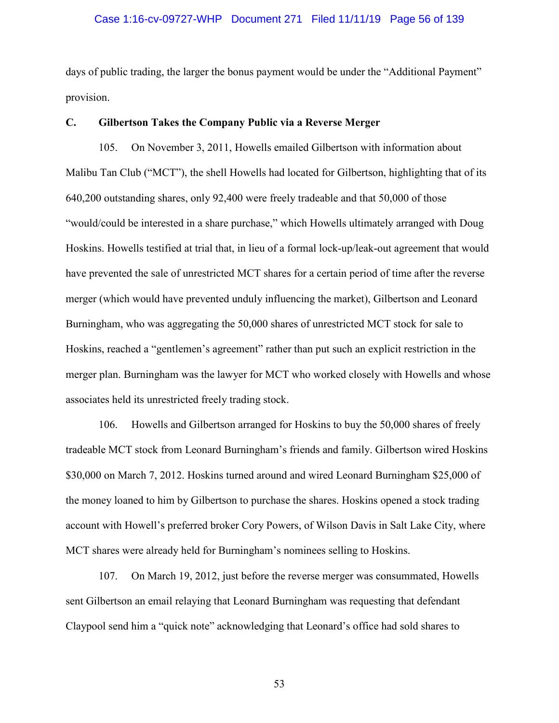#### Case 1:16-cv-09727-WHP Document 271 Filed 11/11/19 Page 56 of 139

days of public trading, the larger the bonus payment would be under the "Additional Payment" provision.

#### **C. Gilbertson Takes the Company Public via a Reverse Merger**

105. On November 3, 2011, Howells emailed Gilbertson with information about Malibu Tan Club ("MCT"), the shell Howells had located for Gilbertson, highlighting that of its 640,200 outstanding shares, only 92,400 were freely tradeable and that 50,000 of those "would/could be interested in a share purchase," which Howells ultimately arranged with Doug Hoskins. Howells testified at trial that, in lieu of a formal lock-up/leak-out agreement that would have prevented the sale of unrestricted MCT shares for a certain period of time after the reverse merger (which would have prevented unduly influencing the market), Gilbertson and Leonard Burningham, who was aggregating the 50,000 shares of unrestricted MCT stock for sale to Hoskins, reached a "gentlemen's agreement" rather than put such an explicit restriction in the merger plan. Burningham was the lawyer for MCT who worked closely with Howells and whose associates held its unrestricted freely trading stock.

106. Howells and Gilbertson arranged for Hoskins to buy the 50,000 shares of freely tradeable MCT stock from Leonard Burningham's friends and family. Gilbertson wired Hoskins \$30,000 on March 7, 2012. Hoskins turned around and wired Leonard Burningham \$25,000 of the money loaned to him by Gilbertson to purchase the shares. Hoskins opened a stock trading account with Howell's preferred broker Cory Powers, of Wilson Davis in Salt Lake City, where MCT shares were already held for Burningham's nominees selling to Hoskins.

107. On March 19, 2012, just before the reverse merger was consummated, Howells sent Gilbertson an email relaying that Leonard Burningham was requesting that defendant Claypool send him a "quick note" acknowledging that Leonard's office had sold shares to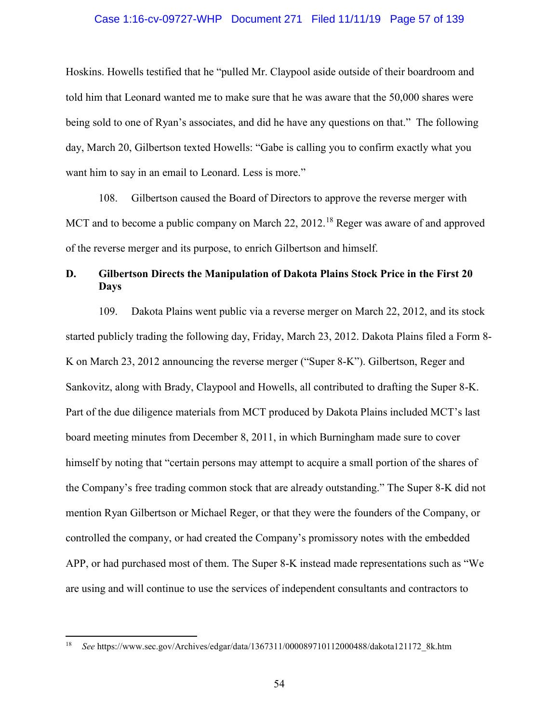#### Case 1:16-cv-09727-WHP Document 271 Filed 11/11/19 Page 57 of 139

Hoskins. Howells testified that he "pulled Mr. Claypool aside outside of their boardroom and told him that Leonard wanted me to make sure that he was aware that the 50,000 shares were being sold to one of Ryan's associates, and did he have any questions on that." The following day, March 20, Gilbertson texted Howells: "Gabe is calling you to confirm exactly what you want him to say in an email to Leonard. Less is more."

108. Gilbertson caused the Board of Directors to approve the reverse merger with MCT and to become a public company on March 22, 2012.<sup>18</sup> Reger was aware of and approved of the reverse merger and its purpose, to enrich Gilbertson and himself.

# **D. Gilbertson Directs the Manipulation of Dakota Plains Stock Price in the First 20 Days**

109. Dakota Plains went public via a reverse merger on March 22, 2012, and its stock started publicly trading the following day, Friday, March 23, 2012. Dakota Plains filed a Form 8- K on March 23, 2012 announcing the reverse merger ("Super 8-K"). Gilbertson, Reger and Sankovitz, along with Brady, Claypool and Howells, all contributed to drafting the Super 8-K. Part of the due diligence materials from MCT produced by Dakota Plains included MCT's last board meeting minutes from December 8, 2011, in which Burningham made sure to cover himself by noting that "certain persons may attempt to acquire a small portion of the shares of the Company's free trading common stock that are already outstanding." The Super 8-K did not mention Ryan Gilbertson or Michael Reger, or that they were the founders of the Company, or controlled the company, or had created the Company's promissory notes with the embedded APP, or had purchased most of them. The Super 8-K instead made representations such as "We are using and will continue to use the services of independent consultants and contractors to

 $\overline{a}$ 

<sup>18</sup> *See* https://www.sec.gov/Archives/edgar/data/1367311/000089710112000488/dakota121172\_8k.htm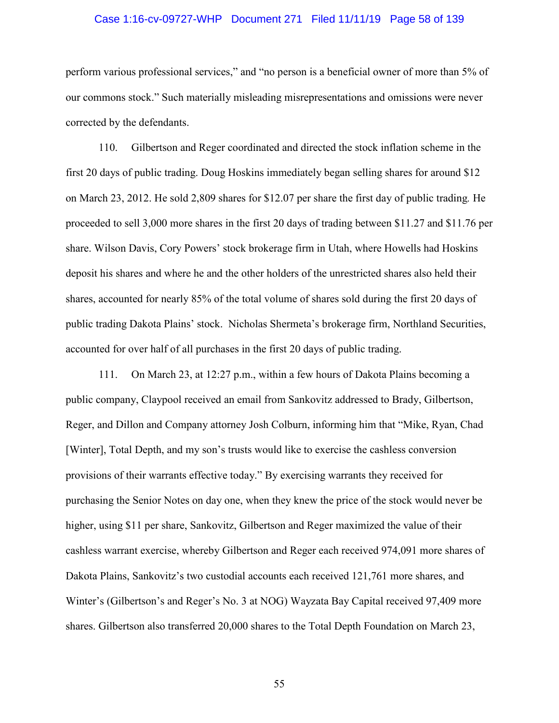#### Case 1:16-cv-09727-WHP Document 271 Filed 11/11/19 Page 58 of 139

perform various professional services," and "no person is a beneficial owner of more than 5% of our commons stock." Such materially misleading misrepresentations and omissions were never corrected by the defendants.

110. Gilbertson and Reger coordinated and directed the stock inflation scheme in the first 20 days of public trading. Doug Hoskins immediately began selling shares for around \$12 on March 23, 2012. He sold 2,809 shares for \$12.07 per share the first day of public trading*.* He proceeded to sell 3,000 more shares in the first 20 days of trading between \$11.27 and \$11.76 per share. Wilson Davis, Cory Powers' stock brokerage firm in Utah, where Howells had Hoskins deposit his shares and where he and the other holders of the unrestricted shares also held their shares, accounted for nearly 85% of the total volume of shares sold during the first 20 days of public trading Dakota Plains' stock. Nicholas Shermeta's brokerage firm, Northland Securities, accounted for over half of all purchases in the first 20 days of public trading.

111. On March 23, at 12:27 p.m., within a few hours of Dakota Plains becoming a public company, Claypool received an email from Sankovitz addressed to Brady, Gilbertson, Reger, and Dillon and Company attorney Josh Colburn, informing him that "Mike, Ryan, Chad [Winter], Total Depth, and my son's trusts would like to exercise the cashless conversion provisions of their warrants effective today." By exercising warrants they received for purchasing the Senior Notes on day one, when they knew the price of the stock would never be higher, using \$11 per share, Sankovitz, Gilbertson and Reger maximized the value of their cashless warrant exercise, whereby Gilbertson and Reger each received 974,091 more shares of Dakota Plains, Sankovitz's two custodial accounts each received 121,761 more shares, and Winter's (Gilbertson's and Reger's No. 3 at NOG) Wayzata Bay Capital received 97,409 more shares. Gilbertson also transferred 20,000 shares to the Total Depth Foundation on March 23,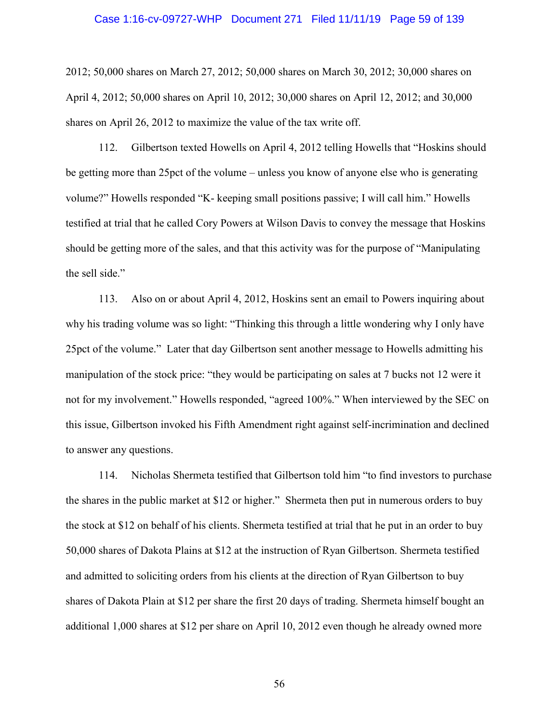#### Case 1:16-cv-09727-WHP Document 271 Filed 11/11/19 Page 59 of 139

2012; 50,000 shares on March 27, 2012; 50,000 shares on March 30, 2012; 30,000 shares on April 4, 2012; 50,000 shares on April 10, 2012; 30,000 shares on April 12, 2012; and 30,000 shares on April 26, 2012 to maximize the value of the tax write off.

112. Gilbertson texted Howells on April 4, 2012 telling Howells that "Hoskins should be getting more than 25pct of the volume – unless you know of anyone else who is generating volume?" Howells responded "K- keeping small positions passive; I will call him." Howells testified at trial that he called Cory Powers at Wilson Davis to convey the message that Hoskins should be getting more of the sales, and that this activity was for the purpose of "Manipulating the sell side."

113. Also on or about April 4, 2012, Hoskins sent an email to Powers inquiring about why his trading volume was so light: "Thinking this through a little wondering why I only have 25pct of the volume." Later that day Gilbertson sent another message to Howells admitting his manipulation of the stock price: "they would be participating on sales at 7 bucks not 12 were it not for my involvement." Howells responded, "agreed 100%." When interviewed by the SEC on this issue, Gilbertson invoked his Fifth Amendment right against self-incrimination and declined to answer any questions.

114. Nicholas Shermeta testified that Gilbertson told him "to find investors to purchase the shares in the public market at \$12 or higher." Shermeta then put in numerous orders to buy the stock at \$12 on behalf of his clients. Shermeta testified at trial that he put in an order to buy 50,000 shares of Dakota Plains at \$12 at the instruction of Ryan Gilbertson. Shermeta testified and admitted to soliciting orders from his clients at the direction of Ryan Gilbertson to buy shares of Dakota Plain at \$12 per share the first 20 days of trading. Shermeta himself bought an additional 1,000 shares at \$12 per share on April 10, 2012 even though he already owned more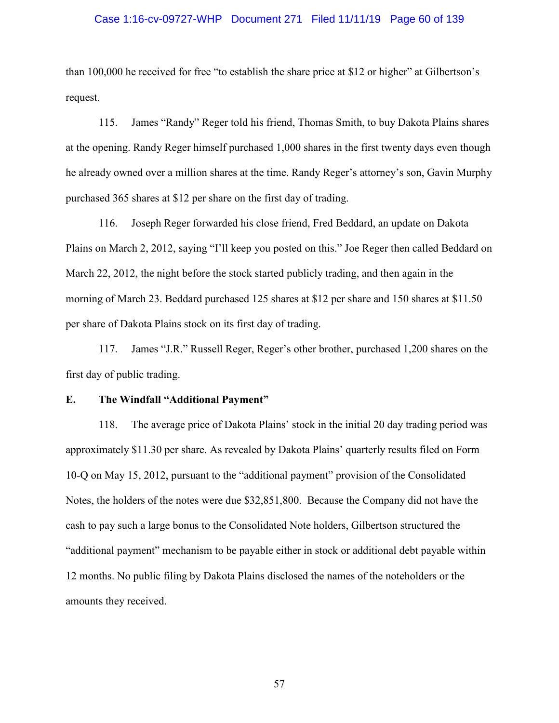#### Case 1:16-cv-09727-WHP Document 271 Filed 11/11/19 Page 60 of 139

than 100,000 he received for free "to establish the share price at \$12 or higher" at Gilbertson's request.

115. James "Randy" Reger told his friend, Thomas Smith, to buy Dakota Plains shares at the opening. Randy Reger himself purchased 1,000 shares in the first twenty days even though he already owned over a million shares at the time. Randy Reger's attorney's son, Gavin Murphy purchased 365 shares at \$12 per share on the first day of trading.

116. Joseph Reger forwarded his close friend, Fred Beddard, an update on Dakota Plains on March 2, 2012, saying "I'll keep you posted on this." Joe Reger then called Beddard on March 22, 2012, the night before the stock started publicly trading, and then again in the morning of March 23. Beddard purchased 125 shares at \$12 per share and 150 shares at \$11.50 per share of Dakota Plains stock on its first day of trading.

117. James "J.R." Russell Reger, Reger's other brother, purchased 1,200 shares on the first day of public trading.

## **E. The Windfall "Additional Payment"**

118. The average price of Dakota Plains' stock in the initial 20 day trading period was approximately \$11.30 per share. As revealed by Dakota Plains' quarterly results filed on Form 10-Q on May 15, 2012, pursuant to the "additional payment" provision of the Consolidated Notes, the holders of the notes were due \$32,851,800. Because the Company did not have the cash to pay such a large bonus to the Consolidated Note holders, Gilbertson structured the "additional payment" mechanism to be payable either in stock or additional debt payable within 12 months. No public filing by Dakota Plains disclosed the names of the noteholders or the amounts they received.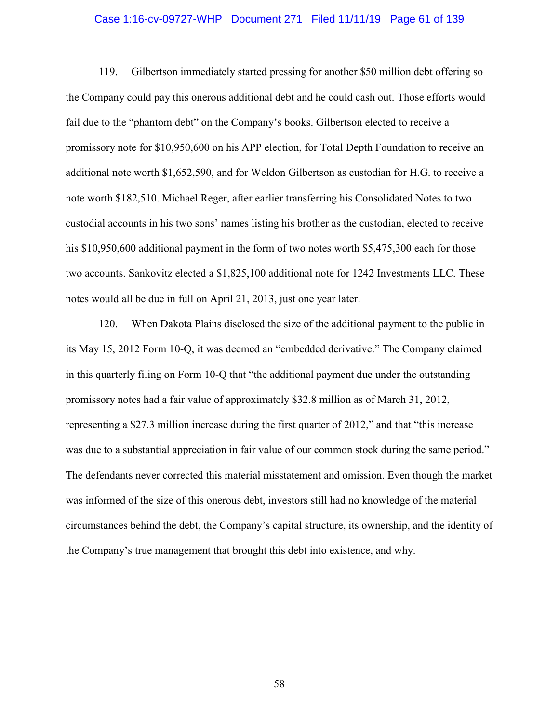### Case 1:16-cv-09727-WHP Document 271 Filed 11/11/19 Page 61 of 139

119. Gilbertson immediately started pressing for another \$50 million debt offering so the Company could pay this onerous additional debt and he could cash out. Those efforts would fail due to the "phantom debt" on the Company's books. Gilbertson elected to receive a promissory note for \$10,950,600 on his APP election, for Total Depth Foundation to receive an additional note worth \$1,652,590, and for Weldon Gilbertson as custodian for H.G. to receive a note worth \$182,510. Michael Reger, after earlier transferring his Consolidated Notes to two custodial accounts in his two sons' names listing his brother as the custodian, elected to receive his \$10,950,600 additional payment in the form of two notes worth \$5,475,300 each for those two accounts. Sankovitz elected a \$1,825,100 additional note for 1242 Investments LLC. These notes would all be due in full on April 21, 2013, just one year later.

120. When Dakota Plains disclosed the size of the additional payment to the public in its May 15, 2012 Form 10-Q, it was deemed an "embedded derivative." The Company claimed in this quarterly filing on Form 10-Q that "the additional payment due under the outstanding promissory notes had a fair value of approximately \$32.8 million as of March 31, 2012, representing a \$27.3 million increase during the first quarter of 2012," and that "this increase was due to a substantial appreciation in fair value of our common stock during the same period." The defendants never corrected this material misstatement and omission. Even though the market was informed of the size of this onerous debt, investors still had no knowledge of the material circumstances behind the debt, the Company's capital structure, its ownership, and the identity of the Company's true management that brought this debt into existence, and why.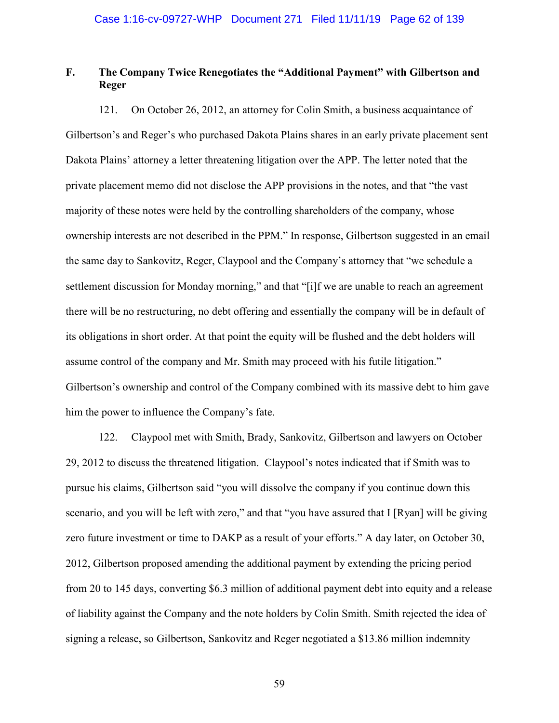# **F. The Company Twice Renegotiates the "Additional Payment" with Gilbertson and Reger**

121. On October 26, 2012, an attorney for Colin Smith, a business acquaintance of Gilbertson's and Reger's who purchased Dakota Plains shares in an early private placement sent Dakota Plains' attorney a letter threatening litigation over the APP. The letter noted that the private placement memo did not disclose the APP provisions in the notes, and that "the vast majority of these notes were held by the controlling shareholders of the company, whose ownership interests are not described in the PPM." In response, Gilbertson suggested in an email the same day to Sankovitz, Reger, Claypool and the Company's attorney that "we schedule a settlement discussion for Monday morning," and that "[i]f we are unable to reach an agreement there will be no restructuring, no debt offering and essentially the company will be in default of its obligations in short order. At that point the equity will be flushed and the debt holders will assume control of the company and Mr. Smith may proceed with his futile litigation." Gilbertson's ownership and control of the Company combined with its massive debt to him gave him the power to influence the Company's fate.

122. Claypool met with Smith, Brady, Sankovitz, Gilbertson and lawyers on October 29, 2012 to discuss the threatened litigation. Claypool's notes indicated that if Smith was to pursue his claims, Gilbertson said "you will dissolve the company if you continue down this scenario, and you will be left with zero," and that "you have assured that I [Ryan] will be giving zero future investment or time to DAKP as a result of your efforts." A day later, on October 30, 2012, Gilbertson proposed amending the additional payment by extending the pricing period from 20 to 145 days, converting \$6.3 million of additional payment debt into equity and a release of liability against the Company and the note holders by Colin Smith. Smith rejected the idea of signing a release, so Gilbertson, Sankovitz and Reger negotiated a \$13.86 million indemnity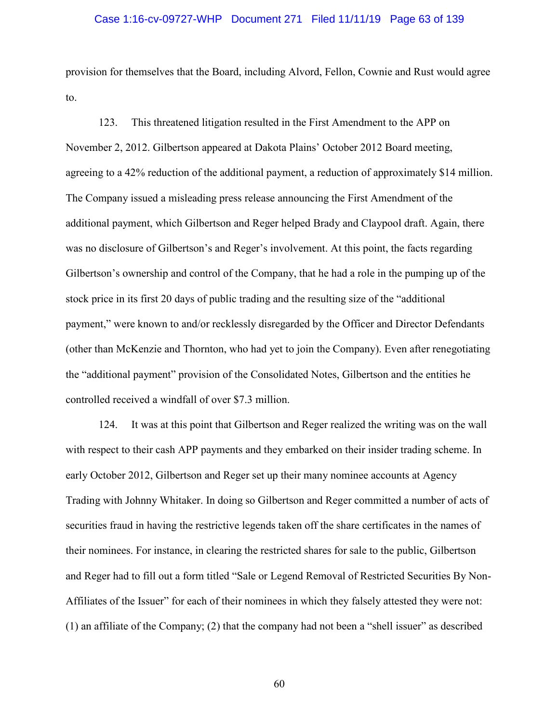## Case 1:16-cv-09727-WHP Document 271 Filed 11/11/19 Page 63 of 139

provision for themselves that the Board, including Alvord, Fellon, Cownie and Rust would agree to.

123. This threatened litigation resulted in the First Amendment to the APP on November 2, 2012. Gilbertson appeared at Dakota Plains' October 2012 Board meeting, agreeing to a 42% reduction of the additional payment, a reduction of approximately \$14 million. The Company issued a misleading press release announcing the First Amendment of the additional payment, which Gilbertson and Reger helped Brady and Claypool draft. Again, there was no disclosure of Gilbertson's and Reger's involvement. At this point, the facts regarding Gilbertson's ownership and control of the Company, that he had a role in the pumping up of the stock price in its first 20 days of public trading and the resulting size of the "additional payment," were known to and/or recklessly disregarded by the Officer and Director Defendants (other than McKenzie and Thornton, who had yet to join the Company). Even after renegotiating the "additional payment" provision of the Consolidated Notes, Gilbertson and the entities he controlled received a windfall of over \$7.3 million.

124. It was at this point that Gilbertson and Reger realized the writing was on the wall with respect to their cash APP payments and they embarked on their insider trading scheme. In early October 2012, Gilbertson and Reger set up their many nominee accounts at Agency Trading with Johnny Whitaker. In doing so Gilbertson and Reger committed a number of acts of securities fraud in having the restrictive legends taken off the share certificates in the names of their nominees. For instance, in clearing the restricted shares for sale to the public, Gilbertson and Reger had to fill out a form titled "Sale or Legend Removal of Restricted Securities By Non-Affiliates of the Issuer" for each of their nominees in which they falsely attested they were not: (1) an affiliate of the Company; (2) that the company had not been a "shell issuer" as described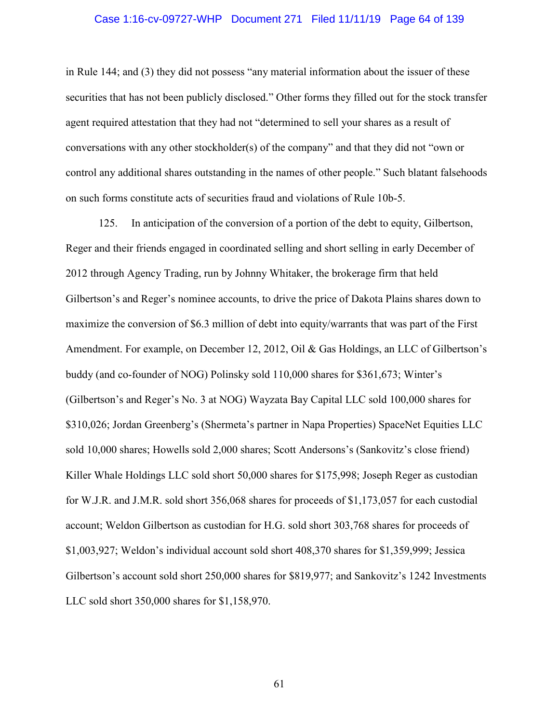## Case 1:16-cv-09727-WHP Document 271 Filed 11/11/19 Page 64 of 139

in Rule 144; and (3) they did not possess "any material information about the issuer of these securities that has not been publicly disclosed." Other forms they filled out for the stock transfer agent required attestation that they had not "determined to sell your shares as a result of conversations with any other stockholder(s) of the company" and that they did not "own or control any additional shares outstanding in the names of other people." Such blatant falsehoods on such forms constitute acts of securities fraud and violations of Rule 10b-5.

125. In anticipation of the conversion of a portion of the debt to equity, Gilbertson, Reger and their friends engaged in coordinated selling and short selling in early December of 2012 through Agency Trading, run by Johnny Whitaker, the brokerage firm that held Gilbertson's and Reger's nominee accounts, to drive the price of Dakota Plains shares down to maximize the conversion of \$6.3 million of debt into equity/warrants that was part of the First Amendment. For example, on December 12, 2012, Oil & Gas Holdings, an LLC of Gilbertson's buddy (and co-founder of NOG) Polinsky sold 110,000 shares for \$361,673; Winter's (Gilbertson's and Reger's No. 3 at NOG) Wayzata Bay Capital LLC sold 100,000 shares for \$310,026; Jordan Greenberg's (Shermeta's partner in Napa Properties) SpaceNet Equities LLC sold 10,000 shares; Howells sold 2,000 shares; Scott Andersons's (Sankovitz's close friend) Killer Whale Holdings LLC sold short 50,000 shares for \$175,998; Joseph Reger as custodian for W.J.R. and J.M.R. sold short 356,068 shares for proceeds of \$1,173,057 for each custodial account; Weldon Gilbertson as custodian for H.G. sold short 303,768 shares for proceeds of \$1,003,927; Weldon's individual account sold short 408,370 shares for \$1,359,999; Jessica Gilbertson's account sold short 250,000 shares for \$819,977; and Sankovitz's 1242 Investments LLC sold short 350,000 shares for \$1,158,970.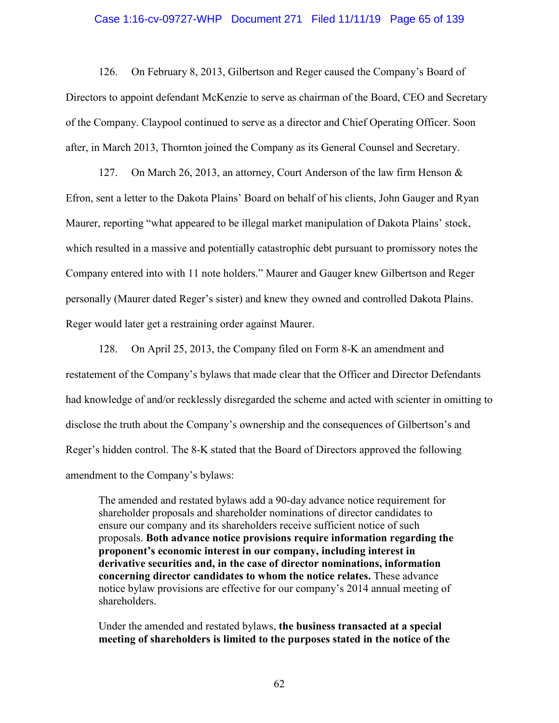#### Case 1:16-cv-09727-WHP Document 271 Filed 11/11/19 Page 65 of 139

126. On February 8, 2013, Gilbertson and Reger caused the Company's Board of Directors to appoint defendant McKenzie to serve as chairman of the Board, CEO and Secretary of the Company. Claypool continued to serve as a director and Chief Operating Officer. Soon after, in March 2013, Thornton joined the Company as its General Counsel and Secretary.

127. On March 26, 2013, an attorney, Court Anderson of the law firm Henson & Efron, sent a letter to the Dakota Plains' Board on behalf of his clients, John Gauger and Ryan Maurer, reporting "what appeared to be illegal market manipulation of Dakota Plains' stock, which resulted in a massive and potentially catastrophic debt pursuant to promissory notes the Company entered into with 11 note holders." Maurer and Gauger knew Gilbertson and Reger personally (Maurer dated Reger's sister) and knew they owned and controlled Dakota Plains. Reger would later get a restraining order against Maurer.

128. On April 25, 2013, the Company filed on Form 8-K an amendment and restatement of the Company's bylaws that made clear that the Officer and Director Defendants had knowledge of and/or recklessly disregarded the scheme and acted with scienter in omitting to disclose the truth about the Company's ownership and the consequences of Gilbertson's and Reger's hidden control. The 8-K stated that the Board of Directors approved the following amendment to the Company's bylaws:

The amended and restated bylaws add a 90-day advance notice requirement for shareholder proposals and shareholder nominations of director candidates to ensure our company and its shareholders receive sufficient notice of such proposals. **Both advance notice provisions require information regarding the proponent's economic interest in our company, including interest in derivative securities and, in the case of director nominations, information concerning director candidates to whom the notice relates.** These advance notice bylaw provisions are effective for our company's 2014 annual meeting of shareholders.

Under the amended and restated bylaws, **the business transacted at a special meeting of shareholders is limited to the purposes stated in the notice of the**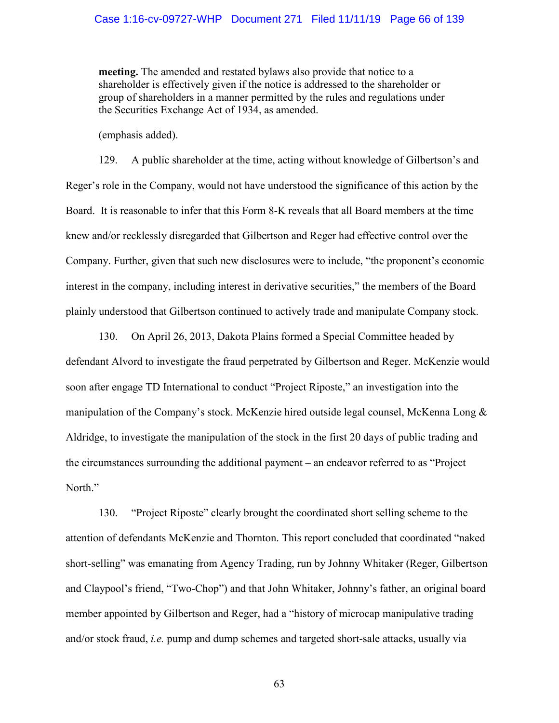#### Case 1:16-cv-09727-WHP Document 271 Filed 11/11/19 Page 66 of 139

**meeting.** The amended and restated bylaws also provide that notice to a shareholder is effectively given if the notice is addressed to the shareholder or group of shareholders in a manner permitted by the rules and regulations under the Securities Exchange Act of 1934, as amended.

(emphasis added).

129. A public shareholder at the time, acting without knowledge of Gilbertson's and Reger's role in the Company, would not have understood the significance of this action by the Board. It is reasonable to infer that this Form 8-K reveals that all Board members at the time knew and/or recklessly disregarded that Gilbertson and Reger had effective control over the Company. Further, given that such new disclosures were to include, "the proponent's economic interest in the company, including interest in derivative securities," the members of the Board plainly understood that Gilbertson continued to actively trade and manipulate Company stock.

130. On April 26, 2013, Dakota Plains formed a Special Committee headed by defendant Alvord to investigate the fraud perpetrated by Gilbertson and Reger. McKenzie would soon after engage TD International to conduct "Project Riposte," an investigation into the manipulation of the Company's stock. McKenzie hired outside legal counsel, McKenna Long & Aldridge, to investigate the manipulation of the stock in the first 20 days of public trading and the circumstances surrounding the additional payment – an endeavor referred to as "Project North."

130. "Project Riposte" clearly brought the coordinated short selling scheme to the attention of defendants McKenzie and Thornton. This report concluded that coordinated "naked short-selling" was emanating from Agency Trading, run by Johnny Whitaker (Reger, Gilbertson and Claypool's friend, "Two-Chop") and that John Whitaker, Johnny's father, an original board member appointed by Gilbertson and Reger, had a "history of microcap manipulative trading and/or stock fraud, *i.e.* pump and dump schemes and targeted short-sale attacks, usually via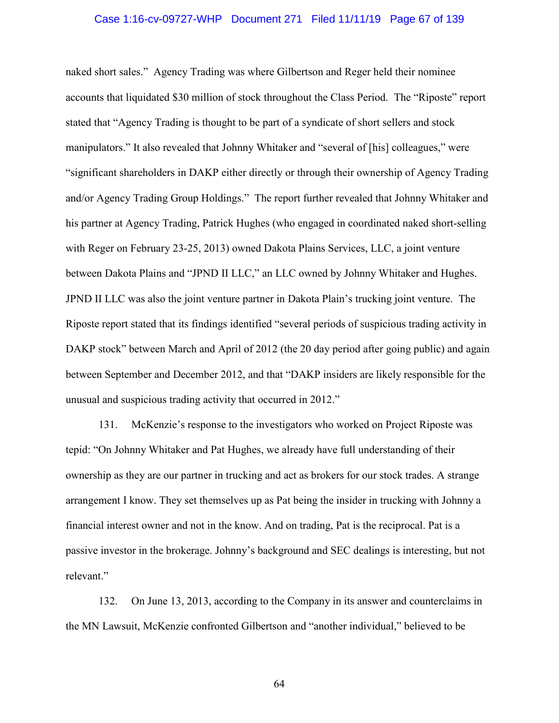#### Case 1:16-cv-09727-WHP Document 271 Filed 11/11/19 Page 67 of 139

naked short sales." Agency Trading was where Gilbertson and Reger held their nominee accounts that liquidated \$30 million of stock throughout the Class Period. The "Riposte" report stated that "Agency Trading is thought to be part of a syndicate of short sellers and stock manipulators." It also revealed that Johnny Whitaker and "several of [his] colleagues," were "significant shareholders in DAKP either directly or through their ownership of Agency Trading and/or Agency Trading Group Holdings." The report further revealed that Johnny Whitaker and his partner at Agency Trading, Patrick Hughes (who engaged in coordinated naked short-selling with Reger on February 23-25, 2013) owned Dakota Plains Services, LLC, a joint venture between Dakota Plains and "JPND II LLC," an LLC owned by Johnny Whitaker and Hughes. JPND II LLC was also the joint venture partner in Dakota Plain's trucking joint venture. The Riposte report stated that its findings identified "several periods of suspicious trading activity in DAKP stock" between March and April of 2012 (the 20 day period after going public) and again between September and December 2012, and that "DAKP insiders are likely responsible for the unusual and suspicious trading activity that occurred in 2012."

131. McKenzie's response to the investigators who worked on Project Riposte was tepid: "On Johnny Whitaker and Pat Hughes, we already have full understanding of their ownership as they are our partner in trucking and act as brokers for our stock trades. A strange arrangement I know. They set themselves up as Pat being the insider in trucking with Johnny a financial interest owner and not in the know. And on trading, Pat is the reciprocal. Pat is a passive investor in the brokerage. Johnny's background and SEC dealings is interesting, but not relevant."

132. On June 13, 2013, according to the Company in its answer and counterclaims in the MN Lawsuit, McKenzie confronted Gilbertson and "another individual," believed to be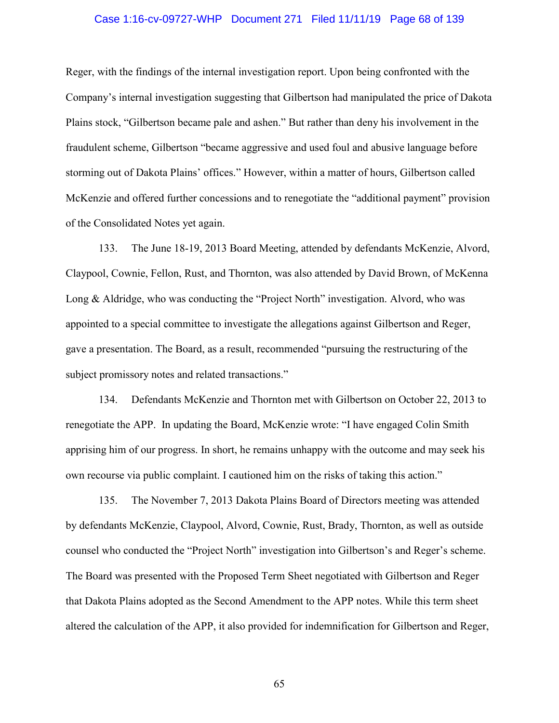#### Case 1:16-cv-09727-WHP Document 271 Filed 11/11/19 Page 68 of 139

Reger, with the findings of the internal investigation report. Upon being confronted with the Company's internal investigation suggesting that Gilbertson had manipulated the price of Dakota Plains stock, "Gilbertson became pale and ashen." But rather than deny his involvement in the fraudulent scheme, Gilbertson "became aggressive and used foul and abusive language before storming out of Dakota Plains' offices." However, within a matter of hours, Gilbertson called McKenzie and offered further concessions and to renegotiate the "additional payment" provision of the Consolidated Notes yet again.

133. The June 18-19, 2013 Board Meeting, attended by defendants McKenzie, Alvord, Claypool, Cownie, Fellon, Rust, and Thornton, was also attended by David Brown, of McKenna Long & Aldridge, who was conducting the "Project North" investigation. Alvord, who was appointed to a special committee to investigate the allegations against Gilbertson and Reger, gave a presentation. The Board, as a result, recommended "pursuing the restructuring of the subject promissory notes and related transactions."

134. Defendants McKenzie and Thornton met with Gilbertson on October 22, 2013 to renegotiate the APP. In updating the Board, McKenzie wrote: "I have engaged Colin Smith apprising him of our progress. In short, he remains unhappy with the outcome and may seek his own recourse via public complaint. I cautioned him on the risks of taking this action."

135. The November 7, 2013 Dakota Plains Board of Directors meeting was attended by defendants McKenzie, Claypool, Alvord, Cownie, Rust, Brady, Thornton, as well as outside counsel who conducted the "Project North" investigation into Gilbertson's and Reger's scheme. The Board was presented with the Proposed Term Sheet negotiated with Gilbertson and Reger that Dakota Plains adopted as the Second Amendment to the APP notes. While this term sheet altered the calculation of the APP, it also provided for indemnification for Gilbertson and Reger,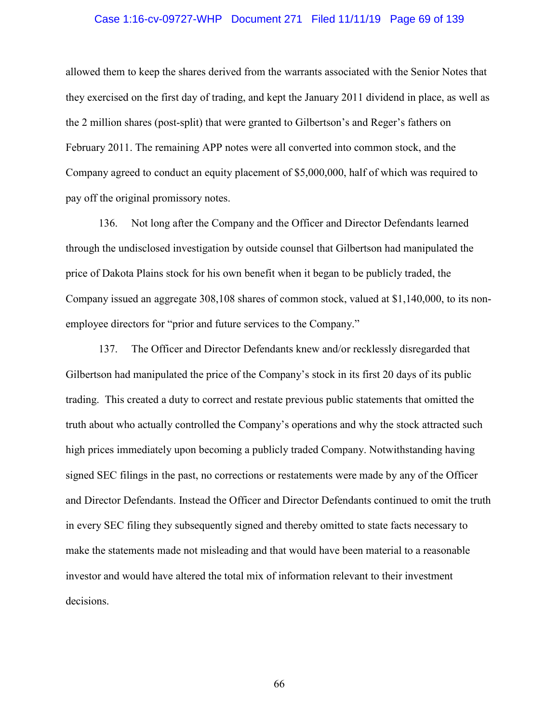## Case 1:16-cv-09727-WHP Document 271 Filed 11/11/19 Page 69 of 139

allowed them to keep the shares derived from the warrants associated with the Senior Notes that they exercised on the first day of trading, and kept the January 2011 dividend in place, as well as the 2 million shares (post-split) that were granted to Gilbertson's and Reger's fathers on February 2011. The remaining APP notes were all converted into common stock, and the Company agreed to conduct an equity placement of \$5,000,000, half of which was required to pay off the original promissory notes.

136. Not long after the Company and the Officer and Director Defendants learned through the undisclosed investigation by outside counsel that Gilbertson had manipulated the price of Dakota Plains stock for his own benefit when it began to be publicly traded, the Company issued an aggregate 308,108 shares of common stock, valued at \$1,140,000, to its nonemployee directors for "prior and future services to the Company."

137. The Officer and Director Defendants knew and/or recklessly disregarded that Gilbertson had manipulated the price of the Company's stock in its first 20 days of its public trading. This created a duty to correct and restate previous public statements that omitted the truth about who actually controlled the Company's operations and why the stock attracted such high prices immediately upon becoming a publicly traded Company. Notwithstanding having signed SEC filings in the past, no corrections or restatements were made by any of the Officer and Director Defendants. Instead the Officer and Director Defendants continued to omit the truth in every SEC filing they subsequently signed and thereby omitted to state facts necessary to make the statements made not misleading and that would have been material to a reasonable investor and would have altered the total mix of information relevant to their investment decisions.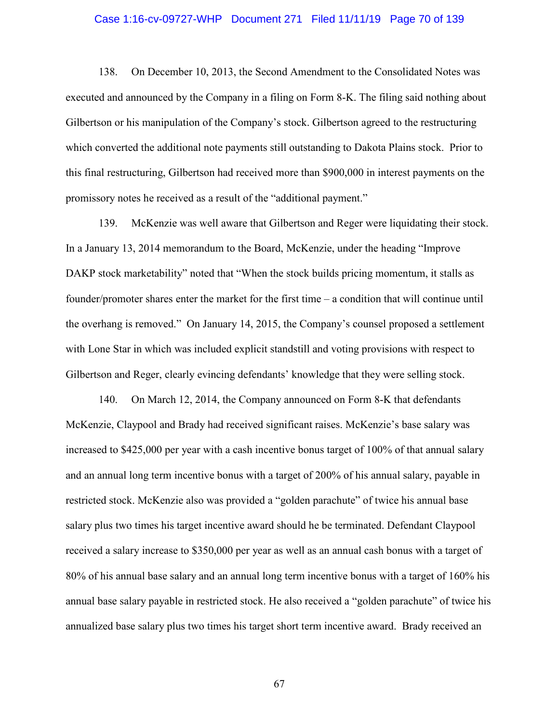#### Case 1:16-cv-09727-WHP Document 271 Filed 11/11/19 Page 70 of 139

138. On December 10, 2013, the Second Amendment to the Consolidated Notes was executed and announced by the Company in a filing on Form 8-K. The filing said nothing about Gilbertson or his manipulation of the Company's stock. Gilbertson agreed to the restructuring which converted the additional note payments still outstanding to Dakota Plains stock. Prior to this final restructuring, Gilbertson had received more than \$900,000 in interest payments on the promissory notes he received as a result of the "additional payment."

139. McKenzie was well aware that Gilbertson and Reger were liquidating their stock. In a January 13, 2014 memorandum to the Board, McKenzie, under the heading "Improve DAKP stock marketability" noted that "When the stock builds pricing momentum, it stalls as founder/promoter shares enter the market for the first time – a condition that will continue until the overhang is removed." On January 14, 2015, the Company's counsel proposed a settlement with Lone Star in which was included explicit standstill and voting provisions with respect to Gilbertson and Reger, clearly evincing defendants' knowledge that they were selling stock.

140. On March 12, 2014, the Company announced on Form 8-K that defendants McKenzie, Claypool and Brady had received significant raises. McKenzie's base salary was increased to \$425,000 per year with a cash incentive bonus target of 100% of that annual salary and an annual long term incentive bonus with a target of 200% of his annual salary, payable in restricted stock. McKenzie also was provided a "golden parachute" of twice his annual base salary plus two times his target incentive award should he be terminated. Defendant Claypool received a salary increase to \$350,000 per year as well as an annual cash bonus with a target of 80% of his annual base salary and an annual long term incentive bonus with a target of 160% his annual base salary payable in restricted stock. He also received a "golden parachute" of twice his annualized base salary plus two times his target short term incentive award. Brady received an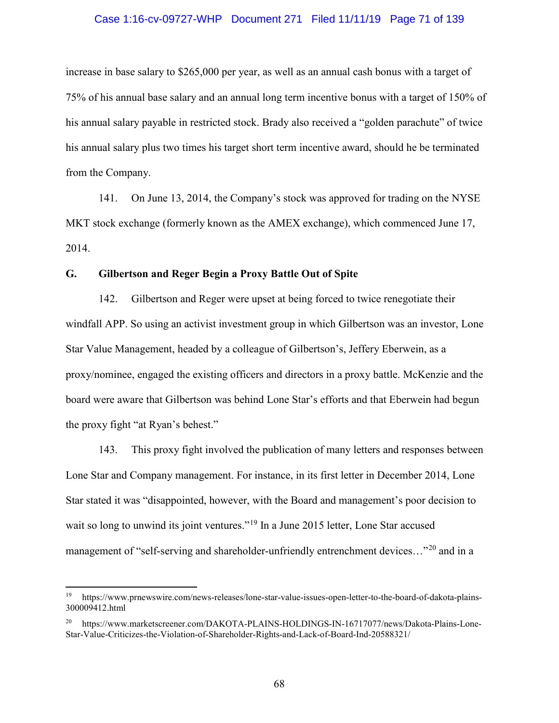#### Case 1:16-cv-09727-WHP Document 271 Filed 11/11/19 Page 71 of 139

increase in base salary to \$265,000 per year, as well as an annual cash bonus with a target of 75% of his annual base salary and an annual long term incentive bonus with a target of 150% of his annual salary payable in restricted stock. Brady also received a "golden parachute" of twice his annual salary plus two times his target short term incentive award, should he be terminated from the Company.

141. On June 13, 2014, the Company's stock was approved for trading on the NYSE MKT stock exchange (formerly known as the AMEX exchange), which commenced June 17, 2014.

## **G. Gilbertson and Reger Begin a Proxy Battle Out of Spite**

l

142. Gilbertson and Reger were upset at being forced to twice renegotiate their windfall APP. So using an activist investment group in which Gilbertson was an investor, Lone Star Value Management, headed by a colleague of Gilbertson's, Jeffery Eberwein, as a proxy/nominee, engaged the existing officers and directors in a proxy battle. McKenzie and the board were aware that Gilbertson was behind Lone Star's efforts and that Eberwein had begun the proxy fight "at Ryan's behest."

143. This proxy fight involved the publication of many letters and responses between Lone Star and Company management. For instance, in its first letter in December 2014, Lone Star stated it was "disappointed, however, with the Board and management's poor decision to wait so long to unwind its joint ventures."<sup>19</sup> In a June 2015 letter, Lone Star accused management of "self-serving and shareholder-unfriendly entrenchment devices..."<sup>20</sup> and in a

<sup>19</sup> https://www.prnewswire.com/news-releases/lone-star-value-issues-open-letter-to-the-board-of-dakota-plains-300009412.html

<sup>20</sup> https://www.marketscreener.com/DAKOTA-PLAINS-HOLDINGS-IN-16717077/news/Dakota-Plains-Lone-Star-Value-Criticizes-the-Violation-of-Shareholder-Rights-and-Lack-of-Board-Ind-20588321/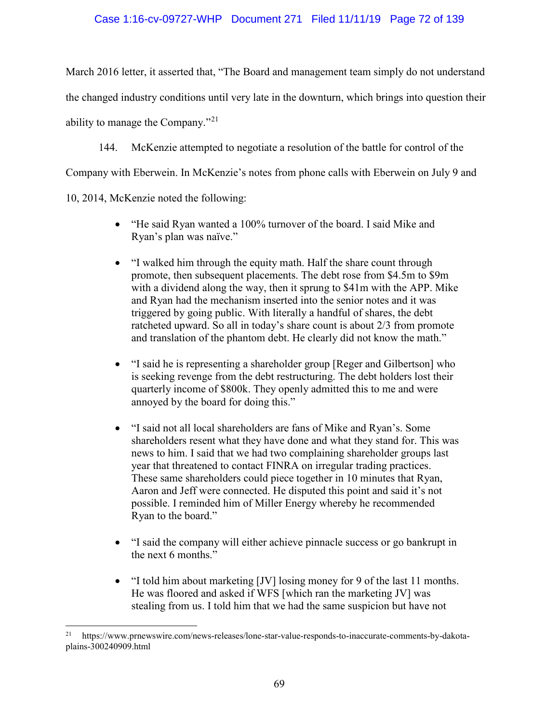## Case 1:16-cv-09727-WHP Document 271 Filed 11/11/19 Page 72 of 139

March 2016 letter, it asserted that, "The Board and management team simply do not understand the changed industry conditions until very late in the downturn, which brings into question their ability to manage the Company."<sup>21</sup>

144. McKenzie attempted to negotiate a resolution of the battle for control of the

Company with Eberwein. In McKenzie's notes from phone calls with Eberwein on July 9 and

10, 2014, McKenzie noted the following:

l

- "He said Ryan wanted a 100% turnover of the board. I said Mike and Ryan's plan was naïve."
- "I walked him through the equity math. Half the share count through promote, then subsequent placements. The debt rose from \$4.5m to \$9m with a dividend along the way, then it sprung to \$41m with the APP. Mike and Ryan had the mechanism inserted into the senior notes and it was triggered by going public. With literally a handful of shares, the debt ratcheted upward. So all in today's share count is about 2/3 from promote and translation of the phantom debt. He clearly did not know the math."
- "I said he is representing a shareholder group [Reger and Gilbertson] who is seeking revenge from the debt restructuring. The debt holders lost their quarterly income of \$800k. They openly admitted this to me and were annoyed by the board for doing this."
- "I said not all local shareholders are fans of Mike and Ryan's. Some shareholders resent what they have done and what they stand for. This was news to him. I said that we had two complaining shareholder groups last year that threatened to contact FINRA on irregular trading practices. These same shareholders could piece together in 10 minutes that Ryan, Aaron and Jeff were connected. He disputed this point and said it's not possible. I reminded him of Miller Energy whereby he recommended Ryan to the board."
- "I said the company will either achieve pinnacle success or go bankrupt in the next 6 months."
- "I told him about marketing [JV] losing money for 9 of the last 11 months. He was floored and asked if WFS [which ran the marketing JV] was stealing from us. I told him that we had the same suspicion but have not

<sup>&</sup>lt;sup>21</sup> https://www.prnewswire.com/news-releases/lone-star-value-responds-to-inaccurate-comments-by-dakotaplains-300240909.html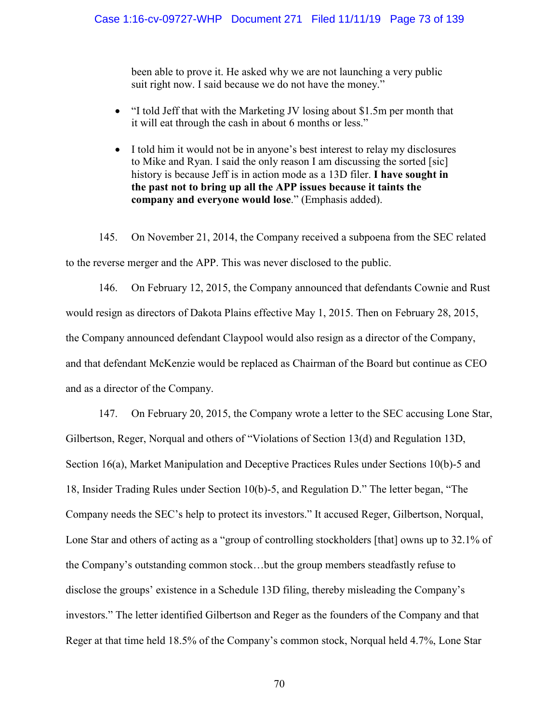been able to prove it. He asked why we are not launching a very public suit right now. I said because we do not have the money."

- "I told Jeff that with the Marketing JV losing about \$1.5m per month that it will eat through the cash in about 6 months or less."
- I told him it would not be in anyone's best interest to relay my disclosures to Mike and Ryan. I said the only reason I am discussing the sorted [sic] history is because Jeff is in action mode as a 13D filer. **I have sought in the past not to bring up all the APP issues because it taints the company and everyone would lose**." (Emphasis added).

145. On November 21, 2014, the Company received a subpoena from the SEC related to the reverse merger and the APP. This was never disclosed to the public.

146. On February 12, 2015, the Company announced that defendants Cownie and Rust would resign as directors of Dakota Plains effective May 1, 2015. Then on February 28, 2015, the Company announced defendant Claypool would also resign as a director of the Company, and that defendant McKenzie would be replaced as Chairman of the Board but continue as CEO and as a director of the Company.

147. On February 20, 2015, the Company wrote a letter to the SEC accusing Lone Star, Gilbertson, Reger, Norqual and others of "Violations of Section 13(d) and Regulation 13D, Section 16(a), Market Manipulation and Deceptive Practices Rules under Sections 10(b)-5 and 18, Insider Trading Rules under Section 10(b)-5, and Regulation D." The letter began, "The Company needs the SEC's help to protect its investors." It accused Reger, Gilbertson, Norqual, Lone Star and others of acting as a "group of controlling stockholders [that] owns up to 32.1% of the Company's outstanding common stock…but the group members steadfastly refuse to disclose the groups' existence in a Schedule 13D filing, thereby misleading the Company's investors." The letter identified Gilbertson and Reger as the founders of the Company and that Reger at that time held 18.5% of the Company's common stock, Norqual held 4.7%, Lone Star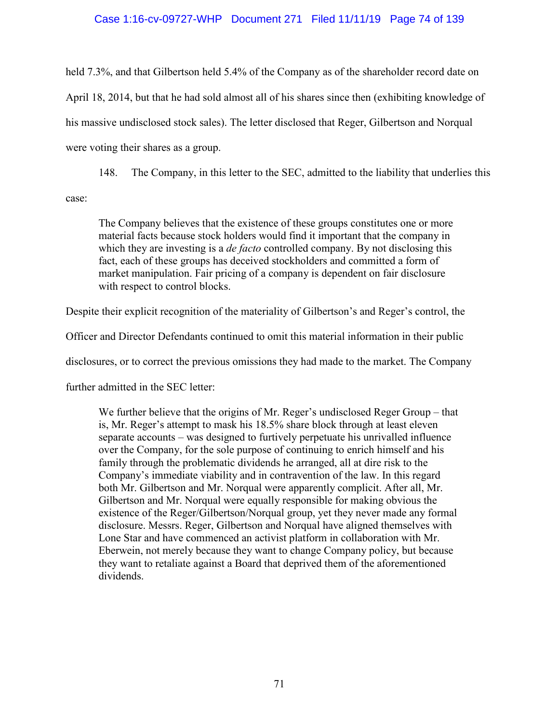## Case 1:16-cv-09727-WHP Document 271 Filed 11/11/19 Page 74 of 139

held 7.3%, and that Gilbertson held 5.4% of the Company as of the shareholder record date on April 18, 2014, but that he had sold almost all of his shares since then (exhibiting knowledge of his massive undisclosed stock sales). The letter disclosed that Reger, Gilbertson and Norqual were voting their shares as a group.

148. The Company, in this letter to the SEC, admitted to the liability that underlies this case:

The Company believes that the existence of these groups constitutes one or more material facts because stock holders would find it important that the company in which they are investing is a *de facto* controlled company. By not disclosing this fact, each of these groups has deceived stockholders and committed a form of market manipulation. Fair pricing of a company is dependent on fair disclosure with respect to control blocks.

Despite their explicit recognition of the materiality of Gilbertson's and Reger's control, the

Officer and Director Defendants continued to omit this material information in their public

disclosures, or to correct the previous omissions they had made to the market. The Company

further admitted in the SEC letter:

We further believe that the origins of Mr. Reger's undisclosed Reger Group – that is, Mr. Reger's attempt to mask his 18.5% share block through at least eleven separate accounts – was designed to furtively perpetuate his unrivalled influence over the Company, for the sole purpose of continuing to enrich himself and his family through the problematic dividends he arranged, all at dire risk to the Company's immediate viability and in contravention of the law. In this regard both Mr. Gilbertson and Mr. Norqual were apparently complicit. After all, Mr. Gilbertson and Mr. Norqual were equally responsible for making obvious the existence of the Reger/Gilbertson/Norqual group, yet they never made any formal disclosure. Messrs. Reger, Gilbertson and Norqual have aligned themselves with Lone Star and have commenced an activist platform in collaboration with Mr. Eberwein, not merely because they want to change Company policy, but because they want to retaliate against a Board that deprived them of the aforementioned dividends.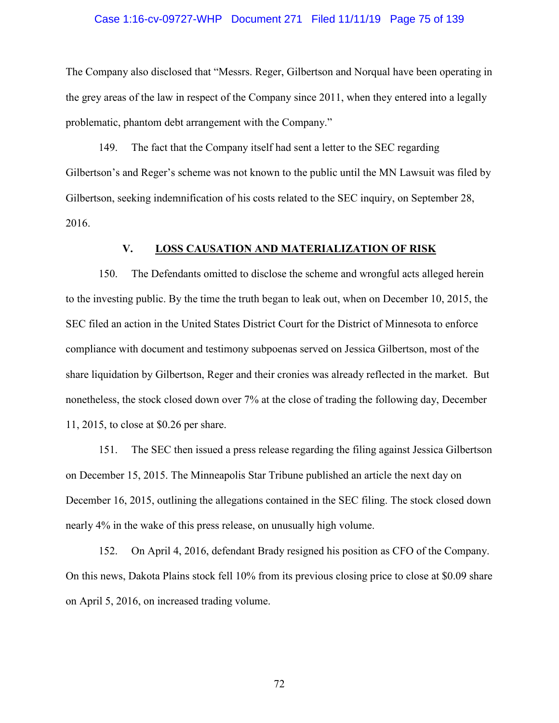### Case 1:16-cv-09727-WHP Document 271 Filed 11/11/19 Page 75 of 139

The Company also disclosed that "Messrs. Reger, Gilbertson and Norqual have been operating in the grey areas of the law in respect of the Company since 2011, when they entered into a legally problematic, phantom debt arrangement with the Company."

149. The fact that the Company itself had sent a letter to the SEC regarding Gilbertson's and Reger's scheme was not known to the public until the MN Lawsuit was filed by Gilbertson, seeking indemnification of his costs related to the SEC inquiry, on September 28, 2016.

## **V. LOSS CAUSATION AND MATERIALIZATION OF RISK**

150. The Defendants omitted to disclose the scheme and wrongful acts alleged herein to the investing public. By the time the truth began to leak out, when on December 10, 2015, the SEC filed an action in the United States District Court for the District of Minnesota to enforce compliance with document and testimony subpoenas served on Jessica Gilbertson, most of the share liquidation by Gilbertson, Reger and their cronies was already reflected in the market. But nonetheless, the stock closed down over 7% at the close of trading the following day, December 11, 2015, to close at \$0.26 per share.

151. The SEC then issued a press release regarding the filing against Jessica Gilbertson on December 15, 2015. The Minneapolis Star Tribune published an article the next day on December 16, 2015, outlining the allegations contained in the SEC filing. The stock closed down nearly 4% in the wake of this press release, on unusually high volume.

152. On April 4, 2016, defendant Brady resigned his position as CFO of the Company. On this news, Dakota Plains stock fell 10% from its previous closing price to close at \$0.09 share on April 5, 2016, on increased trading volume.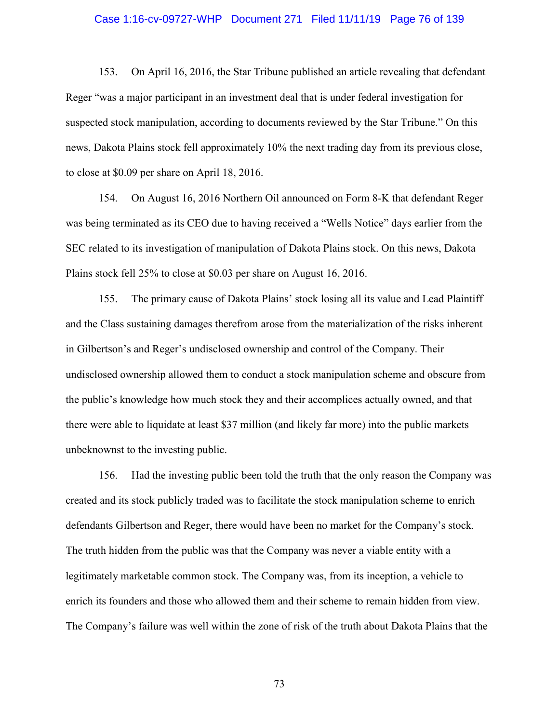### Case 1:16-cv-09727-WHP Document 271 Filed 11/11/19 Page 76 of 139

153. On April 16, 2016, the Star Tribune published an article revealing that defendant Reger "was a major participant in an investment deal that is under federal investigation for suspected stock manipulation, according to documents reviewed by the Star Tribune." On this news, Dakota Plains stock fell approximately 10% the next trading day from its previous close, to close at \$0.09 per share on April 18, 2016.

154. On August 16, 2016 Northern Oil announced on Form 8-K that defendant Reger was being terminated as its CEO due to having received a "Wells Notice" days earlier from the SEC related to its investigation of manipulation of Dakota Plains stock. On this news, Dakota Plains stock fell 25% to close at \$0.03 per share on August 16, 2016.

155. The primary cause of Dakota Plains' stock losing all its value and Lead Plaintiff and the Class sustaining damages therefrom arose from the materialization of the risks inherent in Gilbertson's and Reger's undisclosed ownership and control of the Company. Their undisclosed ownership allowed them to conduct a stock manipulation scheme and obscure from the public's knowledge how much stock they and their accomplices actually owned, and that there were able to liquidate at least \$37 million (and likely far more) into the public markets unbeknownst to the investing public.

156. Had the investing public been told the truth that the only reason the Company was created and its stock publicly traded was to facilitate the stock manipulation scheme to enrich defendants Gilbertson and Reger, there would have been no market for the Company's stock. The truth hidden from the public was that the Company was never a viable entity with a legitimately marketable common stock. The Company was, from its inception, a vehicle to enrich its founders and those who allowed them and their scheme to remain hidden from view. The Company's failure was well within the zone of risk of the truth about Dakota Plains that the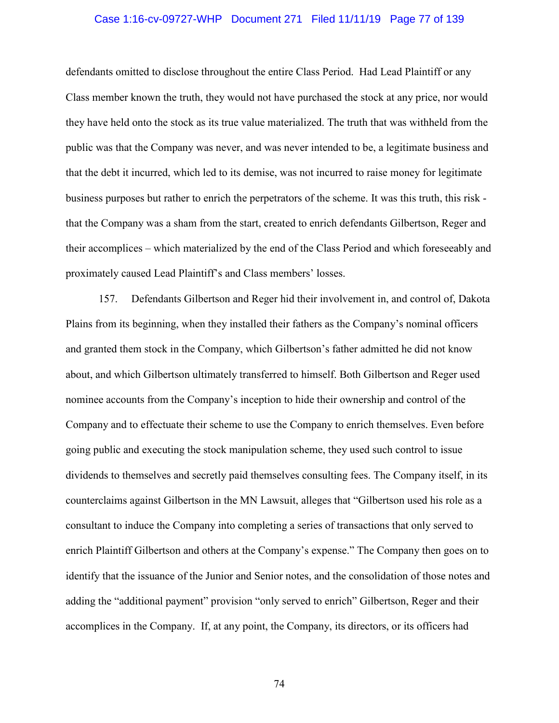### Case 1:16-cv-09727-WHP Document 271 Filed 11/11/19 Page 77 of 139

defendants omitted to disclose throughout the entire Class Period. Had Lead Plaintiff or any Class member known the truth, they would not have purchased the stock at any price, nor would they have held onto the stock as its true value materialized. The truth that was withheld from the public was that the Company was never, and was never intended to be, a legitimate business and that the debt it incurred, which led to its demise, was not incurred to raise money for legitimate business purposes but rather to enrich the perpetrators of the scheme. It was this truth, this risk that the Company was a sham from the start, created to enrich defendants Gilbertson, Reger and their accomplices – which materialized by the end of the Class Period and which foreseeably and proximately caused Lead Plaintiff's and Class members' losses.

157. Defendants Gilbertson and Reger hid their involvement in, and control of, Dakota Plains from its beginning, when they installed their fathers as the Company's nominal officers and granted them stock in the Company, which Gilbertson's father admitted he did not know about, and which Gilbertson ultimately transferred to himself. Both Gilbertson and Reger used nominee accounts from the Company's inception to hide their ownership and control of the Company and to effectuate their scheme to use the Company to enrich themselves. Even before going public and executing the stock manipulation scheme, they used such control to issue dividends to themselves and secretly paid themselves consulting fees. The Company itself, in its counterclaims against Gilbertson in the MN Lawsuit, alleges that "Gilbertson used his role as a consultant to induce the Company into completing a series of transactions that only served to enrich Plaintiff Gilbertson and others at the Company's expense." The Company then goes on to identify that the issuance of the Junior and Senior notes, and the consolidation of those notes and adding the "additional payment" provision "only served to enrich" Gilbertson, Reger and their accomplices in the Company. If, at any point, the Company, its directors, or its officers had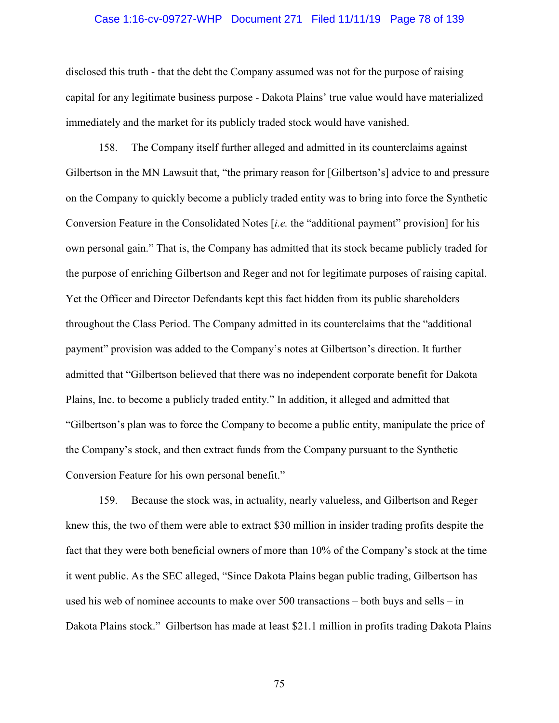### Case 1:16-cv-09727-WHP Document 271 Filed 11/11/19 Page 78 of 139

disclosed this truth - that the debt the Company assumed was not for the purpose of raising capital for any legitimate business purpose - Dakota Plains' true value would have materialized immediately and the market for its publicly traded stock would have vanished.

158. The Company itself further alleged and admitted in its counterclaims against Gilbertson in the MN Lawsuit that, "the primary reason for [Gilbertson's] advice to and pressure on the Company to quickly become a publicly traded entity was to bring into force the Synthetic Conversion Feature in the Consolidated Notes [*i.e.* the "additional payment" provision] for his own personal gain." That is, the Company has admitted that its stock became publicly traded for the purpose of enriching Gilbertson and Reger and not for legitimate purposes of raising capital. Yet the Officer and Director Defendants kept this fact hidden from its public shareholders throughout the Class Period. The Company admitted in its counterclaims that the "additional payment" provision was added to the Company's notes at Gilbertson's direction. It further admitted that "Gilbertson believed that there was no independent corporate benefit for Dakota Plains, Inc. to become a publicly traded entity." In addition, it alleged and admitted that "Gilbertson's plan was to force the Company to become a public entity, manipulate the price of the Company's stock, and then extract funds from the Company pursuant to the Synthetic Conversion Feature for his own personal benefit."

159. Because the stock was, in actuality, nearly valueless, and Gilbertson and Reger knew this, the two of them were able to extract \$30 million in insider trading profits despite the fact that they were both beneficial owners of more than 10% of the Company's stock at the time it went public. As the SEC alleged, "Since Dakota Plains began public trading, Gilbertson has used his web of nominee accounts to make over 500 transactions – both buys and sells – in Dakota Plains stock." Gilbertson has made at least \$21.1 million in profits trading Dakota Plains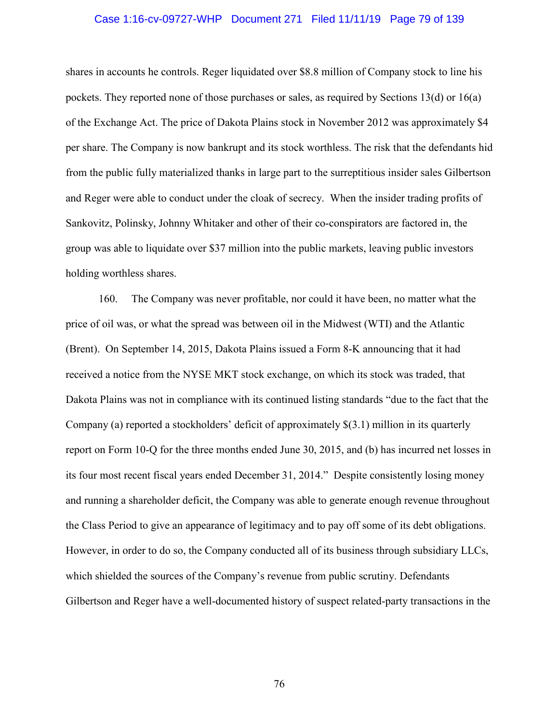### Case 1:16-cv-09727-WHP Document 271 Filed 11/11/19 Page 79 of 139

shares in accounts he controls. Reger liquidated over \$8.8 million of Company stock to line his pockets. They reported none of those purchases or sales, as required by Sections 13(d) or 16(a) of the Exchange Act. The price of Dakota Plains stock in November 2012 was approximately \$4 per share. The Company is now bankrupt and its stock worthless. The risk that the defendants hid from the public fully materialized thanks in large part to the surreptitious insider sales Gilbertson and Reger were able to conduct under the cloak of secrecy. When the insider trading profits of Sankovitz, Polinsky, Johnny Whitaker and other of their co-conspirators are factored in, the group was able to liquidate over \$37 million into the public markets, leaving public investors holding worthless shares.

160. The Company was never profitable, nor could it have been, no matter what the price of oil was, or what the spread was between oil in the Midwest (WTI) and the Atlantic (Brent). On September 14, 2015, Dakota Plains issued a Form 8-K announcing that it had received a notice from the NYSE MKT stock exchange, on which its stock was traded, that Dakota Plains was not in compliance with its continued listing standards "due to the fact that the Company (a) reported a stockholders' deficit of approximately \$(3.1) million in its quarterly report on Form 10-Q for the three months ended June 30, 2015, and (b) has incurred net losses in its four most recent fiscal years ended December 31, 2014." Despite consistently losing money and running a shareholder deficit, the Company was able to generate enough revenue throughout the Class Period to give an appearance of legitimacy and to pay off some of its debt obligations. However, in order to do so, the Company conducted all of its business through subsidiary LLCs, which shielded the sources of the Company's revenue from public scrutiny. Defendants Gilbertson and Reger have a well-documented history of suspect related-party transactions in the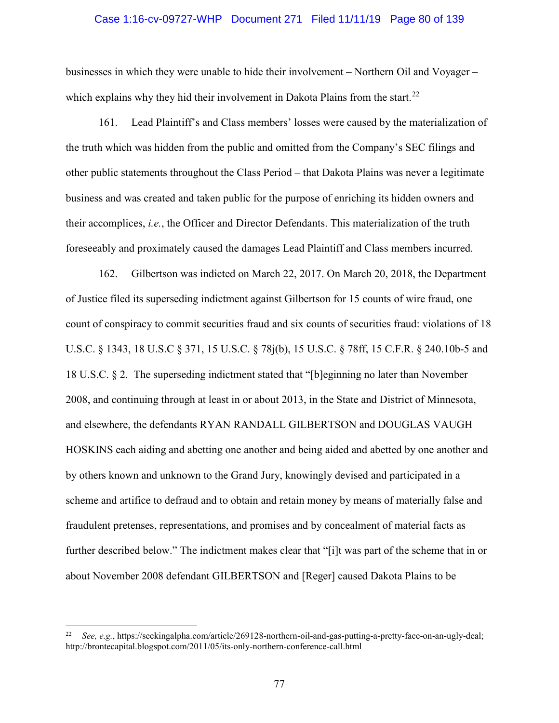## Case 1:16-cv-09727-WHP Document 271 Filed 11/11/19 Page 80 of 139

businesses in which they were unable to hide their involvement – Northern Oil and Voyager – which explains why they hid their involvement in Dakota Plains from the start.<sup>22</sup>

161. Lead Plaintiff's and Class members' losses were caused by the materialization of the truth which was hidden from the public and omitted from the Company's SEC filings and other public statements throughout the Class Period – that Dakota Plains was never a legitimate business and was created and taken public for the purpose of enriching its hidden owners and their accomplices, *i.e.*, the Officer and Director Defendants. This materialization of the truth foreseeably and proximately caused the damages Lead Plaintiff and Class members incurred.

162. Gilbertson was indicted on March 22, 2017. On March 20, 2018, the Department of Justice filed its superseding indictment against Gilbertson for 15 counts of wire fraud, one count of conspiracy to commit securities fraud and six counts of securities fraud: violations of 18 U.S.C. § 1343, 18 U.S.C § 371, 15 U.S.C. § 78j(b), 15 U.S.C. § 78ff, 15 C.F.R. § 240.10b-5 and 18 U.S.C. § 2. The superseding indictment stated that "[b]eginning no later than November 2008, and continuing through at least in or about 2013, in the State and District of Minnesota, and elsewhere, the defendants RYAN RANDALL GILBERTSON and DOUGLAS VAUGH HOSKINS each aiding and abetting one another and being aided and abetted by one another and by others known and unknown to the Grand Jury, knowingly devised and participated in a scheme and artifice to defraud and to obtain and retain money by means of materially false and fraudulent pretenses, representations, and promises and by concealment of material facts as further described below." The indictment makes clear that "[i]t was part of the scheme that in or about November 2008 defendant GILBERTSON and [Reger] caused Dakota Plains to be

l

<sup>22</sup> *See, e.g.*, https://seekingalpha.com/article/269128-northern-oil-and-gas-putting-a-pretty-face-on-an-ugly-deal; http://brontecapital.blogspot.com/2011/05/its-only-northern-conference-call.html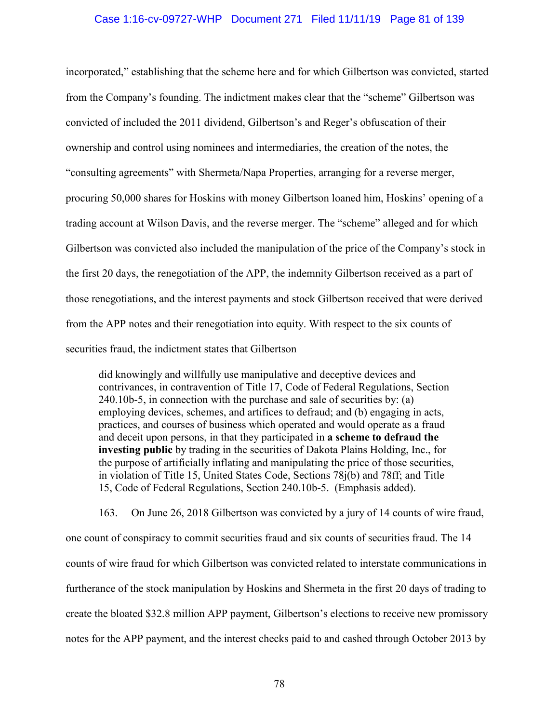### Case 1:16-cv-09727-WHP Document 271 Filed 11/11/19 Page 81 of 139

incorporated," establishing that the scheme here and for which Gilbertson was convicted, started from the Company's founding. The indictment makes clear that the "scheme" Gilbertson was convicted of included the 2011 dividend, Gilbertson's and Reger's obfuscation of their ownership and control using nominees and intermediaries, the creation of the notes, the "consulting agreements" with Shermeta/Napa Properties, arranging for a reverse merger, procuring 50,000 shares for Hoskins with money Gilbertson loaned him, Hoskins' opening of a trading account at Wilson Davis, and the reverse merger. The "scheme" alleged and for which Gilbertson was convicted also included the manipulation of the price of the Company's stock in the first 20 days, the renegotiation of the APP, the indemnity Gilbertson received as a part of those renegotiations, and the interest payments and stock Gilbertson received that were derived from the APP notes and their renegotiation into equity. With respect to the six counts of securities fraud, the indictment states that Gilbertson

did knowingly and willfully use manipulative and deceptive devices and contrivances, in contravention of Title 17, Code of Federal Regulations, Section 240.10b-5, in connection with the purchase and sale of securities by: (a) employing devices, schemes, and artifices to defraud; and (b) engaging in acts, practices, and courses of business which operated and would operate as a fraud and deceit upon persons, in that they participated in **a scheme to defraud the investing public** by trading in the securities of Dakota Plains Holding, Inc., for the purpose of artificially inflating and manipulating the price of those securities, in violation of Title 15, United States Code, Sections 78j(b) and 78ff; and Title 15, Code of Federal Regulations, Section 240.10b-5. (Emphasis added).

163. On June 26, 2018 Gilbertson was convicted by a jury of 14 counts of wire fraud, one count of conspiracy to commit securities fraud and six counts of securities fraud. The 14 counts of wire fraud for which Gilbertson was convicted related to interstate communications in furtherance of the stock manipulation by Hoskins and Shermeta in the first 20 days of trading to create the bloated \$32.8 million APP payment, Gilbertson's elections to receive new promissory notes for the APP payment, and the interest checks paid to and cashed through October 2013 by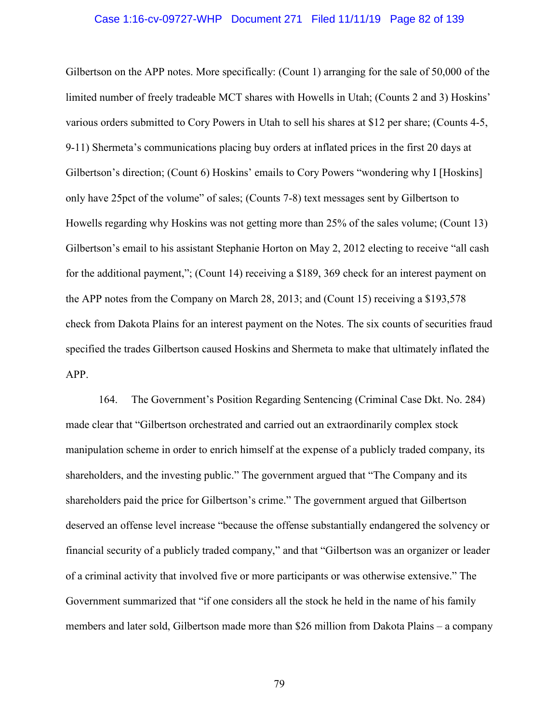### Case 1:16-cv-09727-WHP Document 271 Filed 11/11/19 Page 82 of 139

Gilbertson on the APP notes. More specifically: (Count 1) arranging for the sale of 50,000 of the limited number of freely tradeable MCT shares with Howells in Utah; (Counts 2 and 3) Hoskins' various orders submitted to Cory Powers in Utah to sell his shares at \$12 per share; (Counts 4-5, 9-11) Shermeta's communications placing buy orders at inflated prices in the first 20 days at Gilbertson's direction; (Count 6) Hoskins' emails to Cory Powers "wondering why I [Hoskins] only have 25pct of the volume" of sales; (Counts 7-8) text messages sent by Gilbertson to Howells regarding why Hoskins was not getting more than 25% of the sales volume; (Count 13) Gilbertson's email to his assistant Stephanie Horton on May 2, 2012 electing to receive "all cash for the additional payment,"; (Count 14) receiving a \$189, 369 check for an interest payment on the APP notes from the Company on March 28, 2013; and (Count 15) receiving a \$193,578 check from Dakota Plains for an interest payment on the Notes. The six counts of securities fraud specified the trades Gilbertson caused Hoskins and Shermeta to make that ultimately inflated the APP.

164. The Government's Position Regarding Sentencing (Criminal Case Dkt. No. 284) made clear that "Gilbertson orchestrated and carried out an extraordinarily complex stock manipulation scheme in order to enrich himself at the expense of a publicly traded company, its shareholders, and the investing public." The government argued that "The Company and its shareholders paid the price for Gilbertson's crime." The government argued that Gilbertson deserved an offense level increase "because the offense substantially endangered the solvency or financial security of a publicly traded company," and that "Gilbertson was an organizer or leader of a criminal activity that involved five or more participants or was otherwise extensive." The Government summarized that "if one considers all the stock he held in the name of his family members and later sold, Gilbertson made more than \$26 million from Dakota Plains – a company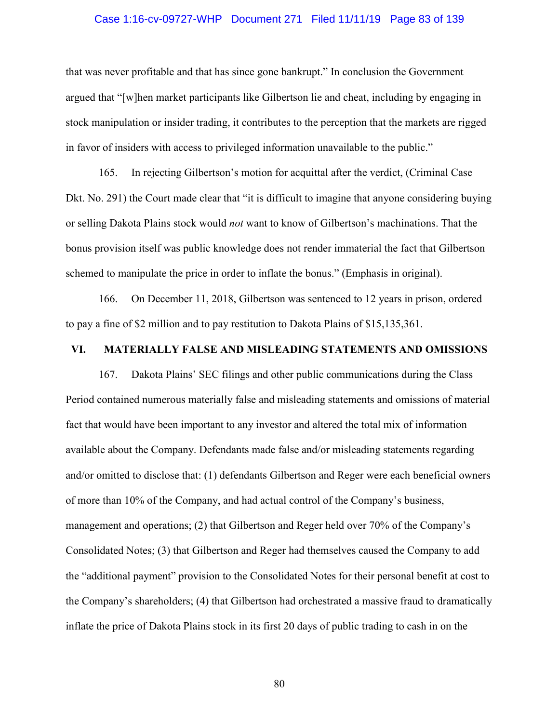### Case 1:16-cv-09727-WHP Document 271 Filed 11/11/19 Page 83 of 139

that was never profitable and that has since gone bankrupt." In conclusion the Government argued that "[w]hen market participants like Gilbertson lie and cheat, including by engaging in stock manipulation or insider trading, it contributes to the perception that the markets are rigged in favor of insiders with access to privileged information unavailable to the public."

165. In rejecting Gilbertson's motion for acquittal after the verdict, (Criminal Case Dkt. No. 291) the Court made clear that "it is difficult to imagine that anyone considering buying or selling Dakota Plains stock would *not* want to know of Gilbertson's machinations. That the bonus provision itself was public knowledge does not render immaterial the fact that Gilbertson schemed to manipulate the price in order to inflate the bonus." (Emphasis in original).

166. On December 11, 2018, Gilbertson was sentenced to 12 years in prison, ordered to pay a fine of \$2 million and to pay restitution to Dakota Plains of \$15,135,361.

### **VI. MATERIALLY FALSE AND MISLEADING STATEMENTS AND OMISSIONS**

167. Dakota Plains' SEC filings and other public communications during the Class Period contained numerous materially false and misleading statements and omissions of material fact that would have been important to any investor and altered the total mix of information available about the Company. Defendants made false and/or misleading statements regarding and/or omitted to disclose that: (1) defendants Gilbertson and Reger were each beneficial owners of more than 10% of the Company, and had actual control of the Company's business, management and operations; (2) that Gilbertson and Reger held over 70% of the Company's Consolidated Notes; (3) that Gilbertson and Reger had themselves caused the Company to add the "additional payment" provision to the Consolidated Notes for their personal benefit at cost to the Company's shareholders; (4) that Gilbertson had orchestrated a massive fraud to dramatically inflate the price of Dakota Plains stock in its first 20 days of public trading to cash in on the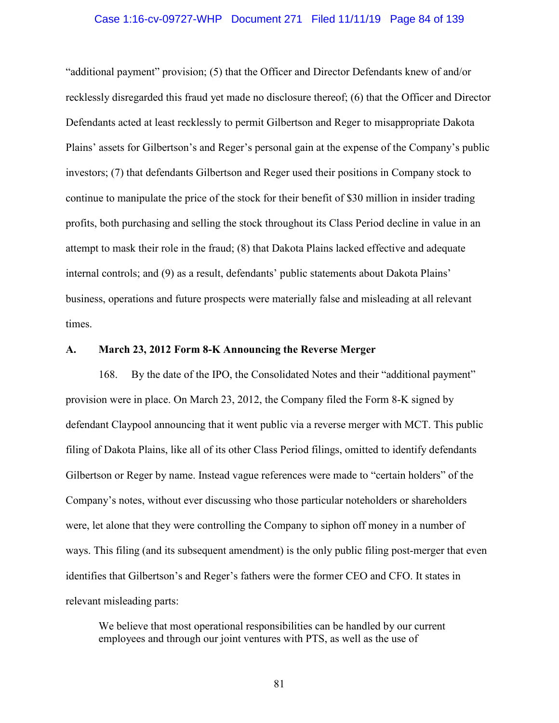## Case 1:16-cv-09727-WHP Document 271 Filed 11/11/19 Page 84 of 139

"additional payment" provision; (5) that the Officer and Director Defendants knew of and/or recklessly disregarded this fraud yet made no disclosure thereof; (6) that the Officer and Director Defendants acted at least recklessly to permit Gilbertson and Reger to misappropriate Dakota Plains' assets for Gilbertson's and Reger's personal gain at the expense of the Company's public investors; (7) that defendants Gilbertson and Reger used their positions in Company stock to continue to manipulate the price of the stock for their benefit of \$30 million in insider trading profits, both purchasing and selling the stock throughout its Class Period decline in value in an attempt to mask their role in the fraud; (8) that Dakota Plains lacked effective and adequate internal controls; and (9) as a result, defendants' public statements about Dakota Plains' business, operations and future prospects were materially false and misleading at all relevant times.

### **A. March 23, 2012 Form 8-K Announcing the Reverse Merger**

168. By the date of the IPO, the Consolidated Notes and their "additional payment" provision were in place. On March 23, 2012, the Company filed the Form 8-K signed by defendant Claypool announcing that it went public via a reverse merger with MCT. This public filing of Dakota Plains, like all of its other Class Period filings, omitted to identify defendants Gilbertson or Reger by name. Instead vague references were made to "certain holders" of the Company's notes, without ever discussing who those particular noteholders or shareholders were, let alone that they were controlling the Company to siphon off money in a number of ways. This filing (and its subsequent amendment) is the only public filing post-merger that even identifies that Gilbertson's and Reger's fathers were the former CEO and CFO. It states in relevant misleading parts:

We believe that most operational responsibilities can be handled by our current employees and through our joint ventures with PTS, as well as the use of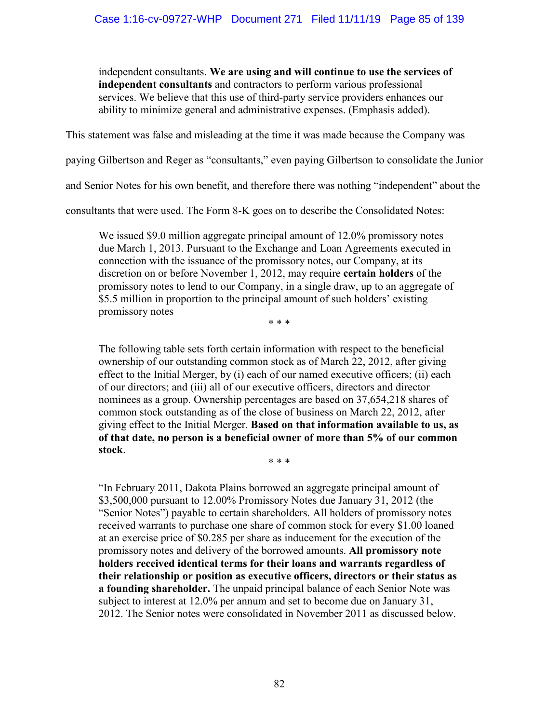independent consultants. **We are using and will continue to use the services of independent consultants** and contractors to perform various professional services. We believe that this use of third-party service providers enhances our ability to minimize general and administrative expenses. (Emphasis added).

This statement was false and misleading at the time it was made because the Company was

paying Gilbertson and Reger as "consultants," even paying Gilbertson to consolidate the Junior

and Senior Notes for his own benefit, and therefore there was nothing "independent" about the

consultants that were used. The Form 8-K goes on to describe the Consolidated Notes:

We issued \$9.0 million aggregate principal amount of 12.0% promissory notes due March 1, 2013. Pursuant to the Exchange and Loan Agreements executed in connection with the issuance of the promissory notes, our Company, at its discretion on or before November 1, 2012, may require **certain holders** of the promissory notes to lend to our Company, in a single draw, up to an aggregate of \$5.5 million in proportion to the principal amount of such holders' existing promissory notes

\* \* \*

The following table sets forth certain information with respect to the beneficial ownership of our outstanding common stock as of March 22, 2012, after giving effect to the Initial Merger, by (i) each of our named executive officers; (ii) each of our directors; and (iii) all of our executive officers, directors and director nominees as a group. Ownership percentages are based on 37,654,218 shares of common stock outstanding as of the close of business on March 22, 2012, after giving effect to the Initial Merger. **Based on that information available to us, as of that date, no person is a beneficial owner of more than 5% of our common stock**. \* \* \*

"In February 2011, Dakota Plains borrowed an aggregate principal amount of \$3,500,000 pursuant to 12.00% Promissory Notes due January 31, 2012 (the "Senior Notes") payable to certain shareholders. All holders of promissory notes received warrants to purchase one share of common stock for every \$1.00 loaned at an exercise price of \$0.285 per share as inducement for the execution of the promissory notes and delivery of the borrowed amounts. **All promissory note holders received identical terms for their loans and warrants regardless of their relationship or position as executive officers, directors or their status as a founding shareholder.** The unpaid principal balance of each Senior Note was subject to interest at 12.0% per annum and set to become due on January 31, 2012. The Senior notes were consolidated in November 2011 as discussed below.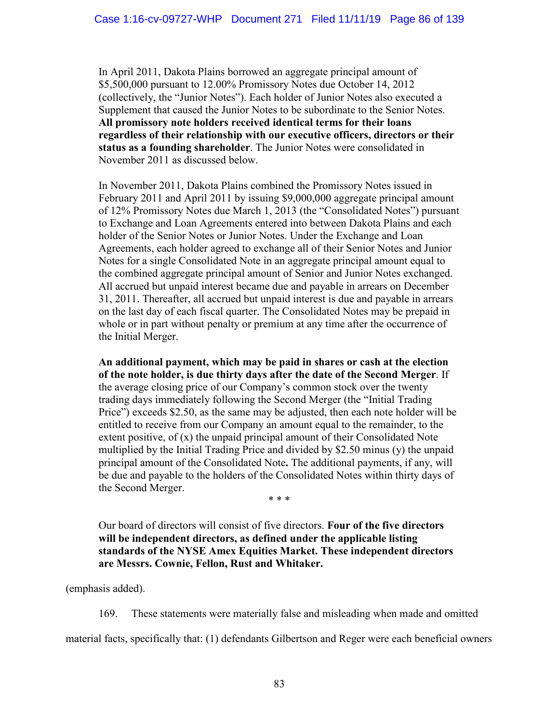In April 2011, Dakota Plains borrowed an aggregate principal amount of \$5,500,000 pursuant to 12.00% Promissory Notes due October 14, 2012 (collectively, the "Junior Notes"). Each holder of Junior Notes also executed a Supplement that caused the Junior Notes to be subordinate to the Senior Notes. **All promissory note holders received identical terms for their loans regardless of their relationship with our executive officers, directors or their status as a founding shareholder**. The Junior Notes were consolidated in November 2011 as discussed below.

In November 2011, Dakota Plains combined the Promissory Notes issued in February 2011 and April 2011 by issuing \$9,000,000 aggregate principal amount of 12% Promissory Notes due March 1, 2013 (the "Consolidated Notes") pursuant to Exchange and Loan Agreements entered into between Dakota Plains and each holder of the Senior Notes or Junior Notes. Under the Exchange and Loan Agreements, each holder agreed to exchange all of their Senior Notes and Junior Notes for a single Consolidated Note in an aggregate principal amount equal to the combined aggregate principal amount of Senior and Junior Notes exchanged. All accrued but unpaid interest became due and payable in arrears on December 31, 2011. Thereafter, all accrued but unpaid interest is due and payable in arrears on the last day of each fiscal quarter. The Consolidated Notes may be prepaid in whole or in part without penalty or premium at any time after the occurrence of the Initial Merger.

**An additional payment, which may be paid in shares or cash at the election of the note holder, is due thirty days after the date of the Second Merger**. If the average closing price of our Company's common stock over the twenty trading days immediately following the Second Merger (the "Initial Trading Price") exceeds \$2.50, as the same may be adjusted, then each note holder will be entitled to receive from our Company an amount equal to the remainder, to the extent positive, of (x) the unpaid principal amount of their Consolidated Note multiplied by the Initial Trading Price and divided by \$2.50 minus (y) the unpaid principal amount of the Consolidated Note**.** The additional payments, if any, will be due and payable to the holders of the Consolidated Notes within thirty days of the Second Merger.

\* \* \*

Our board of directors will consist of five directors. **Four of the five directors will be independent directors, as defined under the applicable listing standards of the NYSE Amex Equities Market. These independent directors are Messrs. Cownie, Fellon, Rust and Whitaker.**

(emphasis added).

169. These statements were materially false and misleading when made and omitted

material facts, specifically that: (1) defendants Gilbertson and Reger were each beneficial owners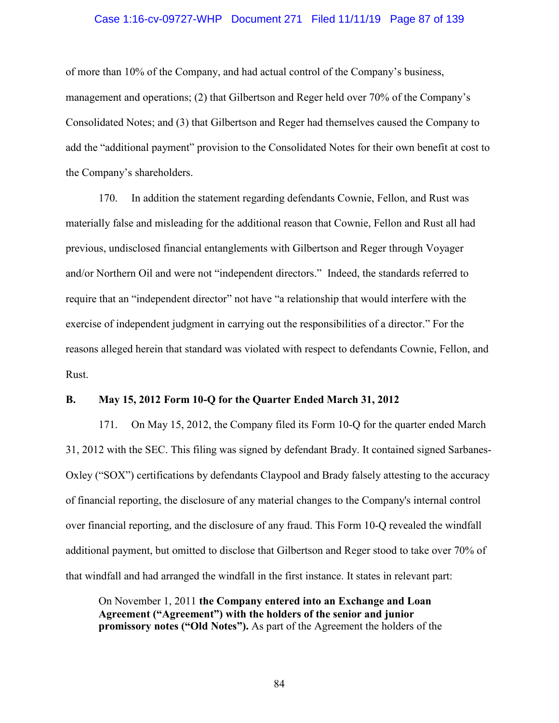### Case 1:16-cv-09727-WHP Document 271 Filed 11/11/19 Page 87 of 139

of more than 10% of the Company, and had actual control of the Company's business, management and operations; (2) that Gilbertson and Reger held over 70% of the Company's Consolidated Notes; and (3) that Gilbertson and Reger had themselves caused the Company to add the "additional payment" provision to the Consolidated Notes for their own benefit at cost to the Company's shareholders.

170. In addition the statement regarding defendants Cownie, Fellon, and Rust was materially false and misleading for the additional reason that Cownie, Fellon and Rust all had previous, undisclosed financial entanglements with Gilbertson and Reger through Voyager and/or Northern Oil and were not "independent directors." Indeed, the standards referred to require that an "independent director" not have "a relationship that would interfere with the exercise of independent judgment in carrying out the responsibilities of a director." For the reasons alleged herein that standard was violated with respect to defendants Cownie, Fellon, and Rust.

### **B. May 15, 2012 Form 10-Q for the Quarter Ended March 31, 2012**

171. On May 15, 2012, the Company filed its Form 10-Q for the quarter ended March 31, 2012 with the SEC. This filing was signed by defendant Brady. It contained signed Sarbanes-Oxley ("SOX") certifications by defendants Claypool and Brady falsely attesting to the accuracy of financial reporting, the disclosure of any material changes to the Company's internal control over financial reporting, and the disclosure of any fraud. This Form 10-Q revealed the windfall additional payment, but omitted to disclose that Gilbertson and Reger stood to take over 70% of that windfall and had arranged the windfall in the first instance. It states in relevant part:

On November 1, 2011 **the Company entered into an Exchange and Loan Agreement ("Agreement") with the holders of the senior and junior promissory notes ("Old Notes").** As part of the Agreement the holders of the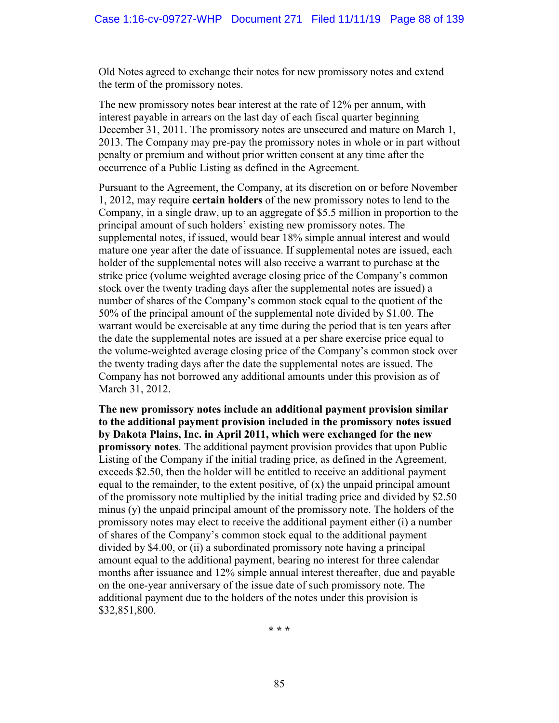Old Notes agreed to exchange their notes for new promissory notes and extend the term of the promissory notes.

The new promissory notes bear interest at the rate of 12% per annum, with interest payable in arrears on the last day of each fiscal quarter beginning December 31, 2011. The promissory notes are unsecured and mature on March 1, 2013. The Company may pre-pay the promissory notes in whole or in part without penalty or premium and without prior written consent at any time after the occurrence of a Public Listing as defined in the Agreement.

Pursuant to the Agreement, the Company, at its discretion on or before November 1, 2012, may require **certain holders** of the new promissory notes to lend to the Company, in a single draw, up to an aggregate of \$5.5 million in proportion to the principal amount of such holders' existing new promissory notes. The supplemental notes, if issued, would bear 18% simple annual interest and would mature one year after the date of issuance. If supplemental notes are issued, each holder of the supplemental notes will also receive a warrant to purchase at the strike price (volume weighted average closing price of the Company's common stock over the twenty trading days after the supplemental notes are issued) a number of shares of the Company's common stock equal to the quotient of the 50% of the principal amount of the supplemental note divided by \$1.00. The warrant would be exercisable at any time during the period that is ten years after the date the supplemental notes are issued at a per share exercise price equal to the volume-weighted average closing price of the Company's common stock over the twenty trading days after the date the supplemental notes are issued. The Company has not borrowed any additional amounts under this provision as of March 31, 2012.

**The new promissory notes include an additional payment provision similar to the additional payment provision included in the promissory notes issued by Dakota Plains, Inc. in April 2011, which were exchanged for the new promissory notes**. The additional payment provision provides that upon Public Listing of the Company if the initial trading price, as defined in the Agreement, exceeds \$2.50, then the holder will be entitled to receive an additional payment equal to the remainder, to the extent positive, of  $(x)$  the unpaid principal amount of the promissory note multiplied by the initial trading price and divided by \$2.50 minus (y) the unpaid principal amount of the promissory note. The holders of the promissory notes may elect to receive the additional payment either (i) a number of shares of the Company's common stock equal to the additional payment divided by \$4.00, or (ii) a subordinated promissory note having a principal amount equal to the additional payment, bearing no interest for three calendar months after issuance and 12% simple annual interest thereafter, due and payable on the one-year anniversary of the issue date of such promissory note. The additional payment due to the holders of the notes under this provision is \$32,851,800.

**\* \* \***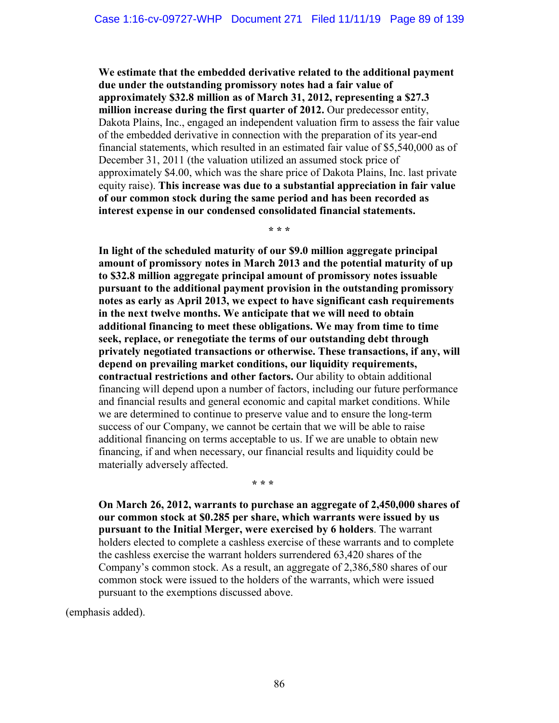**We estimate that the embedded derivative related to the additional payment due under the outstanding promissory notes had a fair value of approximately \$32.8 million as of March 31, 2012, representing a \$27.3 million increase during the first quarter of 2012.** Our predecessor entity, Dakota Plains, Inc., engaged an independent valuation firm to assess the fair value of the embedded derivative in connection with the preparation of its year-end financial statements, which resulted in an estimated fair value of \$5,540,000 as of December 31, 2011 (the valuation utilized an assumed stock price of approximately \$4.00, which was the share price of Dakota Plains, Inc. last private equity raise). **This increase was due to a substantial appreciation in fair value of our common stock during the same period and has been recorded as interest expense in our condensed consolidated financial statements.**

**\* \* \*** 

**In light of the scheduled maturity of our \$9.0 million aggregate principal amount of promissory notes in March 2013 and the potential maturity of up to \$32.8 million aggregate principal amount of promissory notes issuable pursuant to the additional payment provision in the outstanding promissory notes as early as April 2013, we expect to have significant cash requirements in the next twelve months. We anticipate that we will need to obtain additional financing to meet these obligations. We may from time to time seek, replace, or renegotiate the terms of our outstanding debt through privately negotiated transactions or otherwise. These transactions, if any, will depend on prevailing market conditions, our liquidity requirements, contractual restrictions and other factors.** Our ability to obtain additional financing will depend upon a number of factors, including our future performance and financial results and general economic and capital market conditions. While we are determined to continue to preserve value and to ensure the long-term success of our Company, we cannot be certain that we will be able to raise additional financing on terms acceptable to us. If we are unable to obtain new financing, if and when necessary, our financial results and liquidity could be materially adversely affected.

**\* \* \*** 

**On March 26, 2012, warrants to purchase an aggregate of 2,450,000 shares of our common stock at \$0.285 per share, which warrants were issued by us pursuant to the Initial Merger, were exercised by 6 holders**. The warrant holders elected to complete a cashless exercise of these warrants and to complete the cashless exercise the warrant holders surrendered 63,420 shares of the Company's common stock. As a result, an aggregate of 2,386,580 shares of our common stock were issued to the holders of the warrants, which were issued pursuant to the exemptions discussed above.

(emphasis added).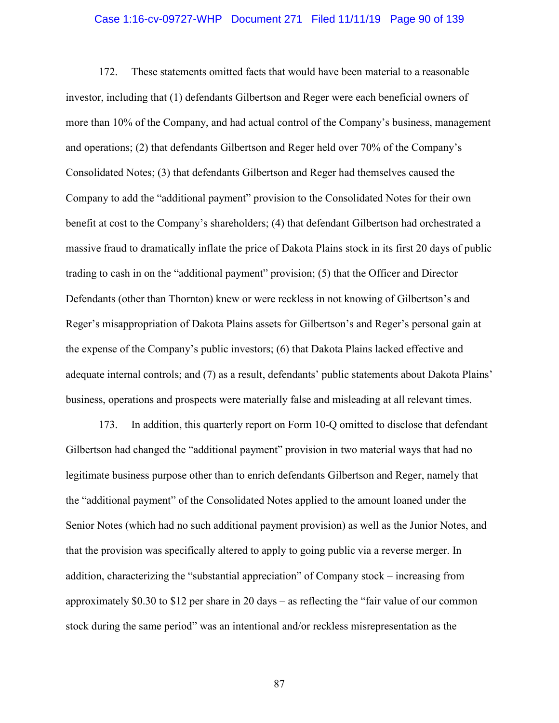## Case 1:16-cv-09727-WHP Document 271 Filed 11/11/19 Page 90 of 139

172. These statements omitted facts that would have been material to a reasonable investor, including that (1) defendants Gilbertson and Reger were each beneficial owners of more than 10% of the Company, and had actual control of the Company's business, management and operations; (2) that defendants Gilbertson and Reger held over 70% of the Company's Consolidated Notes; (3) that defendants Gilbertson and Reger had themselves caused the Company to add the "additional payment" provision to the Consolidated Notes for their own benefit at cost to the Company's shareholders; (4) that defendant Gilbertson had orchestrated a massive fraud to dramatically inflate the price of Dakota Plains stock in its first 20 days of public trading to cash in on the "additional payment" provision; (5) that the Officer and Director Defendants (other than Thornton) knew or were reckless in not knowing of Gilbertson's and Reger's misappropriation of Dakota Plains assets for Gilbertson's and Reger's personal gain at the expense of the Company's public investors; (6) that Dakota Plains lacked effective and adequate internal controls; and (7) as a result, defendants' public statements about Dakota Plains' business, operations and prospects were materially false and misleading at all relevant times.

173. In addition, this quarterly report on Form 10-Q omitted to disclose that defendant Gilbertson had changed the "additional payment" provision in two material ways that had no legitimate business purpose other than to enrich defendants Gilbertson and Reger, namely that the "additional payment" of the Consolidated Notes applied to the amount loaned under the Senior Notes (which had no such additional payment provision) as well as the Junior Notes, and that the provision was specifically altered to apply to going public via a reverse merger. In addition, characterizing the "substantial appreciation" of Company stock – increasing from approximately \$0.30 to \$12 per share in 20 days – as reflecting the "fair value of our common stock during the same period" was an intentional and/or reckless misrepresentation as the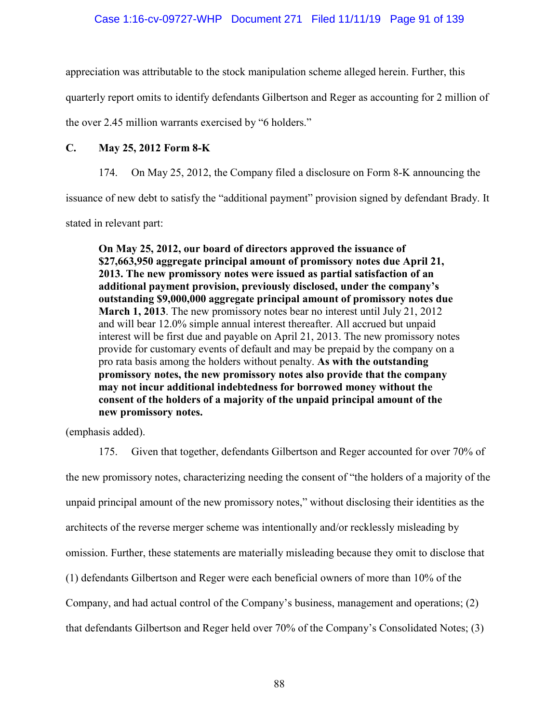appreciation was attributable to the stock manipulation scheme alleged herein. Further, this

quarterly report omits to identify defendants Gilbertson and Reger as accounting for 2 million of

the over 2.45 million warrants exercised by "6 holders."

# **C. May 25, 2012 Form 8-K**

174. On May 25, 2012, the Company filed a disclosure on Form 8-K announcing the

issuance of new debt to satisfy the "additional payment" provision signed by defendant Brady. It

stated in relevant part:

**On May 25, 2012, our board of directors approved the issuance of \$27,663,950 aggregate principal amount of promissory notes due April 21, 2013. The new promissory notes were issued as partial satisfaction of an additional payment provision, previously disclosed, under the company's outstanding \$9,000,000 aggregate principal amount of promissory notes due March 1, 2013**. The new promissory notes bear no interest until July 21, 2012 and will bear 12.0% simple annual interest thereafter. All accrued but unpaid interest will be first due and payable on April 21, 2013. The new promissory notes provide for customary events of default and may be prepaid by the company on a pro rata basis among the holders without penalty. **As with the outstanding promissory notes, the new promissory notes also provide that the company may not incur additional indebtedness for borrowed money without the consent of the holders of a majority of the unpaid principal amount of the new promissory notes.**

(emphasis added).

175. Given that together, defendants Gilbertson and Reger accounted for over 70% of the new promissory notes, characterizing needing the consent of "the holders of a majority of the unpaid principal amount of the new promissory notes," without disclosing their identities as the architects of the reverse merger scheme was intentionally and/or recklessly misleading by omission. Further, these statements are materially misleading because they omit to disclose that (1) defendants Gilbertson and Reger were each beneficial owners of more than 10% of the Company, and had actual control of the Company's business, management and operations; (2) that defendants Gilbertson and Reger held over 70% of the Company's Consolidated Notes; (3)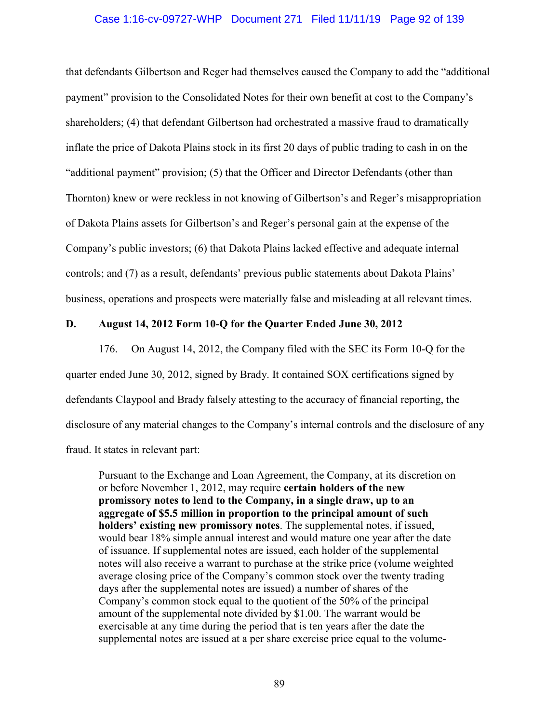### Case 1:16-cv-09727-WHP Document 271 Filed 11/11/19 Page 92 of 139

that defendants Gilbertson and Reger had themselves caused the Company to add the "additional payment" provision to the Consolidated Notes for their own benefit at cost to the Company's shareholders; (4) that defendant Gilbertson had orchestrated a massive fraud to dramatically inflate the price of Dakota Plains stock in its first 20 days of public trading to cash in on the "additional payment" provision; (5) that the Officer and Director Defendants (other than Thornton) knew or were reckless in not knowing of Gilbertson's and Reger's misappropriation of Dakota Plains assets for Gilbertson's and Reger's personal gain at the expense of the Company's public investors; (6) that Dakota Plains lacked effective and adequate internal controls; and (7) as a result, defendants' previous public statements about Dakota Plains' business, operations and prospects were materially false and misleading at all relevant times.

### **D. August 14, 2012 Form 10-Q for the Quarter Ended June 30, 2012**

176. On August 14, 2012, the Company filed with the SEC its Form 10-Q for the quarter ended June 30, 2012, signed by Brady. It contained SOX certifications signed by defendants Claypool and Brady falsely attesting to the accuracy of financial reporting, the disclosure of any material changes to the Company's internal controls and the disclosure of any fraud. It states in relevant part:

Pursuant to the Exchange and Loan Agreement, the Company, at its discretion on or before November 1, 2012, may require **certain holders of the new promissory notes to lend to the Company, in a single draw, up to an aggregate of \$5.5 million in proportion to the principal amount of such holders' existing new promissory notes**. The supplemental notes, if issued, would bear 18% simple annual interest and would mature one year after the date of issuance. If supplemental notes are issued, each holder of the supplemental notes will also receive a warrant to purchase at the strike price (volume weighted average closing price of the Company's common stock over the twenty trading days after the supplemental notes are issued) a number of shares of the Company's common stock equal to the quotient of the 50% of the principal amount of the supplemental note divided by \$1.00. The warrant would be exercisable at any time during the period that is ten years after the date the supplemental notes are issued at a per share exercise price equal to the volume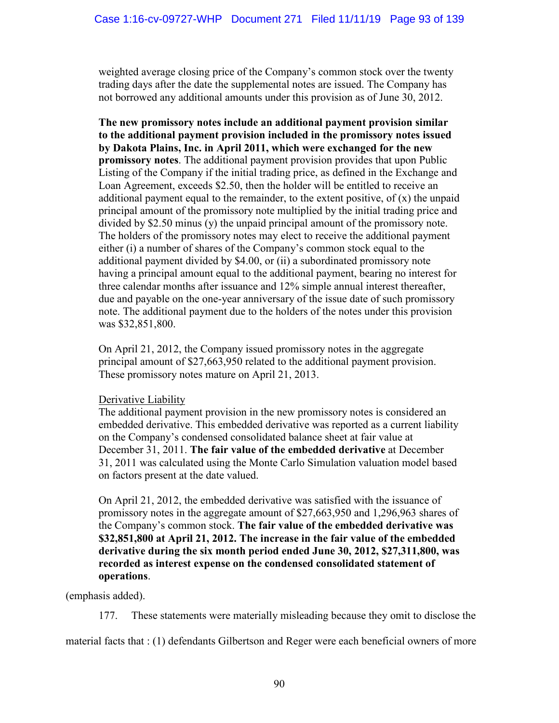weighted average closing price of the Company's common stock over the twenty trading days after the date the supplemental notes are issued. The Company has not borrowed any additional amounts under this provision as of June 30, 2012.

**The new promissory notes include an additional payment provision similar to the additional payment provision included in the promissory notes issued by Dakota Plains, Inc. in April 2011, which were exchanged for the new promissory notes**. The additional payment provision provides that upon Public Listing of the Company if the initial trading price, as defined in the Exchange and Loan Agreement, exceeds \$2.50, then the holder will be entitled to receive an additional payment equal to the remainder, to the extent positive, of  $(x)$  the unpaid principal amount of the promissory note multiplied by the initial trading price and divided by \$2.50 minus (y) the unpaid principal amount of the promissory note. The holders of the promissory notes may elect to receive the additional payment either (i) a number of shares of the Company's common stock equal to the additional payment divided by \$4.00, or (ii) a subordinated promissory note having a principal amount equal to the additional payment, bearing no interest for three calendar months after issuance and 12% simple annual interest thereafter, due and payable on the one-year anniversary of the issue date of such promissory note. The additional payment due to the holders of the notes under this provision was \$32,851,800.

On April 21, 2012, the Company issued promissory notes in the aggregate principal amount of \$27,663,950 related to the additional payment provision. These promissory notes mature on April 21, 2013.

# Derivative Liability

The additional payment provision in the new promissory notes is considered an embedded derivative. This embedded derivative was reported as a current liability on the Company's condensed consolidated balance sheet at fair value at December 31, 2011. **The fair value of the embedded derivative** at December 31, 2011 was calculated using the Monte Carlo Simulation valuation model based on factors present at the date valued.

On April 21, 2012, the embedded derivative was satisfied with the issuance of promissory notes in the aggregate amount of \$27,663,950 and 1,296,963 shares of the Company's common stock. **The fair value of the embedded derivative was \$32,851,800 at April 21, 2012. The increase in the fair value of the embedded derivative during the six month period ended June 30, 2012, \$27,311,800, was recorded as interest expense on the condensed consolidated statement of operations**.

(emphasis added).

177. These statements were materially misleading because they omit to disclose the

material facts that : (1) defendants Gilbertson and Reger were each beneficial owners of more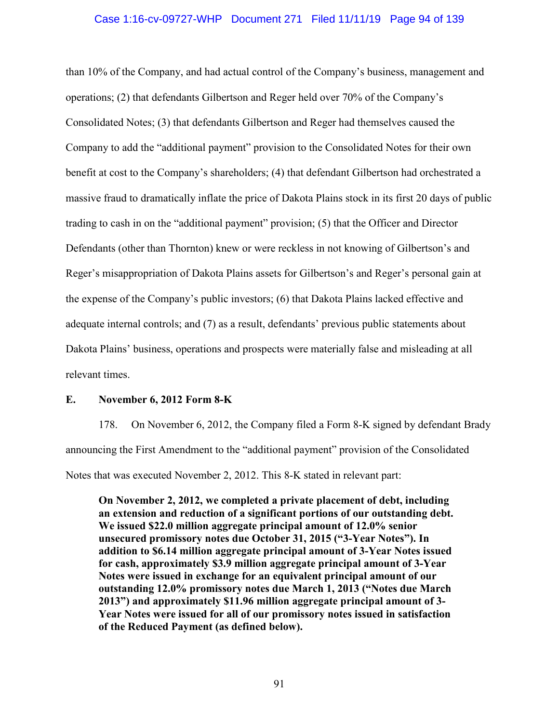### Case 1:16-cv-09727-WHP Document 271 Filed 11/11/19 Page 94 of 139

than 10% of the Company, and had actual control of the Company's business, management and operations; (2) that defendants Gilbertson and Reger held over 70% of the Company's Consolidated Notes; (3) that defendants Gilbertson and Reger had themselves caused the Company to add the "additional payment" provision to the Consolidated Notes for their own benefit at cost to the Company's shareholders; (4) that defendant Gilbertson had orchestrated a massive fraud to dramatically inflate the price of Dakota Plains stock in its first 20 days of public trading to cash in on the "additional payment" provision; (5) that the Officer and Director Defendants (other than Thornton) knew or were reckless in not knowing of Gilbertson's and Reger's misappropriation of Dakota Plains assets for Gilbertson's and Reger's personal gain at the expense of the Company's public investors; (6) that Dakota Plains lacked effective and adequate internal controls; and (7) as a result, defendants' previous public statements about Dakota Plains' business, operations and prospects were materially false and misleading at all relevant times.

### **E. November 6, 2012 Form 8-K**

178. On November 6, 2012, the Company filed a Form 8-K signed by defendant Brady announcing the First Amendment to the "additional payment" provision of the Consolidated Notes that was executed November 2, 2012. This 8-K stated in relevant part:

**On November 2, 2012, we completed a private placement of debt, including an extension and reduction of a significant portions of our outstanding debt. We issued \$22.0 million aggregate principal amount of 12.0% senior unsecured promissory notes due October 31, 2015 ("3-Year Notes"). In addition to \$6.14 million aggregate principal amount of 3-Year Notes issued for cash, approximately \$3.9 million aggregate principal amount of 3-Year Notes were issued in exchange for an equivalent principal amount of our outstanding 12.0% promissory notes due March 1, 2013 ("Notes due March 2013") and approximately \$11.96 million aggregate principal amount of 3- Year Notes were issued for all of our promissory notes issued in satisfaction of the Reduced Payment (as defined below).**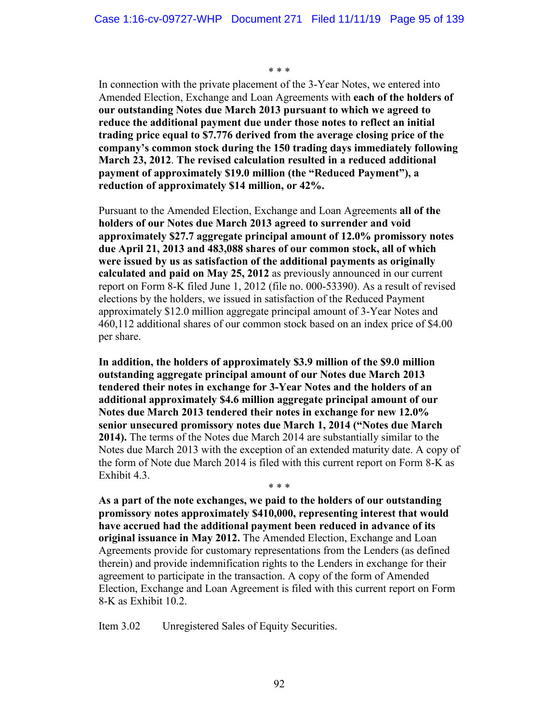\* \* \*

In connection with the private placement of the 3-Year Notes, we entered into Amended Election, Exchange and Loan Agreements with **each of the holders of our outstanding Notes due March 2013 pursuant to which we agreed to reduce the additional payment due under those notes to reflect an initial trading price equal to \$7.776 derived from the average closing price of the company's common stock during the 150 trading days immediately following March 23, 2012**. **The revised calculation resulted in a reduced additional payment of approximately \$19.0 million (the "Reduced Payment"), a reduction of approximately \$14 million, or 42%.**

Pursuant to the Amended Election, Exchange and Loan Agreements **all of the holders of our Notes due March 2013 agreed to surrender and void approximately \$27.7 aggregate principal amount of 12.0% promissory notes due April 21, 2013 and 483,088 shares of our common stock, all of which were issued by us as satisfaction of the additional payments as originally calculated and paid on May 25, 2012** as previously announced in our current report on Form 8-K filed June 1, 2012 (file no. 000-53390). As a result of revised elections by the holders, we issued in satisfaction of the Reduced Payment approximately \$12.0 million aggregate principal amount of 3-Year Notes and 460,112 additional shares of our common stock based on an index price of \$4.00 per share.

**In addition, the holders of approximately \$3.9 million of the \$9.0 million outstanding aggregate principal amount of our Notes due March 2013 tendered their notes in exchange for 3-Year Notes and the holders of an additional approximately \$4.6 million aggregate principal amount of our Notes due March 2013 tendered their notes in exchange for new 12.0% senior unsecured promissory notes due March 1, 2014 ("Notes due March 2014).** The terms of the Notes due March 2014 are substantially similar to the Notes due March 2013 with the exception of an extended maturity date. A copy of the form of Note due March 2014 is filed with this current report on Form 8-K as Exhibit 4.3.

**As a part of the note exchanges, we paid to the holders of our outstanding promissory notes approximately \$410,000, representing interest that would have accrued had the additional payment been reduced in advance of its original issuance in May 2012.** The Amended Election, Exchange and Loan Agreements provide for customary representations from the Lenders (as defined therein) and provide indemnification rights to the Lenders in exchange for their agreement to participate in the transaction. A copy of the form of Amended Election, Exchange and Loan Agreement is filed with this current report on Form 8-K as Exhibit 10.2.

\* \* \*

Item 3.02 Unregistered Sales of Equity Securities.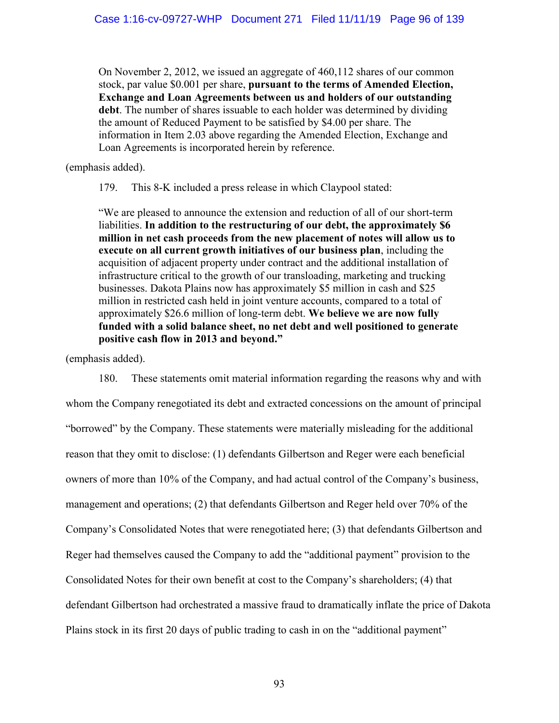On November 2, 2012, we issued an aggregate of 460,112 shares of our common stock, par value \$0.001 per share, **pursuant to the terms of Amended Election, Exchange and Loan Agreements between us and holders of our outstanding debt**. The number of shares issuable to each holder was determined by dividing the amount of Reduced Payment to be satisfied by \$4.00 per share. The information in Item 2.03 above regarding the Amended Election, Exchange and Loan Agreements is incorporated herein by reference.

(emphasis added).

179. This 8-K included a press release in which Claypool stated:

"We are pleased to announce the extension and reduction of all of our short-term liabilities. **In addition to the restructuring of our debt, the approximately \$6 million in net cash proceeds from the new placement of notes will allow us to execute on all current growth initiatives of our business plan**, including the acquisition of adjacent property under contract and the additional installation of infrastructure critical to the growth of our transloading, marketing and trucking businesses. Dakota Plains now has approximately \$5 million in cash and \$25 million in restricted cash held in joint venture accounts, compared to a total of approximately \$26.6 million of long-term debt. **We believe we are now fully funded with a solid balance sheet, no net debt and well positioned to generate positive cash flow in 2013 and beyond."** 

(emphasis added).

180. These statements omit material information regarding the reasons why and with whom the Company renegotiated its debt and extracted concessions on the amount of principal "borrowed" by the Company. These statements were materially misleading for the additional reason that they omit to disclose: (1) defendants Gilbertson and Reger were each beneficial owners of more than 10% of the Company, and had actual control of the Company's business, management and operations; (2) that defendants Gilbertson and Reger held over 70% of the Company's Consolidated Notes that were renegotiated here; (3) that defendants Gilbertson and Reger had themselves caused the Company to add the "additional payment" provision to the Consolidated Notes for their own benefit at cost to the Company's shareholders; (4) that defendant Gilbertson had orchestrated a massive fraud to dramatically inflate the price of Dakota Plains stock in its first 20 days of public trading to cash in on the "additional payment"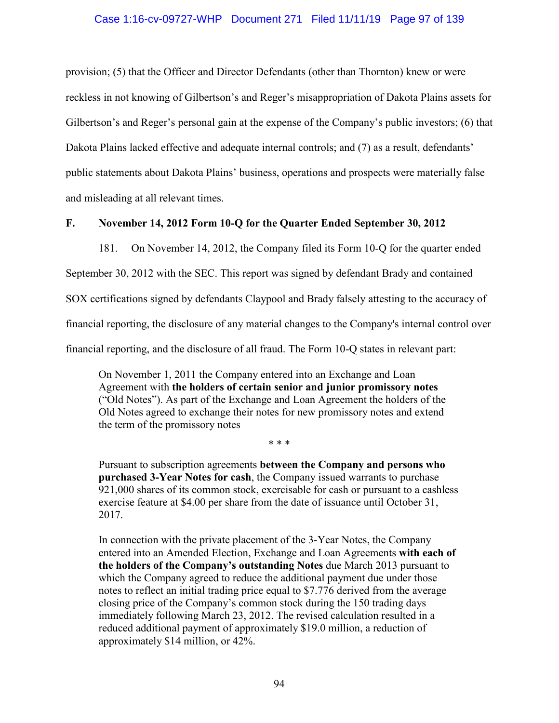### Case 1:16-cv-09727-WHP Document 271 Filed 11/11/19 Page 97 of 139

provision; (5) that the Officer and Director Defendants (other than Thornton) knew or were reckless in not knowing of Gilbertson's and Reger's misappropriation of Dakota Plains assets for Gilbertson's and Reger's personal gain at the expense of the Company's public investors; (6) that Dakota Plains lacked effective and adequate internal controls; and (7) as a result, defendants' public statements about Dakota Plains' business, operations and prospects were materially false and misleading at all relevant times.

### **F. November 14, 2012 Form 10-Q for the Quarter Ended September 30, 2012**

181. On November 14, 2012, the Company filed its Form 10-Q for the quarter ended

September 30, 2012 with the SEC. This report was signed by defendant Brady and contained

SOX certifications signed by defendants Claypool and Brady falsely attesting to the accuracy of

financial reporting, the disclosure of any material changes to the Company's internal control over

financial reporting, and the disclosure of all fraud. The Form 10-Q states in relevant part:

On November 1, 2011 the Company entered into an Exchange and Loan Agreement with **the holders of certain senior and junior promissory notes** ("Old Notes"). As part of the Exchange and Loan Agreement the holders of the Old Notes agreed to exchange their notes for new promissory notes and extend the term of the promissory notes

Pursuant to subscription agreements **between the Company and persons who purchased 3-Year Notes for cash**, the Company issued warrants to purchase 921,000 shares of its common stock, exercisable for cash or pursuant to a cashless exercise feature at \$4.00 per share from the date of issuance until October 31, 2017.

\* \* \*

In connection with the private placement of the 3-Year Notes, the Company entered into an Amended Election, Exchange and Loan Agreements **with each of the holders of the Company's outstanding Notes** due March 2013 pursuant to which the Company agreed to reduce the additional payment due under those notes to reflect an initial trading price equal to \$7.776 derived from the average closing price of the Company's common stock during the 150 trading days immediately following March 23, 2012. The revised calculation resulted in a reduced additional payment of approximately \$19.0 million, a reduction of approximately \$14 million, or 42%.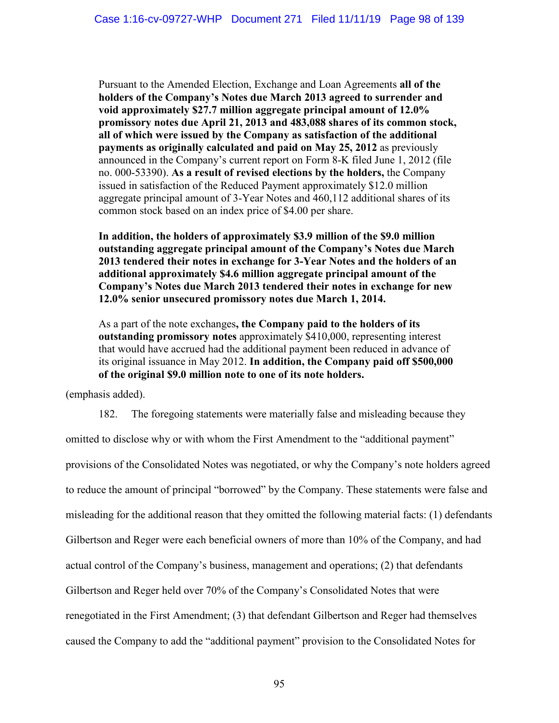Pursuant to the Amended Election, Exchange and Loan Agreements **all of the holders of the Company's Notes due March 2013 agreed to surrender and void approximately \$27.7 million aggregate principal amount of 12.0% promissory notes due April 21, 2013 and 483,088 shares of its common stock, all of which were issued by the Company as satisfaction of the additional payments as originally calculated and paid on May 25, 2012** as previously announced in the Company's current report on Form 8-K filed June 1, 2012 (file no. 000-53390). **As a result of revised elections by the holders,** the Company issued in satisfaction of the Reduced Payment approximately \$12.0 million aggregate principal amount of 3-Year Notes and 460,112 additional shares of its common stock based on an index price of \$4.00 per share.

**In addition, the holders of approximately \$3.9 million of the \$9.0 million outstanding aggregate principal amount of the Company's Notes due March 2013 tendered their notes in exchange for 3-Year Notes and the holders of an additional approximately \$4.6 million aggregate principal amount of the Company's Notes due March 2013 tendered their notes in exchange for new 12.0% senior unsecured promissory notes due March 1, 2014.** 

As a part of the note exchanges**, the Company paid to the holders of its outstanding promissory notes** approximately \$410,000, representing interest that would have accrued had the additional payment been reduced in advance of its original issuance in May 2012. **In addition, the Company paid off \$500,000 of the original \$9.0 million note to one of its note holders.** 

(emphasis added).

182. The foregoing statements were materially false and misleading because they omitted to disclose why or with whom the First Amendment to the "additional payment" provisions of the Consolidated Notes was negotiated, or why the Company's note holders agreed to reduce the amount of principal "borrowed" by the Company. These statements were false and misleading for the additional reason that they omitted the following material facts: (1) defendants Gilbertson and Reger were each beneficial owners of more than 10% of the Company, and had actual control of the Company's business, management and operations; (2) that defendants Gilbertson and Reger held over 70% of the Company's Consolidated Notes that were renegotiated in the First Amendment; (3) that defendant Gilbertson and Reger had themselves caused the Company to add the "additional payment" provision to the Consolidated Notes for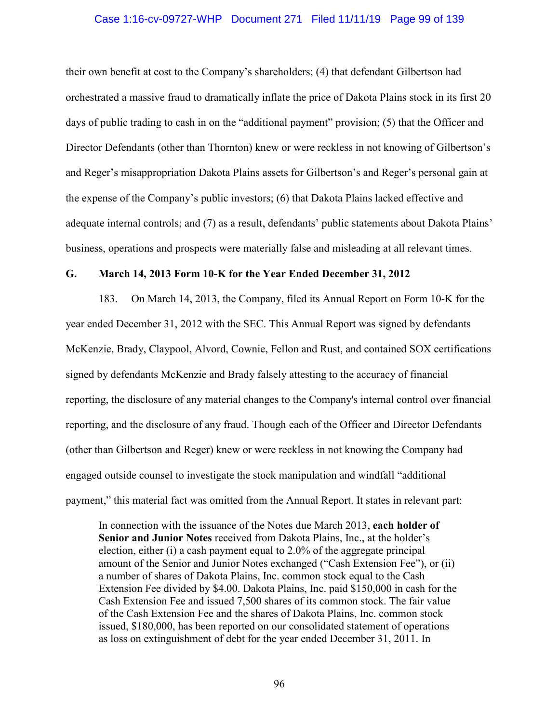### Case 1:16-cv-09727-WHP Document 271 Filed 11/11/19 Page 99 of 139

their own benefit at cost to the Company's shareholders; (4) that defendant Gilbertson had orchestrated a massive fraud to dramatically inflate the price of Dakota Plains stock in its first 20 days of public trading to cash in on the "additional payment" provision; (5) that the Officer and Director Defendants (other than Thornton) knew or were reckless in not knowing of Gilbertson's and Reger's misappropriation Dakota Plains assets for Gilbertson's and Reger's personal gain at the expense of the Company's public investors; (6) that Dakota Plains lacked effective and adequate internal controls; and (7) as a result, defendants' public statements about Dakota Plains' business, operations and prospects were materially false and misleading at all relevant times.

### **G. March 14, 2013 Form 10-K for the Year Ended December 31, 2012**

183. On March 14, 2013, the Company, filed its Annual Report on Form 10-K for the year ended December 31, 2012 with the SEC. This Annual Report was signed by defendants McKenzie, Brady, Claypool, Alvord, Cownie, Fellon and Rust, and contained SOX certifications signed by defendants McKenzie and Brady falsely attesting to the accuracy of financial reporting, the disclosure of any material changes to the Company's internal control over financial reporting, and the disclosure of any fraud. Though each of the Officer and Director Defendants (other than Gilbertson and Reger) knew or were reckless in not knowing the Company had engaged outside counsel to investigate the stock manipulation and windfall "additional payment," this material fact was omitted from the Annual Report. It states in relevant part:

In connection with the issuance of the Notes due March 2013, **each holder of Senior and Junior Notes** received from Dakota Plains, Inc., at the holder's election, either (i) a cash payment equal to 2.0% of the aggregate principal amount of the Senior and Junior Notes exchanged ("Cash Extension Fee"), or (ii) a number of shares of Dakota Plains, Inc. common stock equal to the Cash Extension Fee divided by \$4.00. Dakota Plains, Inc. paid \$150,000 in cash for the Cash Extension Fee and issued 7,500 shares of its common stock. The fair value of the Cash Extension Fee and the shares of Dakota Plains, Inc. common stock issued, \$180,000, has been reported on our consolidated statement of operations as loss on extinguishment of debt for the year ended December 31, 2011. In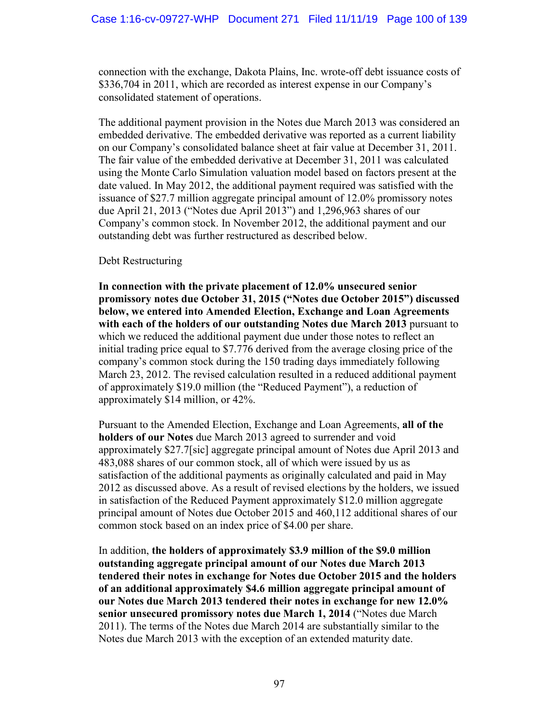connection with the exchange, Dakota Plains, Inc. wrote-off debt issuance costs of \$336,704 in 2011, which are recorded as interest expense in our Company's consolidated statement of operations.

The additional payment provision in the Notes due March 2013 was considered an embedded derivative. The embedded derivative was reported as a current liability on our Company's consolidated balance sheet at fair value at December 31, 2011. The fair value of the embedded derivative at December 31, 2011 was calculated using the Monte Carlo Simulation valuation model based on factors present at the date valued. In May 2012, the additional payment required was satisfied with the issuance of \$27.7 million aggregate principal amount of 12.0% promissory notes due April 21, 2013 ("Notes due April 2013") and 1,296,963 shares of our Company's common stock. In November 2012, the additional payment and our outstanding debt was further restructured as described below.

## Debt Restructuring

**In connection with the private placement of 12.0% unsecured senior promissory notes due October 31, 2015 ("Notes due October 2015") discussed below, we entered into Amended Election, Exchange and Loan Agreements with each of the holders of our outstanding Notes due March 2013** pursuant to which we reduced the additional payment due under those notes to reflect an initial trading price equal to \$7.776 derived from the average closing price of the company's common stock during the 150 trading days immediately following March 23, 2012. The revised calculation resulted in a reduced additional payment of approximately \$19.0 million (the "Reduced Payment"), a reduction of approximately \$14 million, or 42%.

Pursuant to the Amended Election, Exchange and Loan Agreements, **all of the holders of our Notes** due March 2013 agreed to surrender and void approximately \$27.7[sic] aggregate principal amount of Notes due April 2013 and 483,088 shares of our common stock, all of which were issued by us as satisfaction of the additional payments as originally calculated and paid in May 2012 as discussed above. As a result of revised elections by the holders, we issued in satisfaction of the Reduced Payment approximately \$12.0 million aggregate principal amount of Notes due October 2015 and 460,112 additional shares of our common stock based on an index price of \$4.00 per share.

In addition, **the holders of approximately \$3.9 million of the \$9.0 million outstanding aggregate principal amount of our Notes due March 2013 tendered their notes in exchange for Notes due October 2015 and the holders of an additional approximately \$4.6 million aggregate principal amount of our Notes due March 2013 tendered their notes in exchange for new 12.0% senior unsecured promissory notes due March 1, 2014** ("Notes due March 2011). The terms of the Notes due March 2014 are substantially similar to the Notes due March 2013 with the exception of an extended maturity date.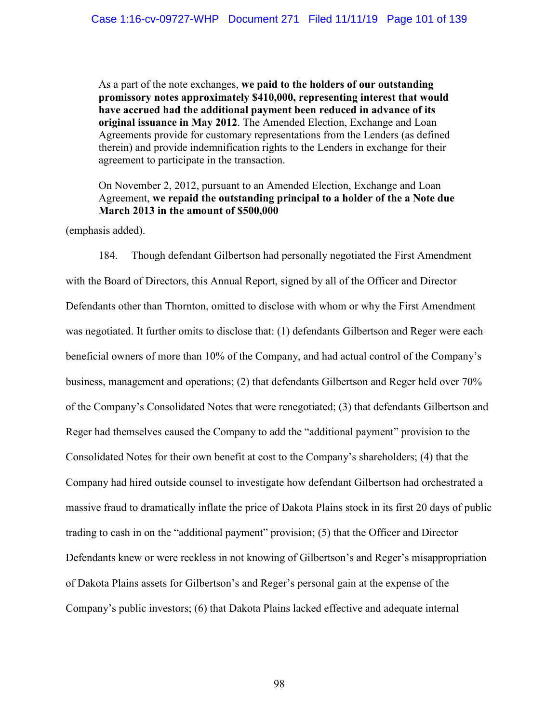As a part of the note exchanges, **we paid to the holders of our outstanding promissory notes approximately \$410,000, representing interest that would have accrued had the additional payment been reduced in advance of its original issuance in May 2012**. The Amended Election, Exchange and Loan Agreements provide for customary representations from the Lenders (as defined therein) and provide indemnification rights to the Lenders in exchange for their agreement to participate in the transaction.

On November 2, 2012, pursuant to an Amended Election, Exchange and Loan Agreement, **we repaid the outstanding principal to a holder of the a Note due March 2013 in the amount of \$500,000** 

(emphasis added).

184. Though defendant Gilbertson had personally negotiated the First Amendment with the Board of Directors, this Annual Report, signed by all of the Officer and Director Defendants other than Thornton, omitted to disclose with whom or why the First Amendment was negotiated. It further omits to disclose that: (1) defendants Gilbertson and Reger were each beneficial owners of more than 10% of the Company, and had actual control of the Company's business, management and operations; (2) that defendants Gilbertson and Reger held over 70% of the Company's Consolidated Notes that were renegotiated; (3) that defendants Gilbertson and Reger had themselves caused the Company to add the "additional payment" provision to the Consolidated Notes for their own benefit at cost to the Company's shareholders; (4) that the Company had hired outside counsel to investigate how defendant Gilbertson had orchestrated a massive fraud to dramatically inflate the price of Dakota Plains stock in its first 20 days of public trading to cash in on the "additional payment" provision; (5) that the Officer and Director Defendants knew or were reckless in not knowing of Gilbertson's and Reger's misappropriation of Dakota Plains assets for Gilbertson's and Reger's personal gain at the expense of the Company's public investors; (6) that Dakota Plains lacked effective and adequate internal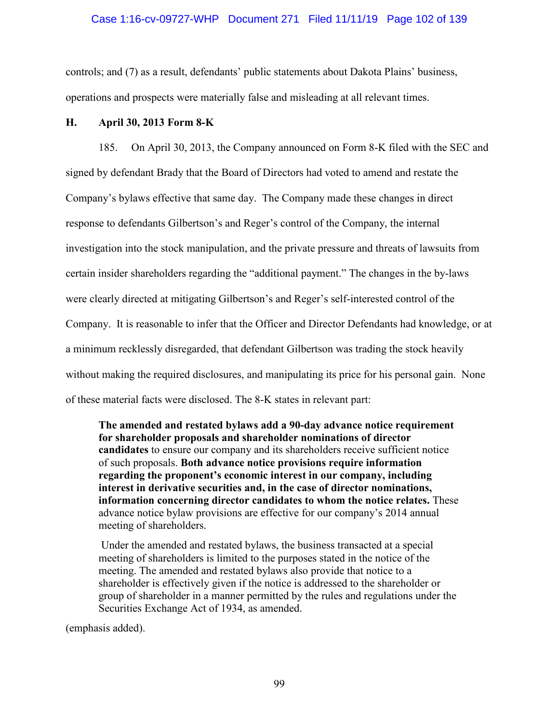### Case 1:16-cv-09727-WHP Document 271 Filed 11/11/19 Page 102 of 139

controls; and (7) as a result, defendants' public statements about Dakota Plains' business, operations and prospects were materially false and misleading at all relevant times.

## **H. April 30, 2013 Form 8-K**

185. On April 30, 2013, the Company announced on Form 8-K filed with the SEC and signed by defendant Brady that the Board of Directors had voted to amend and restate the Company's bylaws effective that same day. The Company made these changes in direct response to defendants Gilbertson's and Reger's control of the Company, the internal investigation into the stock manipulation, and the private pressure and threats of lawsuits from certain insider shareholders regarding the "additional payment." The changes in the by-laws were clearly directed at mitigating Gilbertson's and Reger's self-interested control of the Company. It is reasonable to infer that the Officer and Director Defendants had knowledge, or at a minimum recklessly disregarded, that defendant Gilbertson was trading the stock heavily without making the required disclosures, and manipulating its price for his personal gain. None of these material facts were disclosed. The 8-K states in relevant part:

**The amended and restated bylaws add a 90-day advance notice requirement for shareholder proposals and shareholder nominations of director candidates** to ensure our company and its shareholders receive sufficient notice of such proposals. **Both advance notice provisions require information regarding the proponent's economic interest in our company, including interest in derivative securities and, in the case of director nominations, information concerning director candidates to whom the notice relates.** These advance notice bylaw provisions are effective for our company's 2014 annual meeting of shareholders.

Under the amended and restated bylaws, the business transacted at a special meeting of shareholders is limited to the purposes stated in the notice of the meeting. The amended and restated bylaws also provide that notice to a shareholder is effectively given if the notice is addressed to the shareholder or group of shareholder in a manner permitted by the rules and regulations under the Securities Exchange Act of 1934, as amended.

(emphasis added).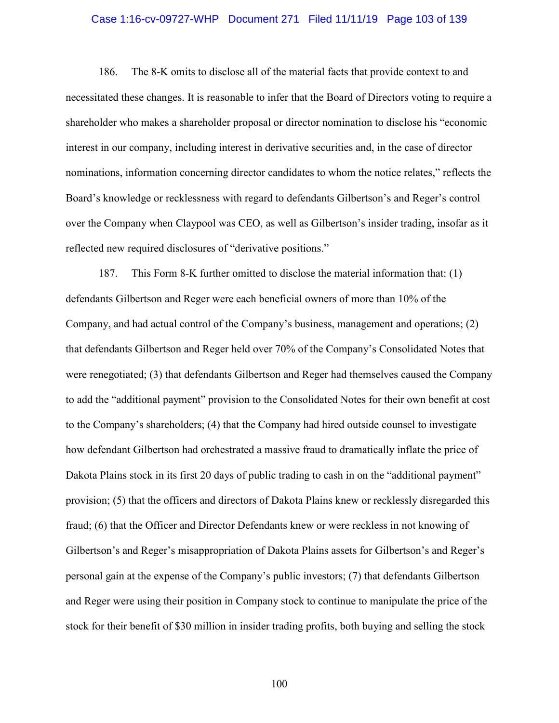## Case 1:16-cv-09727-WHP Document 271 Filed 11/11/19 Page 103 of 139

186. The 8-K omits to disclose all of the material facts that provide context to and necessitated these changes. It is reasonable to infer that the Board of Directors voting to require a shareholder who makes a shareholder proposal or director nomination to disclose his "economic interest in our company, including interest in derivative securities and, in the case of director nominations, information concerning director candidates to whom the notice relates," reflects the Board's knowledge or recklessness with regard to defendants Gilbertson's and Reger's control over the Company when Claypool was CEO, as well as Gilbertson's insider trading, insofar as it reflected new required disclosures of "derivative positions."

187. This Form 8-K further omitted to disclose the material information that: (1) defendants Gilbertson and Reger were each beneficial owners of more than 10% of the Company, and had actual control of the Company's business, management and operations; (2) that defendants Gilbertson and Reger held over 70% of the Company's Consolidated Notes that were renegotiated; (3) that defendants Gilbertson and Reger had themselves caused the Company to add the "additional payment" provision to the Consolidated Notes for their own benefit at cost to the Company's shareholders; (4) that the Company had hired outside counsel to investigate how defendant Gilbertson had orchestrated a massive fraud to dramatically inflate the price of Dakota Plains stock in its first 20 days of public trading to cash in on the "additional payment" provision; (5) that the officers and directors of Dakota Plains knew or recklessly disregarded this fraud; (6) that the Officer and Director Defendants knew or were reckless in not knowing of Gilbertson's and Reger's misappropriation of Dakota Plains assets for Gilbertson's and Reger's personal gain at the expense of the Company's public investors; (7) that defendants Gilbertson and Reger were using their position in Company stock to continue to manipulate the price of the stock for their benefit of \$30 million in insider trading profits, both buying and selling the stock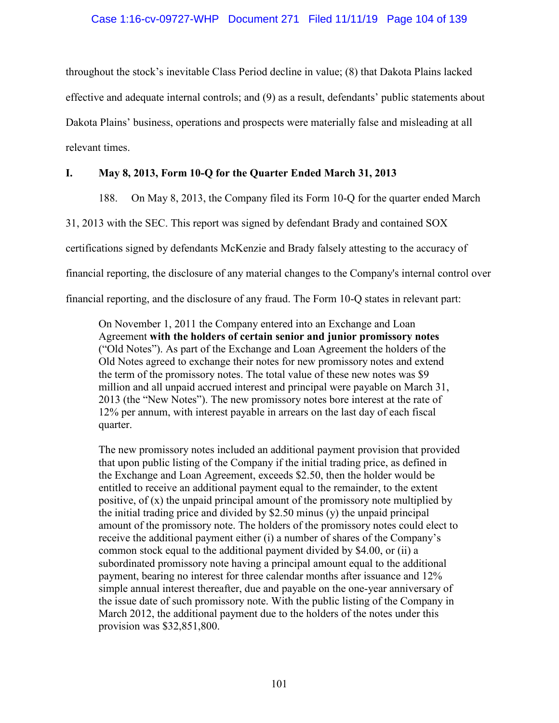## Case 1:16-cv-09727-WHP Document 271 Filed 11/11/19 Page 104 of 139

throughout the stock's inevitable Class Period decline in value; (8) that Dakota Plains lacked effective and adequate internal controls; and (9) as a result, defendants' public statements about Dakota Plains' business, operations and prospects were materially false and misleading at all relevant times.

## **I. May 8, 2013, Form 10-Q for the Quarter Ended March 31, 2013**

188. On May 8, 2013, the Company filed its Form 10-Q for the quarter ended March

31, 2013 with the SEC. This report was signed by defendant Brady and contained SOX

certifications signed by defendants McKenzie and Brady falsely attesting to the accuracy of

financial reporting, the disclosure of any material changes to the Company's internal control over

financial reporting, and the disclosure of any fraud. The Form 10-Q states in relevant part:

On November 1, 2011 the Company entered into an Exchange and Loan Agreement **with the holders of certain senior and junior promissory notes** ("Old Notes"). As part of the Exchange and Loan Agreement the holders of the Old Notes agreed to exchange their notes for new promissory notes and extend the term of the promissory notes. The total value of these new notes was \$9 million and all unpaid accrued interest and principal were payable on March 31, 2013 (the "New Notes"). The new promissory notes bore interest at the rate of 12% per annum, with interest payable in arrears on the last day of each fiscal quarter.

The new promissory notes included an additional payment provision that provided that upon public listing of the Company if the initial trading price, as defined in the Exchange and Loan Agreement, exceeds \$2.50, then the holder would be entitled to receive an additional payment equal to the remainder, to the extent positive, of (x) the unpaid principal amount of the promissory note multiplied by the initial trading price and divided by \$2.50 minus (y) the unpaid principal amount of the promissory note. The holders of the promissory notes could elect to receive the additional payment either (i) a number of shares of the Company's common stock equal to the additional payment divided by \$4.00, or (ii) a subordinated promissory note having a principal amount equal to the additional payment, bearing no interest for three calendar months after issuance and 12% simple annual interest thereafter, due and payable on the one-year anniversary of the issue date of such promissory note. With the public listing of the Company in March 2012, the additional payment due to the holders of the notes under this provision was \$32,851,800.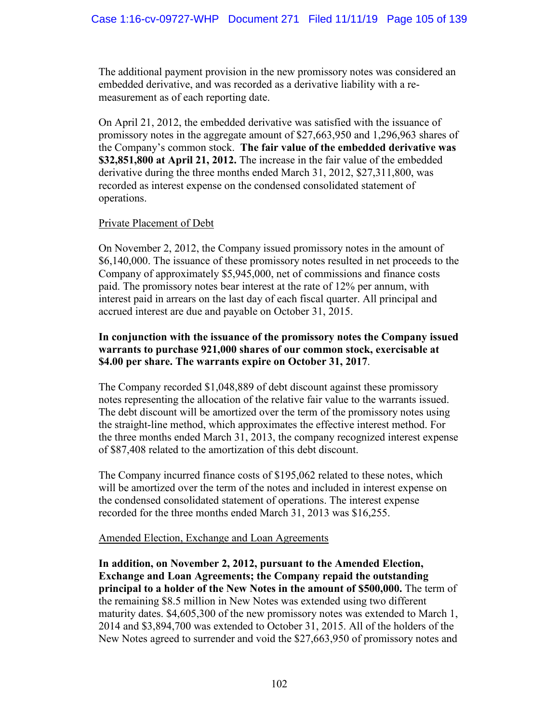The additional payment provision in the new promissory notes was considered an embedded derivative, and was recorded as a derivative liability with a remeasurement as of each reporting date.

On April 21, 2012, the embedded derivative was satisfied with the issuance of promissory notes in the aggregate amount of \$27,663,950 and 1,296,963 shares of the Company's common stock. **The fair value of the embedded derivative was \$32,851,800 at April 21, 2012.** The increase in the fair value of the embedded derivative during the three months ended March 31, 2012, \$27,311,800, was recorded as interest expense on the condensed consolidated statement of operations.

## Private Placement of Debt

On November 2, 2012, the Company issued promissory notes in the amount of \$6,140,000. The issuance of these promissory notes resulted in net proceeds to the Company of approximately \$5,945,000, net of commissions and finance costs paid. The promissory notes bear interest at the rate of 12% per annum, with interest paid in arrears on the last day of each fiscal quarter. All principal and accrued interest are due and payable on October 31, 2015.

# **In conjunction with the issuance of the promissory notes the Company issued warrants to purchase 921,000 shares of our common stock, exercisable at \$4.00 per share. The warrants expire on October 31, 2017**.

The Company recorded \$1,048,889 of debt discount against these promissory notes representing the allocation of the relative fair value to the warrants issued. The debt discount will be amortized over the term of the promissory notes using the straight-line method, which approximates the effective interest method. For the three months ended March 31, 2013, the company recognized interest expense of \$87,408 related to the amortization of this debt discount.

The Company incurred finance costs of \$195,062 related to these notes, which will be amortized over the term of the notes and included in interest expense on the condensed consolidated statement of operations. The interest expense recorded for the three months ended March 31, 2013 was \$16,255.

## Amended Election, Exchange and Loan Agreements

**In addition, on November 2, 2012, pursuant to the Amended Election, Exchange and Loan Agreements; the Company repaid the outstanding principal to a holder of the New Notes in the amount of \$500,000.** The term of the remaining \$8.5 million in New Notes was extended using two different maturity dates. \$4,605,300 of the new promissory notes was extended to March 1, 2014 and \$3,894,700 was extended to October 31, 2015. All of the holders of the New Notes agreed to surrender and void the \$27,663,950 of promissory notes and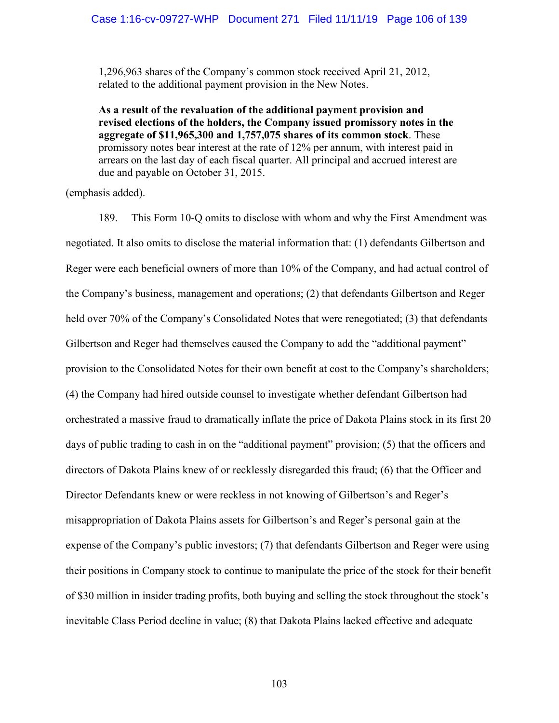1,296,963 shares of the Company's common stock received April 21, 2012, related to the additional payment provision in the New Notes.

**As a result of the revaluation of the additional payment provision and revised elections of the holders, the Company issued promissory notes in the aggregate of \$11,965,300 and 1,757,075 shares of its common stock**. These promissory notes bear interest at the rate of 12% per annum, with interest paid in arrears on the last day of each fiscal quarter. All principal and accrued interest are due and payable on October 31, 2015.

(emphasis added).

189. This Form 10-Q omits to disclose with whom and why the First Amendment was negotiated. It also omits to disclose the material information that: (1) defendants Gilbertson and Reger were each beneficial owners of more than 10% of the Company, and had actual control of the Company's business, management and operations; (2) that defendants Gilbertson and Reger held over 70% of the Company's Consolidated Notes that were renegotiated; (3) that defendants Gilbertson and Reger had themselves caused the Company to add the "additional payment" provision to the Consolidated Notes for their own benefit at cost to the Company's shareholders; (4) the Company had hired outside counsel to investigate whether defendant Gilbertson had orchestrated a massive fraud to dramatically inflate the price of Dakota Plains stock in its first 20 days of public trading to cash in on the "additional payment" provision; (5) that the officers and directors of Dakota Plains knew of or recklessly disregarded this fraud; (6) that the Officer and Director Defendants knew or were reckless in not knowing of Gilbertson's and Reger's misappropriation of Dakota Plains assets for Gilbertson's and Reger's personal gain at the expense of the Company's public investors; (7) that defendants Gilbertson and Reger were using their positions in Company stock to continue to manipulate the price of the stock for their benefit of \$30 million in insider trading profits, both buying and selling the stock throughout the stock's inevitable Class Period decline in value; (8) that Dakota Plains lacked effective and adequate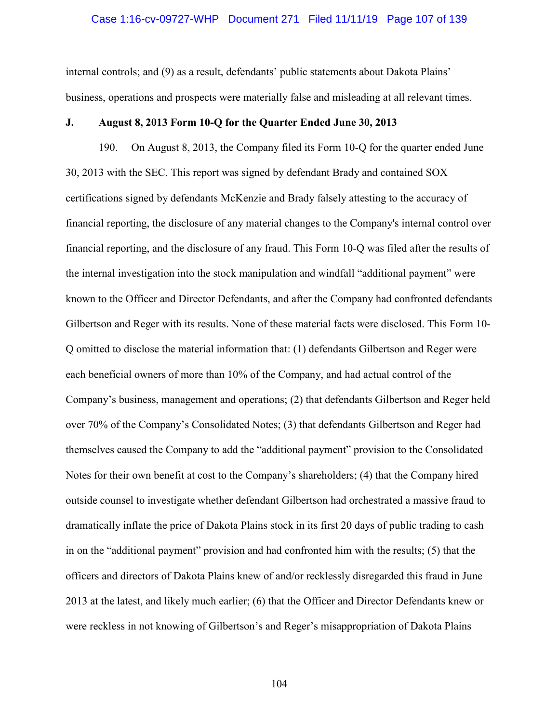#### Case 1:16-cv-09727-WHP Document 271 Filed 11/11/19 Page 107 of 139

internal controls; and (9) as a result, defendants' public statements about Dakota Plains' business, operations and prospects were materially false and misleading at all relevant times.

### **J. August 8, 2013 Form 10-Q for the Quarter Ended June 30, 2013**

190. On August 8, 2013, the Company filed its Form 10-Q for the quarter ended June 30, 2013 with the SEC. This report was signed by defendant Brady and contained SOX certifications signed by defendants McKenzie and Brady falsely attesting to the accuracy of financial reporting, the disclosure of any material changes to the Company's internal control over financial reporting, and the disclosure of any fraud. This Form 10-Q was filed after the results of the internal investigation into the stock manipulation and windfall "additional payment" were known to the Officer and Director Defendants, and after the Company had confronted defendants Gilbertson and Reger with its results. None of these material facts were disclosed. This Form 10- Q omitted to disclose the material information that: (1) defendants Gilbertson and Reger were each beneficial owners of more than 10% of the Company, and had actual control of the Company's business, management and operations; (2) that defendants Gilbertson and Reger held over 70% of the Company's Consolidated Notes; (3) that defendants Gilbertson and Reger had themselves caused the Company to add the "additional payment" provision to the Consolidated Notes for their own benefit at cost to the Company's shareholders; (4) that the Company hired outside counsel to investigate whether defendant Gilbertson had orchestrated a massive fraud to dramatically inflate the price of Dakota Plains stock in its first 20 days of public trading to cash in on the "additional payment" provision and had confronted him with the results; (5) that the officers and directors of Dakota Plains knew of and/or recklessly disregarded this fraud in June 2013 at the latest, and likely much earlier; (6) that the Officer and Director Defendants knew or were reckless in not knowing of Gilbertson's and Reger's misappropriation of Dakota Plains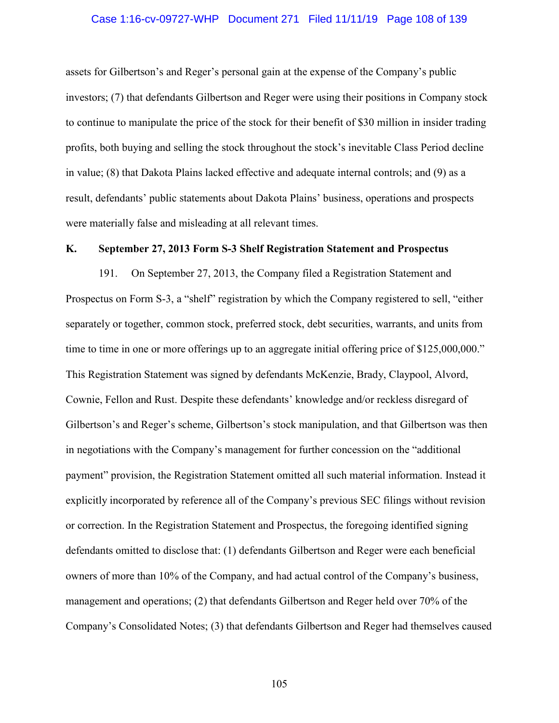#### Case 1:16-cv-09727-WHP Document 271 Filed 11/11/19 Page 108 of 139

assets for Gilbertson's and Reger's personal gain at the expense of the Company's public investors; (7) that defendants Gilbertson and Reger were using their positions in Company stock to continue to manipulate the price of the stock for their benefit of \$30 million in insider trading profits, both buying and selling the stock throughout the stock's inevitable Class Period decline in value; (8) that Dakota Plains lacked effective and adequate internal controls; and (9) as a result, defendants' public statements about Dakota Plains' business, operations and prospects were materially false and misleading at all relevant times.

## **K. September 27, 2013 Form S-3 Shelf Registration Statement and Prospectus**

191. On September 27, 2013, the Company filed a Registration Statement and Prospectus on Form S-3, a "shelf" registration by which the Company registered to sell, "either separately or together, common stock, preferred stock, debt securities, warrants, and units from time to time in one or more offerings up to an aggregate initial offering price of \$125,000,000." This Registration Statement was signed by defendants McKenzie, Brady, Claypool, Alvord, Cownie, Fellon and Rust. Despite these defendants' knowledge and/or reckless disregard of Gilbertson's and Reger's scheme, Gilbertson's stock manipulation, and that Gilbertson was then in negotiations with the Company's management for further concession on the "additional payment" provision, the Registration Statement omitted all such material information. Instead it explicitly incorporated by reference all of the Company's previous SEC filings without revision or correction. In the Registration Statement and Prospectus, the foregoing identified signing defendants omitted to disclose that: (1) defendants Gilbertson and Reger were each beneficial owners of more than 10% of the Company, and had actual control of the Company's business, management and operations; (2) that defendants Gilbertson and Reger held over 70% of the Company's Consolidated Notes; (3) that defendants Gilbertson and Reger had themselves caused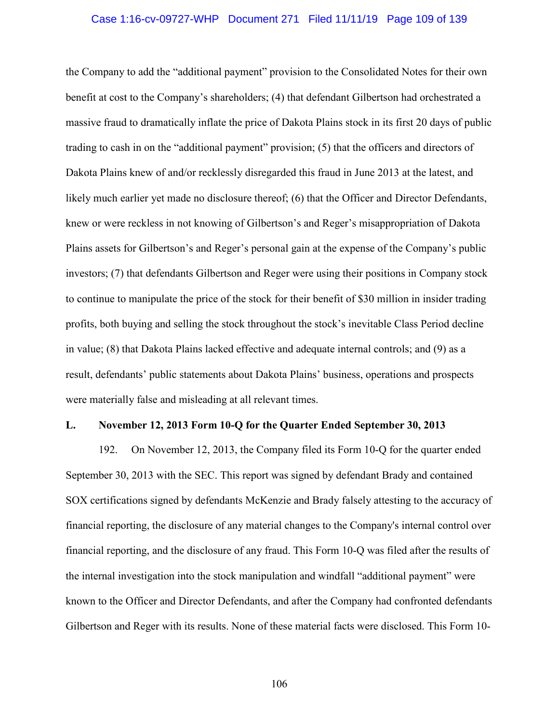#### Case 1:16-cv-09727-WHP Document 271 Filed 11/11/19 Page 109 of 139

the Company to add the "additional payment" provision to the Consolidated Notes for their own benefit at cost to the Company's shareholders; (4) that defendant Gilbertson had orchestrated a massive fraud to dramatically inflate the price of Dakota Plains stock in its first 20 days of public trading to cash in on the "additional payment" provision; (5) that the officers and directors of Dakota Plains knew of and/or recklessly disregarded this fraud in June 2013 at the latest, and likely much earlier yet made no disclosure thereof; (6) that the Officer and Director Defendants, knew or were reckless in not knowing of Gilbertson's and Reger's misappropriation of Dakota Plains assets for Gilbertson's and Reger's personal gain at the expense of the Company's public investors; (7) that defendants Gilbertson and Reger were using their positions in Company stock to continue to manipulate the price of the stock for their benefit of \$30 million in insider trading profits, both buying and selling the stock throughout the stock's inevitable Class Period decline in value; (8) that Dakota Plains lacked effective and adequate internal controls; and (9) as a result, defendants' public statements about Dakota Plains' business, operations and prospects were materially false and misleading at all relevant times.

#### **L. November 12, 2013 Form 10-Q for the Quarter Ended September 30, 2013**

192. On November 12, 2013, the Company filed its Form 10-Q for the quarter ended September 30, 2013 with the SEC. This report was signed by defendant Brady and contained SOX certifications signed by defendants McKenzie and Brady falsely attesting to the accuracy of financial reporting, the disclosure of any material changes to the Company's internal control over financial reporting, and the disclosure of any fraud. This Form 10-Q was filed after the results of the internal investigation into the stock manipulation and windfall "additional payment" were known to the Officer and Director Defendants, and after the Company had confronted defendants Gilbertson and Reger with its results. None of these material facts were disclosed. This Form 10-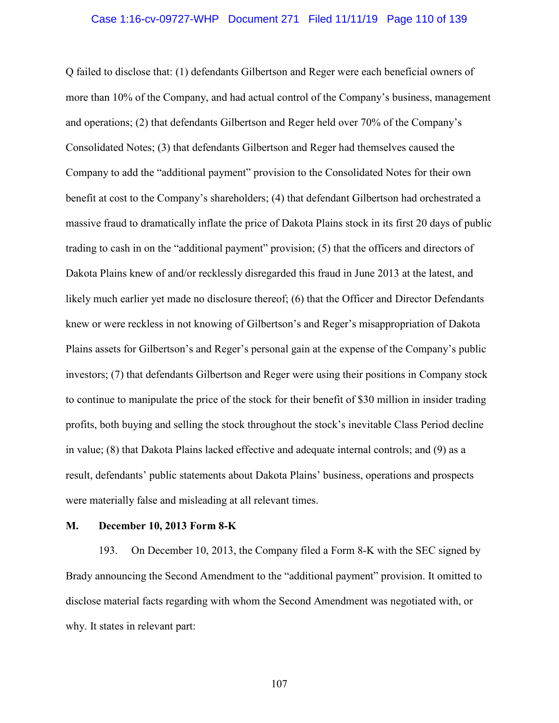#### Case 1:16-cv-09727-WHP Document 271 Filed 11/11/19 Page 110 of 139

Q failed to disclose that: (1) defendants Gilbertson and Reger were each beneficial owners of more than 10% of the Company, and had actual control of the Company's business, management and operations; (2) that defendants Gilbertson and Reger held over 70% of the Company's Consolidated Notes; (3) that defendants Gilbertson and Reger had themselves caused the Company to add the "additional payment" provision to the Consolidated Notes for their own benefit at cost to the Company's shareholders; (4) that defendant Gilbertson had orchestrated a massive fraud to dramatically inflate the price of Dakota Plains stock in its first 20 days of public trading to cash in on the "additional payment" provision; (5) that the officers and directors of Dakota Plains knew of and/or recklessly disregarded this fraud in June 2013 at the latest, and likely much earlier yet made no disclosure thereof; (6) that the Officer and Director Defendants knew or were reckless in not knowing of Gilbertson's and Reger's misappropriation of Dakota Plains assets for Gilbertson's and Reger's personal gain at the expense of the Company's public investors; (7) that defendants Gilbertson and Reger were using their positions in Company stock to continue to manipulate the price of the stock for their benefit of \$30 million in insider trading profits, both buying and selling the stock throughout the stock's inevitable Class Period decline in value; (8) that Dakota Plains lacked effective and adequate internal controls; and (9) as a result, defendants' public statements about Dakota Plains' business, operations and prospects were materially false and misleading at all relevant times.

#### **M. December 10, 2013 Form 8-K**

193. On December 10, 2013, the Company filed a Form 8-K with the SEC signed by Brady announcing the Second Amendment to the "additional payment" provision. It omitted to disclose material facts regarding with whom the Second Amendment was negotiated with, or why. It states in relevant part: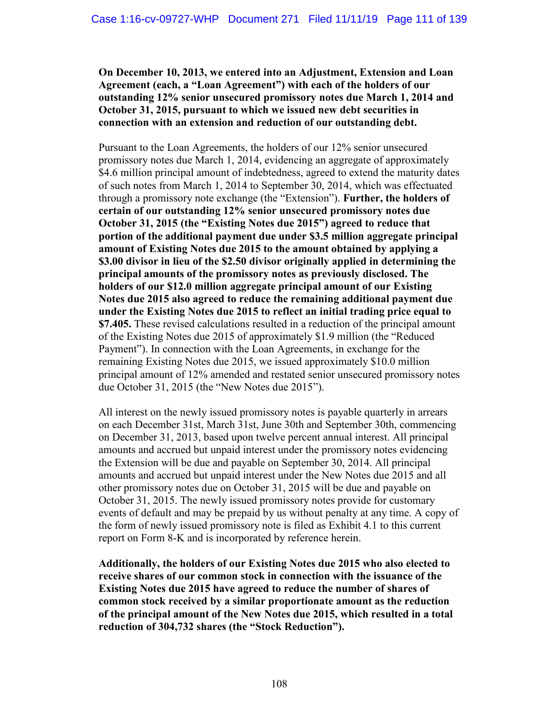**On December 10, 2013, we entered into an Adjustment, Extension and Loan Agreement (each, a "Loan Agreement") with each of the holders of our outstanding 12% senior unsecured promissory notes due March 1, 2014 and October 31, 2015, pursuant to which we issued new debt securities in connection with an extension and reduction of our outstanding debt.**

Pursuant to the Loan Agreements, the holders of our 12% senior unsecured promissory notes due March 1, 2014, evidencing an aggregate of approximately \$4.6 million principal amount of indebtedness, agreed to extend the maturity dates of such notes from March 1, 2014 to September 30, 2014, which was effectuated through a promissory note exchange (the "Extension"). **Further, the holders of certain of our outstanding 12% senior unsecured promissory notes due October 31, 2015 (the "Existing Notes due 2015") agreed to reduce that portion of the additional payment due under \$3.5 million aggregate principal amount of Existing Notes due 2015 to the amount obtained by applying a \$3.00 divisor in lieu of the \$2.50 divisor originally applied in determining the principal amounts of the promissory notes as previously disclosed. The holders of our \$12.0 million aggregate principal amount of our Existing Notes due 2015 also agreed to reduce the remaining additional payment due under the Existing Notes due 2015 to reflect an initial trading price equal to \$7.405.** These revised calculations resulted in a reduction of the principal amount of the Existing Notes due 2015 of approximately \$1.9 million (the "Reduced Payment"). In connection with the Loan Agreements, in exchange for the remaining Existing Notes due 2015, we issued approximately \$10.0 million principal amount of 12% amended and restated senior unsecured promissory notes due October 31, 2015 (the "New Notes due 2015").

All interest on the newly issued promissory notes is payable quarterly in arrears on each December 31st, March 31st, June 30th and September 30th, commencing on December 31, 2013, based upon twelve percent annual interest. All principal amounts and accrued but unpaid interest under the promissory notes evidencing the Extension will be due and payable on September 30, 2014. All principal amounts and accrued but unpaid interest under the New Notes due 2015 and all other promissory notes due on October 31, 2015 will be due and payable on October 31, 2015. The newly issued promissory notes provide for customary events of default and may be prepaid by us without penalty at any time. A copy of the form of newly issued promissory note is filed as Exhibit 4.1 to this current report on Form 8-K and is incorporated by reference herein.

**Additionally, the holders of our Existing Notes due 2015 who also elected to receive shares of our common stock in connection with the issuance of the Existing Notes due 2015 have agreed to reduce the number of shares of common stock received by a similar proportionate amount as the reduction of the principal amount of the New Notes due 2015, which resulted in a total reduction of 304,732 shares (the "Stock Reduction").**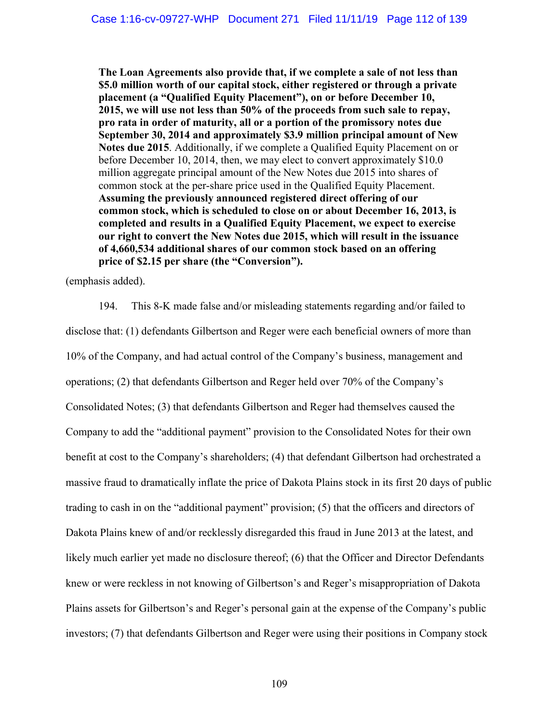**The Loan Agreements also provide that, if we complete a sale of not less than \$5.0 million worth of our capital stock, either registered or through a private placement (a "Qualified Equity Placement"), on or before December 10, 2015, we will use not less than 50% of the proceeds from such sale to repay, pro rata in order of maturity, all or a portion of the promissory notes due September 30, 2014 and approximately \$3.9 million principal amount of New Notes due 2015**. Additionally, if we complete a Qualified Equity Placement on or before December 10, 2014, then, we may elect to convert approximately \$10.0 million aggregate principal amount of the New Notes due 2015 into shares of common stock at the per-share price used in the Qualified Equity Placement. **Assuming the previously announced registered direct offering of our common stock, which is scheduled to close on or about December 16, 2013, is completed and results in a Qualified Equity Placement, we expect to exercise our right to convert the New Notes due 2015, which will result in the issuance of 4,660,534 additional shares of our common stock based on an offering price of \$2.15 per share (the "Conversion").** 

(emphasis added).

194. This 8-K made false and/or misleading statements regarding and/or failed to disclose that: (1) defendants Gilbertson and Reger were each beneficial owners of more than 10% of the Company, and had actual control of the Company's business, management and operations; (2) that defendants Gilbertson and Reger held over 70% of the Company's Consolidated Notes; (3) that defendants Gilbertson and Reger had themselves caused the Company to add the "additional payment" provision to the Consolidated Notes for their own benefit at cost to the Company's shareholders; (4) that defendant Gilbertson had orchestrated a massive fraud to dramatically inflate the price of Dakota Plains stock in its first 20 days of public trading to cash in on the "additional payment" provision; (5) that the officers and directors of Dakota Plains knew of and/or recklessly disregarded this fraud in June 2013 at the latest, and likely much earlier yet made no disclosure thereof; (6) that the Officer and Director Defendants knew or were reckless in not knowing of Gilbertson's and Reger's misappropriation of Dakota Plains assets for Gilbertson's and Reger's personal gain at the expense of the Company's public investors; (7) that defendants Gilbertson and Reger were using their positions in Company stock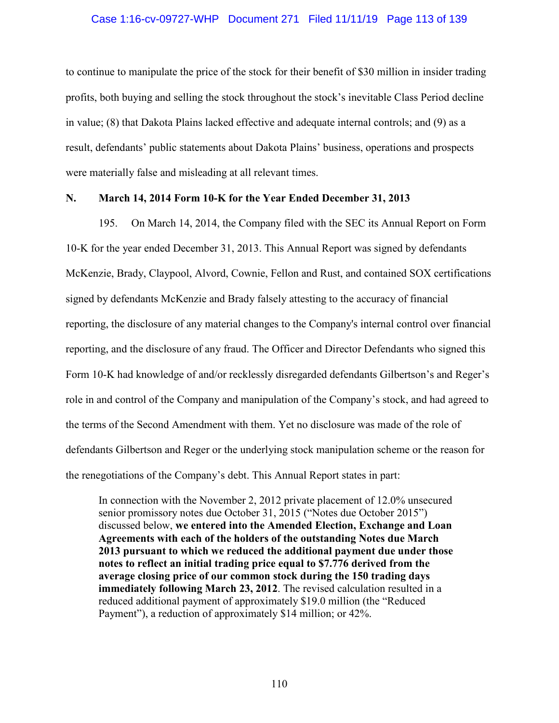### Case 1:16-cv-09727-WHP Document 271 Filed 11/11/19 Page 113 of 139

to continue to manipulate the price of the stock for their benefit of \$30 million in insider trading profits, both buying and selling the stock throughout the stock's inevitable Class Period decline in value; (8) that Dakota Plains lacked effective and adequate internal controls; and (9) as a result, defendants' public statements about Dakota Plains' business, operations and prospects were materially false and misleading at all relevant times.

## **N. March 14, 2014 Form 10-K for the Year Ended December 31, 2013**

195. On March 14, 2014, the Company filed with the SEC its Annual Report on Form 10-K for the year ended December 31, 2013. This Annual Report was signed by defendants McKenzie, Brady, Claypool, Alvord, Cownie, Fellon and Rust, and contained SOX certifications signed by defendants McKenzie and Brady falsely attesting to the accuracy of financial reporting, the disclosure of any material changes to the Company's internal control over financial reporting, and the disclosure of any fraud. The Officer and Director Defendants who signed this Form 10-K had knowledge of and/or recklessly disregarded defendants Gilbertson's and Reger's role in and control of the Company and manipulation of the Company's stock, and had agreed to the terms of the Second Amendment with them. Yet no disclosure was made of the role of defendants Gilbertson and Reger or the underlying stock manipulation scheme or the reason for the renegotiations of the Company's debt. This Annual Report states in part:

In connection with the November 2, 2012 private placement of 12.0% unsecured senior promissory notes due October 31, 2015 ("Notes due October 2015") discussed below, **we entered into the Amended Election, Exchange and Loan Agreements with each of the holders of the outstanding Notes due March 2013 pursuant to which we reduced the additional payment due under those notes to reflect an initial trading price equal to \$7.776 derived from the average closing price of our common stock during the 150 trading days immediately following March 23, 2012**. The revised calculation resulted in a reduced additional payment of approximately \$19.0 million (the "Reduced Payment"), a reduction of approximately \$14 million; or 42%.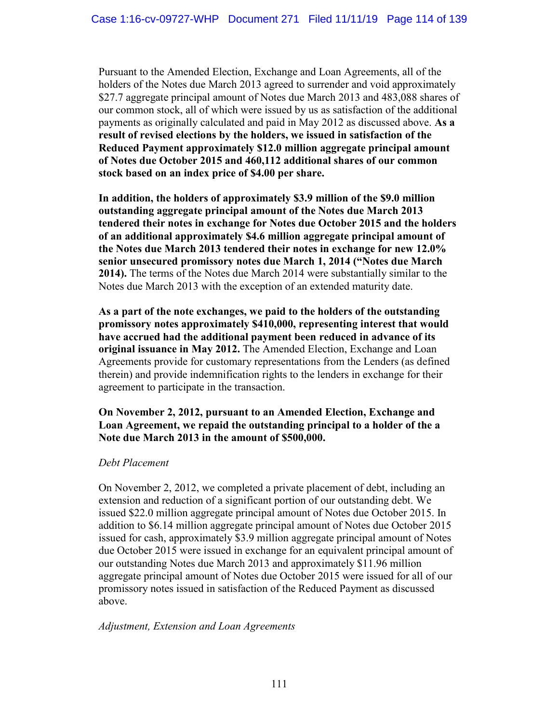Pursuant to the Amended Election, Exchange and Loan Agreements, all of the holders of the Notes due March 2013 agreed to surrender and void approximately \$27.7 aggregate principal amount of Notes due March 2013 and 483,088 shares of our common stock, all of which were issued by us as satisfaction of the additional payments as originally calculated and paid in May 2012 as discussed above. **As a result of revised elections by the holders, we issued in satisfaction of the Reduced Payment approximately \$12.0 million aggregate principal amount of Notes due October 2015 and 460,112 additional shares of our common stock based on an index price of \$4.00 per share.**

**In addition, the holders of approximately \$3.9 million of the \$9.0 million outstanding aggregate principal amount of the Notes due March 2013 tendered their notes in exchange for Notes due October 2015 and the holders of an additional approximately \$4.6 million aggregate principal amount of the Notes due March 2013 tendered their notes in exchange for new 12.0% senior unsecured promissory notes due March 1, 2014 ("Notes due March 2014).** The terms of the Notes due March 2014 were substantially similar to the Notes due March 2013 with the exception of an extended maturity date.

**As a part of the note exchanges, we paid to the holders of the outstanding promissory notes approximately \$410,000, representing interest that would have accrued had the additional payment been reduced in advance of its original issuance in May 2012.** The Amended Election, Exchange and Loan Agreements provide for customary representations from the Lenders (as defined therein) and provide indemnification rights to the lenders in exchange for their agreement to participate in the transaction.

# **On November 2, 2012, pursuant to an Amended Election, Exchange and Loan Agreement, we repaid the outstanding principal to a holder of the a Note due March 2013 in the amount of \$500,000.**

# *Debt Placement*

On November 2, 2012, we completed a private placement of debt, including an extension and reduction of a significant portion of our outstanding debt. We issued \$22.0 million aggregate principal amount of Notes due October 2015. In addition to \$6.14 million aggregate principal amount of Notes due October 2015 issued for cash, approximately \$3.9 million aggregate principal amount of Notes due October 2015 were issued in exchange for an equivalent principal amount of our outstanding Notes due March 2013 and approximately \$11.96 million aggregate principal amount of Notes due October 2015 were issued for all of our promissory notes issued in satisfaction of the Reduced Payment as discussed above.

# *Adjustment, Extension and Loan Agreements*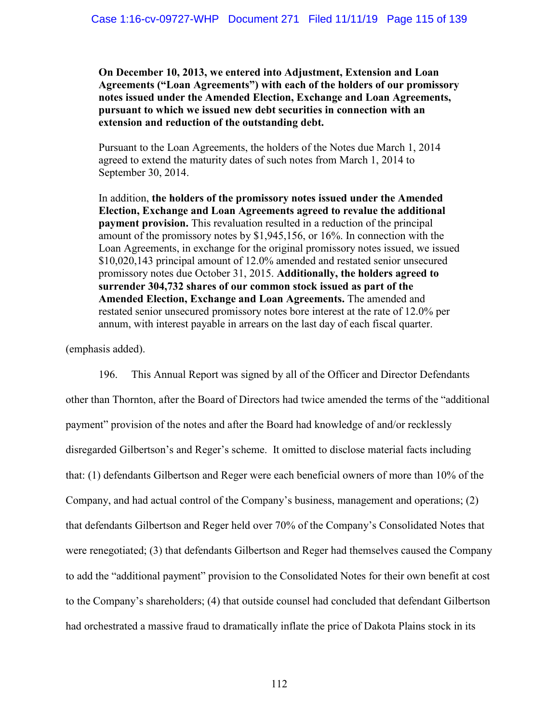**On December 10, 2013, we entered into Adjustment, Extension and Loan Agreements ("Loan Agreements") with each of the holders of our promissory notes issued under the Amended Election, Exchange and Loan Agreements, pursuant to which we issued new debt securities in connection with an extension and reduction of the outstanding debt.**

Pursuant to the Loan Agreements, the holders of the Notes due March 1, 2014 agreed to extend the maturity dates of such notes from March 1, 2014 to September 30, 2014.

In addition, **the holders of the promissory notes issued under the Amended Election, Exchange and Loan Agreements agreed to revalue the additional payment provision.** This revaluation resulted in a reduction of the principal amount of the promissory notes by \$1,945,156, or 16%. In connection with the Loan Agreements, in exchange for the original promissory notes issued, we issued \$10,020,143 principal amount of 12.0% amended and restated senior unsecured promissory notes due October 31, 2015. **Additionally, the holders agreed to surrender 304,732 shares of our common stock issued as part of the Amended Election, Exchange and Loan Agreements.** The amended and restated senior unsecured promissory notes bore interest at the rate of 12.0% per annum, with interest payable in arrears on the last day of each fiscal quarter.

(emphasis added).

196. This Annual Report was signed by all of the Officer and Director Defendants other than Thornton, after the Board of Directors had twice amended the terms of the "additional payment" provision of the notes and after the Board had knowledge of and/or recklessly disregarded Gilbertson's and Reger's scheme. It omitted to disclose material facts including that: (1) defendants Gilbertson and Reger were each beneficial owners of more than 10% of the Company, and had actual control of the Company's business, management and operations; (2) that defendants Gilbertson and Reger held over 70% of the Company's Consolidated Notes that were renegotiated; (3) that defendants Gilbertson and Reger had themselves caused the Company to add the "additional payment" provision to the Consolidated Notes for their own benefit at cost to the Company's shareholders; (4) that outside counsel had concluded that defendant Gilbertson had orchestrated a massive fraud to dramatically inflate the price of Dakota Plains stock in its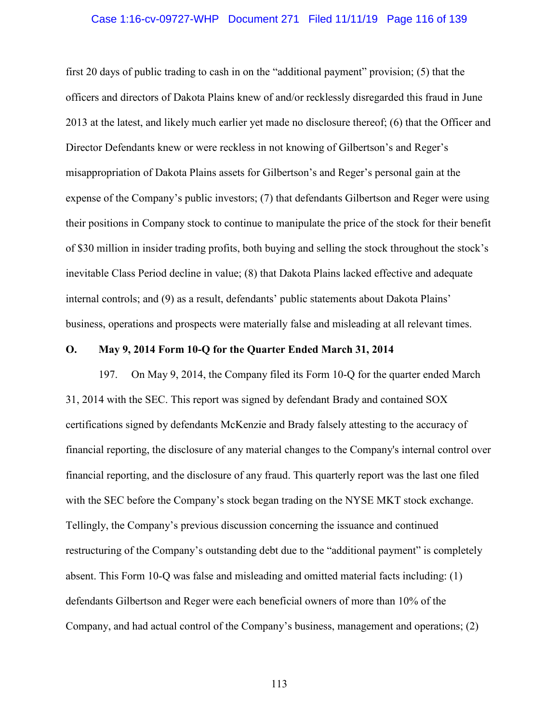#### Case 1:16-cv-09727-WHP Document 271 Filed 11/11/19 Page 116 of 139

first 20 days of public trading to cash in on the "additional payment" provision; (5) that the officers and directors of Dakota Plains knew of and/or recklessly disregarded this fraud in June 2013 at the latest, and likely much earlier yet made no disclosure thereof; (6) that the Officer and Director Defendants knew or were reckless in not knowing of Gilbertson's and Reger's misappropriation of Dakota Plains assets for Gilbertson's and Reger's personal gain at the expense of the Company's public investors; (7) that defendants Gilbertson and Reger were using their positions in Company stock to continue to manipulate the price of the stock for their benefit of \$30 million in insider trading profits, both buying and selling the stock throughout the stock's inevitable Class Period decline in value; (8) that Dakota Plains lacked effective and adequate internal controls; and (9) as a result, defendants' public statements about Dakota Plains' business, operations and prospects were materially false and misleading at all relevant times.

#### **O. May 9, 2014 Form 10-Q for the Quarter Ended March 31, 2014**

197. On May 9, 2014, the Company filed its Form 10-Q for the quarter ended March 31, 2014 with the SEC. This report was signed by defendant Brady and contained SOX certifications signed by defendants McKenzie and Brady falsely attesting to the accuracy of financial reporting, the disclosure of any material changes to the Company's internal control over financial reporting, and the disclosure of any fraud. This quarterly report was the last one filed with the SEC before the Company's stock began trading on the NYSE MKT stock exchange. Tellingly, the Company's previous discussion concerning the issuance and continued restructuring of the Company's outstanding debt due to the "additional payment" is completely absent. This Form 10-Q was false and misleading and omitted material facts including: (1) defendants Gilbertson and Reger were each beneficial owners of more than 10% of the Company, and had actual control of the Company's business, management and operations; (2)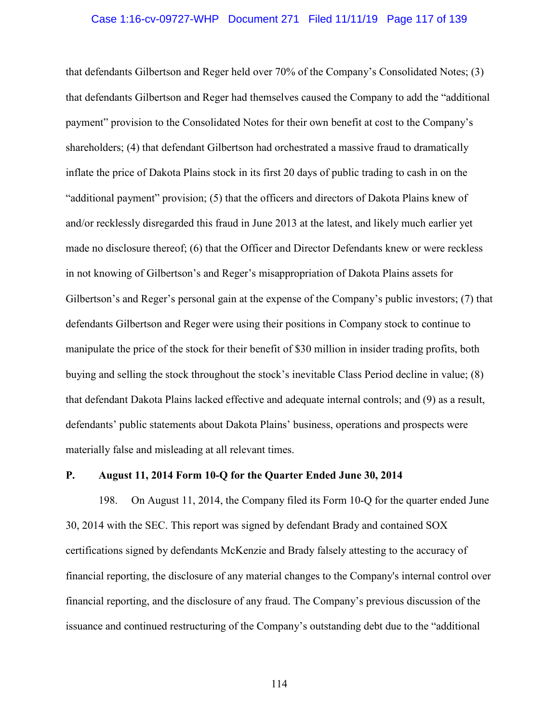#### Case 1:16-cv-09727-WHP Document 271 Filed 11/11/19 Page 117 of 139

that defendants Gilbertson and Reger held over 70% of the Company's Consolidated Notes; (3) that defendants Gilbertson and Reger had themselves caused the Company to add the "additional payment" provision to the Consolidated Notes for their own benefit at cost to the Company's shareholders; (4) that defendant Gilbertson had orchestrated a massive fraud to dramatically inflate the price of Dakota Plains stock in its first 20 days of public trading to cash in on the "additional payment" provision; (5) that the officers and directors of Dakota Plains knew of and/or recklessly disregarded this fraud in June 2013 at the latest, and likely much earlier yet made no disclosure thereof; (6) that the Officer and Director Defendants knew or were reckless in not knowing of Gilbertson's and Reger's misappropriation of Dakota Plains assets for Gilbertson's and Reger's personal gain at the expense of the Company's public investors; (7) that defendants Gilbertson and Reger were using their positions in Company stock to continue to manipulate the price of the stock for their benefit of \$30 million in insider trading profits, both buying and selling the stock throughout the stock's inevitable Class Period decline in value; (8) that defendant Dakota Plains lacked effective and adequate internal controls; and (9) as a result, defendants' public statements about Dakota Plains' business, operations and prospects were materially false and misleading at all relevant times.

#### **P. August 11, 2014 Form 10-Q for the Quarter Ended June 30, 2014**

198. On August 11, 2014, the Company filed its Form 10-Q for the quarter ended June 30, 2014 with the SEC. This report was signed by defendant Brady and contained SOX certifications signed by defendants McKenzie and Brady falsely attesting to the accuracy of financial reporting, the disclosure of any material changes to the Company's internal control over financial reporting, and the disclosure of any fraud. The Company's previous discussion of the issuance and continued restructuring of the Company's outstanding debt due to the "additional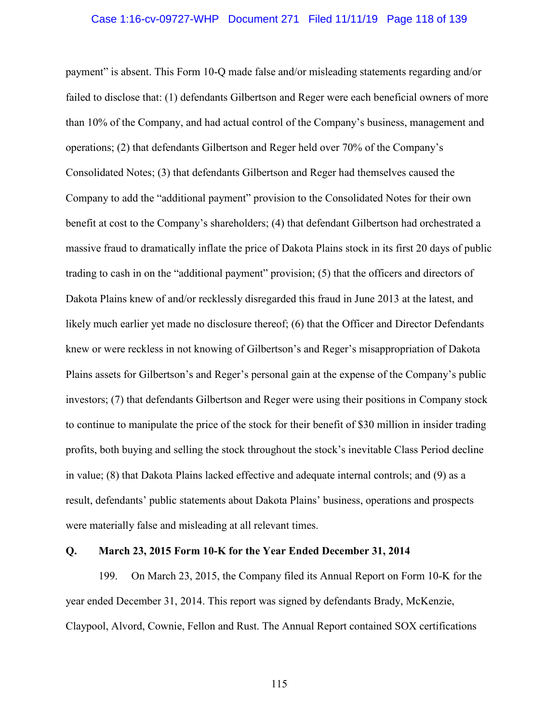#### Case 1:16-cv-09727-WHP Document 271 Filed 11/11/19 Page 118 of 139

payment" is absent. This Form 10-Q made false and/or misleading statements regarding and/or failed to disclose that: (1) defendants Gilbertson and Reger were each beneficial owners of more than 10% of the Company, and had actual control of the Company's business, management and operations; (2) that defendants Gilbertson and Reger held over 70% of the Company's Consolidated Notes; (3) that defendants Gilbertson and Reger had themselves caused the Company to add the "additional payment" provision to the Consolidated Notes for their own benefit at cost to the Company's shareholders; (4) that defendant Gilbertson had orchestrated a massive fraud to dramatically inflate the price of Dakota Plains stock in its first 20 days of public trading to cash in on the "additional payment" provision; (5) that the officers and directors of Dakota Plains knew of and/or recklessly disregarded this fraud in June 2013 at the latest, and likely much earlier yet made no disclosure thereof; (6) that the Officer and Director Defendants knew or were reckless in not knowing of Gilbertson's and Reger's misappropriation of Dakota Plains assets for Gilbertson's and Reger's personal gain at the expense of the Company's public investors; (7) that defendants Gilbertson and Reger were using their positions in Company stock to continue to manipulate the price of the stock for their benefit of \$30 million in insider trading profits, both buying and selling the stock throughout the stock's inevitable Class Period decline in value; (8) that Dakota Plains lacked effective and adequate internal controls; and (9) as a result, defendants' public statements about Dakota Plains' business, operations and prospects were materially false and misleading at all relevant times.

### **Q. March 23, 2015 Form 10-K for the Year Ended December 31, 2014**

199. On March 23, 2015, the Company filed its Annual Report on Form 10-K for the year ended December 31, 2014. This report was signed by defendants Brady, McKenzie, Claypool, Alvord, Cownie, Fellon and Rust. The Annual Report contained SOX certifications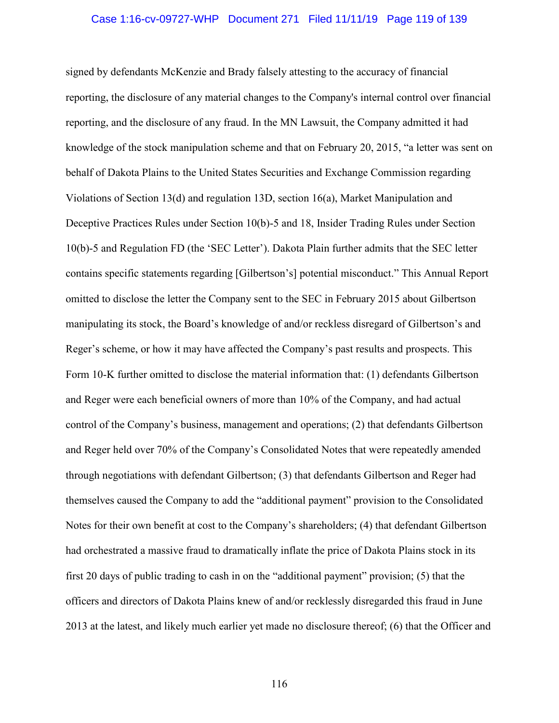# Case 1:16-cv-09727-WHP Document 271 Filed 11/11/19 Page 119 of 139

signed by defendants McKenzie and Brady falsely attesting to the accuracy of financial reporting, the disclosure of any material changes to the Company's internal control over financial reporting, and the disclosure of any fraud. In the MN Lawsuit, the Company admitted it had knowledge of the stock manipulation scheme and that on February 20, 2015, "a letter was sent on behalf of Dakota Plains to the United States Securities and Exchange Commission regarding Violations of Section 13(d) and regulation 13D, section 16(a), Market Manipulation and Deceptive Practices Rules under Section 10(b)-5 and 18, Insider Trading Rules under Section 10(b)-5 and Regulation FD (the 'SEC Letter'). Dakota Plain further admits that the SEC letter contains specific statements regarding [Gilbertson's] potential misconduct." This Annual Report omitted to disclose the letter the Company sent to the SEC in February 2015 about Gilbertson manipulating its stock, the Board's knowledge of and/or reckless disregard of Gilbertson's and Reger's scheme, or how it may have affected the Company's past results and prospects. This Form 10-K further omitted to disclose the material information that: (1) defendants Gilbertson and Reger were each beneficial owners of more than 10% of the Company, and had actual control of the Company's business, management and operations; (2) that defendants Gilbertson and Reger held over 70% of the Company's Consolidated Notes that were repeatedly amended through negotiations with defendant Gilbertson; (3) that defendants Gilbertson and Reger had themselves caused the Company to add the "additional payment" provision to the Consolidated Notes for their own benefit at cost to the Company's shareholders; (4) that defendant Gilbertson had orchestrated a massive fraud to dramatically inflate the price of Dakota Plains stock in its first 20 days of public trading to cash in on the "additional payment" provision; (5) that the officers and directors of Dakota Plains knew of and/or recklessly disregarded this fraud in June 2013 at the latest, and likely much earlier yet made no disclosure thereof; (6) that the Officer and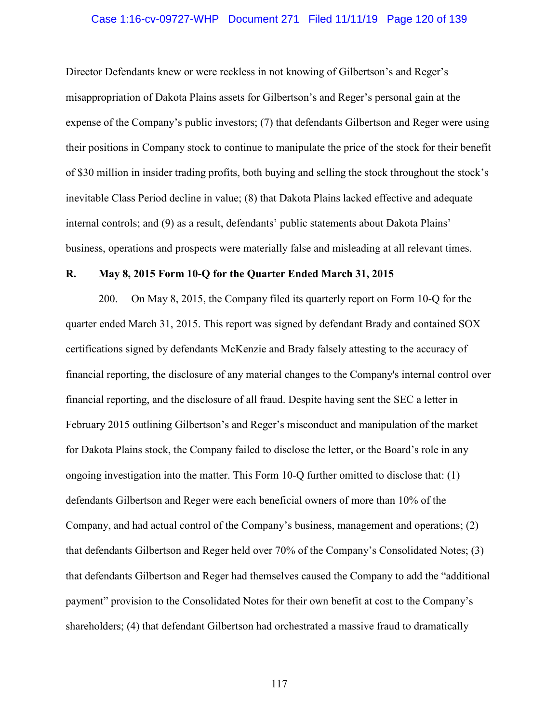# Case 1:16-cv-09727-WHP Document 271 Filed 11/11/19 Page 120 of 139

Director Defendants knew or were reckless in not knowing of Gilbertson's and Reger's misappropriation of Dakota Plains assets for Gilbertson's and Reger's personal gain at the expense of the Company's public investors; (7) that defendants Gilbertson and Reger were using their positions in Company stock to continue to manipulate the price of the stock for their benefit of \$30 million in insider trading profits, both buying and selling the stock throughout the stock's inevitable Class Period decline in value; (8) that Dakota Plains lacked effective and adequate internal controls; and (9) as a result, defendants' public statements about Dakota Plains' business, operations and prospects were materially false and misleading at all relevant times.

#### **R. May 8, 2015 Form 10-Q for the Quarter Ended March 31, 2015**

200. On May 8, 2015, the Company filed its quarterly report on Form 10-Q for the quarter ended March 31, 2015. This report was signed by defendant Brady and contained SOX certifications signed by defendants McKenzie and Brady falsely attesting to the accuracy of financial reporting, the disclosure of any material changes to the Company's internal control over financial reporting, and the disclosure of all fraud. Despite having sent the SEC a letter in February 2015 outlining Gilbertson's and Reger's misconduct and manipulation of the market for Dakota Plains stock, the Company failed to disclose the letter, or the Board's role in any ongoing investigation into the matter. This Form 10-Q further omitted to disclose that: (1) defendants Gilbertson and Reger were each beneficial owners of more than 10% of the Company, and had actual control of the Company's business, management and operations; (2) that defendants Gilbertson and Reger held over 70% of the Company's Consolidated Notes; (3) that defendants Gilbertson and Reger had themselves caused the Company to add the "additional payment" provision to the Consolidated Notes for their own benefit at cost to the Company's shareholders; (4) that defendant Gilbertson had orchestrated a massive fraud to dramatically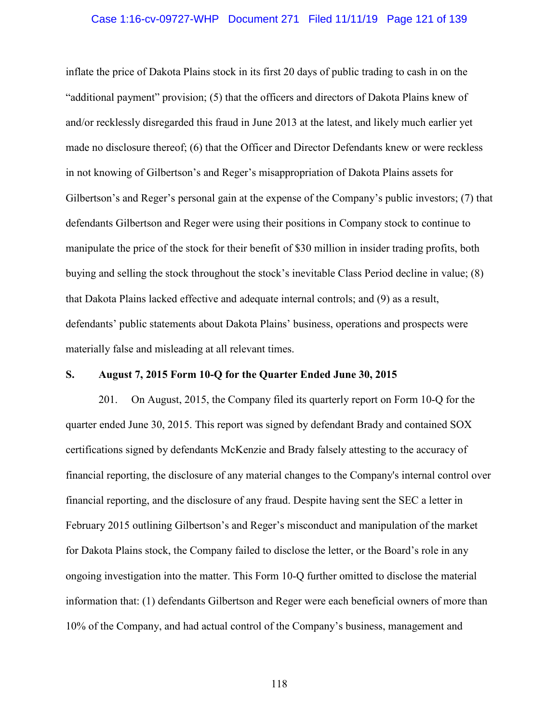# Case 1:16-cv-09727-WHP Document 271 Filed 11/11/19 Page 121 of 139

inflate the price of Dakota Plains stock in its first 20 days of public trading to cash in on the "additional payment" provision; (5) that the officers and directors of Dakota Plains knew of and/or recklessly disregarded this fraud in June 2013 at the latest, and likely much earlier yet made no disclosure thereof; (6) that the Officer and Director Defendants knew or were reckless in not knowing of Gilbertson's and Reger's misappropriation of Dakota Plains assets for Gilbertson's and Reger's personal gain at the expense of the Company's public investors; (7) that defendants Gilbertson and Reger were using their positions in Company stock to continue to manipulate the price of the stock for their benefit of \$30 million in insider trading profits, both buying and selling the stock throughout the stock's inevitable Class Period decline in value; (8) that Dakota Plains lacked effective and adequate internal controls; and (9) as a result, defendants' public statements about Dakota Plains' business, operations and prospects were materially false and misleading at all relevant times.

## **S. August 7, 2015 Form 10-Q for the Quarter Ended June 30, 2015**

201. On August, 2015, the Company filed its quarterly report on Form 10-Q for the quarter ended June 30, 2015. This report was signed by defendant Brady and contained SOX certifications signed by defendants McKenzie and Brady falsely attesting to the accuracy of financial reporting, the disclosure of any material changes to the Company's internal control over financial reporting, and the disclosure of any fraud. Despite having sent the SEC a letter in February 2015 outlining Gilbertson's and Reger's misconduct and manipulation of the market for Dakota Plains stock, the Company failed to disclose the letter, or the Board's role in any ongoing investigation into the matter. This Form 10-Q further omitted to disclose the material information that: (1) defendants Gilbertson and Reger were each beneficial owners of more than 10% of the Company, and had actual control of the Company's business, management and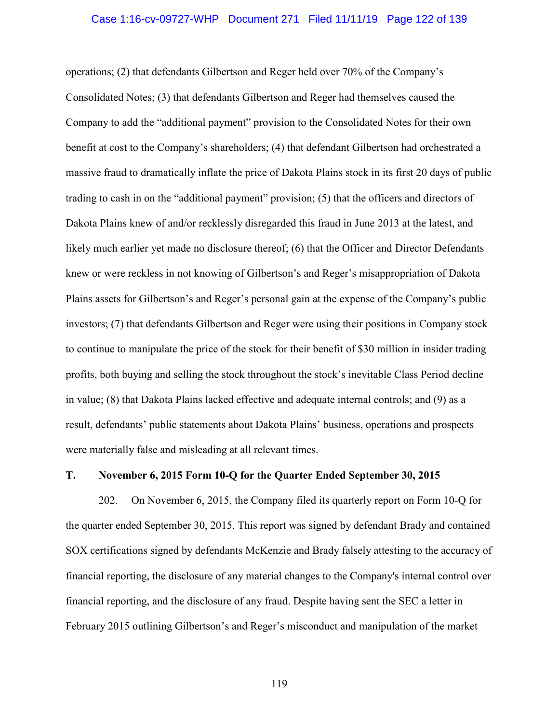#### Case 1:16-cv-09727-WHP Document 271 Filed 11/11/19 Page 122 of 139

operations; (2) that defendants Gilbertson and Reger held over 70% of the Company's Consolidated Notes; (3) that defendants Gilbertson and Reger had themselves caused the Company to add the "additional payment" provision to the Consolidated Notes for their own benefit at cost to the Company's shareholders; (4) that defendant Gilbertson had orchestrated a massive fraud to dramatically inflate the price of Dakota Plains stock in its first 20 days of public trading to cash in on the "additional payment" provision; (5) that the officers and directors of Dakota Plains knew of and/or recklessly disregarded this fraud in June 2013 at the latest, and likely much earlier yet made no disclosure thereof; (6) that the Officer and Director Defendants knew or were reckless in not knowing of Gilbertson's and Reger's misappropriation of Dakota Plains assets for Gilbertson's and Reger's personal gain at the expense of the Company's public investors; (7) that defendants Gilbertson and Reger were using their positions in Company stock to continue to manipulate the price of the stock for their benefit of \$30 million in insider trading profits, both buying and selling the stock throughout the stock's inevitable Class Period decline in value; (8) that Dakota Plains lacked effective and adequate internal controls; and (9) as a result, defendants' public statements about Dakota Plains' business, operations and prospects were materially false and misleading at all relevant times.

#### **T. November 6, 2015 Form 10-Q for the Quarter Ended September 30, 2015**

202. On November 6, 2015, the Company filed its quarterly report on Form 10-Q for the quarter ended September 30, 2015. This report was signed by defendant Brady and contained SOX certifications signed by defendants McKenzie and Brady falsely attesting to the accuracy of financial reporting, the disclosure of any material changes to the Company's internal control over financial reporting, and the disclosure of any fraud. Despite having sent the SEC a letter in February 2015 outlining Gilbertson's and Reger's misconduct and manipulation of the market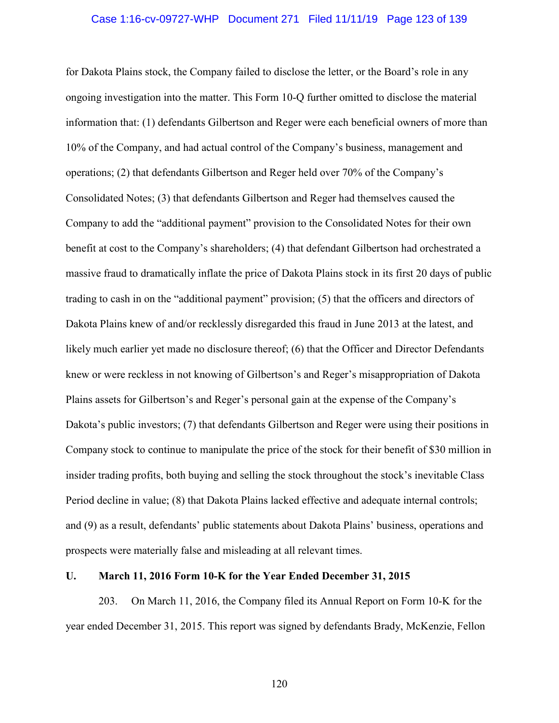#### Case 1:16-cv-09727-WHP Document 271 Filed 11/11/19 Page 123 of 139

for Dakota Plains stock, the Company failed to disclose the letter, or the Board's role in any ongoing investigation into the matter. This Form 10-Q further omitted to disclose the material information that: (1) defendants Gilbertson and Reger were each beneficial owners of more than 10% of the Company, and had actual control of the Company's business, management and operations; (2) that defendants Gilbertson and Reger held over 70% of the Company's Consolidated Notes; (3) that defendants Gilbertson and Reger had themselves caused the Company to add the "additional payment" provision to the Consolidated Notes for their own benefit at cost to the Company's shareholders; (4) that defendant Gilbertson had orchestrated a massive fraud to dramatically inflate the price of Dakota Plains stock in its first 20 days of public trading to cash in on the "additional payment" provision; (5) that the officers and directors of Dakota Plains knew of and/or recklessly disregarded this fraud in June 2013 at the latest, and likely much earlier yet made no disclosure thereof; (6) that the Officer and Director Defendants knew or were reckless in not knowing of Gilbertson's and Reger's misappropriation of Dakota Plains assets for Gilbertson's and Reger's personal gain at the expense of the Company's Dakota's public investors; (7) that defendants Gilbertson and Reger were using their positions in Company stock to continue to manipulate the price of the stock for their benefit of \$30 million in insider trading profits, both buying and selling the stock throughout the stock's inevitable Class Period decline in value; (8) that Dakota Plains lacked effective and adequate internal controls; and (9) as a result, defendants' public statements about Dakota Plains' business, operations and prospects were materially false and misleading at all relevant times.

## **U. March 11, 2016 Form 10-K for the Year Ended December 31, 2015**

203. On March 11, 2016, the Company filed its Annual Report on Form 10-K for the year ended December 31, 2015. This report was signed by defendants Brady, McKenzie, Fellon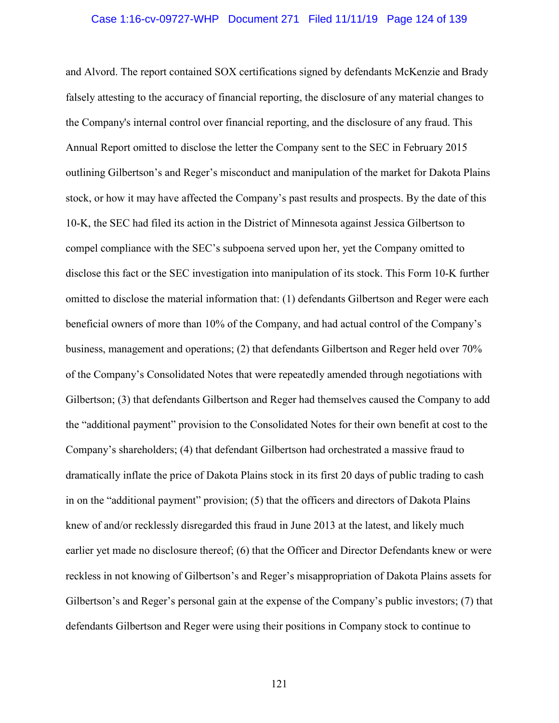#### Case 1:16-cv-09727-WHP Document 271 Filed 11/11/19 Page 124 of 139

and Alvord. The report contained SOX certifications signed by defendants McKenzie and Brady falsely attesting to the accuracy of financial reporting, the disclosure of any material changes to the Company's internal control over financial reporting, and the disclosure of any fraud. This Annual Report omitted to disclose the letter the Company sent to the SEC in February 2015 outlining Gilbertson's and Reger's misconduct and manipulation of the market for Dakota Plains stock, or how it may have affected the Company's past results and prospects. By the date of this 10-K, the SEC had filed its action in the District of Minnesota against Jessica Gilbertson to compel compliance with the SEC's subpoena served upon her, yet the Company omitted to disclose this fact or the SEC investigation into manipulation of its stock. This Form 10-K further omitted to disclose the material information that: (1) defendants Gilbertson and Reger were each beneficial owners of more than 10% of the Company, and had actual control of the Company's business, management and operations; (2) that defendants Gilbertson and Reger held over 70% of the Company's Consolidated Notes that were repeatedly amended through negotiations with Gilbertson; (3) that defendants Gilbertson and Reger had themselves caused the Company to add the "additional payment" provision to the Consolidated Notes for their own benefit at cost to the Company's shareholders; (4) that defendant Gilbertson had orchestrated a massive fraud to dramatically inflate the price of Dakota Plains stock in its first 20 days of public trading to cash in on the "additional payment" provision; (5) that the officers and directors of Dakota Plains knew of and/or recklessly disregarded this fraud in June 2013 at the latest, and likely much earlier yet made no disclosure thereof; (6) that the Officer and Director Defendants knew or were reckless in not knowing of Gilbertson's and Reger's misappropriation of Dakota Plains assets for Gilbertson's and Reger's personal gain at the expense of the Company's public investors; (7) that defendants Gilbertson and Reger were using their positions in Company stock to continue to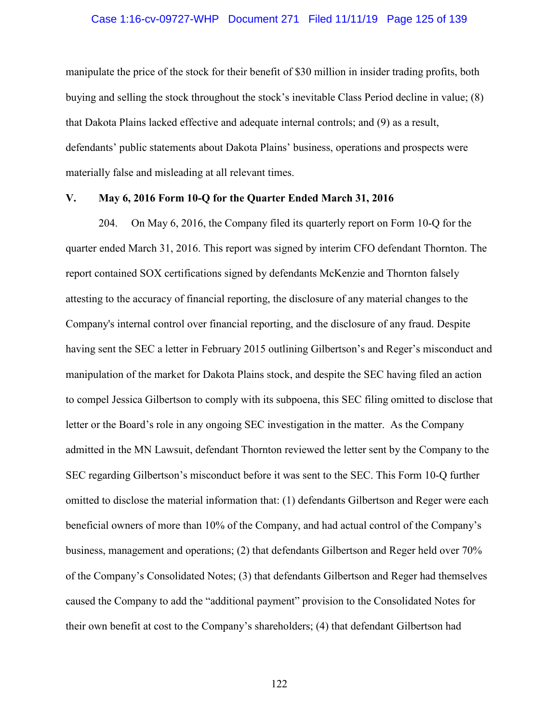#### Case 1:16-cv-09727-WHP Document 271 Filed 11/11/19 Page 125 of 139

manipulate the price of the stock for their benefit of \$30 million in insider trading profits, both buying and selling the stock throughout the stock's inevitable Class Period decline in value; (8) that Dakota Plains lacked effective and adequate internal controls; and (9) as a result, defendants' public statements about Dakota Plains' business, operations and prospects were materially false and misleading at all relevant times.

#### **V. May 6, 2016 Form 10-Q for the Quarter Ended March 31, 2016**

204. On May 6, 2016, the Company filed its quarterly report on Form 10-Q for the quarter ended March 31, 2016. This report was signed by interim CFO defendant Thornton. The report contained SOX certifications signed by defendants McKenzie and Thornton falsely attesting to the accuracy of financial reporting, the disclosure of any material changes to the Company's internal control over financial reporting, and the disclosure of any fraud. Despite having sent the SEC a letter in February 2015 outlining Gilbertson's and Reger's misconduct and manipulation of the market for Dakota Plains stock, and despite the SEC having filed an action to compel Jessica Gilbertson to comply with its subpoena, this SEC filing omitted to disclose that letter or the Board's role in any ongoing SEC investigation in the matter. As the Company admitted in the MN Lawsuit, defendant Thornton reviewed the letter sent by the Company to the SEC regarding Gilbertson's misconduct before it was sent to the SEC. This Form 10-Q further omitted to disclose the material information that: (1) defendants Gilbertson and Reger were each beneficial owners of more than 10% of the Company, and had actual control of the Company's business, management and operations; (2) that defendants Gilbertson and Reger held over 70% of the Company's Consolidated Notes; (3) that defendants Gilbertson and Reger had themselves caused the Company to add the "additional payment" provision to the Consolidated Notes for their own benefit at cost to the Company's shareholders; (4) that defendant Gilbertson had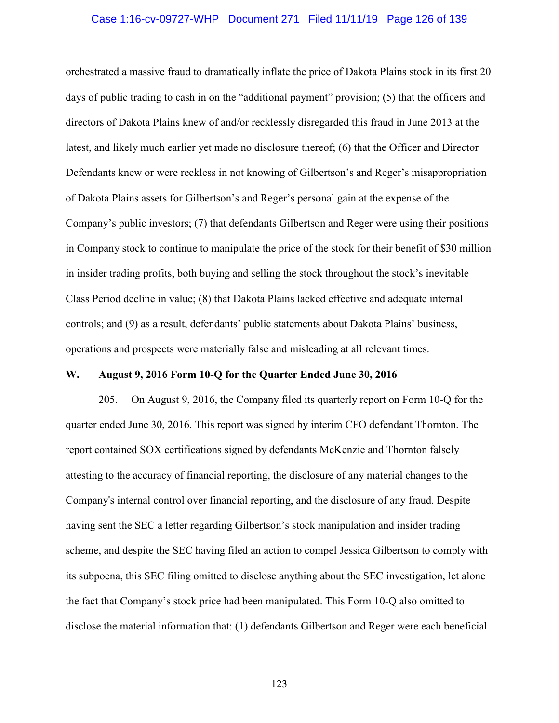#### Case 1:16-cv-09727-WHP Document 271 Filed 11/11/19 Page 126 of 139

orchestrated a massive fraud to dramatically inflate the price of Dakota Plains stock in its first 20 days of public trading to cash in on the "additional payment" provision; (5) that the officers and directors of Dakota Plains knew of and/or recklessly disregarded this fraud in June 2013 at the latest, and likely much earlier yet made no disclosure thereof; (6) that the Officer and Director Defendants knew or were reckless in not knowing of Gilbertson's and Reger's misappropriation of Dakota Plains assets for Gilbertson's and Reger's personal gain at the expense of the Company's public investors; (7) that defendants Gilbertson and Reger were using their positions in Company stock to continue to manipulate the price of the stock for their benefit of \$30 million in insider trading profits, both buying and selling the stock throughout the stock's inevitable Class Period decline in value; (8) that Dakota Plains lacked effective and adequate internal controls; and (9) as a result, defendants' public statements about Dakota Plains' business, operations and prospects were materially false and misleading at all relevant times.

## **W. August 9, 2016 Form 10-Q for the Quarter Ended June 30, 2016**

205. On August 9, 2016, the Company filed its quarterly report on Form 10-Q for the quarter ended June 30, 2016. This report was signed by interim CFO defendant Thornton. The report contained SOX certifications signed by defendants McKenzie and Thornton falsely attesting to the accuracy of financial reporting, the disclosure of any material changes to the Company's internal control over financial reporting, and the disclosure of any fraud. Despite having sent the SEC a letter regarding Gilbertson's stock manipulation and insider trading scheme, and despite the SEC having filed an action to compel Jessica Gilbertson to comply with its subpoena, this SEC filing omitted to disclose anything about the SEC investigation, let alone the fact that Company's stock price had been manipulated. This Form 10-Q also omitted to disclose the material information that: (1) defendants Gilbertson and Reger were each beneficial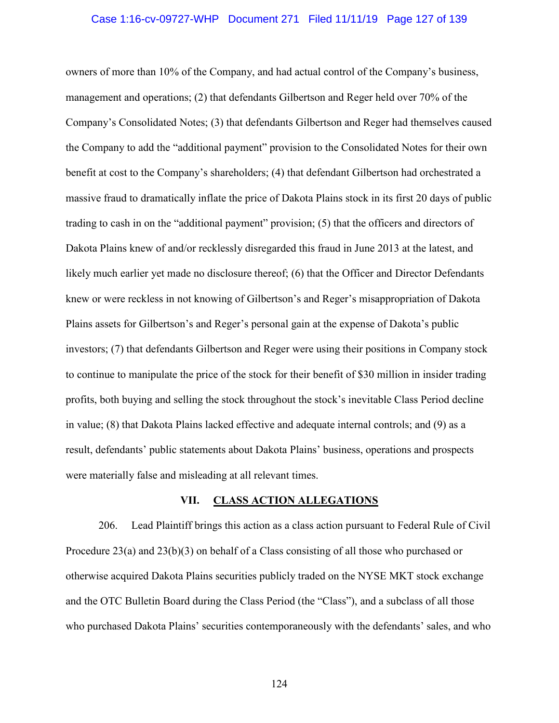#### Case 1:16-cv-09727-WHP Document 271 Filed 11/11/19 Page 127 of 139

owners of more than 10% of the Company, and had actual control of the Company's business, management and operations; (2) that defendants Gilbertson and Reger held over 70% of the Company's Consolidated Notes; (3) that defendants Gilbertson and Reger had themselves caused the Company to add the "additional payment" provision to the Consolidated Notes for their own benefit at cost to the Company's shareholders; (4) that defendant Gilbertson had orchestrated a massive fraud to dramatically inflate the price of Dakota Plains stock in its first 20 days of public trading to cash in on the "additional payment" provision; (5) that the officers and directors of Dakota Plains knew of and/or recklessly disregarded this fraud in June 2013 at the latest, and likely much earlier yet made no disclosure thereof; (6) that the Officer and Director Defendants knew or were reckless in not knowing of Gilbertson's and Reger's misappropriation of Dakota Plains assets for Gilbertson's and Reger's personal gain at the expense of Dakota's public investors; (7) that defendants Gilbertson and Reger were using their positions in Company stock to continue to manipulate the price of the stock for their benefit of \$30 million in insider trading profits, both buying and selling the stock throughout the stock's inevitable Class Period decline in value; (8) that Dakota Plains lacked effective and adequate internal controls; and (9) as a result, defendants' public statements about Dakota Plains' business, operations and prospects were materially false and misleading at all relevant times.

## **VII. CLASS ACTION ALLEGATIONS**

206. Lead Plaintiff brings this action as a class action pursuant to Federal Rule of Civil Procedure 23(a) and 23(b)(3) on behalf of a Class consisting of all those who purchased or otherwise acquired Dakota Plains securities publicly traded on the NYSE MKT stock exchange and the OTC Bulletin Board during the Class Period (the "Class"), and a subclass of all those who purchased Dakota Plains' securities contemporaneously with the defendants' sales, and who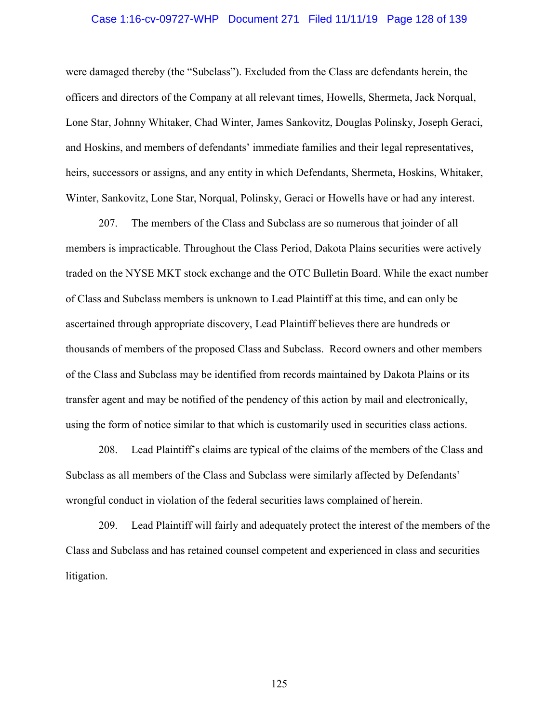# Case 1:16-cv-09727-WHP Document 271 Filed 11/11/19 Page 128 of 139

were damaged thereby (the "Subclass"). Excluded from the Class are defendants herein, the officers and directors of the Company at all relevant times, Howells, Shermeta, Jack Norqual, Lone Star, Johnny Whitaker, Chad Winter, James Sankovitz, Douglas Polinsky, Joseph Geraci, and Hoskins, and members of defendants' immediate families and their legal representatives, heirs, successors or assigns, and any entity in which Defendants, Shermeta, Hoskins, Whitaker, Winter, Sankovitz, Lone Star, Norqual, Polinsky, Geraci or Howells have or had any interest.

207. The members of the Class and Subclass are so numerous that joinder of all members is impracticable. Throughout the Class Period, Dakota Plains securities were actively traded on the NYSE MKT stock exchange and the OTC Bulletin Board. While the exact number of Class and Subclass members is unknown to Lead Plaintiff at this time, and can only be ascertained through appropriate discovery, Lead Plaintiff believes there are hundreds or thousands of members of the proposed Class and Subclass. Record owners and other members of the Class and Subclass may be identified from records maintained by Dakota Plains or its transfer agent and may be notified of the pendency of this action by mail and electronically, using the form of notice similar to that which is customarily used in securities class actions.

208. Lead Plaintiff's claims are typical of the claims of the members of the Class and Subclass as all members of the Class and Subclass were similarly affected by Defendants' wrongful conduct in violation of the federal securities laws complained of herein.

209. Lead Plaintiff will fairly and adequately protect the interest of the members of the Class and Subclass and has retained counsel competent and experienced in class and securities litigation.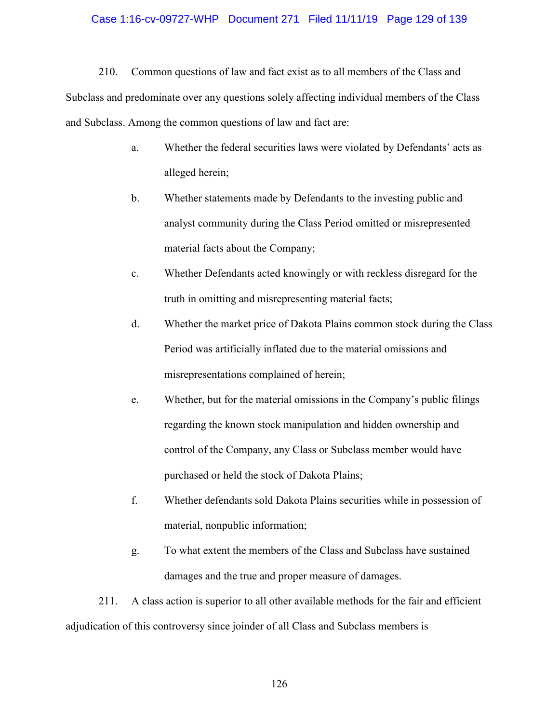## Case 1:16-cv-09727-WHP Document 271 Filed 11/11/19 Page 129 of 139

210. Common questions of law and fact exist as to all members of the Class and Subclass and predominate over any questions solely affecting individual members of the Class and Subclass. Among the common questions of law and fact are:

- a. Whether the federal securities laws were violated by Defendants' acts as alleged herein;
- b. Whether statements made by Defendants to the investing public and analyst community during the Class Period omitted or misrepresented material facts about the Company;
- c. Whether Defendants acted knowingly or with reckless disregard for the truth in omitting and misrepresenting material facts;
- d. Whether the market price of Dakota Plains common stock during the Class Period was artificially inflated due to the material omissions and misrepresentations complained of herein;
- e. Whether, but for the material omissions in the Company's public filings regarding the known stock manipulation and hidden ownership and control of the Company, any Class or Subclass member would have purchased or held the stock of Dakota Plains;
- f. Whether defendants sold Dakota Plains securities while in possession of material, nonpublic information;
- g. To what extent the members of the Class and Subclass have sustained damages and the true and proper measure of damages.

211. A class action is superior to all other available methods for the fair and efficient adjudication of this controversy since joinder of all Class and Subclass members is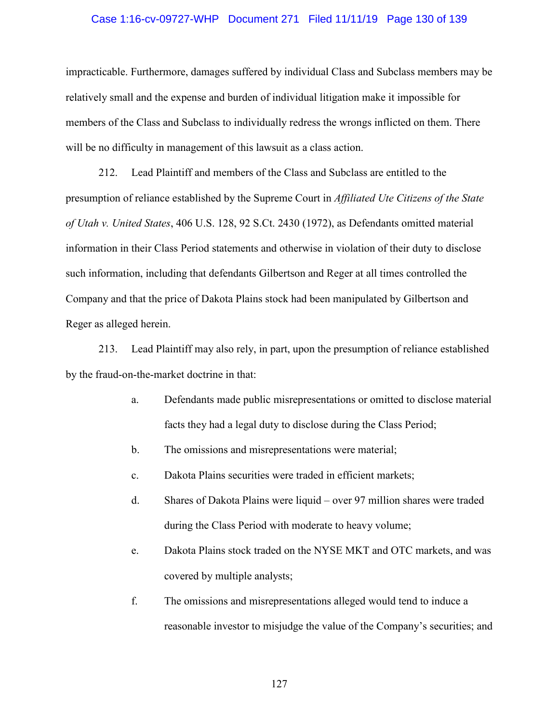#### Case 1:16-cv-09727-WHP Document 271 Filed 11/11/19 Page 130 of 139

impracticable. Furthermore, damages suffered by individual Class and Subclass members may be relatively small and the expense and burden of individual litigation make it impossible for members of the Class and Subclass to individually redress the wrongs inflicted on them. There will be no difficulty in management of this lawsuit as a class action.

212. Lead Plaintiff and members of the Class and Subclass are entitled to the presumption of reliance established by the Supreme Court in *Affiliated Ute Citizens of the State of Utah v. United States*, 406 U.S. 128, 92 S.Ct. 2430 (1972), as Defendants omitted material information in their Class Period statements and otherwise in violation of their duty to disclose such information, including that defendants Gilbertson and Reger at all times controlled the Company and that the price of Dakota Plains stock had been manipulated by Gilbertson and Reger as alleged herein.

213. Lead Plaintiff may also rely, in part, upon the presumption of reliance established by the fraud-on-the-market doctrine in that:

- a. Defendants made public misrepresentations or omitted to disclose material facts they had a legal duty to disclose during the Class Period;
- b. The omissions and misrepresentations were material;
- c. Dakota Plains securities were traded in efficient markets;
- d. Shares of Dakota Plains were liquid over 97 million shares were traded during the Class Period with moderate to heavy volume;
- e. Dakota Plains stock traded on the NYSE MKT and OTC markets, and was covered by multiple analysts;
- f. The omissions and misrepresentations alleged would tend to induce a reasonable investor to misjudge the value of the Company's securities; and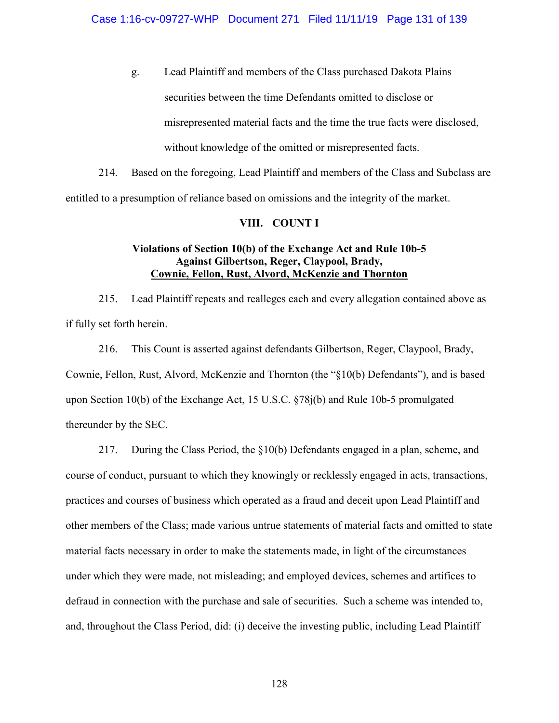g. Lead Plaintiff and members of the Class purchased Dakota Plains securities between the time Defendants omitted to disclose or misrepresented material facts and the time the true facts were disclosed, without knowledge of the omitted or misrepresented facts.

214. Based on the foregoing, Lead Plaintiff and members of the Class and Subclass are entitled to a presumption of reliance based on omissions and the integrity of the market.

# **VIII. COUNT I**

# **Violations of Section 10(b) of the Exchange Act and Rule 10b-5 Against Gilbertson, Reger, Claypool, Brady, Cownie, Fellon, Rust, Alvord, McKenzie and Thornton**

215. Lead Plaintiff repeats and realleges each and every allegation contained above as if fully set forth herein.

216. This Count is asserted against defendants Gilbertson, Reger, Claypool, Brady, Cownie, Fellon, Rust, Alvord, McKenzie and Thornton (the "§10(b) Defendants"), and is based upon Section 10(b) of the Exchange Act, 15 U.S.C. §78j(b) and Rule 10b-5 promulgated thereunder by the SEC.

217. During the Class Period, the §10(b) Defendants engaged in a plan, scheme, and course of conduct, pursuant to which they knowingly or recklessly engaged in acts, transactions, practices and courses of business which operated as a fraud and deceit upon Lead Plaintiff and other members of the Class; made various untrue statements of material facts and omitted to state material facts necessary in order to make the statements made, in light of the circumstances under which they were made, not misleading; and employed devices, schemes and artifices to defraud in connection with the purchase and sale of securities. Such a scheme was intended to, and, throughout the Class Period, did: (i) deceive the investing public, including Lead Plaintiff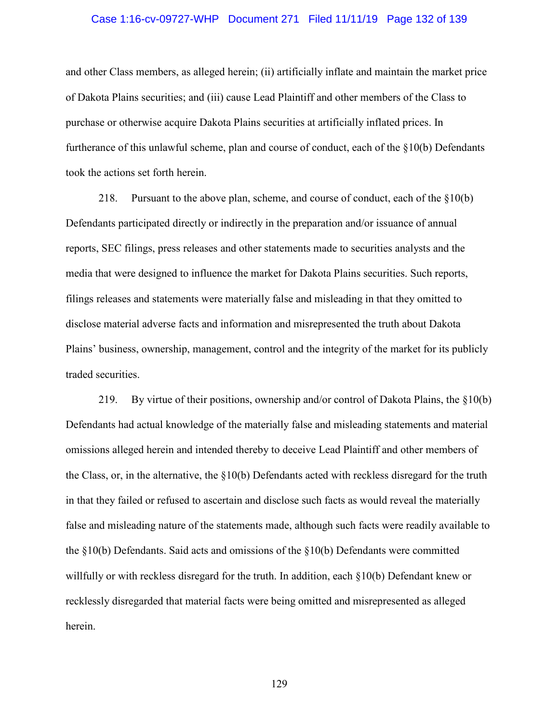## Case 1:16-cv-09727-WHP Document 271 Filed 11/11/19 Page 132 of 139

and other Class members, as alleged herein; (ii) artificially inflate and maintain the market price of Dakota Plains securities; and (iii) cause Lead Plaintiff and other members of the Class to purchase or otherwise acquire Dakota Plains securities at artificially inflated prices. In furtherance of this unlawful scheme, plan and course of conduct, each of the §10(b) Defendants took the actions set forth herein.

218. Pursuant to the above plan, scheme, and course of conduct, each of the §10(b) Defendants participated directly or indirectly in the preparation and/or issuance of annual reports, SEC filings, press releases and other statements made to securities analysts and the media that were designed to influence the market for Dakota Plains securities. Such reports, filings releases and statements were materially false and misleading in that they omitted to disclose material adverse facts and information and misrepresented the truth about Dakota Plains' business, ownership, management, control and the integrity of the market for its publicly traded securities.

219. By virtue of their positions, ownership and/or control of Dakota Plains, the §10(b) Defendants had actual knowledge of the materially false and misleading statements and material omissions alleged herein and intended thereby to deceive Lead Plaintiff and other members of the Class, or, in the alternative, the  $\S10(b)$  Defendants acted with reckless disregard for the truth in that they failed or refused to ascertain and disclose such facts as would reveal the materially false and misleading nature of the statements made, although such facts were readily available to the  $\S10(b)$  Defendants. Said acts and omissions of the  $\S10(b)$  Defendants were committed willfully or with reckless disregard for the truth. In addition, each §10(b) Defendant knew or recklessly disregarded that material facts were being omitted and misrepresented as alleged herein.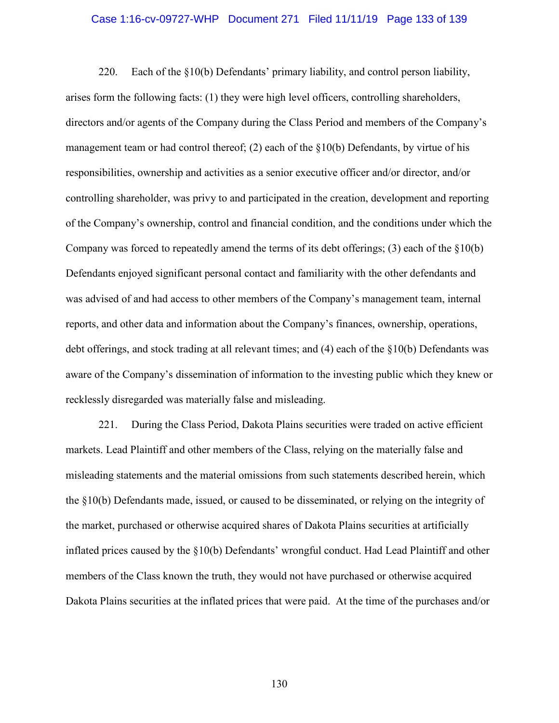# Case 1:16-cv-09727-WHP Document 271 Filed 11/11/19 Page 133 of 139

220. Each of the  $\S10(b)$  Defendants' primary liability, and control person liability, arises form the following facts: (1) they were high level officers, controlling shareholders, directors and/or agents of the Company during the Class Period and members of the Company's management team or had control thereof; (2) each of the  $\S10(b)$  Defendants, by virtue of his responsibilities, ownership and activities as a senior executive officer and/or director, and/or controlling shareholder, was privy to and participated in the creation, development and reporting of the Company's ownership, control and financial condition, and the conditions under which the Company was forced to repeatedly amend the terms of its debt offerings; (3) each of the  $\S10(b)$ Defendants enjoyed significant personal contact and familiarity with the other defendants and was advised of and had access to other members of the Company's management team, internal reports, and other data and information about the Company's finances, ownership, operations, debt offerings, and stock trading at all relevant times; and (4) each of the §10(b) Defendants was aware of the Company's dissemination of information to the investing public which they knew or recklessly disregarded was materially false and misleading.

221. During the Class Period, Dakota Plains securities were traded on active efficient markets. Lead Plaintiff and other members of the Class, relying on the materially false and misleading statements and the material omissions from such statements described herein, which the §10(b) Defendants made, issued, or caused to be disseminated, or relying on the integrity of the market, purchased or otherwise acquired shares of Dakota Plains securities at artificially inflated prices caused by the §10(b) Defendants' wrongful conduct. Had Lead Plaintiff and other members of the Class known the truth, they would not have purchased or otherwise acquired Dakota Plains securities at the inflated prices that were paid. At the time of the purchases and/or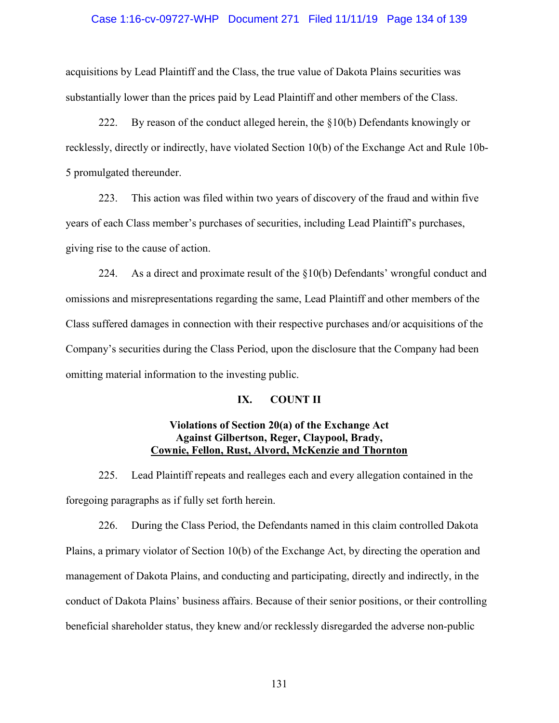## Case 1:16-cv-09727-WHP Document 271 Filed 11/11/19 Page 134 of 139

acquisitions by Lead Plaintiff and the Class, the true value of Dakota Plains securities was substantially lower than the prices paid by Lead Plaintiff and other members of the Class.

222. By reason of the conduct alleged herein, the  $\S10(b)$  Defendants knowingly or recklessly, directly or indirectly, have violated Section 10(b) of the Exchange Act and Rule 10b-5 promulgated thereunder.

223. This action was filed within two years of discovery of the fraud and within five years of each Class member's purchases of securities, including Lead Plaintiff's purchases, giving rise to the cause of action.

224. As a direct and proximate result of the  $\S10(b)$  Defendants' wrongful conduct and omissions and misrepresentations regarding the same, Lead Plaintiff and other members of the Class suffered damages in connection with their respective purchases and/or acquisitions of the Company's securities during the Class Period, upon the disclosure that the Company had been omitting material information to the investing public.

## **IX. COUNT II**

# **Violations of Section 20(a) of the Exchange Act Against Gilbertson, Reger, Claypool, Brady, Cownie, Fellon, Rust, Alvord, McKenzie and Thornton**

225. Lead Plaintiff repeats and realleges each and every allegation contained in the foregoing paragraphs as if fully set forth herein.

226. During the Class Period, the Defendants named in this claim controlled Dakota Plains, a primary violator of Section 10(b) of the Exchange Act, by directing the operation and management of Dakota Plains, and conducting and participating, directly and indirectly, in the conduct of Dakota Plains' business affairs. Because of their senior positions, or their controlling beneficial shareholder status, they knew and/or recklessly disregarded the adverse non-public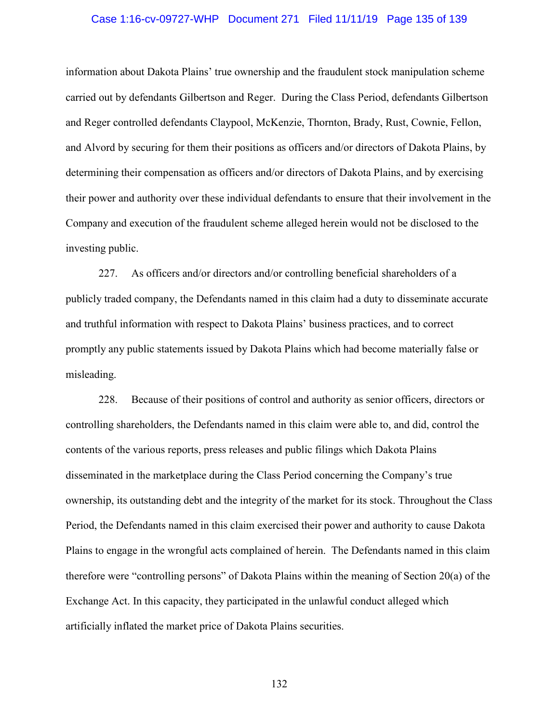## Case 1:16-cv-09727-WHP Document 271 Filed 11/11/19 Page 135 of 139

information about Dakota Plains' true ownership and the fraudulent stock manipulation scheme carried out by defendants Gilbertson and Reger. During the Class Period, defendants Gilbertson and Reger controlled defendants Claypool, McKenzie, Thornton, Brady, Rust, Cownie, Fellon, and Alvord by securing for them their positions as officers and/or directors of Dakota Plains, by determining their compensation as officers and/or directors of Dakota Plains, and by exercising their power and authority over these individual defendants to ensure that their involvement in the Company and execution of the fraudulent scheme alleged herein would not be disclosed to the investing public.

227. As officers and/or directors and/or controlling beneficial shareholders of a publicly traded company, the Defendants named in this claim had a duty to disseminate accurate and truthful information with respect to Dakota Plains' business practices, and to correct promptly any public statements issued by Dakota Plains which had become materially false or misleading.

228. Because of their positions of control and authority as senior officers, directors or controlling shareholders, the Defendants named in this claim were able to, and did, control the contents of the various reports, press releases and public filings which Dakota Plains disseminated in the marketplace during the Class Period concerning the Company's true ownership, its outstanding debt and the integrity of the market for its stock. Throughout the Class Period, the Defendants named in this claim exercised their power and authority to cause Dakota Plains to engage in the wrongful acts complained of herein. The Defendants named in this claim therefore were "controlling persons" of Dakota Plains within the meaning of Section 20(a) of the Exchange Act. In this capacity, they participated in the unlawful conduct alleged which artificially inflated the market price of Dakota Plains securities.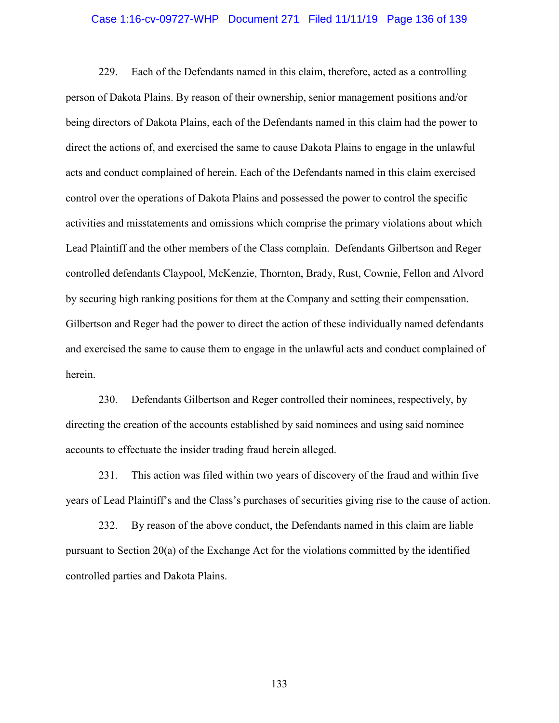## Case 1:16-cv-09727-WHP Document 271 Filed 11/11/19 Page 136 of 139

229. Each of the Defendants named in this claim, therefore, acted as a controlling person of Dakota Plains. By reason of their ownership, senior management positions and/or being directors of Dakota Plains, each of the Defendants named in this claim had the power to direct the actions of, and exercised the same to cause Dakota Plains to engage in the unlawful acts and conduct complained of herein. Each of the Defendants named in this claim exercised control over the operations of Dakota Plains and possessed the power to control the specific activities and misstatements and omissions which comprise the primary violations about which Lead Plaintiff and the other members of the Class complain. Defendants Gilbertson and Reger controlled defendants Claypool, McKenzie, Thornton, Brady, Rust, Cownie, Fellon and Alvord by securing high ranking positions for them at the Company and setting their compensation. Gilbertson and Reger had the power to direct the action of these individually named defendants and exercised the same to cause them to engage in the unlawful acts and conduct complained of herein.

230. Defendants Gilbertson and Reger controlled their nominees, respectively, by directing the creation of the accounts established by said nominees and using said nominee accounts to effectuate the insider trading fraud herein alleged.

231. This action was filed within two years of discovery of the fraud and within five years of Lead Plaintiff's and the Class's purchases of securities giving rise to the cause of action.

232. By reason of the above conduct, the Defendants named in this claim are liable pursuant to Section 20(a) of the Exchange Act for the violations committed by the identified controlled parties and Dakota Plains.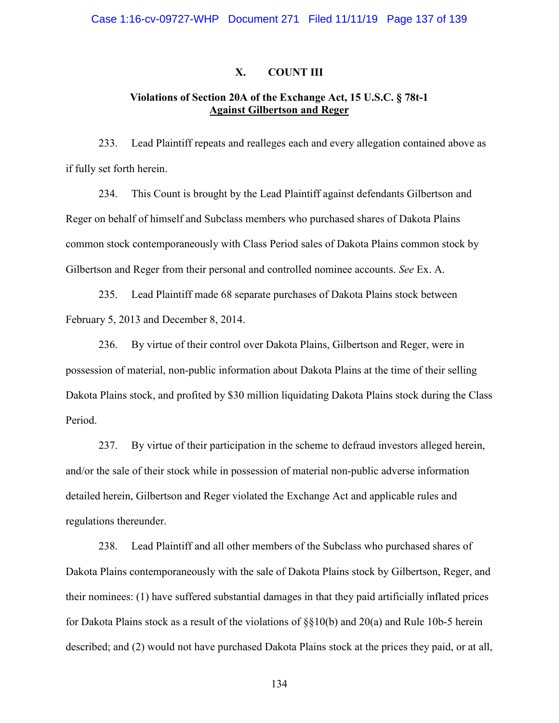## **X. COUNT III**

# **Violations of Section 20A of the Exchange Act, 15 U.S.C. § 78t-1 Against Gilbertson and Reger**

233. Lead Plaintiff repeats and realleges each and every allegation contained above as if fully set forth herein.

234. This Count is brought by the Lead Plaintiff against defendants Gilbertson and Reger on behalf of himself and Subclass members who purchased shares of Dakota Plains common stock contemporaneously with Class Period sales of Dakota Plains common stock by Gilbertson and Reger from their personal and controlled nominee accounts. *See* Ex. A.

235. Lead Plaintiff made 68 separate purchases of Dakota Plains stock between February 5, 2013 and December 8, 2014.

236. By virtue of their control over Dakota Plains, Gilbertson and Reger, were in possession of material, non-public information about Dakota Plains at the time of their selling Dakota Plains stock, and profited by \$30 million liquidating Dakota Plains stock during the Class Period.

237. By virtue of their participation in the scheme to defraud investors alleged herein, and/or the sale of their stock while in possession of material non-public adverse information detailed herein, Gilbertson and Reger violated the Exchange Act and applicable rules and regulations thereunder.

238. Lead Plaintiff and all other members of the Subclass who purchased shares of Dakota Plains contemporaneously with the sale of Dakota Plains stock by Gilbertson, Reger, and their nominees: (1) have suffered substantial damages in that they paid artificially inflated prices for Dakota Plains stock as a result of the violations of §§10(b) and 20(a) and Rule 10b-5 herein described; and (2) would not have purchased Dakota Plains stock at the prices they paid, or at all,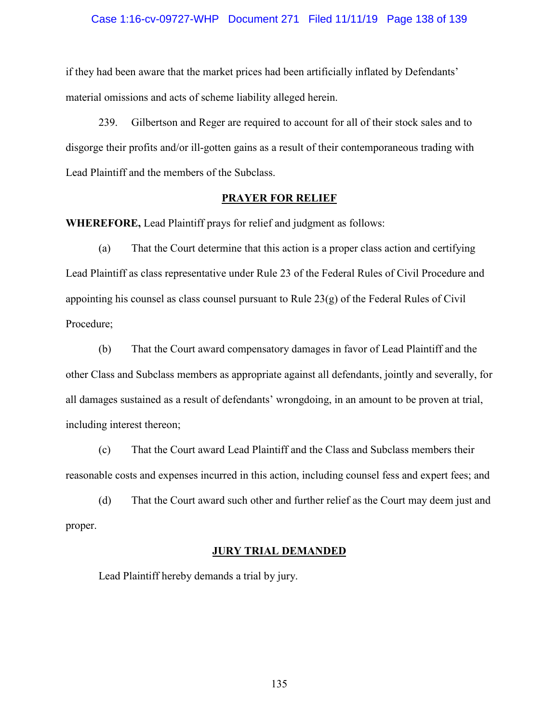## Case 1:16-cv-09727-WHP Document 271 Filed 11/11/19 Page 138 of 139

if they had been aware that the market prices had been artificially inflated by Defendants' material omissions and acts of scheme liability alleged herein.

239. Gilbertson and Reger are required to account for all of their stock sales and to disgorge their profits and/or ill-gotten gains as a result of their contemporaneous trading with Lead Plaintiff and the members of the Subclass.

## **PRAYER FOR RELIEF**

**WHEREFORE,** Lead Plaintiff prays for relief and judgment as follows:

(a) That the Court determine that this action is a proper class action and certifying Lead Plaintiff as class representative under Rule 23 of the Federal Rules of Civil Procedure and appointing his counsel as class counsel pursuant to Rule 23(g) of the Federal Rules of Civil Procedure;

(b) That the Court award compensatory damages in favor of Lead Plaintiff and the other Class and Subclass members as appropriate against all defendants, jointly and severally, for all damages sustained as a result of defendants' wrongdoing, in an amount to be proven at trial, including interest thereon;

(c) That the Court award Lead Plaintiff and the Class and Subclass members their reasonable costs and expenses incurred in this action, including counsel fess and expert fees; and

(d) That the Court award such other and further relief as the Court may deem just and proper.

# **JURY TRIAL DEMANDED**

Lead Plaintiff hereby demands a trial by jury.